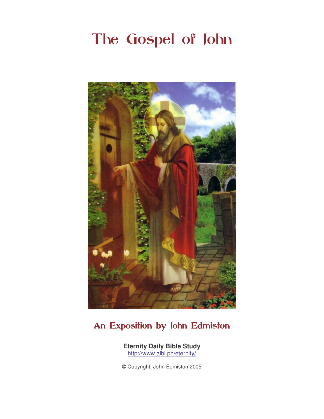# The Gospel of John



# An Exposition by John Edmiston

**Eternity Daily Bible Study**  http://www.aibi.ph/eternity/

© Copyright, John Edmiston 2005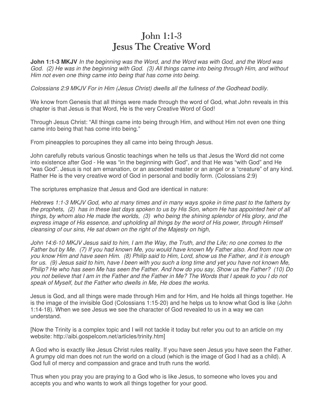### John  $1:1-3$ Jesus The Creative Word

**John 1:1-3 MKJV** In the beginning was the Word, and the Word was with God, and the Word was God. (2) He was in the beginning with God. (3) All things came into being through Him, and without Him not even one thing came into being that has come into being.

Colossians 2:9 MKJV For in Him (Jesus Christ) dwells all the fullness of the Godhead bodily.

We know from Genesis that all things were made through the word of God, what John reveals in this chapter is that Jesus is that Word, He is the very Creative Word of God!

Through Jesus Christ: "All things came into being through Him, and without Him not even one thing came into being that has come into being."

From pineapples to porcupines they all came into being through Jesus.

John carefully rebuts various Gnostic teachings when he tells us that Jesus the Word did not come into existence after God - He was "in the beginning with God", and that He was "with God" and He "was God". Jesus is not am emanation, or an ascended master or an angel or a "creature" of any kind. Rather He is the very creative word of God in personal and bodily form. (Colossians 2:9)

The scriptures emphasize that Jesus and God are identical in nature:

Hebrews 1:1-3 MKJV God, who at many times and in many ways spoke in time past to the fathers by the prophets, (2) has in these last days spoken to us by His Son, whom He has appointed heir of all things, by whom also He made the worlds, (3) who being the shining splendor of His glory, and the express image of His essence, and upholding all things by the word of His power, through Himself cleansing of our sins, He sat down on the right of the Majesty on high,

John 14:6-10 MKJV Jesus said to him, I am the Way, the Truth, and the Life; no one comes to the Father but by Me. (7) If you had known Me, you would have known My Father also. And from now on you know Him and have seen Him. (8) Philip said to Him, Lord, show us the Father, and it is enough for us. (9) Jesus said to him, have I been with you such a long time and yet you have not known Me, Philip? He who has seen Me has seen the Father. And how do you say, Show us the Father? (10) Do you not believe that I am in the Father and the Father in Me? The Words that I speak to you I do not speak of Myself, but the Father who dwells in Me, He does the works.

Jesus is God, and all things were made through Him and for Him, and He holds all things together. He is the image of the invisible God (Colossians 1:15-20) and he helps us to know what God is like (John 1:14-18). When we see Jesus we see the character of God revealed to us in a way we can understand.

[Now the Trinity is a complex topic and I will not tackle it today but refer you out to an article on my website: http://aibi.gospelcom.net/articles/trinity.htm]

A God who is exactly like Jesus Christ rules reality. If you have seen Jesus you have seen the Father. A grumpy old man does not run the world on a cloud (which is the image of God I had as a child). A God full of mercy and compassion and grace and truth runs the world.

Thus when you pray you are praying to a God who is like Jesus, to someone who loves you and accepts you and who wants to work all things together for your good.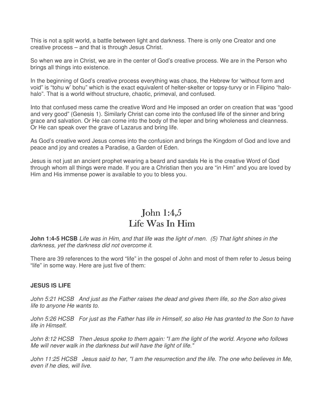This is not a split world, a battle between light and darkness. There is only one Creator and one creative process – and that is through Jesus Christ.

So when we are in Christ, we are in the center of God's creative process. We are in the Person who brings all things into existence.

In the beginning of God's creative process everything was chaos, the Hebrew for 'without form and void" is "tohu w' bohu" which is the exact equivalent of helter-skelter or topsy-turvy or in Filipino "halohalo". That is a world without structure, chaotic, primeval, and confused.

Into that confused mess came the creative Word and He imposed an order on creation that was "good and very good" (Genesis 1). Similarly Christ can come into the confused life of the sinner and bring grace and salvation. Or He can come into the body of the leper and bring wholeness and cleanness. Or He can speak over the grave of Lazarus and bring life.

As God's creative word Jesus comes into the confusion and brings the Kingdom of God and love and peace and joy and creates a Paradise, a Garden of Eden.

Jesus is not just an ancient prophet wearing a beard and sandals He is the creative Word of God through whom all things were made. If you are a Christian then you are "in Him" and you are loved by Him and His immense power is available to you to bless you.

#### John 1:4,5 Life Was In Him

**John 1:4-5 HCSB** Life was in Him, and that life was the light of men. (5) That light shines in the darkness, yet the darkness did not overcome it.

There are 39 references to the word "life" in the gospel of John and most of them refer to Jesus being "life" in some way. Here are just five of them:

#### **JESUS IS LIFE**

John 5:21 HCSB And just as the Father raises the dead and gives them life, so the Son also gives life to anyone He wants to.

John 5:26 HCSB For just as the Father has life in Himself, so also He has granted to the Son to have life in Himself.

John 8:12 HCSB Then Jesus spoke to them again: "I am the light of the world. Anyone who follows Me will never walk in the darkness but will have the light of life."

John 11:25 HCSB Jesus said to her, "I am the resurrection and the life. The one who believes in Me, even if he dies, will live.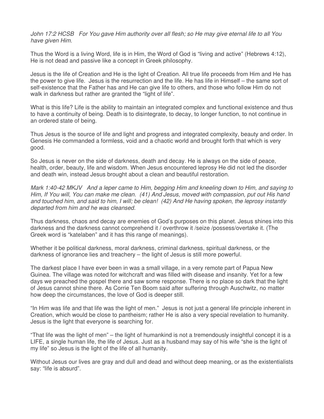John 17:2 HCSB For You gave Him authority over all flesh; so He may give eternal life to all You have given Him.

Thus the Word is a living Word, life is in Him, the Word of God is "living and active" (Hebrews 4:12), He is not dead and passive like a concept in Greek philosophy.

Jesus is the life of Creation and He is the light of Creation. All true life proceeds from Him and He has the power to give life. Jesus is the resurrection and the life. He has life in Himself – the same sort of self-existence that the Father has and He can give life to others, and those who follow Him do not walk in darkness but rather are granted the "light of life".

What is this life? Life is the ability to maintain an integrated complex and functional existence and thus to have a continuity of being. Death is to disintegrate, to decay, to longer function, to not continue in an ordered state of being.

Thus Jesus is the source of life and light and progress and integrated complexity, beauty and order. In Genesis He commanded a formless, void and a chaotic world and brought forth that which is very good.

So Jesus is never on the side of darkness, death and decay. He is always on the side of peace, health, order, beauty, life and wisdom. When Jesus encountered leprosy He did not led the disorder and death win, instead Jesus brought about a clean and beautiful restoration.

Mark 1:40-42 MKJV And a leper came to Him, begging Him and kneeling down to Him, and saying to Him, If You will, You can make me clean. (41) And Jesus, moved with compassion, put out His hand and touched him, and said to him, I will; be clean! (42) And He having spoken, the leprosy instantly departed from him and he was cleansed.

Thus darkness, chaos and decay are enemies of God's purposes on this planet. Jesus shines into this darkness and the darkness cannot comprehend it / overthrow it /seize /possess/overtake it. (The Greek word is "katelaben" and it has this range of meanings).

Whether it be political darkness, moral darkness, criminal darkness, spiritual darkness, or the darkness of ignorance lies and treachery – the light of Jesus is still more powerful.

The darkest place I have ever been in was a small village, in a very remote part of Papua New Guinea. The village was noted for witchcraft and was filled with disease and insanity. Yet for a few days we preached the gospel there and saw some response. There is no place so dark that the light of Jesus cannot shine there. As Corrie Ten Boom said after suffering through Auschwitz, no matter how deep the circumstances, the love of God is deeper still.

"In Him was life and that life was the light of men." Jesus is not just a general life principle inherent in Creation, which would be close to pantheism; rather He is also a very special revelation to humanity. Jesus is the light that everyone is searching for.

"That life was the light of men" – the light of humankind is not a tremendously insightful concept it is a LIFE, a single human life, the life of Jesus. Just as a husband may say of his wife "she is the light of my life" so Jesus is the light of the life of all humanity.

Without Jesus our lives are gray and dull and dead and without deep meaning, or as the existentialists say: "life is absurd".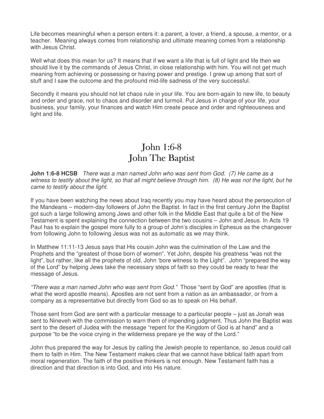Life becomes meaningful when a person enters it: a parent, a lover, a friend, a spouse, a mentor, or a teacher. Meaning always comes from relationship and ultimate meaning comes from a relationship with Jesus Christ.

Well what does this mean for us? It means that if we want a life that is full of light and life then we should live it by the commands of Jesus Christ, in close relationship with him. You will not get much meaning from achieving or possessing or having power and prestige. I grew up among that sort of stuff and I saw the outcome and the profound mid-life sadness of the very successful.

Secondly it means you should not let chaos rule in your life. You are born-again to new life, to beauty and order and grace, not to chaos and disorder and turmoil. Put Jesus in charge of your life, your business, your family, your finances and watch Him create peace and order and righteousness and light and life.

# John 1:6-8 John The Baptist

**John 1:6-8 HCSB** There was a man named John who was sent from God. (7) He came as a witness to testify about the light, so that all might believe through him. (8) He was not the light, but he came to testify about the light.

If you have been watching the news about Iraq recently you may have heard about the persecution of the Mandeans – modern-day followers of John the Baptist. In fact in the first century John the Baptist got such a large following among Jews and other folk in the Middle East that quite a bit of the New Testament is spent explaining the connection between the two cousins – John and Jesus. In Acts 19 Paul has to explain the gospel more fully to a group of John's disciples in Ephesus as the changeover from following John to following Jesus was not as automatic as we may think.

In Matthew 11:11-13 Jesus says that His cousin John was the culmination of the Law and the Prophets and the "greatest of those born of women". Yet John, despite his greatness "was not the light", but rather, like all the prophets of old, John 'bore witness to the Light". John "prepared the way of the Lord" by helping Jews take the necessary steps of faith so they could be ready to hear the message of Jesus.

"There was a man named John who was sent from God." Those "sent by God" are apostles (that is what the word apostle means). Apostles are not sent from a nation as an ambassador, or from a company as a representative but directly from God so as to speak on His behalf.

Those sent from God are sent with a particular message to a particular people – just as Jonah was sent to Nineveh with the commission to warn them of impending judgment. Thus John the Baptist was sent to the desert of Judea with the message "repent for the Kingdom of God is at hand" and a purpose "to be the voice crying in the wilderness prepare ye the way of the Lord."

John thus prepared the way for Jesus by calling the Jewish people to repentance, so Jesus could call them to faith in Him. The New Testament makes clear that we cannot have biblical faith apart from moral regeneration. The faith of the positive thinkers is not enough. New Testament faith has a direction and that direction is into God, and into His nature.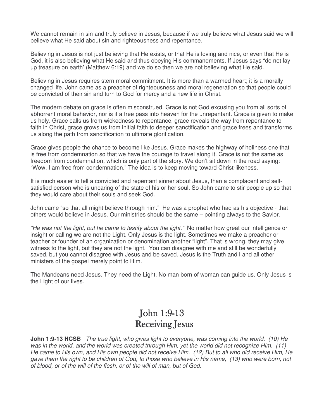We cannot remain in sin and truly believe in Jesus, because if we truly believe what Jesus said we will believe what He said about sin and righteousness and repentance.

Believing in Jesus is not just believing that He exists, or that He is loving and nice, or even that He is God, it is also believing what He said and thus obeying His commandments. If Jesus says "do not lay up treasure on earth' (Matthew 6:19) and we do so then we are not believing what He said.

Believing in Jesus requires stern moral commitment. It is more than a warmed heart; it is a morally changed life. John came as a preacher of righteousness and moral regeneration so that people could be convicted of their sin and turn to God for mercy and a new life in Christ.

The modern debate on grace is often misconstrued. Grace is not God excusing you from all sorts of abhorrent moral behavior, nor is it a free pass into heaven for the unrepentant. Grace is given to make us holy. Grace calls us from wickedness to repentance, grace reveals the way from repentance to faith in Christ, grace grows us from initial faith to deeper sanctification and grace frees and transforms us along the path from sanctification to ultimate glorification.

Grace gives people the chance to become like Jesus. Grace makes the highway of holiness one that is free from condemnation so that we have the courage to travel along it. Grace is not the same as freedom from condemnation, which is only part of the story. We don't sit down in the road saying: "Wow, I am free from condemnation." The idea is to keep moving toward Christ-likeness.

It is much easier to tell a convicted and repentant sinner about Jesus, than a complacent and selfsatisfied person who is uncaring of the state of his or her soul. So John came to stir people up so that they would care about their souls and seek God.

John came "so that all might believe through him." He was a prophet who had as his objective - that others would believe in Jesus. Our ministries should be the same – pointing always to the Savior.

"He was not the light, but he came to testify about the light." No matter how great our intelligence or insight or calling we are not the Light. Only Jesus is the light. Sometimes we make a preacher or teacher or founder of an organization or denomination another "light". That is wrong, they may give witness to the light, but they are not the light. You can disagree with me and still be wonderfully saved, but you cannot disagree with Jesus and be saved. Jesus is the Truth and I and all other ministers of the gospel merely point to Him.

The Mandeans need Jesus. They need the Light. No man born of woman can guide us. Only Jesus is the Light of our lives.

# **John 1:9-13** Receiving Jesus

**John 1:9-13 HCSB** The true light, who gives light to everyone, was coming into the world. (10) He was in the world, and the world was created through Him, yet the world did not recognize Him. (11) He came to His own, and His own people did not receive Him. (12) But to all who did receive Him, He gave them the right to be children of God, to those who believe in His name, (13) who were born, not of blood, or of the will of the flesh, or of the will of man, but of God.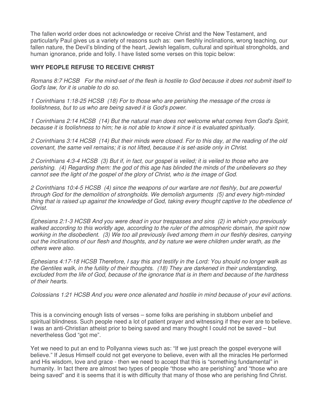The fallen world order does not acknowledge or receive Christ and the New Testament, and particularly Paul gives us a variety of reasons such as: own fleshly inclinations, wrong teaching, our fallen nature, the Devil's blinding of the heart, Jewish legalism, cultural and spiritual strongholds, and human ignorance, pride and folly. I have listed some verses on this topic below:

#### **WHY PEOPLE REFUSE TO RECEIVE CHRIST**

Romans 8:7 HCSB For the mind-set of the flesh is hostile to God because it does not submit itself to God's law, for it is unable to do so.

1 Corinthians 1:18-25 HCSB (18) For to those who are perishing the message of the cross is foolishness, but to us who are being saved it is God's power.

1 Corinthians 2:14 HCSB (14) But the natural man does not welcome what comes from God's Spirit, because it is foolishness to him; he is not able to know it since it is evaluated spiritually.

2 Corinthians 3:14 HCSB (14) But their minds were closed. For to this day, at the reading of the old covenant, the same veil remains; it is not lifted, because it is set-aside only in Christ.

2 Corinthians 4:3-4 HCSB (3) But if, in fact, our gospel is veiled; it is veiled to those who are perishing. (4) Regarding them: the god of this age has blinded the minds of the unbelievers so they cannot see the light of the gospel of the glory of Christ, who is the image of God.

2 Corinthians 10:4-5 HCSB (4) since the weapons of our warfare are not fleshly, but are powerful through God for the demolition of strongholds. We demolish arguments (5) and every high-minded thing that is raised up against the knowledge of God, taking every thought captive to the obedience of Christ.

Ephesians 2:1-3 HCSB And you were dead in your trespasses and sins (2) in which you previously walked according to this worldly age, according to the ruler of the atmospheric domain, the spirit now working in the disobedient. (3) We too all previously lived among them in our fleshly desires, carrying out the inclinations of our flesh and thoughts, and by nature we were children under wrath, as the others were also.

Ephesians 4:17-18 HCSB Therefore, I say this and testify in the Lord: You should no longer walk as the Gentiles walk, in the futility of their thoughts. (18) They are darkened in their understanding, excluded from the life of God, because of the ignorance that is in them and because of the hardness of their hearts.

Colossians 1:21 HCSB And you were once alienated and hostile in mind because of your evil actions.

This is a convincing enough lists of verses – some folks are perishing in stubborn unbelief and spiritual blindness. Such people need a lot of patient prayer and witnessing if they ever are to believe. I was an anti-Christian atheist prior to being saved and many thought I could not be saved – but nevertheless God "got me".

Yet we need to put an end to Pollyanna views such as: "If we just preach the gospel everyone will believe." If Jesus Himself could not get everyone to believe, even with all the miracles He performed and His wisdom, love and grace - then we need to accept that this is "something fundamental" in humanity. In fact there are almost two types of people "those who are perishing" and "those who are being saved" and it is seems that it is with difficulty that many of those who are perishing find Christ.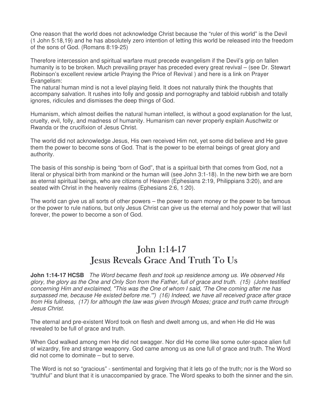One reason that the world does not acknowledge Christ because the "ruler of this world" is the Devil (1 John 5:18,19) and he has absolutely zero intention of letting this world be released into the freedom of the sons of God. (Romans 8:19-25)

Therefore intercession and spiritual warfare must precede evangelism if the Devil's grip on fallen humanity is to be broken. Much prevailing prayer has preceded every great revival – (see Dr. Stewart Robinson's excellent review article Praying the Price of Revival ) and here is a link on Prayer Evangelism:

The natural human mind is not a level playing field. It does not naturally think the thoughts that accompany salvation. It rushes into folly and gossip and pornography and tabloid rubbish and totally ignores, ridicules and dismisses the deep things of God.

Humanism, which almost deifies the natural human intellect, is without a good explanation for the lust, cruelty, evil, folly, and madness of humanity. Humanism can never properly explain Auschwitz or Rwanda or the crucifixion of Jesus Christ.

The world did not acknowledge Jesus, His own received Him not, yet some did believe and He gave them the power to become sons of God. That is the power to be eternal beings of great glory and authority.

The basis of this sonship is being "born of God", that is a spiritual birth that comes from God, not a literal or physical birth from mankind or the human will (see John 3:1-18). In the new birth we are born as eternal spiritual beings, who are citizens of Heaven (Ephesians 2:19, Philippians 3:20), and are seated with Christ in the heavenly realms (Ephesians 2:6, 1:20).

The world can give us all sorts of other powers – the power to earn money or the power to be famous or the power to rule nations, but only Jesus Christ can give us the eternal and holy power that will last forever, the power to become a son of God.

# John  $1:14-17$ Jesus Reveals Grace And Truth To Us

**John 1:14-17 HCSB** The Word became flesh and took up residence among us. We observed His glory, the glory as the One and Only Son from the Father, full of grace and truth. (15) (John testified concerning Him and exclaimed, "This was the One of whom I said, 'The One coming after me has surpassed me, because He existed before me."") (16) Indeed, we have all received grace after grace from His fullness, (17) for although the law was given through Moses; grace and truth came through Jesus Christ.

The eternal and pre-existent Word took on flesh and dwelt among us, and when He did He was revealed to be full of grace and truth.

When God walked among men He did not swagger. Nor did He come like some outer-space alien full of wizardry, fire and strange weaponry. God came among us as one full of grace and truth. The Word did not come to dominate – but to serve.

The Word is not so "gracious" - sentimental and forgiving that it lets go of the truth; nor is the Word so "truthful" and blunt that it is unaccompanied by grace. The Word speaks to both the sinner and the sin.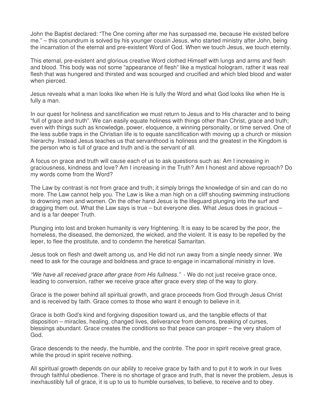John the Baptist declared: "The One coming after me has surpassed me, because He existed before me." – this conundrum is solved by his younger cousin Jesus, who started ministry after John, being the incarnation of the eternal and pre-existent Word of God. When we touch Jesus, we touch eternity.

This eternal, pre-existent and glorious creative Word clothed Himself with lungs and arms and flesh and blood. This body was not some "appearance of flesh" like a mystical hologram, rather it was real flesh that was hungered and thirsted and was scourged and crucified and which bled blood and water when pierced.

Jesus reveals what a man looks like when He is fully the Word and what God looks like when He is fully a man.

In our quest for holiness and sanctification we must return to Jesus and to His character and to being "full of grace and truth". We can easily equate holiness with things other than Christ, grace and truth; even with things such as knowledge, power, eloquence, a winning personality, or time served. One of the less subtle traps in the Christian life is to equate sanctification with moving up a church or mission hierarchy. Instead Jesus teaches us that servanthood is holiness and the greatest in the Kingdom is the person who is full of grace and truth and is the servant of all.

A focus on grace and truth will cause each of us to ask questions such as: Am I increasing in graciousness, kindness and love? Am I increasing in the Truth? Am I honest and above reproach? Do my words come from the Word?

The Law by contrast is not from grace and truth; it simply brings the knowledge of sin and can do no more. The Law cannot help you. The Law is like a man high on a cliff shouting swimming instructions to drowning men and women. On the other hand Jesus is the lifeguard plunging into the surf and dragging them out. What the Law says is true – but everyone dies. What Jesus does in gracious  $$ and is a far deeper Truth.

Plunging into lost and broken humanity is very frightening. It is easy to be scared by the poor, the homeless, the diseased, the demonized, the wicked, and the violent. It is easy to be repelled by the leper, to flee the prostitute, and to condemn the heretical Samaritan.

Jesus took on flesh and dwelt among us, and He did not run away from a single needy sinner. We need to ask for the courage and boldness and grace to engage in incarnational ministry in love.

"We have all received grace after grace from His fullness." - We do not just receive grace once, leading to conversion, rather we receive grace after grace every step of the way to glory.

Grace is the power behind all spiritual growth, and grace proceeds from God through Jesus Christ and is received by faith. Grace comes to those who want it enough to believe in it.

Grace is both God's kind and forgiving disposition toward us, and the tangible effects of that disposition – miracles, healing, changed lives, deliverance from demons, breaking of curses, blessings abundant. Grace creates the conditions so that peace can prosper – the very shalom of God.

Grace descends to the needy, the humble, and the contrite. The poor in spirit receive great grace, while the proud in spirit receive nothing.

All spiritual growth depends on our ability to receive grace by faith and to put it to work in our lives through faithful obedience. There is no shortage of grace and truth, that is never the problem, Jesus is inexhaustibly full of grace, it is up to us to humble ourselves, to believe, to receive and to obey.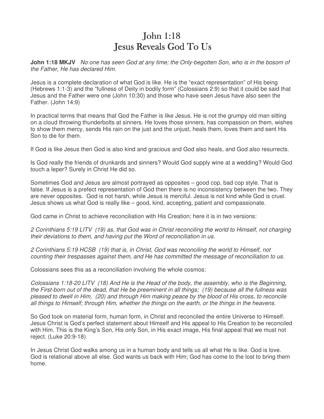# John 1:18 **Jesus Reveals God To Us**

**John 1:18 MKJV** No one has seen God at any time; the Only-begotten Son, who is in the bosom of the Father, He has declared Him.

Jesus is a complete declaration of what God is like. He is the "exact representation" of His being (Hebrews 1:1-3) and the "fullness of Deity in bodily form" (Colossians 2:9) so that it could be said that Jesus and the Father were one (John 10:30) and those who have seen Jesus have also seen the Father. (John 14:9)

In practical terms that means that God the Father is like Jesus. He is not the grumpy old man sitting on a cloud throwing thunderbolts at sinners. He loves those sinners, has compassion on them, wishes to show them mercy, sends His rain on the just and the unjust, heals them, loves them and sent His Son to die for them.

If God is like Jesus then God is also kind and gracious and God also heals, and God also resurrects.

Is God really the friends of drunkards and sinners? Would God supply wine at a wedding? Would God touch a leper? Surely in Christ He did so.

Sometimes God and Jesus are almost portrayed as opposites – good cop, bad cop style. That is false. If Jesus is a prefect representation of God then there is no inconsistency between the two. They are never opposites. God is not harsh, while Jesus is merciful. Jesus is not kind while God is cruel. Jesus shows us what God is really like – good, kind, accepting, patient and compassionate.

God came in Christ to achieve reconciliation with His Creation; here it is in two versions:

2 Corinthians 5:19 LITV (19) as, that God was in Christ reconciling the world to Himself, not charging their deviations to them, and having put the Word of reconciliation in us.

2 Corinthians 5:19 HCSB (19) that is, in Christ, God was reconciling the world to Himself, not counting their trespasses against them, and He has committed the message of reconciliation to us.

Colossians sees this as a reconciliation involving the whole cosmos:

Colossians 1:18-20 LITV (18) And He is the Head of the body, the assembly, who is the Beginning, the First-born out of the dead, that He be preeminent in all things; (19) because all the fullness was pleased to dwell in Him, (20) and through Him making peace by the blood of His cross, to reconcile all things to Himself; through Him, whether the things on the earth, or the things in the heavens.

So God took on material form, human form, in Christ and reconciled the entire Universe to Himself. Jesus Christ is God's perfect statement about Himself and His appeal to His Creation to be reconciled with Him. This is the King's Son, His only Son, in His exact image, His final appeal that we must not reject. (Luke 20:9-18)

In Jesus Christ God walks among us in a human body and tells us all what He is like. God is love. God is relational above all else. God wants us back with Him; God has come to the lost to bring them home.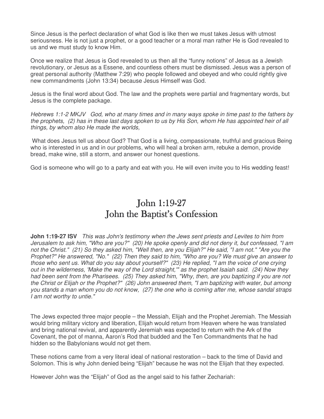Since Jesus is the perfect declaration of what God is like then we must takes Jesus with utmost seriousness. He is not just a prophet, or a good teacher or a moral man rather He is God revealed to us and we must study to know Him.

Once we realize that Jesus is God revealed to us then all the "funny notions" of Jesus as a Jewish revolutionary, or Jesus as a Essene, and countless others must be dismissed. Jesus was a person of great personal authority (Matthew 7:29) who people followed and obeyed and who could rightly give new commandments (John 13:34) because Jesus Himself was God.

Jesus is the final word about God. The law and the prophets were partial and fragmentary words, but Jesus is the complete package.

Hebrews 1:1-2 MKJV God, who at many times and in many ways spoke in time past to the fathers by the prophets, (2) has in these last days spoken to us by His Son, whom He has appointed heir of all things, by whom also He made the worlds,

 What does Jesus tell us about God? That God is a living, compassionate, truthful and gracious Being who is interested in us and in our problems, who will heal a broken arm, rebuke a demon, provide bread, make wine, still a storm, and answer our honest questions.

God is someone who will go to a party and eat with you. He will even invite you to His wedding feast!

# John  $1:19-27$ John the Baptist's Confession

**John 1:19-27 ISV** This was John's testimony when the Jews sent priests and Levites to him from Jerusalem to ask him, "Who are you?" (20) He spoke openly and did not deny it, but confessed, "I am not the Christ." (21) So they asked him, "Well then, are you Elijah?" He said, "I am not." "Are you the Prophet?" He answered, "No." (22) Then they said to him, "Who are you? We must give an answer to those who sent us. What do you say about yourself?" (23) He replied, "I am the voice of one crying out in the wilderness, 'Make the way of the Lord straight,'" as the prophet Isaiah said. (24) Now they had been sent from the Pharisees. (25) They asked him, "Why, then, are you baptizing if you are not the Christ or Elijah or the Prophet?" (26) John answered them, "I am baptizing with water, but among you stands a man whom you do not know, (27) the one who is coming after me, whose sandal straps I am not worthy to untie."

The Jews expected three major people – the Messiah, Elijah and the Prophet Jeremiah. The Messiah would bring military victory and liberation, Elijah would return from Heaven where he was translated and bring national revival, and apparently Jeremiah was expected to return with the Ark of the Covenant, the pot of manna, Aaron's Rod that budded and the Ten Commandments that he had hidden so the Babylonians would not get them.

These notions came from a very literal ideal of national restoration – back to the time of David and Solomon. This is why John denied being "Elijah" because he was not the Elijah that they expected.

However John was the "Elijah" of God as the angel said to his father Zechariah: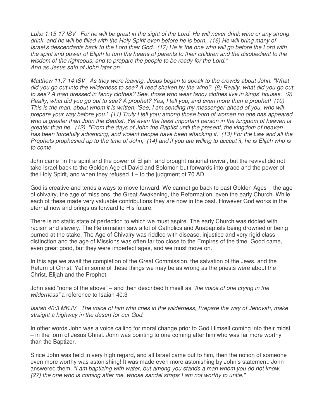Luke 1:15-17 ISV For he will be great in the sight of the Lord. He will never drink wine or any strong drink, and he will be filled with the Holy Spirit even before he is born. (16) He will bring many of Israel's descendants back to the Lord their God. (17) He is the one who will go before the Lord with the spirit and power of Elijah to turn the hearts of parents to their children and the disobedient to the wisdom of the righteous, and to prepare the people to be ready for the Lord." And as Jesus said of John later on:

Matthew 11:7-14 ISV As they were leaving, Jesus began to speak to the crowds about John. "What did you go out into the wilderness to see? A reed shaken by the wind? (8) Really, what did you go out to see? A man dressed in fancy clothes? See, those who wear fancy clothes live in kings' houses. (9) Really, what did you go out to see? A prophet? Yes, I tell you, and even more than a prophet! (10) This is the man, about whom it is written, 'See, I am sending my messenger ahead of you, who will prepare your way before you.' (11) Truly I tell you; among those born of women no one has appeared who is greater than John the Baptist. Yet even the least important person in the kingdom of heaven is greater than he. (12) "From the days of John the Baptist until the present, the kingdom of heaven has been forcefully advancing, and violent people have been attacking it. (13) For the Law and all the Prophets prophesied up to the time of John, (14) and if you are willing to accept it, he is Elijah who is to come.

John came "in the spirit and the power of Elijah" and brought national revival, but the revival did not take Israel back to the Golden Age of David and Solomon but forwards into grace and the power of the Holy Spirit, and when they refused it – to the judgment of 70 AD.

God is creative and tends always to move forward. We cannot go back to past Golden Ages – the age of chivalry, the age of missions, the Great Awakening, the Reformation, even the early Church. While each of these made very valuable contributions they are now in the past. However God works in the eternal now and brings us forward to His future.

There is no static state of perfection to which we must aspire. The early Church was riddled with racism and slavery. The Reformation saw a lot of Catholics and Anabaptists being drowned or being burned at the stake. The Age of Chivalry was riddled with disease, injustice and very rigid class distinction and the age of Missions was often far too close to the Empires of the time. Good came, even great good, but they were imperfect ages, and we must move on.

In this age we await the completion of the Great Commission, the salvation of the Jews, and the Return of Christ. Yet in some of these things we may be as wrong as the priests were about the Christ, Elijah and the Prophet.

John said "none of the above" – and then described himself as "the voice of one crying in the wilderness" a reference to Isaiah 40:3

Isaiah 40:3 MKJV The voice of him who cries in the wilderness, Prepare the way of Jehovah, make straight a highway in the desert for our God.

In other words John was a voice calling for moral change prior to God Himself coming into their midst – in the form of Jesus Christ. John was pointing to one coming after him who was far more worthy than the Baptizer.

Since John was held in very high regard, and all Israel came out to him, then the notion of someone even more worthy was astonishing! It was made even more astonishing by John's statement: John answered them, "I am baptizing with water, but among you stands a man whom you do not know, (27) the one who is coming after me, whose sandal straps I am not worthy to untie."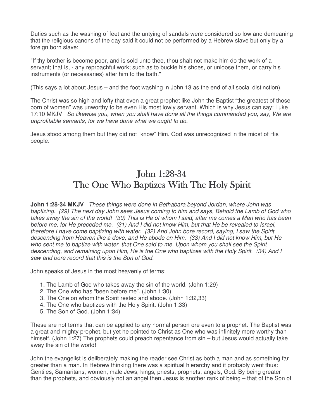Duties such as the washing of feet and the untying of sandals were considered so low and demeaning that the religious canons of the day said it could not be performed by a Hebrew slave but only by a foreign born slave:

"If thy brother is become poor, and is sold unto thee, thou shalt not make him do the work of a servant; that is, - any reproachful work; such as to buckle his shoes, or unloose them, or carry his instruments (or necessaries) after him to the bath.''

(This says a lot about Jesus – and the foot washing in John 13 as the end of all social distinction).

The Christ was so high and lofty that even a great prophet like John the Baptist "the greatest of those born of women" was unworthy to be even His most lowly servant. Which is why Jesus can say: Luke 17:10 MKJV So likewise you, when you shall have done all the things commanded you, say, We are unprofitable servants, for we have done what we ought to do.

Jesus stood among them but they did not "know" Him. God was unrecognized in the midst of His people.

### John 1:28-34 The One Who Baptizes With The Holy Spirit

**John 1:28-34 MKJV** These things were done in Bethabara beyond Jordan, where John was baptizing. (29) The next day John sees Jesus coming to him and says, Behold the Lamb of God who takes away the sin of the world! (30) This is He of whom I said, after me comes a Man who has been before me, for He preceded me. (31) And I did not know Him, but that He be revealed to Israel, therefore I have come baptizing with water. (32) And John bore record, saying, I saw the Spirit descending from Heaven like a dove, and He abode on Him. (33) And I did not know Him, but He who sent me to baptize with water, that One said to me, Upon whom you shall see the Spirit descending, and remaining upon Him, He is the One who baptizes with the Holy Spirit. (34) And I saw and bore record that this is the Son of God.

John speaks of Jesus in the most heavenly of terms:

- 1. The Lamb of God who takes away the sin of the world. (John 1:29)
- 2. The One who has "been before me". (John 1:30)
- 3. The One on whom the Spirit rested and abode. (John 1:32,33)
- 4. The One who baptizes with the Holy Spirit. (John 1:33)
- 5. The Son of God. (John 1:34)

These are not terms that can be applied to any normal person ore even to a prophet. The Baptist was a great and mighty prophet, but yet he pointed to Christ as One who was infinitely more worthy than himself. (John 1:27) The prophets could preach repentance from sin – but Jesus would actually take away the sin of the world!

John the evangelist is deliberately making the reader see Christ as both a man and as something far greater than a man. In Hebrew thinking there was a spiritual hierarchy and it probably went thus: Gentiles, Samaritans, women, male Jews, kings, priests, prophets, angels, God. By being greater than the prophets, and obviously not an angel then Jesus is another rank of being – that of the Son of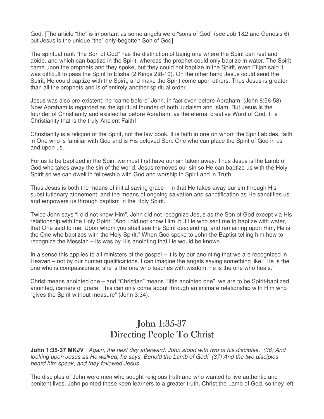God. [The article "the" is important as some angels were "sons of God" (see Job 1&2 and Genesis 6) but Jesus is the unique "the" only-begotten Son of God]

The spiritual rank "the Son of God" has the distinction of being one where the Spirit can rest and abide, and which can baptize in the Spirit, whereas the prophet could only baptize in water. The Spirit came upon the prophets and they spoke, but they could not baptize in the Spirit, even Elijah said it was difficult to pass the Spirit to Elisha (2 Kings 2:8-10). On the other hand Jesus could send the Spirit, He could baptize with the Spirit, and make the Spirit come upon others. Thus Jesus is greater than all the prophets and is of entirely another spiritual order.

Jesus was also pre-existent; he "came before" John, in fact even before Abraham! (John 8:56-58). Now Abraham is regarded as the spiritual founder of both Judaism and Islam. But Jesus is the founder of Christianity and existed far before Abraham, as the eternal creative Word of God. It is Christianity that is the truly Ancient Faith!

Christianity is a religion of the Spirit, not the law book. It is faith in one on whom the Spirit abides, faith in One who is familiar with God and is His beloved Son. One who can place the Spirit of God in us and upon us.

For us to be baptized in the Spirit we must first have our sin taken away. Thus Jesus is the Lamb of God who takes away the sin of the world. Jesus removes our sin so He can baptize us with the Holy Spirit so we can dwell in fellowship with God and worship in Spirit and in Truth!

Thus Jesus is both the means of initial saving grace – in that He takes away our sin through His substitutionary atonement; and the means of ongoing salvation and sanctification as He sanctifies us and empowers us through baptism in the Holy Spirit.

Twice John says "I did not know Him", John did not recognize Jesus as the Son of God except via His relationship with the Holy Spirit: "And I did not know Him, but He who sent me to baptize with water, that One said to me, Upon whom you shall see the Spirit descending, and remaining upon Him, He is the One who baptizes with the Holy Spirit." When God spoke to John the Baptist telling him how to recognize the Messiah – its was by His anointing that He would be known.

In a sense this applies to all ministers of the gospel – it is by our anointing that we are recognized in Heaven – not by our human qualifications. I can imagine the angels saying something like: "He is the one who is compassionate, she is the one who teaches with wisdom, he is the one who heals."

Christ means anointed one – and "Christian" means "little anointed one", we are to be Spirit-baptized, anointed, carriers of grace. This can only come about through an intimate relationship with Him who "gives the Spirit without measure" (John 3:34).

# John  $1:35-37$ Directing People To Christ

**John 1:35-37 MKJV** Again, the next day afterward, John stood with two of his disciples. (36) And looking upon Jesus as He walked, he says, Behold the Lamb of God! (37) And the two disciples heard him speak, and they followed Jesus.

The disciples of John were men who sought religious truth and who wanted to live authentic and penitent lives. John pointed these keen learners to a greater truth, Christ the Lamb of God, so they left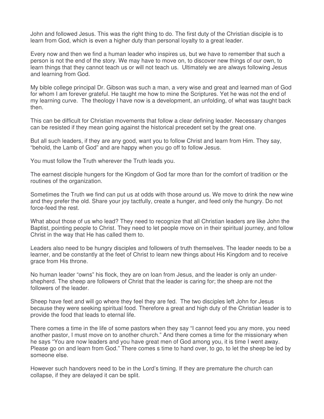John and followed Jesus. This was the right thing to do. The first duty of the Christian disciple is to learn from God, which is even a higher duty than personal loyalty to a great leader.

Every now and then we find a human leader who inspires us, but we have to remember that such a person is not the end of the story. We may have to move on, to discover new things of our own, to learn things that they cannot teach us or will not teach us. Ultimately we are always following Jesus and learning from God.

My bible college principal Dr. Gibson was such a man, a very wise and great and learned man of God for whom I am forever grateful. He taught me how to mine the Scriptures. Yet he was not the end of my learning curve. The theology I have now is a development, an unfolding, of what was taught back then.

This can be difficult for Christian movements that follow a clear defining leader. Necessary changes can be resisted if they mean going against the historical precedent set by the great one.

But all such leaders, if they are any good, want you to follow Christ and learn from Him. They say, "behold, the Lamb of God" and are happy when you go off to follow Jesus.

You must follow the Truth wherever the Truth leads you.

The earnest disciple hungers for the Kingdom of God far more than for the comfort of tradition or the routines of the organization.

Sometimes the Truth we find can put us at odds with those around us. We move to drink the new wine and they prefer the old. Share your joy tactfully, create a hunger, and feed only the hungry. Do not force-feed the rest.

What about those of us who lead? They need to recognize that all Christian leaders are like John the Baptist, pointing people to Christ. They need to let people move on in their spiritual journey, and follow Christ in the way that He has called them to.

Leaders also need to be hungry disciples and followers of truth themselves. The leader needs to be a learner, and be constantly at the feet of Christ to learn new things about His Kingdom and to receive grace from His throne.

No human leader "owns" his flock, they are on loan from Jesus, and the leader is only an undershepherd. The sheep are followers of Christ that the leader is caring for; the sheep are not the followers of the leader.

Sheep have feet and will go where they feel they are fed. The two disciples left John for Jesus because they were seeking spiritual food. Therefore a great and high duty of the Christian leader is to provide the food that leads to eternal life.

There comes a time in the life of some pastors when they say "I cannot feed you any more, you need another pastor, I must move on to another church." And there comes a time for the missionary when he says "You are now leaders and you have great men of God among you, it is time I went away. Please go on and learn from God." There comes s time to hand over, to go, to let the sheep be led by someone else.

However such handovers need to be in the Lord's timing. If they are premature the church can collapse, if they are delayed it can be split.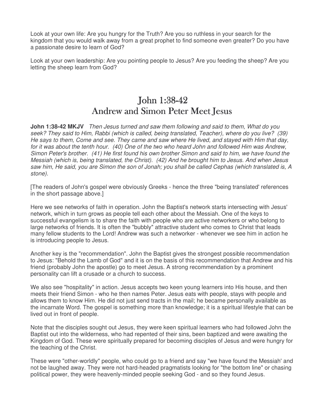Look at your own life: Are you hungry for the Truth? Are you so ruthless in your search for the kingdom that you would walk away from a great prophet to find someone even greater? Do you have a passionate desire to learn of God?

Look at your own leadership: Are you pointing people to Jesus? Are you feeding the sheep? Are you letting the sheep learn from God?

# John 1:38-42 Andrew and Simon Peter Meet Jesus

**John 1:38-42 MKJV** Then Jesus turned and saw them following and said to them, What do you seek? They said to Him, Rabbi (which is called, being translated, Teacher), where do you live? (39) He says to them, Come and see. They came and saw where He lived, and stayed with Him that day, for it was about the tenth hour. (40) One of the two who heard John and followed Him was Andrew, Simon Peter's brother. (41) He first found his own brother Simon and said to him, we have found the Messiah (which is, being translated, the Christ). (42) And he brought him to Jesus. And when Jesus saw him, He said, you are Simon the son of Jonah; you shall be called Cephas (which translated is, A stone).

[The readers of John's gospel were obviously Greeks - hence the three "being translated' references in the short passage above.]

Here we see networks of faith in operation. John the Baptist's network starts intersecting with Jesus' network, which in turn grows as people tell each other about the Messiah. One of the keys to successful evangelism is to share the faith with people who are active networkers or who belong to large networks of friends. It is often the "bubbly" attractive student who comes to Christ that leads many fellow students to the Lord! Andrew was such a networker - whenever we see him in action he is introducing people to Jesus.

Another key is the "recommendation". John the Baptist gives the strongest possible recommendation to Jesus: "Behold the Lamb of God" and it is on the basis of this recommendation that Andrew and his friend (probably John the apostle) go to meet Jesus. A strong recommendation by a prominent personality can lift a crusade or a church to success.

We also see "hospitality" in action. Jesus accepts two keen young learners into His house, and then meets their friend Simon - who he then names Peter. Jesus eats with people, stays with people and allows them to know Him. He did not just send tracts in the mail; he became personally available as the incarnate Word. The gospel is something more than knowledge; it is a spiritual lifestyle that can be lived out in front of people.

Note that the disciples sought out Jesus, they were keen spiritual learners who had followed John the Baptist out into the wilderness, who had repented of their sins, been baptized and were awaiting the Kingdom of God. These were spiritually prepared for becoming disciples of Jesus and were hungry for the teaching of the Christ.

These were "other-worldly" people, who could go to a friend and say "we have found the Messiah' and not be laughed away. They were not hard-headed pragmatists looking for "the bottom line" or chasing political power, they were heavenly-minded people seeking God - and so they found Jesus.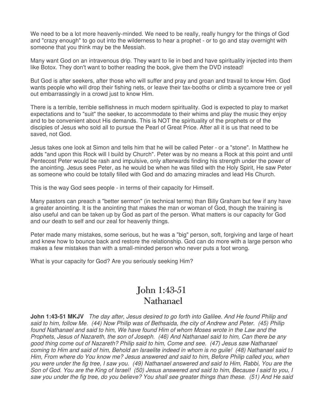We need to be a lot more heavenly-minded. We need to be really, really hungry for the things of God and "crazy enough" to go out into the wilderness to hear a prophet - or to go and stay overnight with someone that you think may be the Messiah.

Many want God on an intravenous drip. They want to lie in bed and have spirituality injected into them like Botox. They don't want to bother reading the book, give them the DVD instead!

But God is after seekers, after those who will suffer and pray and groan and travail to know Him. God wants people who will drop their fishing nets, or leave their tax-booths or climb a sycamore tree or yell out embarrassingly in a crowd just to know Him.

There is a terrible, terrible selfishness in much modern spirituality. God is expected to play to market expectations and to "suit" the seeker, to accommodate to their whims and play the music they enjoy and to be convenient about His demands. This is NOT the spirituality of the prophets or of the disciples of Jesus who sold all to pursue the Pearl of Great Price. After all it is us that need to be saved, not God.

Jesus takes one look at Simon and tells him that he will be called Peter - or a "stone". In Matthew he adds "and upon this Rock will I build by Church". Peter was by no means a Rock at this point and until Pentecost Peter would be rash and impulsive, only afterwards finding his strength under the power of the anointing. Jesus sees Peter, as he would be when he was filled with the Holy Spirit, He saw Peter as someone who could be totally filled with God and do amazing miracles and lead His Church.

This is the way God sees people - in terms of their capacity for Himself.

Many pastors can preach a "better sermon" (in technical terms) than Billy Graham but few if any have a greater anointing. It is the anointing that makes the man or woman of God, though the training is also useful and can be taken up by God as part of the person. What matters is our capacity for God and our death to self and our zeal for heavenly things.

Peter made many mistakes, some serious, but he was a "big" person, soft, forgiving and large of heart and knew how to bounce back and restore the relationship. God can do more with a large person who makes a few mistakes than with a small-minded person who never puts a foot wrong.

What is your capacity for God? Are you seriously seeking Him?

#### John 1:43-51 Nathanael

**John 1:43-51 MKJV** The day after, Jesus desired to go forth into Galilee. And He found Philip and said to him, follow Me. (44) Now Philip was of Bethsaida, the city of Andrew and Peter. (45) Philip found Nathanael and said to him, We have found Him of whom Moses wrote in the Law and the Prophets, Jesus of Nazareth, the son of Joseph. (46) And Nathanael said to him, Can there be any good thing come out of Nazareth? Philip said to him, Come and see. (47) Jesus saw Nathanael coming to Him and said of him, Behold an Israelite indeed in whom is no guile! (48) Nathanael said to Him, From where do You know me? Jesus answered and said to him, Before Philip called you, when you were under the fig tree, I saw you. (49) Nathanael answered and said to Him, Rabbi, You are the Son of God. You are the King of Israel! (50) Jesus answered and said to him, Because I said to you, I saw you under the fig tree, do you believe? You shall see greater things than these. (51) And He said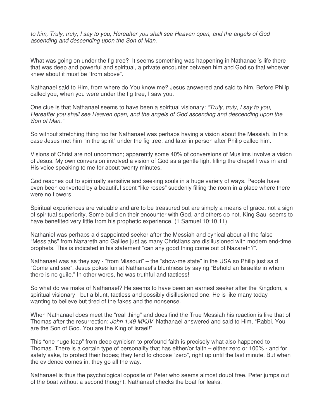to him, Truly, truly, I say to you, Hereafter you shall see Heaven open, and the angels of God ascending and descending upon the Son of Man.

What was going on under the fig tree? It seems something was happening in Nathanael's life there that was deep and powerful and spiritual, a private encounter between him and God so that whoever knew about it must be "from above".

Nathanael said to Him, from where do You know me? Jesus answered and said to him, Before Philip called you, when you were under the fig tree, I saw you.

One clue is that Nathanael seems to have been a spiritual visionary: "Truly, truly, I say to you, Hereafter you shall see Heaven open, and the angels of God ascending and descending upon the Son of Man."

So without stretching thing too far Nathanael was perhaps having a vision about the Messiah. In this case Jesus met him "in the spirit" under the fig tree, and later in person after Philip called him.

Visions of Christ are not uncommon; apparently some 40% of conversions of Muslims involve a vision of Jesus. My own conversion involved a vision of God as a gentle light filling the chapel I was in and His voice speaking to me for about twenty minutes.

God reaches out to spiritually sensitive and seeking souls in a huge variety of ways. People have even been converted by a beautiful scent "like roses" suddenly filling the room in a place where there were no flowers.

Spiritual experiences are valuable and are to be treasured but are simply a means of grace, not a sign of spiritual superiority. Some build on their encounter with God, and others do not. King Saul seems to have benefited very little from his prophetic experience. (1 Samuel 10;10,11)

Nathaniel was perhaps a disappointed seeker after the Messiah and cynical about all the false "Messiahs" from Nazareth and Galilee just as many Christians are disillusioned with modern end-time prophets. This is indicated in his statement "can any good thing come out of Nazareth?".

Nathanael was as they say - "from Missouri" – the "show-me state" in the USA so Philip just said "Come and see". Jesus pokes fun at Nathanael's bluntness by saying "Behold an Israelite in whom there is no guile." In other words, he was truthful and tactless!

So what do we make of Nathanael? He seems to have been an earnest seeker after the Kingdom, a spiritual visionary - but a blunt, tactless and possibly disillusioned one. He is like many today – wanting to believe but tired of the fakes and the nonsense.

When Nathanael does meet the "real thing" and does find the True Messiah his reaction is like that of Thomas after the resurrection: John 1:49 MKJV Nathanael answered and said to Him, "Rabbi, You are the Son of God. You are the King of Israel!"

This "one huge leap" from deep cynicism to profound faith is precisely what also happened to Thomas. There is a certain type of personality that has either/or faith – either zero or 100% - and for safety sake, to protect their hopes; they tend to choose "zero", right up until the last minute. But when the evidence comes in, they go all the way.

Nathanael is thus the psychological opposite of Peter who seems almost doubt free. Peter jumps out of the boat without a second thought. Nathanael checks the boat for leaks.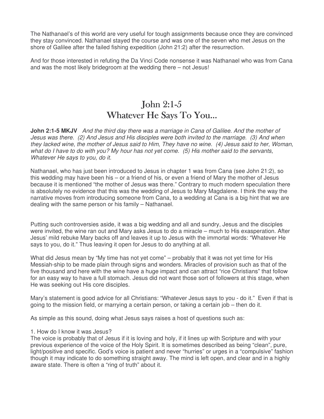The Nathanael's of this world are very useful for tough assignments because once they are convinced they stay convinced. Nathanael stayed the course and was one of the seven who met Jesus on the shore of Galilee after the failed fishing expedition (John 21:2) after the resurrection.

And for those interested in refuting the Da Vinci Code nonsense it was Nathanael who was from Cana and was the most likely bridegroom at the wedding there – not Jesus!

# John  $2:1-5$ Whatever He Says To You...

**John 2:1-5 MKJV** And the third day there was a marriage in Cana of Galilee. And the mother of Jesus was there. (2) And Jesus and His disciples were both invited to the marriage. (3) And when they lacked wine, the mother of Jesus said to Him, They have no wine. (4) Jesus said to her, Woman, what do I have to do with you? My hour has not yet come. (5) His mother said to the servants, Whatever He says to you, do it.

Nathanael, who has just been introduced to Jesus in chapter 1 was from Cana (see John 21:2), so this wedding may have been his – or a friend of his, or even a friend of Mary the mother of Jesus because it is mentioned "the mother of Jesus was there." Contrary to much modern speculation there is absolutely no evidence that this was the wedding of Jesus to Mary Magdalene. I think the way the narrative moves from introducing someone from Cana, to a wedding at Cana is a big hint that we are dealing with the same person or his family – Nathanael.

Putting such controversies aside, it was a big wedding and all and sundry, Jesus and the disciples were invited, the wine ran out and Mary asks Jesus to do a miracle – much to His exasperation. After Jesus' mild rebuke Mary backs off and leaves it up to Jesus with the immortal words: "Whatever He says to you, do it." Thus leaving it open for Jesus to do anything at all.

What did Jesus mean by "My time has not yet come" – probably that it was not yet time for His Messiah-ship to be made plain through signs and wonders. Miracles of provision such as that of the five thousand and here with the wine have a huge impact and can attract "rice Christians" that follow for an easy way to have a full stomach. Jesus did not want those sort of followers at this stage, when He was seeking out His core disciples.

Mary's statement is good advice for all Christians: "Whatever Jesus says to you - do it." Even if that is going to the mission field, or marrying a certain person, or taking a certain job – then do it.

As simple as this sound, doing what Jesus says raises a host of questions such as:

#### 1. How do I know it was Jesus?

The voice is probably that of Jesus if it is loving and holy, if it lines up with Scripture and with your previous experience of the voice of the Holy Spirit. It is sometimes described as being "clean", pure, light/positive and specific. God's voice is patient and never "hurries" or urges in a "compulsive" fashion though it may indicate to do something straight away. The mind is left open, and clear and in a highly aware state. There is often a "ring of truth" about it.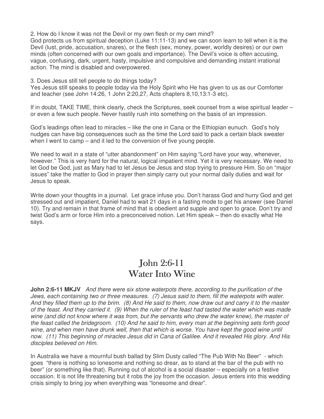2. How do I know it was not the Devil or my own flesh or my own mind?

God protects us from spiritual deception (Luke 11:11-13) and we can soon learn to tell when it is the Devil (lust, pride, accusation, snares), or the flesh (sex, money, power, worldly desires) or our own minds (often concerned with our own goals and importance). The Devil's voice is often accusing, vague, confusing, dark, urgent, hasty, impulsive and compulsive and demanding instant irrational action. The mind is disabled and overpowered.

3. Does Jesus still tell people to do things today?

Yes Jesus still speaks to people today via the Holy Spirit who He has given to us as our Comforter and teacher (see John 14:26, 1 John 2:20,27, Acts chapters 8,10,13:1-3 etc).

If in doubt, TAKE TIME, think clearly, check the Scriptures, seek counsel from a wise spiritual leader – or even a few such people. Never hastily rush into something on the basis of an impression.

God's leadings often lead to miracles – like the one in Cana or the Ethiopian eunuch. God's holy nudges can have big consequences such as the time the Lord said to pack a certain black sweater when I went to camp – and it led to the conversion of five young people.

We need to wait in a state of "utter abandonment" on Him saying "Lord have your way, whenever, however." This is very hard for the natural, logical impatient mind. Yet it is very necessary. We need to let God be God, just as Mary had to let Jesus be Jesus and stop trying to pressure Him. So on "major issues" take the matter to God in prayer then simply carry out your normal daily duties and wait for Jesus to speak.

Write down your thoughts in a journal. Let grace infuse you. Don't harass God and hurry God and get stressed out and impatient, Daniel had to wait 21 days in a fasting mode to get his answer (see Daniel 10). Try and remain in that frame of mind that is obedient and supple and open to grace. Don't try and twist God's arm or force Him into a preconceived notion. Let Him speak – then do exactly what He says.

#### $John 2:6-11$ Water Into Wine

**John 2:6-11 MKJV** And there were six stone waterpots there, according to the purification of the Jews, each containing two or three measures. (7) Jesus said to them, fill the waterpots with water. And they filled them up to the brim. (8) And He said to them, now draw out and carry it to the master of the feast. And they carried it. (9) When the ruler of the feast had tasted the water which was made wine (and did not know where it was from, but the servants who drew the water knew), the master of the feast called the bridegroom. (10) And he said to him, every man at the beginning sets forth good wine, and when men have drunk well, then that which is worse. You have kept the good wine until now. (11) This beginning of miracles Jesus did in Cana of Galilee. And it revealed His glory. And His disciples believed on Him.

In Australia we have a mournful bush ballad by Slim Dusty called "The Pub With No Beer" - which goes "there is nothing so lonesome and nothing so drear, as to stand at the bar of the pub with no beer" (or something like that). Running out of alcohol is a social disaster – especially on a festive occasion. It is not life threatening but it robs the joy from the occasion. Jesus enters into this wedding crisis simply to bring joy when everything was "lonesome and drear".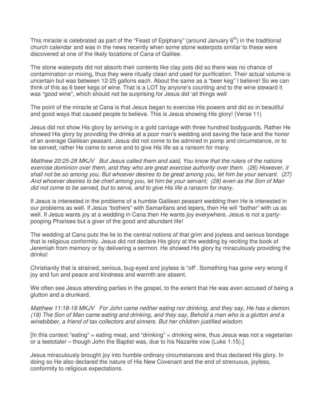This miracle is celebrated as part of the "Feast of Epiphany" (around January  $6<sup>th</sup>$ ) in the traditional church calendar and was in the news recently when some stone waterpots similar to these were discovered at one of the likely locations of Cana of Galilee.

The stone waterpots did not absorb their contents like clay pots did so there was no chance of contamination or mixing, thus they were ritually clean and used for purification. Their actual volume is uncertain but was between 12-25 gallons each. About the same as a "beer keg" I believe! So we can think of this as 6 beer kegs of wine. That is a LOT by anyone's counting and to the wine steward it was "good wine", which should not be surprising for Jesus did 'all things well

The point of the miracle at Cana is that Jesus began to exercise His powers and did so in beautiful and good ways that caused people to believe. This is Jesus showing His glory! (Verse 11)

Jesus did not show His glory by arriving in a gold carriage with three hundred bodyguards. Rather He showed His glory by providing the drinks at a poor man's wedding and saving the face and the honor of an average Galilean peasant. Jesus did not come to be admired in pomp and circumstance, or to be served; rather He came to serve and to give His life as a ransom for many.

Matthew 20:25-28 MKJV But Jesus called them and said, You know that the rulers of the nations exercise dominion over them, and they who are great exercise authority over them. (26) However, it shall not be so among you. But whoever desires to be great among you, let him be your servant. (27) And whoever desires to be chief among you, let him be your servant; (28) even as the Son of Man did not come to be served, but to serve, and to give His life a ransom for many.

If Jesus is interested in the problems of a humble Galilean peasant wedding then He is interested in our problems as well. If Jesus "bothers" with Samaritans and lepers, then He will "bother" with us as well. If Jesus wants joy at a wedding in Cana then He wants joy everywhere. Jesus is not a partypooping Pharisee but a giver of the good and abundant life!

The wedding at Cana puts the lie to the central notions of that grim and joyless and serious bondage that is religious conformity. Jesus did not declare His glory at the wedding by reciting the book of Jeremiah from memory or by delivering a sermon. He showed His glory by miraculously providing the drinks!

Christianity that is strained, serious, bug-eyed and joyless is "off'. Something has gone very wrong if joy and fun and peace and kindness and warmth are absent.

We often see Jesus attending parties in the gospel, to the extent that He was even accused of being a glutton and a drunkard.

Matthew 11:18-19 MKJV For John came neither eating nor drinking, and they say, He has a demon. (19) The Son of Man came eating and drinking, and they say, Behold a man who is a glutton and a winebibber, a friend of tax collectors and sinners. But her children justified wisdom.

 $[$ In this context "eating" = eating meat, and "drinking" = drinking wine, thus Jesus was not a vegetarian or a teetotaler – though John the Baptist was, due to his Nazarite vow (Luke 1:15).]

Jesus miraculously brought joy into humble ordinary circumstances and thus declared His glory. In doing so He also declared the nature of His New Covenant and the end of strenuous, joyless, conformity to religious expectations.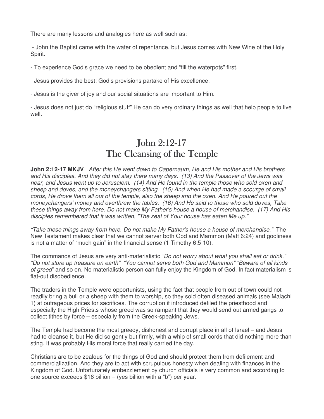There are many lessons and analogies here as well such as:

 - John the Baptist came with the water of repentance, but Jesus comes with New Wine of the Holy Spirit.

- To experience God's grace we need to be obedient and "fill the waterpots" first.

- Jesus provides the best; God's provisions partake of His excellence.

- Jesus is the giver of joy and our social situations are important to Him.

- Jesus does not just do "religious stuff" He can do very ordinary things as well that help people to live well.

# John 2:12-17 The Cleansing of the Temple

**John 2:12-17 MKJV** After this He went down to Capernaum, He and His mother and His brothers and His disciples. And they did not stay there many days. (13) And the Passover of the Jews was near, and Jesus went up to Jerusalem. (14) And He found in the temple those who sold oxen and sheep and doves, and the moneychangers sitting. (15) And when He had made a scourge of small cords, He drove them all out of the temple, also the sheep and the oxen. And He poured out the moneychangers' money and overthrew the tables. (16) And He said to those who sold doves, Take these things away from here. Do not make My Father's house a house of merchandise. (17) And His disciples remembered that it was written, "The zeal of Your house has eaten Me up."

"Take these things away from here. Do not make My Father's house a house of merchandise." The New Testament makes clear that we cannot server both God and Mammon (Matt 6:24) and godliness is not a matter of "much gain" in the financial sense (1 Timothy 6:5-10).

The commands of Jesus are very anti-materialistic "Do not worry about what you shall eat or drink." "Do not store up treasure on earth" "You cannot serve both God and Mammon" "Beware of all kinds of greed" and so on. No materialistic person can fully enjoy the Kingdom of God. In fact materialism is flat-out disobedience.

The traders in the Temple were opportunists, using the fact that people from out of town could not readily bring a bull or a sheep with them to worship, so they sold often diseased animals (see Malachi 1) at outrageous prices for sacrifices. The corruption it introduced defiled the priesthood and especially the High Priests whose greed was so rampant that they would send out armed gangs to collect tithes by force – especially from the Greek-speaking Jews.

The Temple had become the most greedy, dishonest and corrupt place in all of Israel – and Jesus had to cleanse it, but He did so gently but firmly, with a whip of small cords that did nothing more than sting. It was probably His moral force that really carried the day.

Christians are to be zealous for the things of God and should protect them from defilement and commercialization. And they are to act with scrupulous honesty when dealing with finances in the Kingdom of God. Unfortunately embezzlement by church officials is very common and according to one source exceeds \$16 billion – (yes billion with a "b") per year.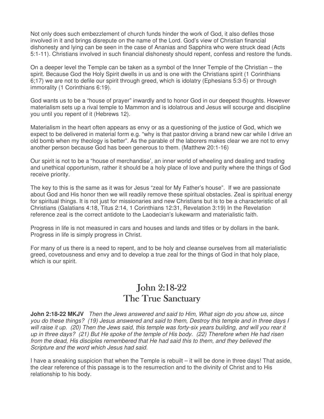Not only does such embezzlement of church funds hinder the work of God, it also defiles those involved in it and brings disrepute on the name of the Lord. God's view of Christian financial dishonesty and lying can be seen in the case of Ananias and Sapphira who were struck dead (Acts 5:1-11). Christians involved in such financial dishonesty should repent, confess and restore the funds.

On a deeper level the Temple can be taken as a symbol of the Inner Temple of the Christian – the spirit. Because God the Holy Spirit dwells in us and is one with the Christians spirit (1 Corinthians 6;17) we are not to defile our spirit through greed, which is idolatry (Ephesians 5:3-5) or through immorality (1 Corinthians 6:19).

God wants us to be a "house of prayer" inwardly and to honor God in our deepest thoughts. However materialism sets up a rival temple to Mammon and is idolatrous and Jesus will scourge and discipline you until you repent of it (Hebrews 12).

Materialism in the heart often appears as envy or as a questioning of the justice of God, which we expect to be delivered in material form e.g. "why is that pastor driving a brand new car while I drive an old bomb when my theology is better". As the parable of the laborers makes clear we are not to envy another person because God has been generous to them. (Matthew 20:1-16)

Our spirit is not to be a "house of merchandise', an inner world of wheeling and dealing and trading and unethical opportunism, rather it should be a holy place of love and purity where the things of God receive priority.

The key to this is the same as it was for Jesus "zeal for My Father's house". If we are passionate about God and His honor then we will readily remove these spiritual obstacles. Zeal is spiritual energy for spiritual things. It is not just for missionaries and new Christians but is to be a characteristic of all Christians (Galatians 4:18, Titus 2:14, 1 Corinthians 12:31, Revelation 3:19) In the Revelation reference zeal is the correct antidote to the Laodecian's lukewarm and materialistic faith.

Progress in life is not measured in cars and houses and lands and titles or by dollars in the bank. Progress in life is simply progress in Christ.

For many of us there is a need to repent, and to be holy and cleanse ourselves from all materialistic greed, covetousness and envy and to develop a true zeal for the things of God in that holy place, which is our spirit.

#### John 2:18-22 The True Sanctuary

**John 2:18-22 MKJV** Then the Jews answered and said to Him, What sign do you show us, since you do these things? (19) Jesus answered and said to them, Destroy this temple and in three days I will raise it up. (20) Then the Jews said, this temple was forty-six years building, and will you rear it up in three days? (21) But He spoke of the temple of His body. (22) Therefore when He had risen from the dead, His disciples remembered that He had said this to them, and they believed the Scripture and the word which Jesus had said.

I have a sneaking suspicion that when the Temple is rebuilt – it will be done in three days! That aside, the clear reference of this passage is to the resurrection and to the divinity of Christ and to His relationship to his body.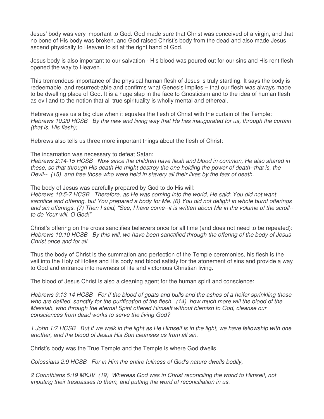Jesus' body was very important to God. God made sure that Christ was conceived of a virgin, and that no bone of His body was broken, and God raised Christ's body from the dead and also made Jesus ascend physically to Heaven to sit at the right hand of God.

Jesus body is also important to our salvation - His blood was poured out for our sins and His rent flesh opened the way to Heaven.

This tremendous importance of the physical human flesh of Jesus is truly startling. It says the body is redeemable, and resurrect-able and confirms what Genesis implies – that our flesh was always made to be dwelling place of God. It is a huge slap in the face to Gnosticism and to the idea of human flesh as evil and to the notion that all true spirituality is wholly mental and ethereal.

Hebrews gives us a big clue when it equates the flesh of Christ with the curtain of the Temple: Hebrews 10:20 HCSB By the new and living way that He has inaugurated for us, through the curtain (that is, His flesh);

Hebrews also tells us three more important things about the flesh of Christ:

The incarnation was necessary to defeat Satan:

Hebrews 2:14-15 HCSB Now since the children have flesh and blood in common, He also shared in these, so that through His death He might destroy the one holding the power of death--that is, the Devil-- (15) and free those who were held in slavery all their lives by the fear of death.

The body of Jesus was carefully prepared by God to do His will:

Hebrews 10:5-7 HCSB Therefore, as He was coming into the world, He said: You did not want sacrifice and offering, but You prepared a body for Me. (6) You did not delight in whole burnt offerings and sin offerings. (7) Then I said, "See, I have come--it is written about Me in the volume of the scroll- to do Your will, O God!"

Christ's offering on the cross sanctifies believers once for all time (and does not need to be repeated): Hebrews 10:10 HCSB By this will, we have been sanctified through the offering of the body of Jesus Christ once and for all.

Thus the body of Christ is the summation and perfection of the Temple ceremonies, his flesh is the veil into the Holy of Holies and His body and blood satisfy for the atonement of sins and provide a way to God and entrance into newness of life and victorious Christian living.

The blood of Jesus Christ is also a cleaning agent for the human spirit and conscience:

Hebrews 9:13-14 HCSB For if the blood of goats and bulls and the ashes of a heifer sprinkling those who are defiled, sanctify for the purification of the flesh, (14) how much more will the blood of the Messiah, who through the eternal Spirit offered Himself without blemish to God, cleanse our consciences from dead works to serve the living God?

1 John 1:7 HCSB But if we walk in the light as He Himself is in the light, we have fellowship with one another, and the blood of Jesus His Son cleanses us from all sin.

Christ's body was the True Temple and the Temple is where God dwells.

Colossians 2:9 HCSB For in Him the entire fullness of God's nature dwells bodily,

2 Corinthians 5:19 MKJV (19) Whereas God was in Christ reconciling the world to Himself, not imputing their trespasses to them, and putting the word of reconciliation in us.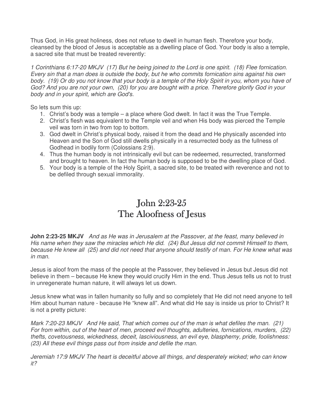Thus God, in His great holiness, does not refuse to dwell in human flesh. Therefore your body, cleansed by the blood of Jesus is acceptable as a dwelling place of God. Your body is also a temple, a sacred site that must be treated reverently:

1 Corinthians 6:17-20 MKJV (17) But he being joined to the Lord is one spirit. (18) Flee fornication. Every sin that a man does is outside the body, but he who commits fornication sins against his own body. (19) Or do you not know that your body is a temple of the Holy Spirit in you, whom you have of God? And you are not your own, (20) for you are bought with a price. Therefore glorify God in your body and in your spirit, which are God's.

So lets sum this up:

- 1. Christ's body was a temple a place where God dwelt. In fact it was the True Temple.
- 2. Christ's flesh was equivalent to the Temple veil and when His body was pierced the Temple veil was torn in two from top to bottom.
- 3. God dwelt in Christ's physical body, raised it from the dead and He physically ascended into Heaven and the Son of God still dwells physically in a resurrected body as the fullness of Godhead in bodily form (Colossians 2:9).
- 4. Thus the human body is not intrinsically evil but can be redeemed, resurrected, transformed and brought to heaven. In fact the human body is supposed to be the dwelling place of God.
- 5. Your body is a temple of the Holy Spirit, a sacred site, to be treated with reverence and not to be defiled through sexual immorality.

# John  $2:23-25$ The Aloofness of Jesus

**John 2:23-25 MKJV** And as He was in Jerusalem at the Passover, at the feast, many believed in His name when they saw the miracles which He did. (24) But Jesus did not commit Himself to them, because He knew all (25) and did not need that anyone should testify of man. For He knew what was in man.

Jesus is aloof from the mass of the people at the Passover, they believed in Jesus but Jesus did not believe in them – because He knew they would crucify Him in the end. Thus Jesus tells us not to trust in unregenerate human nature, it will always let us down.

Jesus knew what was in fallen humanity so fully and so completely that He did not need anyone to tell Him about human nature - because He "knew all". And what did He say is inside us prior to Christ? It is not a pretty picture:

Mark 7:20-23 MKJV And He said, That which comes out of the man is what defiles the man. (21) For from within, out of the heart of men, proceed evil thoughts, adulteries, fornications, murders, (22) thefts, covetousness, wickedness, deceit, lasciviousness, an evil eye, blasphemy, pride, foolishness: (23) All these evil things pass out from inside and defile the man.

Jeremiah 17:9 MKJV The heart is deceitful above all things, and desperately wicked; who can know it?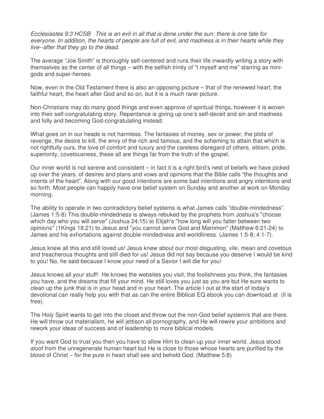Ecclesiastes 9:3 HCSB This is an evil in all that is done under the sun: there is one fate for everyone. In addition, the hearts of people are full of evil, and madness is in their hearts while they live--after that they go to the dead.

The average "Joe Smith" is thoroughly self-centered and runs their life inwardly writing a story with themselves as the center of all things – with the selfish trinity of "I myself and me" starring as minigods and super-heroes.

Now, even in the Old Testament there is also an opposing picture – that of the renewed heart, the faithful heart, the heart after God and so on, but it is a much rarer picture.

Non-Christians may do many good things and even approve of spiritual things, however it is woven into their self-congratulating story. Repentance is giving up one's self-deceit and sin and madness and folly and becoming God-congratulating instead.

What goes on in our heads is not harmless. The fantasies of money, sex or power, the plots of revenge, the desire to kill, the envy of the rich and famous, and the scheming to attain that which is not rightfully ours, the love of comfort and luxury and the careless disregard of others, elitism, pride, superiority, covetousness, these all are things far from the truth of the gospel.

Our inner world is not serene and consistent – in fact it is a right bird's nest of beliefs we have picked up over the years, of desires and plans and vows and opinions that the Bible calls "the thoughts and intents of the heart". Along with our good intentions are some bad intentions and angry intentions and so forth. Most people can happily have one belief system on Sunday and another at work on Monday morning.

The ability to operate in two contradictory belief systems is what James calls "double-mindedness". (James 1:5-8) This double-mindedness is always rebuked by the prophets from Joshua's "choose which day who you will serve" (Joshua 24:15) to Elijah's "how long will you falter between two opinions" (1Kings 18:21) to Jesus and "you cannot serve God and Mammon" (Matthew 6:21-24) to James and his exhortations against double-mindedness and worldliness. (James 1:5-8; 4:1-7).

Jesus knew all this and still loved us! Jesus knew about our most disgusting, vile, mean and covetous and treacherous thoughts and still died for us! Jesus did not say because you deserve I would be kind to you! No, he said because I know your need of a Savior I will die for you!

Jesus knows all your stuff! He knows the websites you visit, the foolishness you think, the fantasies you have, and the dreams that fill your mind. He still loves you just as you are but He sure wants to clean up the junk that is in your head and in your heart. The article I out at the start of today's devotional can really help you with that as can the entire Biblical EQ ebook you can download at (it is free).

The Holy Spirit wants to get into the closet and throw out the non-God belief system/s that are there. He will throw out materialism, he will jettison all pornography, and He will rewire your ambitions and rework your ideas of success and of leadership to more biblical models.

If you want God to trust you then you have to allow Him to clean up your inner world. Jesus stood aloof from the unregenerate human heart but He is close to those whose hearts are purified by the blood of Christ – for the pure in heart shall see and behold God. (Matthew 5:8)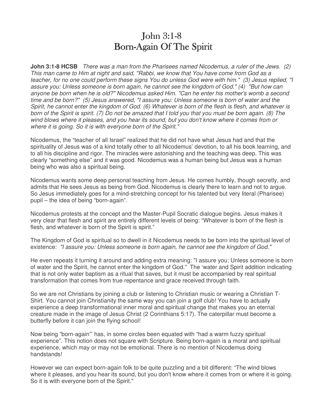### John  $3:1-8$ Born-Again Of The Spirit

**John 3:1-8 HCSB** There was a man from the Pharisees named Nicodemus, a ruler of the Jews. (2) This man came to Him at night and said, "Rabbi, we know that You have come from God as a teacher, for no one could perform these signs You do unless God were with him." (3) Jesus replied, "I assure you: Unless someone is born again, he cannot see the kingdom of God." (4) "But how can anyone be born when he is old?" Nicodemus asked Him. "Can he enter his mother's womb a second time and be born?" (5) Jesus answered, "I assure you: Unless someone is born of water and the Spirit, he cannot enter the kingdom of God. (6) Whatever is born of the flesh is flesh, and whatever is born of the Spirit is spirit. (7) Do not be amazed that I told you that you must be born again. (8) The wind blows where it pleases, and you hear its sound, but you don't know where it comes from or where it is going. So it is with everyone born of the Spirit."

Nicodemus, the "teacher of all Israel" realized that he did not have what Jesus had and that the spirituality of Jesus was of a kind totally other to all Nicodemus' devotion, to all his book learning, and to all his discipline and rigor. The miracles were astonishing and the teaching was deep. This was clearly "something else" and it was good. Nicodemus was a human being but Jesus was a human being who was also a spiritual being.

Nicodemus wants some deep personal teaching from Jesus. He comes humbly, though secretly, and admits that He sees Jesus as being from God. Nicodemus is clearly there to learn and not to argue. So Jesus immediately goes for a mind-stretching concept for his talented but very literal (Pharisee) pupil – the idea of being "born-again".

Nicodemus protests at the concept and the Master-Pupil Socratic dialogue begins. Jesus makes it very clear that flesh and spirit are entirely different levels of being: "Whatever is born of the flesh is flesh, and whatever is born of the Spirit is spirit."

The Kingdom of God is spiritual so to dwell in it Nicodemus needs to be born into the spiritual level of existence: "I assure you: Unless someone is born again, he cannot see the kingdom of God."

He even repeats it turning it around and adding extra meaning: "I assure you: Unless someone is born of water and the Spirit, he cannot enter the kingdom of God." The 'water and Spirit addition indicating that is not only water baptism as a ritual that saves, but it must be accompanied by real spiritual transformation that comes from true repentance and grace received through faith.

So we are not Christians by joining a club or listening to Christian music or wearing a Christian T-Shirt. You cannot join Christianity the same way you can join a golf club! You have to actually experience a deep transformational inner moral and spiritual change that makes you an eternal creature made in the image of Jesus Christ (2 Corinthians 5:17). The caterpillar must become a butterfly before it can join the flying school!

Now being "born-again"' has, in some circles been equated with "had a warm fuzzy spiritual experience". This notion does not square with Scripture. Being born-again is a moral and spiritual experience, which may or may not be emotional. There is no mention of Nicodemus doing handstands!

However we can expect born-again folk to be quite puzzling and a bit different: "The wind blows where it pleases, and you hear its sound, but you don't know where it comes from or where it is going. So it is with everyone born of the Spirit."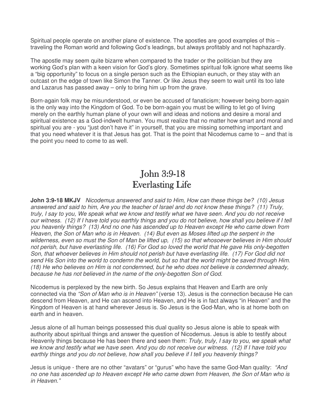Spiritual people operate on another plane of existence. The apostles are good examples of this – traveling the Roman world and following God's leadings, but always profitably and not haphazardly.

The apostle may seem quite bizarre when compared to the trader or the politician but they are working God's plan with a keen vision for God's glory. Sometimes spiritual folk ignore what seems like a "big opportunity" to focus on a single person such as the Ethiopian eunuch, or they stay with an outcast on the edge of town like Simon the Tanner. Or like Jesus they seem to wait until its too late and Lazarus has passed away – only to bring him up from the grave.

Born-again folk may be misunderstood, or even be accused of fanaticism; however being born-again is the only way into the Kingdom of God. To be born-again you must be willing to let go of living merely on the earthly human plane of your own will and ideas and notions and desire a moral and spiritual existence as a God-indwelt human. You must realize that no matter how smart and moral and spiritual you are - you "just don't have it" in yourself, that you are missing something important and that you need whatever it is that Jesus has got. That is the point that Nicodemus came to – and that is the point you need to come to as well.

### John 3:9-18 **Everlasting Life**

**John 3:9-18 MKJV** Nicodemus answered and said to Him, How can these things be? (10) Jesus answered and said to him, Are you the teacher of Israel and do not know these things? (11) Truly, truly, I say to you, We speak what we know and testify what we have seen. And you do not receive our witness. (12) If I have told you earthly things and you do not believe, how shall you believe if I tell you heavenly things? (13) And no one has ascended up to Heaven except He who came down from Heaven, the Son of Man who is in Heaven. (14) But even as Moses lifted up the serpent in the wilderness, even so must the Son of Man be lifted up, (15) so that whosoever believes in Him should not perish, but have everlasting life. (16) For God so loved the world that He gave His only-begotten Son, that whoever believes in Him should not perish but have everlasting life. (17) For God did not send His Son into the world to condemn the world, but so that the world might be saved through Him. (18) He who believes on Him is not condemned, but he who does not believe is condemned already, because he has not believed in the name of the only-begotten Son of God.

Nicodemus is perplexed by the new birth. So Jesus explains that Heaven and Earth are only connected via the "Son of Man who is in Heaven" (verse 13). Jesus is the connection because He can descend from Heaven, and He can ascend into Heaven, and He is in fact always "in Heaven" and the Kingdom of Heaven is at hand wherever Jesus is. So Jesus is the God-Man, who is at home both on earth and in heaven.

Jesus alone of all human beings possessed this dual quality so Jesus alone is able to speak with authority about spiritual things and answer the question of Nicodemus. Jesus is able to testify about Heavenly things because He has been there and seen them: Truly, truly, I say to you, we speak what we know and testify what we have seen. And you do not receive our witness. (12) If I have told you earthly things and you do not believe, how shall you believe if I tell you heavenly things?

Jesus is unique - there are no other "avatars" or "gurus" who have the same God-Man quality: "And no one has ascended up to Heaven except He who came down from Heaven, the Son of Man who is in Heaven."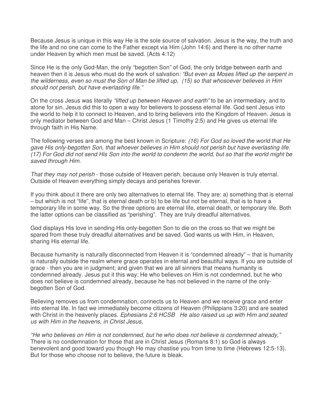Because Jesus is unique in this way He is the sole source of salvation. Jesus is the way, the truth and the life and no one can come to the Father except via Him (John 14:6) and there is no other name under Heaven by which men must be saved. (Acts 4:12)

Since He is the only God-Man, the only "begotten Son" of God, the only bridge between earth and heaven then it is Jesus who must do the work of salvation: "But even as Moses lifted up the serpent in the wilderness, even so must the Son of Man be lifted up, (15) so that whosoever believes in Him should not perish, but have everlasting life."

On the cross Jesus was literally "lifted up between Heaven and earth" to be an intermediary, and to atone for sin. Jesus did this to open a way for believers to possess eternal life. God sent Jesus into the world to help it to connect to Heaven, and to bring believers into the Kingdom of Heaven. Jesus is only mediator between God and Man – Christ Jesus (1 Timothy 2:5) and He gives us eternal life through faith in His Name.

The following verses are among the best known in Scripture: (16) For God so loved the world that He gave His only-begotten Son, that whoever believes in Him should not perish but have everlasting life. (17) For God did not send His Son into the world to condemn the world, but so that the world might be saved through Him.

That they may not perish - those outside of Heaven perish, because only Heaven is truly eternal. Outside of Heaven everything simply decays and perishes forever.

If you think about it there are only two alternatives to eternal life. They are: a) something that is eternal – but which is not "life", that is eternal death or b) to be life but not be eternal, that is to have a temporary life in some way. So the three options are eternal life, eternal death, or temporary life. Both the latter options can be classified as "perishing". They are truly dreadful alternatives.

God displays His love in sending His only-begotten Son to die on the cross so that we might be spared from these truly dreadful alternatives and be saved. God wants us with Him, in Heaven, sharing His eternal life.

Because humanity is naturally disconnected from Heaven it is "condemned already" – that is humanity is naturally outside the realm where grace operates in eternal and beautiful ways. If you are outside of grace - then you are in judgment; and given that we are all sinners that means humanity is condemned already. Jesus put it this way: He who believes on Him is not condemned, but he who does not believe is condemned already, because he has not believed in the name of the onlybegotten Son of God.

Believing removes us from condemnation, connects us to Heaven and we receive grace and enter into eternal life. In fact we immediately become citizens of Heaven (Philippians 3:20) and are seated with Christ in the heavenly places. Ephesians 2:6 HCSB He also raised us up with Him and seated us with Him in the heavens, in Christ Jesus,

"He who believes on Him is not condemned, but he who does not believe is condemned already," There is no condemnation for those that are in Christ Jesus (Romans 8:1) so God is always benevolent and good toward you though He may chastise you from time to time (Hebrews 12:5-13). But for those who choose not to believe, the future is bleak.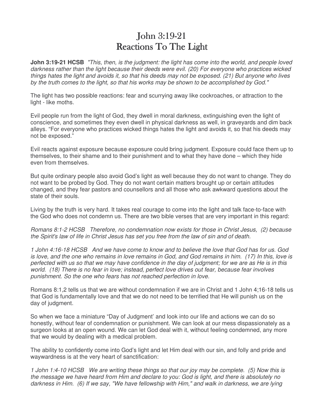# John 3:19-21 Reactions To The Light

**John 3:19-21 HCSB** "This, then, is the judgment: the light has come into the world, and people loved darkness rather than the light because their deeds were evil. (20) For everyone who practices wicked things hates the light and avoids it, so that his deeds may not be exposed. (21) But anyone who lives by the truth comes to the light, so that his works may be shown to be accomplished by God."

The light has two possible reactions: fear and scurrying away like cockroaches, or attraction to the light - like moths.

Evil people run from the light of God, they dwell in moral darkness, extinguishing even the light of conscience, and sometimes they even dwell in physical darkness as well, in graveyards and dim back alleys. "For everyone who practices wicked things hates the light and avoids it, so that his deeds may not be exposed."

Evil reacts against exposure because exposure could bring judgment. Exposure could face them up to themselves, to their shame and to their punishment and to what they have done – which they hide even from themselves.

But quite ordinary people also avoid God's light as well because they do not want to change. They do not want to be probed by God. They do not want certain matters brought up or certain attitudes changed, and they fear pastors and counsellors and all those who ask awkward questions about the state of their souls.

Living by the truth is very hard. It takes real courage to come into the light and talk face-to-face with the God who does not condemn us. There are two bible verses that are very important in this regard:

Romans 8:1-2 HCSB Therefore, no condemnation now exists for those in Christ Jesus, (2) because the Spirit's law of life in Christ Jesus has set you free from the law of sin and of death.

1 John 4:16-18 HCSB And we have come to know and to believe the love that God has for us. God is love, and the one who remains in love remains in God, and God remains in him. (17) In this, love is perfected with us so that we may have confidence in the day of judgment; for we are as He is in this world. (18) There is no fear in love; instead, perfect love drives out fear, because fear involves punishment. So the one who fears has not reached perfection in love.

Romans 8:1,2 tells us that we are without condemnation if we are in Christ and 1 John 4;16-18 tells us that God is fundamentally love and that we do not need to be terrified that He will punish us on the day of judgment.

So when we face a miniature "Day of Judgment' and look into our life and actions we can do so honestly, without fear of condemnation or punishment. We can look at our mess dispassionately as a surgeon looks at an open wound. We can let God deal with it, without feeling condemned, any more that we would by dealing with a medical problem.

The ability to confidently come into God's light and let Him deal with our sin, and folly and pride and waywardness is at the very heart of sanctification:

1 John 1:4-10 HCSB We are writing these things so that our joy may be complete. (5) Now this is the message we have heard from Him and declare to you: God is light, and there is absolutely no darkness in Him. (6) If we say, "We have fellowship with Him," and walk in darkness, we are lying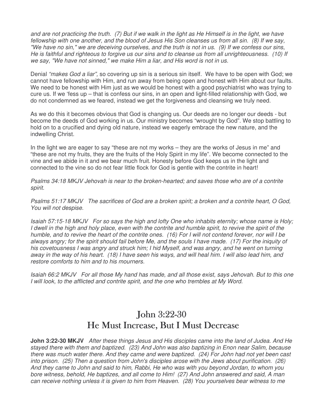and are not practicing the truth. (7) But if we walk in the light as He Himself is in the light, we have fellowship with one another, and the blood of Jesus His Son cleanses us from all sin. (8) If we say, "We have no sin," we are deceiving ourselves, and the truth is not in us. (9) If we confess our sins, He is faithful and righteous to forgive us our sins and to cleanse us from all unrighteousness. (10) If we say, "We have not sinned," we make Him a liar, and His word is not in us.

Denial "makes God a liar", so covering up sin is a serious sin itself. We have to be open with God; we cannot have fellowship with Him, and run away from being open and honest with Him about our faults. We need to be honest with Him just as we would be honest with a good psychiatrist who was trying to cure us. If we 'fess up – that is confess our sins, in an open and light-filled relationship with God, we do not condemned as we feared, instead we get the forgiveness and cleansing we truly need.

As we do this it becomes obvious that God is changing us. Our deeds are no longer our deeds - but become the deeds of God working in us. Our ministry becomes "wrought by God". We stop battling to hold on to a crucified and dying old nature, instead we eagerly embrace the new nature, and the indwelling Christ.

In the light we are eager to say "these are not my works – they are the works of Jesus in me" and "these are not my fruits, they are the fruits of the Holy Spirit in my life". We become connected to the vine and we abide in it and we bear much fruit. Honesty before God keeps us in the light and connected to the vine so do not fear little flock for God is gentle with the contrite in heart!

Psalms 34:18 MKJV Jehovah is near to the broken-hearted; and saves those who are of a contrite spirit.

Psalms 51:17 MKJV The sacrifices of God are a broken spirit; a broken and a contrite heart, O God, You will not despise.

Isaiah 57:15-18 MKJV For so says the high and lofty One who inhabits eternity; whose name is Holy; I dwell in the high and holy place, even with the contrite and humble spirit, to revive the spirit of the humble, and to revive the heart of the contrite ones. (16) For I will not contend forever, nor will I be always angry; for the spirit should fail before Me, and the souls I have made. (17) For the iniquity of his covetousness I was angry and struck him; I hid Myself, and was angry, and he went on turning away in the way of his heart. (18) I have seen his ways, and will heal him. I will also lead him, and restore comforts to him and to his mourners.

Isaiah 66:2 MKJV For all those My hand has made, and all those exist, says Jehovah. But to this one I will look, to the afflicted and contrite spirit, and the one who trembles at My Word.

# **John 3:22-30** He Must Increase, But I Must Decrease

**John 3:22-30 MKJV** After these things Jesus and His disciples came into the land of Judea. And He stayed there with them and baptized. (23) And John was also baptizing in Enon near Salim, because there was much water there. And they came and were baptized. (24) For John had not yet been cast into prison. (25) Then a question from John's disciples arose with the Jews about purification. (26) And they came to John and said to him, Rabbi, He who was with you beyond Jordan, to whom you bore witness, behold, He baptizes, and all come to Him! (27) And John answered and said, A man can receive nothing unless it is given to him from Heaven. (28) You yourselves bear witness to me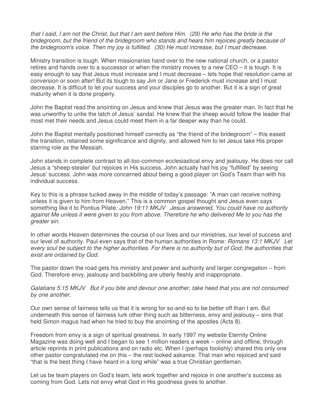that I said, I am not the Christ, but that I am sent before Him. (29) He who has the bride is the bridegroom, but the friend of the bridegroom who stands and hears him rejoices greatly because of the bridegroom's voice. Then my joy is fulfilled. (30) He must increase, but I must decrease.

Ministry transition is tough. When missionaries hand over to the new national church, or a pastor retires and hands over to a successor or when the ministry moves to a new CEO – it is tough. It is easy enough to say that Jesus must increase and I must decrease – lets hope that resolution came at conversion or soon after! But its tough to say Jim or Jane or Frederick must increase and I must decrease. It is difficult to let your success and your disciples go to another. But it is a sign of great maturity when it is done properly.

John the Baptist read the anointing on Jesus and knew that Jesus was the greater man. In fact that he was unworthy to untie the latch of Jesus' sandal. He knew that the sheep would follow the leader that most met their needs and Jesus could meet them in a far deeper way than he could.

John the Baptist mentally positioned himself correctly as "the friend of the bridegroom" – this eased the transition, retained some significance and dignity, and allowed him to let Jesus take His proper starring role as the Messiah.

John stands in complete contrast to all-too-common ecclesiastical envy and jealousy. He does nor call Jesus a "sheep-stealer' but rejoices in His success. John actually had his joy "fulfilled" by seeing Jesus' success. John was more concerned about being a good player on God's Team than with his individual success.

Key to this is a phrase tucked away in the middle of today's passage: "A man can receive nothing unless it is given to him from Heaven." This is a common gospel thought and Jesus even says something like it to Pontius Pilate: John 19:11 MKJV Jesus answered, You could have no authority against Me unless it were given to you from above. Therefore he who delivered Me to you has the greater sin.

In other words Heaven determines the course of our lives and our ministries, our level of success and our level of authority. Paul even says that of the human authorities in Rome: Romans 13:1 MKJV Let every soul be subject to the higher authorities. For there is no authority but of God; the authorities that exist are ordained by God.

The pastor down the road gets his ministry and power and authority and larger congregation – from God. Therefore envy, jealousy and backbiting are utterly fleshly and inappropriate.

Galatians 5:15 MKJV But if you bite and devour one another, take heed that you are not consumed by one another.

Our own sense of fairness tells us that it is wrong for so-and-so to be better off than I am. But underneath this sense of fairness lurk other thing such as bitterness, envy and jealousy – sins that held Simon magus had when he tried to buy the anointing of the apostles (Acts 8).

Freedom from envy is a sign of spiritual greatness. In early 1997 my website Eternity Online Magazine was doing well and I began to see 1 million readers a week – online and offline, through article reprints in print publications and on radio etc. When I (perhaps foolishly) shared this only one other pastor congratulated me on this – the rest looked askance. That man who rejoiced and said "that is the best thing I have heard in a long while" was a true Christian gentleman.

Let us be team players on God's team, lets work together and rejoice in one another's success as coming from God. Lets not envy what God in His goodness gives to another.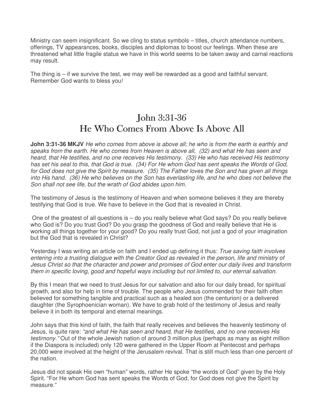Ministry can seem insignificant. So we cling to status symbols – titles, church attendance numbers, offerings, TV appearances, books, disciples and diplomas to boost our feelings. When these are threatened what little fragile status we have in this world seems to be taken away and carnal reactions may result.

The thing is – if we survive the test, we may well be rewarded as a good and faithful servant. Remember God wants to bless you!

# John 3:31-36 He Who Comes From Above Is Above All

**John 3:31-36 MKJV** He who comes from above is above all; he who is from the earth is earthly and speaks from the earth. He who comes from Heaven is above all, (32) and what He has seen and heard, that He testifies, and no one receives His testimony. (33) He who has received His testimony has set his seal to this, that God is true. (34) For He whom God has sent speaks the Words of God, for God does not give the Spirit by measure. (35) The Father loves the Son and has given all things into His hand. (36) He who believes on the Son has everlasting life, and he who does not believe the Son shall not see life, but the wrath of God abides upon him.

The testimony of Jesus is the testimony of Heaven and when someone believes it they are thereby testifying that God is true. We have to believe in the God that is revealed in Christ.

 One of the greatest of all questions is – do you really believe what God says? Do you really believe who God is? Do you trust God? Do you grasp the goodness of God and really believe that He is working all things together for your good? Do you really trust God, not just a god of your imagination but the God that is revealed in Christ?

Yesterday I was writing an article on faith and I ended up defining it thus: True saving faith involves entering into a trusting dialogue with the Creator God as revealed in the person, life and ministry of Jesus Christ so that the character and power and promises of God enter our daily lives and transform them in specific loving, good and hopeful ways including but not limited to, our eternal salvation.

By this I mean that we need to trust Jesus for our salvation and also for our daily bread, for spiritual growth, and also for help in time of trouble. The people who Jesus commended for their faith often believed for something tangible and practical such as a healed son (the centurion) or a delivered daughter (the Syrophoenician woman). We have to grab hold of the testimony of Jesus and really believe it in both its temporal and eternal meanings.

John says that this kind of faith, the faith that really receives and believes the heavenly testimony of Jesus, is quite rare: "and what He has seen and heard, that He testifies, and no one receives His testimony." Out of the whole Jewish nation of around 3 million plus (perhaps as many as eight million if the Diaspora is included) only 120 were gathered in the Upper Room at Pentecost and perhaps 20,000 were involved at the height of the Jerusalem revival. That is still much less than one percent of the nation.

Jesus did not speak His own "human" words, rather He spoke "the words of God" given by the Holy Spirit. "For He whom God has sent speaks the Words of God, for God does not give the Spirit by measure."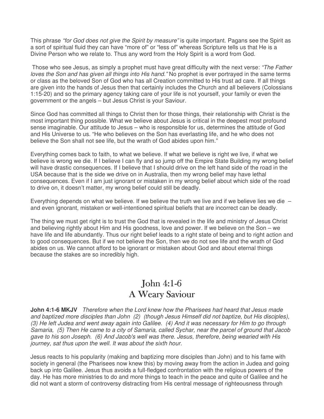This phrase "for God does not give the Spirit by measure" is quite important. Pagans see the Spirit as a sort of spiritual fluid they can have "more of" or "less of" whereas Scripture tells us that He is a Divine Person who we relate to. Thus any word from the Holy Spirit is a word from God.

Those who see Jesus, as simply a prophet must have great difficulty with the next verse: "The Father" loves the Son and has given all things into His hand." No prophet is ever portrayed in the same terms or class as the beloved Son of God who has all Creation committed to His trust ad care. If all things are given into the hands of Jesus then that certainly includes the Church and all believers (Colossians 1:15-20) and so the primary agency taking care of your life is not yourself, your family or even the government or the angels – but Jesus Christ is your Saviour.

Since God has committed all things to Christ then for those things, their relationship with Christ is the most important thing possible. What we believe about Jesus is critical in the deepest most profound sense imaginable. Our attitude to Jesus – who is responsible for us, determines the attitude of God and His Universe to us. "He who believes on the Son has everlasting life, and he who does not believe the Son shall not see life, but the wrath of God abides upon him."

Everything comes back to faith, to what we believe. If what we believe is right we live, if what we believe is wrong we die. If I believe I can fly and so jump off the Empire State Building my wrong belief will have drastic consequences. If I believe that I should drive on the left hand side of the road in the USA because that is the side we drive on in Australia, then my wrong belief may have lethal consequences. Even if I am just ignorant or mistaken in my wrong belief about which side of the road to drive on, it doesn't matter, my wrong belief could still be deadly.

Everything depends on what we believe. If we believe the truth we live and if we believe lies we die  $$ and even ignorant, mistaken or well-intentioned spiritual beliefs that are incorrect can be deadly.

The thing we must get right is to trust the God that is revealed in the life and ministry of Jesus Christ and believing rightly about Him and His goodness, love and power. If we believe on the Son – we have life and life abundantly. Thus our right belief leads to a right state of being and to right action and to good consequences. But if we not believe the Son, then we do not see life and the wrath of God abides on us. We cannot afford to be ignorant or mistaken about God and about eternal things because the stakes are so incredibly high.

# John  $4:1-6$ A Weary Saviour

**John 4:1-6 MKJV** Therefore when the Lord knew how the Pharisees had heard that Jesus made and baptized more disciples than John (2) (though Jesus Himself did not baptize, but His disciples), (3) He left Judea and went away again into Galilee. (4) And it was necessary for Him to go through Samaria, (5) Then He came to a city of Samaria, called Sychar, near the parcel of ground that Jacob gave to his son Joseph. (6) And Jacob's well was there. Jesus, therefore, being wearied with His journey, sat thus upon the well. It was about the sixth hour.

Jesus reacts to his popularity (making and baptizing more disciples than John) and to his fame with society in general (the Pharisees now knew this) by moving away from the action in Judea and going back up into Galilee. Jesus thus avoids a full-fledged confrontation with the religious powers of the day. He has more ministries to do and more things to teach in the peace and quite of Galilee and he did not want a storm of controversy distracting from His central message of righteousness through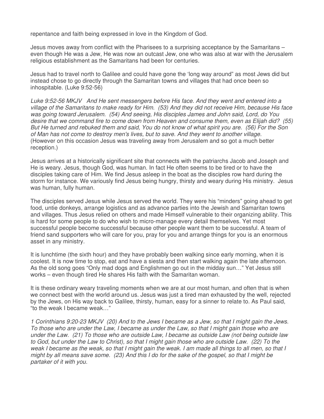repentance and faith being expressed in love in the Kingdom of God.

Jesus moves away from conflict with the Pharisees to a surprising acceptance by the Samaritans – even though He was a Jew, He was now an outcast Jew, one who was also at war with the Jerusalem religious establishment as the Samaritans had been for centuries.

Jesus had to travel north to Galilee and could have gone the 'long way around" as most Jews did but instead chose to go directly through the Samaritan towns and villages that had once been so inhospitable. (Luke 9:52-56)

Luke 9:52-56 MKJV And He sent messengers before His face. And they went and entered into a village of the Samaritans to make ready for Him. (53) And they did not receive Him, because His face was going toward Jerusalem. (54) And seeing, His disciples James and John said, Lord, do You desire that we command fire to come down from Heaven and consume them, even as Elijah did? (55) But He turned and rebuked them and said, You do not know of what spirit you are. (56) For the Son of Man has not come to destroy men's lives, but to save. And they went to another village. (However on this occasion Jesus was traveling away from Jerusalem and so got a much better reception.)

Jesus arrives at a historically significant site that connects with the patriarchs Jacob and Joseph and He is weary. Jesus, though God, was human. In fact He often seems to be tired or to have the disciples taking care of Him. We find Jesus asleep in the boat as the disciples row hard during the storm for instance. We variously find Jesus being hungry, thirsty and weary during His ministry. Jesus was human, fully human.

The disciples served Jesus while Jesus served the world. They were his "minders" going ahead to get food, untie donkeys, arrange logistics and as advance parties into the Jewish and Samaritan towns and villages. Thus Jesus relied on others and made Himself vulnerable to their organizing ability. This is hard for some people to do who wish to micro-manage every detail themselves. Yet most successful people become successful because other people want them to be successful. A team of friend sand supporters who will care for you, pray for you and arrange things for you is an enormous asset in any ministry.

It is lunchtime (the sixth hour) and they have probably been walking since early morning, when it is coolest. It is now time to stop, eat and have a siesta and then start walking again the late afternoon. As the old song goes "Only mad dogs and Englishmen go out in the midday sun…" Yet Jesus still works – even though tired He shares His faith with the Samaritan woman.

It is these ordinary weary traveling moments when we are at our most human, and often that is when we connect best with the world around us. Jesus was just a tired man exhausted by the well, rejected by the Jews, on His way back to Galilee, thirsty, human, easy for a sinner to relate to. As Paul said, "to the weak I became weak…"

1 Corinthians 9:20-23 MKJV (20) And to the Jews I became as a Jew, so that I might gain the Jews. To those who are under the Law, I became as under the Law, so that I might gain those who are under the Law. (21) To those who are outside Law, I became as outside Law (not being outside law to God, but under the Law to Christ), so that I might gain those who are outside Law. (22) To the weak I became as the weak, so that I might gain the weak. I am made all things to all men, so that I might by all means save some. (23) And this I do for the sake of the gospel, so that I might be partaker of it with you.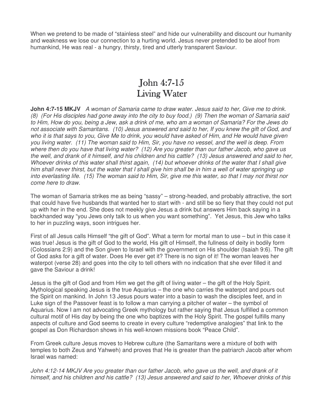When we pretend to be made of "stainless steel" and hide our vulnerability and discount our humanity and weakness we lose our connection to a hurting world. Jesus never pretended to be aloof from humankind, He was real - a hungry, thirsty, tired and utterly transparent Saviour.

#### John  $4:7-15$ Living Water

**John 4:7-15 MKJV** A woman of Samaria came to draw water. Jesus said to her, Give me to drink. (8) (For His disciples had gone away into the city to buy food.) (9) Then the woman of Samaria said to Him, How do you, being a Jew, ask a drink of me, who am a woman of Samaria? For the Jews do not associate with Samaritans. (10) Jesus answered and said to her, If you knew the gift of God, and who it is that says to you, Give Me to drink, you would have asked of Him, and He would have given you living water. (11) The woman said to Him, Sir, you have no vessel, and the well is deep. From where then do you have that living water? (12) Are you greater than our father Jacob, who gave us the well, and drank of it himself, and his children and his cattle? (13) Jesus answered and said to her, Whoever drinks of this water shall thirst again, (14) but whoever drinks of the water that I shall give him shall never thirst, but the water that I shall give him shall be in him a well of water springing up into everlasting life. (15) The woman said to Him, Sir, give me this water, so that I may not thirst nor come here to draw.

The woman of Samaria strikes me as being "sassy" – strong-headed, and probably attractive, the sort that could have five husbands that wanted her to start with - and still be so fiery that they could not put up with her in the end. She does not meekly give Jesus a drink but answers Him back saying in a backhanded way "you Jews only talk to us when you want something". Yet Jesus, this Jew who talks to her in puzzling ways, soon intrigues her.

First of all Jesus calls Himself "the gift of God". What a term for mortal man to use – but in this case it was true! Jesus is the gift of God to the world, His gift of Himself, the fullness of deity in bodily form (Colossians 2:9) and the Son given to Israel with the government on His shoulder (Isaiah 9:6). The gift of God asks for a gift of water. Does He ever get it? There is no sign of it! The woman leaves her waterpot (verse 28) and goes into the city to tell others with no indication that she ever filled it and gave the Saviour a drink!

Jesus is the gift of God and from Him we get the gift of living water – the gift of the Holy Spirit. Mythological speaking Jesus is the true Aquarius – the one who carries the waterpot and pours out the Spirit on mankind. In John 13 Jesus pours water into a basin to wash the disciples feet, and in Luke sign of the Passover feast is to follow a man carrying a pitcher of water – the symbol of Aquarius. Now I am not advocating Greek mythology but rather saying that Jesus fulfilled a common cultural motif of His day by being the one who baptizes with the Holy Spirit. The gospel fulfills many aspects of culture and God seems to create in every culture "redemptive analogies" that link to the gospel as Don Richardson shows in his well-known missions book "Peace Child".

From Greek culture Jesus moves to Hebrew culture (the Samaritans were a mixture of both with temples to both Zeus and Yahweh) and proves that He is greater than the patriarch Jacob after whom Israel was named:

John 4:12-14 MKJV Are you greater than our father Jacob, who gave us the well, and drank of it himself, and his children and his cattle? (13) Jesus answered and said to her, Whoever drinks of this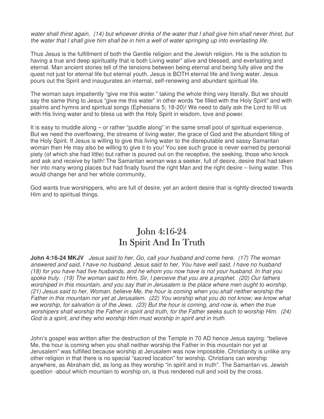water shall thirst again, (14) but whoever drinks of the water that I shall give him shall never thirst, but the water that I shall give him shall be in him a well of water springing up into everlasting life.

Thus Jesus is the fulfillment of both the Gentile religion and the Jewish religion. He is the solution to having a true and deep spirituality that is both Living water" alive and blessed, and everlasting and eternal. Man ancient stories tell of the tensions between being eternal and being fully alive and the quest not just for eternal life but eternal youth. Jesus is BOTH eternal life and living water. Jesus pours out the Spirit and inaugurates an internal, self-renewing and abundant spiritual life.

The woman says impatiently "give me this water." taking the whole thing very literally. But we should say the same thing to Jesus "give me this water" in other words "be filled with the Holy Spirit" and with psalms and hymns and spiritual songs (Ephesians 5; 18-20)! We need to daily ask the Lord to fill us with His living water and to bless us with the Holy Spirit in wisdom, love and power.

It is easy to muddle along – or rather "puddle along" in the same small pool of spiritual experience. But we need the overflowing, the streams of living water, the grace of God and the abundant filling of the Holy Spirit. If Jesus is willing to give this living water to the disreputable and sassy Samaritan woman then He may also be willing to give it to you! You see such grace is never earned by personal piety (of which she had little) but rather is poured out on the receptive, the seeking, those who knock and ask and receive by faith! The Samaritan woman was a seeker, full of desire, desire that had taken her into many wrong places but had finally found the right Man and the right desire – living water. This would change her and her whole community,

God wants true worshippers, who are full of desire, yet an ardent desire that is rightly directed towards Him and to spiritual things.

# John 4:16-24 In Spirit And In Truth

**John 4:16-24 MKJV** Jesus said to her, Go, call your husband and come here. (17) The woman answered and said, I have no husband. Jesus said to her, You have well said, I have no husband (18) for you have had five husbands, and he whom you now have is not your husband. In that you spoke truly. (19) The woman said to Him, Sir, I perceive that you are a prophet. (20) Our fathers worshiped in this mountain, and you say that in Jerusalem is the place where men ought to worship. (21) Jesus said to her, Woman, believe Me, the hour is coming when you shall neither worship the Father in this mountain nor yet at Jerusalem. (22) You worship what you do not know; we know what we worship, for salvation is of the Jews. (23) But the hour is coming, and now is, when the true worshipers shall worship the Father in spirit and truth, for the Father seeks such to worship Him. (24) God is a spirit, and they who worship Him must worship in spirit and in truth.

John's gospel was written after the destruction of the Temple in 70 AD hence Jesus saying: "believe Me, the hour is coming when you shall neither worship the Father in this mountain nor yet at Jerusalem" was fulfilled because worship at Jerusalem was now impossible. Christianity is unlike any other religion in that there is no special "sacred location" for worship. Christians can worship anywhere, as Abraham did, as long as they worship "in spirit and in truth". The Samaritan vs. Jewish question -about which mountain to worship on, is thus rendered null and void by the cross.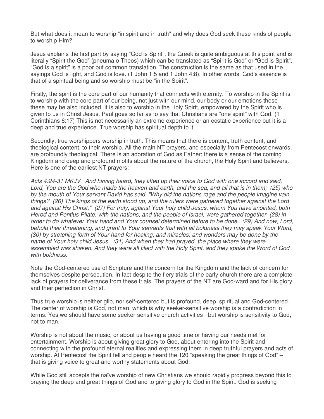But what does it mean to worship "in spirit and in truth" and why does God seek these kinds of people to worship Him?

Jesus explains the first part by saying "God is Spirit", the Greek is quite ambiguous at this point and is literally "Spirit the God" (pneuma o Theos) which can be translated as "Spirit is God" or "God is Spirit", "God is a spirit" is a poor but common translation. The construction is the same as that used in the sayings God is light, and God is love. (1 John 1:5 and 1 John 4:8). In other words, God's essence is that of a spiritual being and so worship must be "in the Spirit".

Firstly, the spirit is the core part of our humanity that connects with eternity. To worship in the Spirit is to worship with the core part of our being, not just with our mind, our body or our emotions those these may be also included. It is also to worship in the Holy Spirit, empowered by the Spirit who is given to us in Christ Jesus. Paul goes so far as to say that Christians are "one spirit" with God. (1 Corinthians 6:17) This is not necessarily an extreme experience or an ecstatic experience but it is a deep and true experience. True worship has spiritual depth to it.

Secondly, true worshippers worship in truth. This means that there is content, truth content, and theological content, to their worship. All the main NT prayers, and especially from Pentecost onwards, are profoundly theological. There is an adoration of God as Father; there is a sense of the coming Kingdom and deep and profound motifs about the nature of the church, the Holy Spirit and believers. Here is one of the earliest NT prayers:

Acts 4:24-31 MKJV And having heard, they lifted up their voice to God with one accord and said, Lord, You are the God who made the heaven and earth, and the sea, and all that is in them; (25) who by the mouth of Your servant David has said, "Why did the nations rage and the people imagine vain things? (26) The kings of the earth stood up, and the rulers were gathered together against the Lord and against His Christ." (27) For truly, against Your holy child Jesus, whom You have anointed, both Herod and Pontius Pilate, with the nations, and the people of Israel, were gathered together (28) in order to do whatever Your hand and Your counsel determined before to be done. (29) And now, Lord, behold their threatening, and grant to Your servants that with all boldness they may speak Your Word, (30) by stretching forth of Your hand for healing, and miracles, and wonders may be done by the name of Your holy child Jesus. (31) And when they had prayed, the place where they were assembled was shaken. And they were all filled with the Holy Spirit, and they spoke the Word of God with **boldness** 

Note the God-centered use of Scripture and the concern for the Kingdom and the lack of concern for themselves despite persecution. In fact despite the fiery trials of the early church there are a complete lack of prayers for deliverance from these trials. The prayers of the NT are God-ward and for His glory and their perfection in Christ.

Thus true worship is neither glib, nor self-centered but is profound, deep, spiritual and God-centered. The center of worship is God, not man, which is why seeker-sensitive worship is a contradiction in terms. Yes we should have some seeker-sensitive church activities - but worship is sensitivity to God, not to man.

Worship is not about the music, or about us having a good time or having our needs met for entertainment. Worship is about giving great glory to God, about entering into the Spirit and connecting with the profound eternal realities and expressing them in deep truthful prayers and acts of worship. At Pentecost the Spirit fell and people heard the 120 "speaking the great things of God" – that is giving voice to great and worthy statements about God.

While God still accepts the naïve worship of new Christians we should rapidly progress beyond this to praying the deep and great things of God and to giving glory to God in the Spirit. God is seeking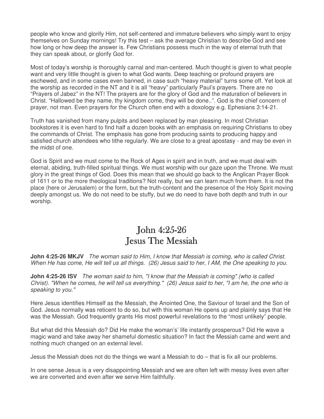people who know and glorify Him, not self-centered and immature believers who simply want to enjoy themselves on Sunday mornings! Try this test – ask the average Christian to describe God and see how long or how deep the answer is. Few Christians possess much in the way of eternal truth that they can speak about, or glorify God for.

Most of today's worship is thoroughly carnal and man-centered. Much thought is given to what people want and very little thought is given to what God wants. Deep teaching or profound prayers are eschewed, and in some cases even banned, in case such "heavy material" turns some off. Yet look at the worship as recorded in the NT and it is all "heavy" particularly Paul's prayers. There are no "Prayers of Jabez" in the NT! The prayers are for the glory of God and the maturation of believers in Christ. "Hallowed be they name, thy kingdom come, they will be done..". God is the chief concern of prayer, not man. Even prayers for the Church often end with a doxology e.g. Ephesians 3:14-21.

Truth has vanished from many pulpits and been replaced by man pleasing. In most Christian bookstores it is even hard to find half a dozen books with an emphasis on requiring Christians to obey the commands of Christ. The emphasis has gone from producing saints to producing happy and satisfied church attendees who tithe regularly. We are close to a great apostasy - and may be even in the midst of one.

God is Spirit and we must come to the Rock of Ages in spirit and in truth, and we must deal with eternal, abiding, truth-filled spiritual things. We must worship with our gaze upon the Throne. We must glory in the great things of God. Does this mean that we should go back to the Anglican Prayer Book of 1611 or to the more theological traditions? Not really, but we can learn much from them. It is not the place (here or Jerusalem) or the form, but the truth-content and the presence of the Holy Spirit moving deeply amongst us. We do not need to be stuffy, but we do need to have both depth and truth in our worship.

#### John  $4:25-26$ **Jesus The Messiah**

**John 4:25-26 MKJV** The woman said to Him, I know that Messiah is coming, who is called Christ. When He has come, He will tell us all things. (26) Jesus said to her, I AM, the One speaking to you.

**John 4:25-26 ISV** The woman said to him, "I know that the Messiah is coming" (who is called Christ). "When he comes, he will tell us everything." (26) Jesus said to her, "I am he, the one who is speaking to you."

Here Jesus identifies Himself as the Messiah, the Anointed One, the Saviour of Israel and the Son of God. Jesus normally was reticent to do so, but with this woman He opens up and plainly says that He was the Messiah. God frequently grants His most powerful revelations to the "most unlikely" people.

But what did this Messiah do? Did He make the woman's' life instantly prosperous? Did He wave a magic wand and take away her shameful domestic situation? In fact the Messiah came and went and nothing much changed on an external level.

Jesus the Messiah does not do the things we want a Messiah to do – that is fix all our problems.

In one sense Jesus is a very disappointing Messiah and we are often left with messy lives even after we are converted and even after we serve Him faithfully.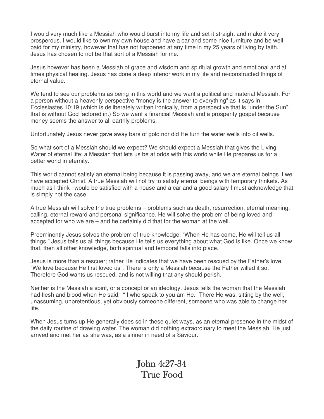I would very much like a Messiah who would burst into my life and set it straight and make it very prosperous. I would like to own my own house and have a car and some nice furniture and be well paid for my ministry, however that has not happened at any time in my 25 years of living by faith. Jesus has chosen to not be that sort of a Messiah for me.

Jesus however has been a Messiah of grace and wisdom and spiritual growth and emotional and at times physical healing. Jesus has done a deep interior work in my life and re-constructed things of eternal value.

We tend to see our problems as being in this world and we want a political and material Messiah. For a person without a heavenly perspective "money is the answer to everything" as it says in Ecclesiastes 10:19 (which is deliberately written ironically, from a perspective that is "under the Sun", that is without God factored in.) So we want a financial Messiah and a prosperity gospel because money seems the answer to all earthly problems.

Unfortunately Jesus never gave away bars of gold nor did He turn the water wells into oil wells.

So what sort of a Messiah should we expect? We should expect a Messiah that gives the Living Water of eternal life; a Messiah that lets us be at odds with this world while He prepares us for a better world in eternity.

This world cannot satisfy an eternal being because it is passing away, and we are eternal beings if we have accepted Christ. A true Messiah will not try to satisfy eternal beings with temporary trinkets. As much as I think I would be satisfied with a house and a car and a good salary I must acknowledge that is simply not the case.

A true Messiah will solve the true problems – problems such as death, resurrection, eternal meaning, calling, eternal reward and personal significance. He will solve the problem of being loved and accepted for who we are – and he certainly did that for the woman at the well.

Preeminently Jesus solves the problem of true knowledge. "When He has come, He will tell us all things." Jesus tells us all things because He tells us everything about what God is like. Once we know that, then all other knowledge, both spiritual and temporal falls into place.

Jesus is more than a rescuer; rather He indicates that we have been rescued by the Father's love. "We love because He first loved us". There is only a Messiah because the Father willed it so. Therefore God wants us rescued, and is not willing that any should perish.

Neither is the Messiah a spirit, or a concept or an ideology. Jesus tells the woman that the Messiah had flesh and blood when He said, " I who speak to you am He." There He was, sitting by the well, unassuming, unpretentious, yet obviously someone different, someone who was able to change her life.

When Jesus turns up He generally does so in these quiet ways, as an eternal presence in the midst of the daily routine of drawing water. The woman did nothing extraordinary to meet the Messiah. He just arrived and met her as she was, as a sinner in need of a Saviour.

## $John 4:27-34$ True Food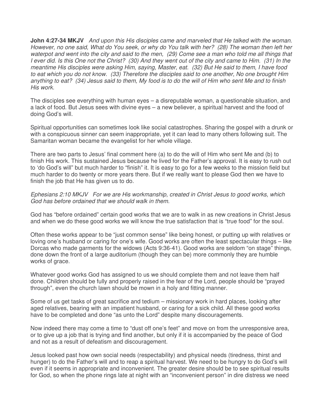**John 4:27-34 MKJV** And upon this His disciples came and marveled that He talked with the woman. However, no one said, What do You seek, or why do You talk with her? (28) The woman then left her waterpot and went into the city and said to the men, (29) Come see a man who told me all things that I ever did. Is this One not the Christ? (30) And they went out of the city and came to Him. (31) In the meantime His disciples were asking Him, saying, Master, eat. (32) But He said to them, I have food to eat which you do not know. (33) Therefore the disciples said to one another, No one brought Him anything to eat? (34) Jesus said to them, My food is to do the will of Him who sent Me and to finish His work.

The disciples see everything with human eyes – a disreputable woman, a questionable situation, and a lack of food. But Jesus sees with divine eyes – a new believer, a spiritual harvest and the food of doing God's will.

Spiritual opportunities can sometimes look like social catastrophes. Sharing the gospel with a drunk or with a conspicuous sinner can seem inappropriate, yet it can lead to many others following suit. The Samaritan woman became the evangelist for her whole village.

There are two parts to Jesus' final comment here (a) to do the will of Him who sent Me and (b) to finish His work. This sustained Jesus because he lived for the Father's approval. It is easy to rush out to 'do God's will" but much harder to "finish" it. It is easy to go for a few weeks to the mission field but much harder to do twenty or more years there. But if we really want to please God then we have to finish the job that He has given us to do.

Ephesians 2:10 MKJV For we are His workmanship, created in Christ Jesus to good works, which God has before ordained that we should walk in them.

God has "before ordained" certain good works that we are to walk in as new creations in Christ Jesus and when we do these good works we will know the true satisfaction that is "true food" for the soul.

Often these works appear to be "just common sense" like being honest, or putting up with relatives or loving one's husband or caring for one's wife. Good works are often the least spectacular things – like Dorcas who made garments for the widows (Acts 9:36-41). Good works are seldom "on stage" things, done down the front of a large auditorium (though they can be) more commonly they are humble works of grace.

Whatever good works God has assigned to us we should complete them and not leave them half done. Children should be fully and properly raised in the fear of the Lord, people should be "prayed through", even the church lawn should be mown in a holy and fitting manner.

Some of us get tasks of great sacrifice and tedium – missionary work in hard places, looking after aged relatives, bearing with an impatient husband, or caring for a sick child. All these good works have to be completed and done "as unto the Lord" despite many discouragements.

Now indeed there may come a time to "dust off one's feet" and move on from the unresponsive area, or to give up a job that is trying and find another, but only if it is accompanied by the peace of God and not as a result of defeatism and discouragement.

Jesus looked past how own social needs (respectability) and physical needs (tiredness, thirst and hunger) to do the Father's will and to reap a spiritual harvest. We need to be hungry to do God's will even if it seems in appropriate and inconvenient. The greater desire should be to see spiritual results for God, so when the phone rings late at night with an "inconvenient person" in dire distress we need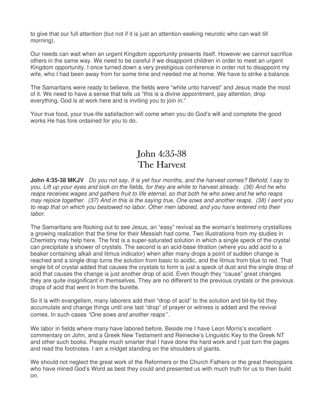to give that our full attention (but not if it is just an attention-seeking neurotic who can wait till morning).

Our needs can wait when an urgent Kingdom opportunity presents itself. However we cannot sacrifice others in the same way. We need to be careful if we disappoint children in order to meet an urgent Kingdom opportunity. I once turned down a very prestigious conference in order not to disappoint my wife, who I had been away from for some time and needed me at home. We have to strike a balance.

The Samaritans were ready to believe, the fields were "white unto harvest" and Jesus made the most of it. We need to have a sense that tells us "this is a divine appointment, pay attention, drop everything, God is at work here and is inviting you to join in."

Your true food, your true-life satisfaction will come when you do God's will and complete the good works He has fore ordained for you to do.

# John 4:35-38 The Harvest

**John 4:35-38 MKJV** Do you not say, It is yet four months, and the harvest comes? Behold, I say to you, Lift up your eyes and look on the fields, for they are white to harvest already. (36) And he who reaps receives wages and gathers fruit to life eternal, so that both he who sows and he who reaps may rejoice together. (37) And in this is the saying true, One sows and another reaps. (38) I sent you to reap that on which you bestowed no labor. Other men labored, and you have entered into their labor.

The Samaritans are flocking out to see Jesus, an "easy" revival as the woman's testimony crystallizes a growing realization that the time for their Messiah had come. Two illustrations from my studies in Chemistry may help here. The first is a super-saturated solution in which a single speck of the crystal can precipitate a shower of crystals. The second is an acid-base titration (where you add acid to a beaker containing alkali and litmus indicator) when after many drops a point of sudden change is reached and a single drop turns the solution from basic to acidic, and the litmus from blue to red. That single bit of crystal added that causes the crystals to form is just a speck of dust and the single drop of acid that causes the change is just another drop of acid. Even though they "cause" great changes they are quite insignificant in themselves. They are no different to the previous crystals or the previous drops of acid that went in from the burette.

So it is with evangelism, many laborers add their "drop of acid" to the solution and bit-by-bit they accumulate and change things until one last "drop" of prayer or witness is added and the revival comes. In such cases "One sows and another reaps*"*.

We labor in fields where many have labored before. Beside me I have Leon Morris's excellent commentary on John, and a Greek New Testament and Reinecke's Linguistic Key to the Greek NT and other such books. People much smarter that I have done the hard work and I just turn the pages and read the footnotes. I am a midget standing on the shoulders of giants.

We should not neglect the great work of the Reformers or the Church Fathers or the great theologians who have mined God's Word as best they could and presented us with much truth for us to then build on.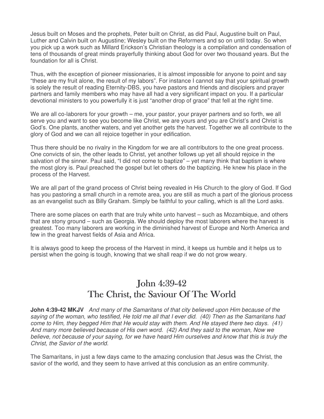Jesus built on Moses and the prophets, Peter built on Christ, as did Paul, Augustine built on Paul, Luther and Calvin built on Augustine; Wesley built on the Reformers and so on until today. So when you pick up a work such as Millard Erickson's Christian theology is a compilation and condensation of tens of thousands of great minds prayerfully thinking about God for over two thousand years. But the foundation for all is Christ.

Thus, with the exception of pioneer missionaries, it is almost impossible for anyone to point and say "these are my fruit alone, the result of my labors". For instance I cannot say that your spiritual growth is solely the result of reading Eternity-DBS, you have pastors and friends and disciplers and prayer partners and family members who may have all had a very significant impact on you. If a particular devotional ministers to you powerfully it is just "another drop of grace" that fell at the right time.

We are all co-laborers for your growth – me, your pastor, your prayer partners and so forth, we all serve you and want to see you become like Christ, we are yours and you are Christ's and Christ is God's. One plants, another waters, and yet another gets the harvest. Together we all contribute to the glory of God and we can all rejoice together in your edification.

Thus there should be no rivalry in the Kingdom for we are all contributors to the one great process. One convicts of sin, the other leads to Christ, yet another follows up yet all should rejoice in the salvation of the sinner. Paul said, "I did not come to baptize"  $-$  yet many think that baptism is where the most glory is. Paul preached the gospel but let others do the baptizing. He knew his place in the process of the Harvest.

We are all part of the grand process of Christ being revealed in His Church to the glory of God. If God has you pastoring a small church in a remote area, you are still as much a part of the glorious process as an evangelist such as Billy Graham. Simply be faithful to your calling, which is all the Lord asks.

There are some places on earth that are truly white unto harvest – such as Mozambique, and others that are stony ground – such as Georgia. We should deploy the most laborers where the harvest is greatest. Too many laborers are working in the diminished harvest of Europe and North America and few in the great harvest fields of Asia and Africa.

It is always good to keep the process of the Harvest in mind, it keeps us humble and it helps us to persist when the going is tough, knowing that we shall reap if we do not grow weary.

# John 4:39-42 The Christ, the Saviour Of The World

**John 4:39-42 MKJV** And many of the Samaritans of that city believed upon Him because of the saying of the woman, who testified, He told me all that I ever did. (40) Then as the Samaritans had come to Him, they begged Him that He would stay with them. And He stayed there two days. (41) And many more believed because of His own word. (42) And they said to the woman, Now we believe, not because of your saying, for we have heard Him ourselves and know that this is truly the Christ, the Savior of the world.

The Samaritans, in just a few days came to the amazing conclusion that Jesus was the Christ, the savior of the world, and they seem to have arrived at this conclusion as an entire community.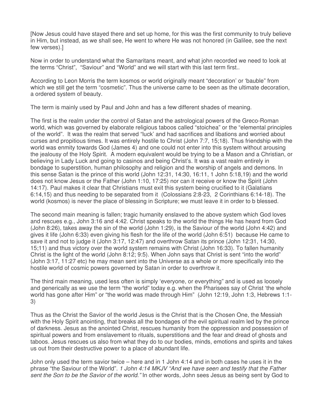[Now Jesus could have stayed there and set up home, for this was the first community to truly believe in Him, but instead, as we shall see, He went to where He was not honored (in Galilee, see the next few verses).]

Now in order to understand what the Samaritans meant, and what john recorded we need to look at the terms "Christ", "Saviour" and "World" and we will start with this last term first..

According to Leon Morris the term kosmos or world originally meant "decoration' or 'bauble" from which we still get the term "cosmetic". Thus the universe came to be seen as the ultimate decoration, a ordered system of beauty.

The term is mainly used by Paul and John and has a few different shades of meaning.

The first is the realm under the control of Satan and the astrological powers of the Greco-Roman world, which was governed by elaborate religious taboos called "stoichea" or the "elemental principles of the world". It was the realm that served "luck' and had sacrifices and libations and worried about curses and propitious times. It was entirely hostile to Christ (John 7:7, 15;18). Thus friendship with the world was enmity towards God (James 4) and one could not enter into this system without arousing the jealousy of the Holy Spirit. A modern equivalent would be trying to be a Mason and a Christian, or believing in Lady Luck and going to casinos and being Christ's. It was a vast realm entirely in bondage to superstition, human philosophy and religion and the worship of angels and demons. In this sense Satan is the prince of this world (John 12:31, 14:30, 16:11, 1 John 5:18,19) and the world does not know Jesus or the Father (John 1:10, 17:25) nor can it receive or know the Spirit (John 14:17). Paul makes it clear that Christians must exit this system being crucified to it (Galatians 6:14,15) and thus needing to be separated from it (Colossians 2:8-23, 2 Corinthians 6:14-18). The world (kosmos) is never the place of blessing in Scripture; we must leave it in order to b blessed.

The second main meaning is fallen; tragic humanity enslaved to the above system which God loves and rescues e.g., John 3:16 and 4:42. Christ speaks to the world the things He has heard from God (John 8:26), takes away the sin of the world (John 1:29), is the Saviour of the world (John 4:42) and gives it life (John 6:33) even giving his flesh for the life of the world (John 6:51) because He came to save it and not to judge it (John 3:17, 12:47) and overthrow Satan its prince (John 12:31, 14:30, 15;11) and thus victory over the world system remains with Christ (John 16:33). To fallen humanity Christ is the light of the world (John 8:12; 9:5). When John says that Christ is sent "into the world" (John 3:17, 11:27 etc) he may mean sent into the Universe as a whole or more specifically into the hostile world of cosmic powers governed by Satan in order to overthrow it.

The third main meaning, used less often is simply 'everyone, or everything" and is used as loosely and generically as we use the term "the world" today e.g. when the Pharisees say of Christ 'the whole world has gone after Him" or "the world was made through Him" (John 12:19, John 1:3, Hebrews 1:1- 3)

Thus as the Christ the Savior of the world Jesus is the Christ that is the Chosen One, the Messiah with the Holy Spirit anointing, that breaks all the bondages of the evil spiritual realm led by the prince of darkness. Jesus as the anointed Christ, rescues humanity from the oppression and possession of spiritual powers and from enslavement to rituals, superstitions and the fear and dread of ghosts and taboos. Jesus rescues us also from what they do to our bodies, minds, emotions and spirits and takes us out from their destructive power to a place of abundant life.

John only used the term savior twice – here and in 1 John 4:14 and in both cases he uses it in the phrase "the Saviour of the World". 1 John 4:14 MKJV "And we have seen and testify that the Father sent the Son to be the Savior of the world." In other words, John sees Jesus as being sent by God to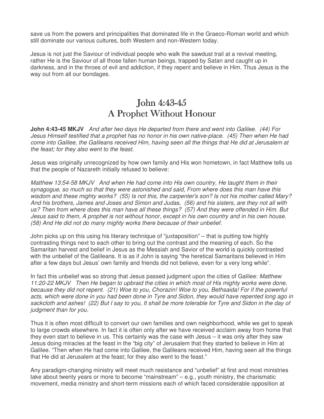save us from the powers and principalities that dominated life in the Graeco-Roman world and which still dominate our various cultures, both Western and non-Western today.

Jesus is not just the Saviour of individual people who walk the sawdust trail at a revival meeting, rather He is the Saviour of all those fallen human beings, trapped by Satan and caught up in darkness, and in the throes of evil and addiction, if they repent and believe in Him. Thus Jesus is the way out from all our bondages.

### John 4:43-45 A Prophet Without Honour

**John 4:43-45 MKJV** And after two days He departed from there and went into Galilee. (44) For Jesus Himself testified that a prophet has no honor in his own native-place. (45) Then when He had come into Galilee, the Galileans received Him, having seen all the things that He did at Jerusalem at the feast; for they also went to the feast.

Jesus was originally unrecognized by how own family and His won hometown, in fact Matthew tells us that the people of Nazareth initially refused to believe:

Matthew 13:54-58 MKJV And when He had come into His own country, He taught them in their synagogue, so much so that they were astonished and said, From where does this man have this wisdom and these mighty works? (55) Is not this, the carpenter's son? Is not his mother called Mary? And his brothers, James and Joses and Simon and Judas, (56) and his sisters, are they not all with us? Then from where does this man have all these things? (57) And they were offended in Him. But Jesus said to them, A prophet is not without honor, except in his own country and in his own house. (58) And He did not do many mighty works there because of their unbelief.

John picks up on this using his literary technique of "juxtaposition" – that is putting tow highly contrasting things next to each other to bring out the contrast and the meaning of each. So the Samaritan harvest and belief in Jesus as the Messiah and Savior of the world is quickly contrasted with the unbelief of the Galileans. It is as if John is saying "the heretical Samaritans believed in Him after a few days but Jesus' own family and friends did not believe, even for a very long while".

In fact this unbelief was so strong that Jesus passed judgment upon the cities of Galilee: Matthew 11:20-22 MKJV Then He began to upbraid the cities in which most of His mighty works were done, because they did not repent. (21) Woe to you, Chorazin! Woe to you, Bethsaida! For if the powerful acts, which were done in you had been done in Tyre and Sidon, they would have repented long ago in sackcloth and ashes! (22) But I say to you, It shall be more tolerable for Tyre and Sidon in the day of judgment than for you.

Thus it is often most difficult to convert our own families and own neighborhood, while we get to speak to large crowds elsewhere. In fact it is often only after we have received acclaim away from home that they even start to believe in us. This certainly was the case with Jesus – it was only after they saw Jesus doing miracles at the feast in the "big city" of Jerusalem that they started to believe in Him at Galilee. "Then when He had come into Galilee, the Galileans received Him, having seen all the things that He did at Jerusalem at the feast; for they also went to the feast."

Any paradigm-changing ministry will meet much resistance and "unbelief" at first and most ministries take about twenty years or more to become "mainstream" – e.g., youth ministry, the charismatic movement, media ministry and short-term missions each of which faced considerable opposition at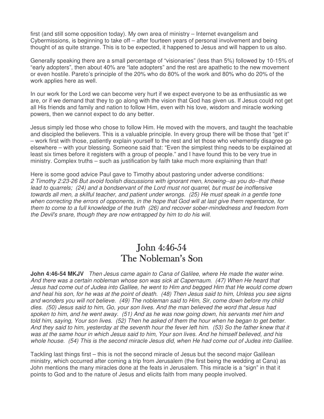first (and still some opposition today). My own area of ministry – Internet evangelism and Cybermissions, is beginning to take off – after fourteen years of personal involvement and being thought of as quite strange. This is to be expected, it happened to Jesus and will happen to us also.

Generally speaking there are a small percentage of "visionaries" (less than 5%) followed by 10-15% of "early adopters", then about 40% are "late adopters" and the rest are apathetic to the new movement or even hostile. Pareto's principle of the 20% who do 80% of the work and 80% who do 20% of the work applies here as well.

In our work for the Lord we can become very hurt if we expect everyone to be as enthusiastic as we are, or if we demand that they to go along with the vision that God has given us. If Jesus could not get all His friends and family and nation to follow Him, even with his love, wisdom and miracle working powers, then we cannot expect to do any better.

Jesus simply led those who chose to follow Him. He moved with the movers, and taught the teachable and discipled the believers. This is a valuable principle. In every group there will be those that "get it" – work first with those, patiently explain yourself to the rest and let those who vehemently disagree go elsewhere – with your blessing. Someone said that: "Even the simplest thing needs to be explained at least six times before it registers with a group of people." and I have found this to be very true in ministry. Complex truths – such as justification by faith take much more explaining than that!

Here is some good advice Paul gave to Timothy about pastoring under adverse conditions: 2 Timothy 2:23-26 But avoid foolish discussions with ignorant men, knowing--as you do--that these lead to quarrels; (24) and a bondservant of the Lord must not quarrel, but must be inoffensive towards all men, a skilful teacher, and patient under wrongs. (25) He must speak in a gentle tone when correcting the errors of opponents, in the hope that God will at last give them repentance, for them to come to a full knowledge of the truth (26) and recover sober-mindedness and freedom from the Devil's snare, though they are now entrapped by him to do his will.

#### **John 4:46-54** The Nobleman's Son

**John 4:46-54 MKJV** Then Jesus came again to Cana of Galilee, where He made the water wine. And there was a certain nobleman whose son was sick at Capernaum. (47) When He heard that Jesus had come out of Judea into Galilee, he went to Him and begged Him that He would come down and heal his son, for he was at the point of death. (48) Then Jesus said to him, Unless you see signs and wonders you will not believe. (49) The nobleman said to Him, Sir, come down before my child dies. (50) Jesus said to him, Go, your son lives. And the man believed the word that Jesus had spoken to him, and he went away. (51) And as he was now going down, his servants met him and told him, saying, Your son lives. (52) Then he asked of them the hour when he began to get better. And they said to him, yesterday at the seventh hour the fever left him. (53) So the father knew that it was at the same hour in which Jesus said to him, Your son lives. And he himself believed, and his whole house. (54) This is the second miracle Jesus did, when He had come out of Judea into Galilee.

Tackling last things first – this is not the second miracle of Jesus but the second major Galilean ministry, which occurred after coming a trip from Jerusalem (the first being the wedding at Cana) as John mentions the many miracles done at the feats in Jerusalem. This miracle is a "sign" in that it points to God and to the nature of Jesus and elicits faith from many people involved.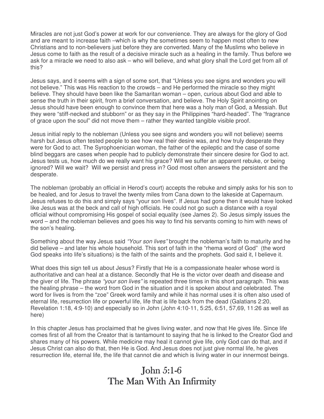Miracles are not just God's power at work for our convenience. They are always for the glory of God and are meant to increase faith –which is why the sometimes seem to happen most often to new Christians and to non-believers just before they are converted. Many of the Muslims who believe in Jesus come to faith as the result of a decisive miracle such as a healing in the family. Thus before we ask for a miracle we need to also ask – who will believe, and what glory shall the Lord get from all of this?

Jesus says, and it seems with a sign of some sort, that "Unless you see signs and wonders you will not believe." This was His reaction to the crowds – and He performed the miracle so they might believe. They should have been like the Samaritan woman – open, curious about God and able to sense the truth in their spirit, from a brief conversation, and believe. The Holy Spirit anointing on Jesus should have been enough to convince them that here was a holy man of God, a Messiah. But they were "stiff-necked and stubborn" or as they say in the Philippines "hard-headed". The "fragrance of grace upon the soul" did not move them – rather they wanted tangible visible proof.

Jesus initial reply to the nobleman (Unless you see signs and wonders you will not believe) seems harsh but Jesus often tested people to see how real their desire was, and how truly desperate they were for God to act. The Syrophoenician woman, the father of the epileptic and the case of some blind beggars are cases when people had to publicly demonstrate their sincere desire for God to act. Jesus tests us, how much do we really want his grace? Will we suffer an apparent rebuke, or being ignored? Will we wait? Will we persist and press in? God most often answers the persistent and the desperate.

The nobleman (probably an official in Herod's court) accepts the rebuke and simply asks for his son to be healed, and for Jesus to travel the twenty miles from Cana down to the lakeside at Capernaum. Jesus refuses to do this and simply says "your son lives". If Jesus had gone then it would have looked like Jesus was at the beck and call of high officials. He could not go such a distance with a royal official without compromising His gospel of social equality (see James 2). So Jesus simply issues the word – and the nobleman believes and goes his way to find his servants coming to him with news of the son's healing.

Something about the way Jesus said "Your son lives" brought the nobleman's faith to maturity and he did believe – and later his whole household. This sort of faith in the "rhema word of God" (the word God speaks into life's situations) is the faith of the saints and the prophets. God said it, I believe it.

What does this sign tell us about Jesus? Firstly that He is a compassionate healer whose word is authoritative and can heal at a distance. Secondly that He is the victor over death and disease and the giver of life. The phrase "your son lives" is repeated three times in this short paragraph. This was the healing phrase – the word from God in the situation and it is spoken about and celebrated. The word for lives is from the "zoe" Greek word family and while it has normal uses it is often also used of eternal life, resurrection life or powerful life, life that is life back from the dead (Galatians 2:20, Revelation 1:18, 4:9-10) and especially so in John (John 4:10-11, 5:25, 6:51, 57,69, 11:26 as well as here)

In this chapter Jesus has proclaimed that he gives living water, and now that He gives life. Since life comes first of all from the Creator that is tantamount to saying that he is linked to the Creator God and shares many of his powers. While medicine may heal it cannot give life, only God can do that, and if Jesus Christ can also do that, then He is God. And Jesus does not just give normal life, he gives resurrection life, eternal life, the life that cannot die and which is living water in our innermost beings.

# John  $5:1-6$ The Man With An Infirmity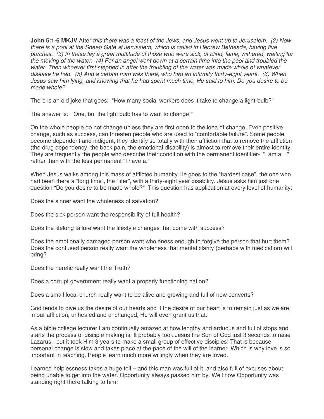**John 5:1-6 MKJV** After this there was a feast of the Jews, and Jesus went up to Jerusalem. (2) Now there is a pool at the Sheep Gate at Jerusalem, which is called in Hebrew Bethesda, having five porches. (3) In these lay a great multitude of those who were sick, of blind, lame, withered, waiting for the moving of the water. (4) For an angel went down at a certain time into the pool and troubled the water. Then whoever first stepped in after the troubling of the water was made whole of whatever disease he had. (5) And a certain man was there, who had an infirmity thirty-eight years. (6) When Jesus saw him lying, and knowing that he had spent much time, He said to him, Do you desire to be made whole?

There is an old joke that goes: "How many social workers does it take to change a light-bulb?"

The answer is: "One, but the light bulb has to want to change!"

On the whole people do not change unless they are first open to the idea of change. Even positive change, such as success, can threaten people who are used to "comfortable failure". Some people become dependent and indigent, they identify so totally with their affliction that to remove the affliction (the drug dependency, the back pain, the emotional disability) is almost to remove their entire identity. They are frequently the people who describe their condition with the permanent identifier- "I am a..." rather than with the less permanent "I have a."

When Jesus walks among this mass of afflicted humanity He goes to the "hardest case", the one who had been there a "long time", the "lifer", with a thirty-eight year disability. Jesus asks him just one question "Do you desire to be made whole?" This question has application at every level of humanity:

Does the sinner want the wholeness of salvation?

Does the sick person want the responsibility of full health?

Does the lifelong failure want the lifestyle changes that come with success?

Does the emotionally damaged person want wholeness enough to forgive the person that hurt them? Does the confused person really want the wholeness that mental clarity (perhaps with medication) will bring?

Does the heretic really want the Truth?

Does a corrupt government really want a properly functioning nation?

Does a small local church really want to be alive and growing and full of new converts?

God tends to give us the desire of our hearts and if the desire of our heart is to remain just as we are, in our affliction, unhealed and unchanged, He will even grant us that.

As a bible college lecturer I am continually amazed at how lengthy and arduous and full of stops and starts the process of disciple making is. It probably took Jesus the Son of God just 3 seconds to raise Lazarus - but it took Him 3 years to make a small group of effective disciples! That is because personal change is slow and takes place at the pace of the will of the learner. Which is why love is so important in teaching. People learn much more willingly when they are loved.

Learned helplessness takes a huge toll – and this man was full of it, and also full of excuses about being unable to get into the water. Opportunity always passed him by. Well now Opportunity was standing right there talking to him!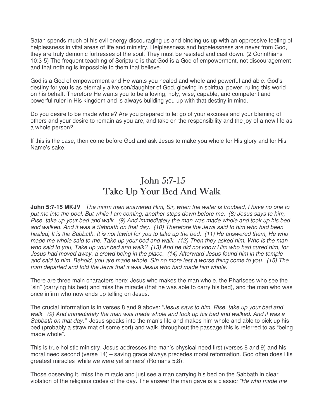Satan spends much of his evil energy discouraging us and binding us up with an oppressive feeling of helplessness in vital areas of life and ministry. Helplessness and hopelessness are never from God, they are truly demonic fortresses of the soul. They must be resisted and cast down. (2 Corinthians 10:3-5) The frequent teaching of Scripture is that God is a God of empowerment, not discouragement and that nothing is impossible to them that believe.

God is a God of empowerment and He wants you healed and whole and powerful and able. God's destiny for you is as eternally alive son/daughter of God, glowing in spiritual power, ruling this world on his behalf. Therefore He wants you to be a loving, holy, wise, capable, and competent and powerful ruler in His kingdom and is always building you up with that destiny in mind.

Do you desire to be made whole? Are you prepared to let go of your excuses and your blaming of others and your desire to remain as you are, and take on the responsibility and the joy of a new life as a whole person?

If this is the case, then come before God and ask Jesus to make you whole for His glory and for His Name's sake.

### John  $5:7-15$ Take Up Your Bed And Walk

**John 5:7-15 MKJV** The infirm man answered Him, Sir, when the water is troubled, I have no one to put me into the pool. But while I am coming, another steps down before me. (8) Jesus says to him, Rise, take up your bed and walk. (9) And immediately the man was made whole and took up his bed and walked. And it was a Sabbath on that day. (10) Therefore the Jews said to him who had been healed, It is the Sabbath. It is not lawful for you to take up the bed. (11) He answered them, He who made me whole said to me, Take up your bed and walk. (12) Then they asked him, Who is the man who said to you, Take up your bed and walk? (13) And he did not know Him who had cured him, for Jesus had moved away, a crowd being in the place. (14) Afterward Jesus found him in the temple and said to him, Behold, you are made whole. Sin no more lest a worse thing come to you. (15) The man departed and told the Jews that it was Jesus who had made him whole.

There are three main characters here: Jesus who makes the man whole, the Pharisees who see the "sin" (carrying his bed) and miss the miracle (that he was able to carry his bed), and the man who was once infirm who now ends up telling on Jesus.

The crucial information is in verses 8 and 9 above: "Jesus says to him, Rise, take up your bed and walk. (9) And immediately the man was made whole and took up his bed and walked. And it was a Sabbath on that day." Jesus speaks into the man's life and makes him whole and able to pick up his bed (probably a straw mat of some sort) and walk, throughout the passage this is referred to as "being made whole".

This is true holistic ministry, Jesus addresses the man's physical need first (verses 8 and 9) and his moral need second (verse 14) – saving grace always precedes moral reformation. God often does His greatest miracles 'while we were yet sinners' (Romans 5:8).

Those observing it, miss the miracle and just see a man carrying his bed on the Sabbath in clear violation of the religious codes of the day. The answer the man gave is a classic: "He who made me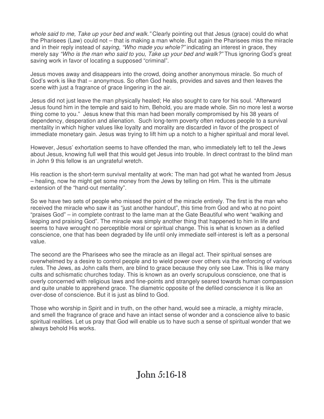whole said to me, Take up your bed and walk." Clearly pointing out that Jesus (grace) could do what the Pharisees (Law) could not – that is making a man whole. But again the Pharisees miss the miracle and in their reply instead of saying, "Who made you whole?" indicating an interest in grace, they merely say "Who is the man who said to you, Take up your bed and walk?" Thus ignoring God's great saving work in favor of locating a supposed "criminal".

Jesus moves away and disappears into the crowd, doing another anonymous miracle. So much of God's work is like that – anonymous. So often God heals, provides and saves and then leaves the scene with just a fragrance of grace lingering in the air.

Jesus did not just leave the man physically healed; He also sought to care for his soul. "Afterward Jesus found him in the temple and said to him, Behold, you are made whole. Sin no more lest a worse thing come to you." Jesus knew that this man had been morally compromised by his 38 years of dependency, desperation and alienation. Such long-term poverty often reduces people to a survival mentality in which higher values like loyalty and morality are discarded in favor of the prospect of immediate monetary gain. Jesus was trying to lift him up a notch to a higher spiritual and moral level.

However, Jesus' exhortation seems to have offended the man, who immediately left to tell the Jews about Jesus, knowing full well that this would get Jesus into trouble. In direct contrast to the blind man in John 9 this fellow is an ungrateful wretch.

His reaction is the short-term survival mentality at work: The man had got what he wanted from Jesus – healing, now he might get some money from the Jews by telling on Him. This is the ultimate extension of the "hand-out mentality".

So we have two sets of people who missed the point of the miracle entirely. The first is the man who received the miracle who saw it as "just another handout", this time from God and who at no point "praises God" – in complete contrast to the lame man at the Gate Beautiful who went "walking and leaping and praising God". The miracle was simply another thing that happened to him in life and seems to have wrought no perceptible moral or spiritual change. This is what is known as a defiled conscience, one that has been degraded by life until only immediate self-interest is left as a personal value.

The second are the Pharisees who see the miracle as an illegal act. Their spiritual senses are overwhelmed by a desire to control people and to wield power over others via the enforcing of various rules. The Jews, as John calls them, are blind to grace because they only see Law. This is like many cults and schismatic churches today. This is known as an overly scrupulous conscience, one that is overly concerned with religious laws and fine-points and strangely seared towards human compassion and quite unable to apprehend grace. The diametric opposite of the defiled conscience it is like an over-dose of conscience. But it is just as blind to God.

Those who worship in Spirit and in truth, on the other hand, would see a miracle, a mighty miracle, and smell the fragrance of grace and have an intact sense of wonder and a conscience alive to basic spiritual realities. Let us pray that God will enable us to have such a sense of spiritual wonder that we always behold His works.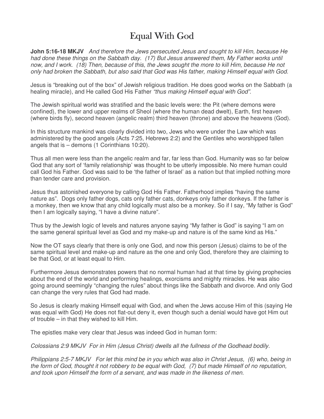# Equal With God

**John 5:16-18 MKJV** And therefore the Jews persecuted Jesus and sought to kill Him, because He had done these things on the Sabbath day. (17) But Jesus answered them, My Father works until now, and I work. (18) Then, because of this, the Jews sought the more to kill Him, because He not only had broken the Sabbath, but also said that God was His father, making Himself equal with God.

Jesus is "breaking out of the box" of Jewish religious tradition. He does good works on the Sabbath (a healing miracle), and He called God His Father "thus making Himself equal with God".

The Jewish spiritual world was stratified and the basic levels were: the Pit (where demons were confined), the lower and upper realms of Sheol (where the human dead dwelt), Earth, first heaven (where birds fly), second heaven (angelic realm) third heaven (throne) and above the heavens (God).

In this structure mankind was clearly divided into two, Jews who were under the Law which was administered by the good angels (Acts 7:25, Hebrews 2:2) and the Gentiles who worshipped fallen angels that is – demons (1 Corinthians 10:20).

Thus all men were less than the angelic realm and far, far less than God. Humanity was so far below God that any sort of 'family relationship' was thought to be utterly impossible. No mere human could call God his Father. God was said to be 'the father of Israel' as a nation but that implied nothing more than tender care and provision.

Jesus thus astonished everyone by calling God His Father. Fatherhood implies "having the same nature as". Dogs only father dogs, cats only father cats, donkeys only father donkeys. If the father is a monkey, then we know that any child logically must also be a monkey. So if I say, "My father is God" then I am logically saying, "I have a divine nature".

Thus by the Jewish logic of levels and natures anyone saying "My father is God" is saying "I am on the same general spiritual level as God and my make-up and nature is of the same kind as His."

Now the OT says clearly that there is only one God, and now this person (Jesus) claims to be of the same spiritual level and make-up and nature as the one and only God, therefore they are claiming to be that God, or at least equal to Him.

Furthermore Jesus demonstrates powers that no normal human had at that time by giving prophecies about the end of the world and performing healings, exorcisms and mighty miracles. He was also going around seemingly "changing the rules" about things like the Sabbath and divorce. And only God can change the very rules that God had made.

So Jesus is clearly making Himself equal with God, and when the Jews accuse Him of this (saying He was equal with God) He does not flat-out deny it, even though such a denial would have got Him out of trouble – in that they wished to kill Him.

The epistles make very clear that Jesus was indeed God in human form:

Colossians 2:9 MKJV For in Him (Jesus Christ) dwells all the fullness of the Godhead bodily.

Philippians 2:5-7 MKJV For let this mind be in you which was also in Christ Jesus, (6) who, being in the form of God, thought it not robbery to be equal with God, (7) but made Himself of no reputation, and took upon Himself the form of a servant, and was made in the likeness of men.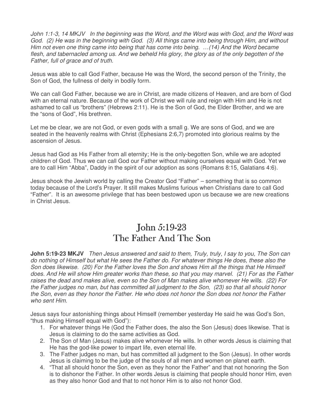John 1:1-3, 14 MKJV In the beginning was the Word, and the Word was with God, and the Word was God. (2) He was in the beginning with God. (3) All things came into being through Him, and without Him not even one thing came into being that has come into being. …(14) And the Word became flesh, and tabernacled among us. And we beheld His glory, the glory as of the only begotten of the Father, full of grace and of truth.

Jesus was able to call God Father, because He was the Word, the second person of the Trinity, the Son of God, the fullness of deity in bodily form.

We can call God Father, because we are in Christ, are made citizens of Heaven, and are born of God with an eternal nature. Because of the work of Christ we will rule and reign with Him and He is not ashamed to call us "brothers" (Hebrews 2:11). He is the Son of God, the Elder Brother, and we are the "sons of God", His brethren.

Let me be clear, we are not God, or even gods with a small g. We are sons of God, and we are seated in the heavenly realms with Christ (Ephesians 2:6,7) promoted into glorious realms by the ascension of Jesus.

Jesus had God as His Father from all eternity; He is the only-begotten Son, while we are adopted children of God. Thus we can call God our Father without making ourselves equal with God. Yet we are to call Him "Abba", Daddy in the spirit of our adoption as sons (Romans 8:15, Galatians 4:6).

Jesus shook the Jewish world by calling the Creator God "Father" – something that is so common today because of the Lord's Prayer. It still makes Muslims furious when Christians dare to call God "Father". It is an awesome privilege that has been bestowed upon us because we are new creations in Christ Jesus.

#### John  $5:19-23$ The Father And The Son

**John 5:19-23 MKJV** Then Jesus answered and said to them, Truly, truly, I say to you, The Son can do nothing of Himself but what He sees the Father do. For whatever things He does, these also the Son does likewise. (20) For the Father loves the Son and shows Him all the things that He Himself does. And He will show Him greater works than these, so that you may marvel. (21) For as the Father raises the dead and makes alive, even so the Son of Man makes alive whomever He wills. (22) For the Father judges no man, but has committed all judgment to the Son, (23) so that all should honor the Son, even as they honor the Father. He who does not honor the Son does not honor the Father who sent Him.

Jesus says four astonishing things about Himself (remember yesterday He said he was God's Son, "thus making Himself equal with God"):

- 1. For whatever things He (God the Father does, the also the Son (Jesus) does likewise. That is Jesus is claiming to do the same activities as God.
- 2. The Son of Man (Jesus) makes alive whomever He wills. In other words Jesus is claiming that He has the god-like power to impart life, even eternal life.
- 3. The Father judges no man, but has committed all judgment to the Son (Jesus). In other words Jesus is claiming to be the judge of the souls of all men and women on planet earth.
- 4. "That all should honor the Son, even as they honor the Father" and that not honoring the Son is to dishonor the Father. In other words Jesus is claiming that people should honor Him, even as they also honor God and that to not honor Him is to also not honor God.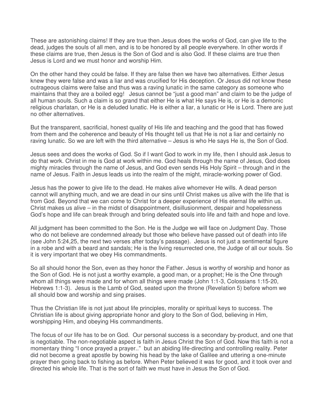These are astonishing claims! If they are true then Jesus does the works of God, can give life to the dead, judges the souls of all men, and is to be honored by all people everywhere. In other words if these claims are true, then Jesus is the Son of God and is also God. If these claims are true then Jesus is Lord and we must honor and worship Him.

On the other hand they could be false. If they are false then we have two alternatives. Either Jesus knew they were false and was a liar and was crucified for His deception. Or Jesus did not know these outrageous claims were false and thus was a raving lunatic in the same category as someone who maintains that they are a boiled egg! Jesus cannot be "just a good man" and claim to be the judge of all human souls. Such a claim is so grand that either He is what He says He is, or He is a demonic religious charlatan, or He is a deluded lunatic. He is either a liar, a lunatic or He is Lord. There are just no other alternatives.

But the transparent, sacrificial, honest quality of His life and teaching and the good that has flowed from them and the coherence and beauty of His thought tell us that He is not a liar and certainly no raving lunatic. So we are left with the third alternative – Jesus is who He says He is, the Son of God.

Jesus sees and does the works of God. So if I want God to work in my life, then I should ask Jesus to do that work. Christ in me is God at work within me. God heals through the name of Jesus, God does mighty miracles through the name of Jesus, and God even sends His Holy Spirit – through and in the name of Jesus. Faith in Jesus leads us into the realm of the might, miracle-working power of God.

Jesus has the power to give life to the dead. He makes alive whomever He wills. A dead person cannot will anything much, and we are dead in our sins until Christ makes us alive with the life that is from God. Beyond that we can come to Christ for a deeper experience of His eternal life within us. Christ makes us alive – in the midst of disappointment, disillusionment, despair and hopelessness God's hope and life can break through and bring defeated souls into life and faith and hope and love.

All judgment has been committed to the Son. He is the Judge we will face on Judgment Day. Those who do not believe are condemned already but those who believe have passed out of death into life (see John 5:24,25, the next two verses after today's passage). Jesus is not just a sentimental figure in a robe and with a beard and sandals; He is the living resurrected one, the Judge of all our souls. So it is very important that we obey His commandments.

So all should honor the Son, even as they honor the Father. Jesus is worthy of worship and honor as the Son of God. He is not just a worthy example, a good man, or a prophet; He is the One through whom all things were made and for whom all things were made (John 1:1-3, Colossians 1:15-20, Hebrews 1:1-3). Jesus is the Lamb of God, seated upon the throne (Revelation 5) before whom we all should bow and worship and sing praises.

Thus the Christian life is not just about life principles, morality or spiritual keys to success. The Christian life is about giving appropriate honor and glory to the Son of God, believing in Him, worshipping Him, and obeying His commandments.

The focus of our life has to be on God. Our personal success is a secondary by-product, and one that is negotiable. The non-negotiable aspect is faith in Jesus Christ the Son of God. Now this faith is not a momentary thing "I once prayed a prayer.." but an abiding life-directing and controlling reality. Peter did not become a great apostle by bowing his head by the lake of Galilee and uttering a one-minute prayer then going back to fishing as before. When Peter believed it was for good, and it took over and directed his whole life. That is the sort of faith we must have in Jesus the Son of God.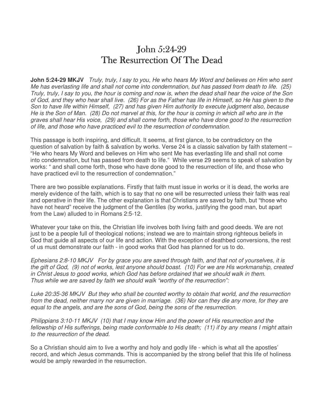### $John 5:24-29$ The Resurrection Of The Dead

**John 5:24-29 MKJV** Truly, truly, I say to you, He who hears My Word and believes on Him who sent Me has everlasting life and shall not come into condemnation, but has passed from death to life. (25) Truly, truly, I say to you, the hour is coming and now is, when the dead shall hear the voice of the Son of God, and they who hear shall live. (26) For as the Father has life in Himself, so He has given to the Son to have life within Himself, (27) and has given Him authority to execute judgment also, because He is the Son of Man. (28) Do not marvel at this, for the hour is coming in which all who are in the graves shall hear His voice, (29) and shall come forth, those who have done good to the resurrection of life, and those who have practiced evil to the resurrection of condemnation.

This passage is both inspiring, and difficult. It seems, at first glance, to be contradictory on the question of salvation by faith & salvation by works. Verse 24 is a classic salvation by faith statement – "He who hears My Word and believes on Him who sent Me has everlasting life and shall not come into condemnation, but has passed from death to life." While verse 29 seems to speak of salvation by works: " and shall come forth, those who have done good to the resurrection of life, and those who have practiced evil to the resurrection of condemnation."

There are two possible explanations. Firstly that faith must issue in works or it is dead, the works are merely evidence of the faith, which is to say that no one will be resurrected unless their faith was real and operative in their life. The other explanation is that Christians are saved by faith, but "those who have not heard" receive the judgment of the Gentiles (by works, justifying the good man, but apart from the Law) alluded to in Romans 2:5-12.

Whatever your take on this, the Christian life involves both living faith and good deeds. We are not just to be a people full of theological notions; instead we are to maintain strong righteous beliefs in God that guide all aspects of our life and action. With the exception of deathbed conversions, the rest of us must demonstrate our faith - in good works that God has planned for us to do.

Ephesians 2:8-10 MKJV For by grace you are saved through faith, and that not of yourselves, it is the gift of God, (9) not of works, lest anyone should boast. (10) For we are His workmanship, created in Christ Jesus to good works, which God has before ordained that we should walk in them. Thus while we are saved by faith we should walk "worthy of the resurrection":

Luke 20:35-36 MKJV But they who shall be counted worthy to obtain that world, and the resurrection from the dead, neither marry nor are given in marriage. (36) Nor can they die any more, for they are equal to the angels, and are the sons of God, being the sons of the resurrection.

Philippians 3:10-11 MKJV (10) that I may know Him and the power of His resurrection and the fellowship of His sufferings, being made conformable to His death; (11) if by any means I might attain to the resurrection of the dead.

So a Christian should aim to live a worthy and holy and godly life - which is what all the apostles' record, and which Jesus commands. This is accompanied by the strong belief that this life of holiness would be amply rewarded in the resurrection.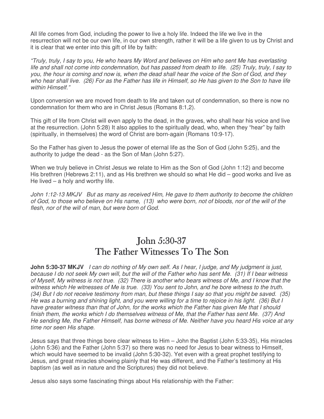All life comes from God, including the power to live a holy life. Indeed the life we live in the resurrection will not be our own life, in our own strength, rather it will be a life given to us by Christ and it is clear that we enter into this gift of life by faith:

"Truly, truly, I say to you, He who hears My Word and believes on Him who sent Me has everlasting life and shall not come into condemnation, but has passed from death to life. (25) Truly, truly, I say to you, the hour is coming and now is, when the dead shall hear the voice of the Son of God, and they who hear shall live. (26) For as the Father has life in Himself, so He has given to the Son to have life within Himself."

Upon conversion we are moved from death to life and taken out of condemnation, so there is now no condemnation for them who are in Christ Jesus (Romans 8:1,2).

This gift of life from Christ will even apply to the dead, in the graves, who shall hear his voice and live at the resurrection. (John 5:28) It also applies to the spiritually dead, who, when they "hear" by faith (spiritually, in themselves) the word of Christ are born-again (Romans 10:9-17).

So the Father has given to Jesus the power of eternal life as the Son of God (John 5:25), and the authority to judge the dead - as the Son of Man (John 5:27).

When we truly believe in Christ Jesus we relate to Him as the Son of God (John 1:12) and become His brethren (Hebrews 2:11), and as His brethren we should so what He did – good works and live as He lived – a holy and worthy life.

John 1:12-13 MKJV But as many as received Him, He gave to them authority to become the children of God, to those who believe on His name, (13) who were born, not of bloods, nor of the will of the flesh, nor of the will of man, but were born of God.

# **John 5:30-37** The Father Witnesses To The Son

**John 5:30-37 MKJV** I can do nothing of My own self. As I hear, I judge, and My judgment is just, because I do not seek My own will, but the will of the Father who has sent Me. (31) If I bear witness of Myself, My witness is not true. (32) There is another who bears witness of Me, and I know that the witness which He witnesses of Me is true. (33) You sent to John, and he bore witness to the truth. (34) But I do not receive testimony from man, but these things I say so that you might be saved. (35) He was a burning and shining light, and you were willing for a time to rejoice in his light. (36) But I have greater witness than that of John, for the works which the Father has given Me that I should finish them, the works which I do themselves witness of Me, that the Father has sent Me. (37) And He sending Me, the Father Himself, has borne witness of Me. Neither have you heard His voice at any time nor seen His shape.

Jesus says that three things bore clear witness to Him – John the Baptist (John 5:33-35), His miracles (John 5:36) and the Father (John 5:37) so there was no need for Jesus to bear witness to Himself, which would have seemed to be invalid (John 5:30-32). Yet even with a great prophet testifying to Jesus, and great miracles showing plainly that He was different, and the Father's testimony at His baptism (as well as in nature and the Scriptures) they did not believe.

Jesus also says some fascinating things about His relationship with the Father: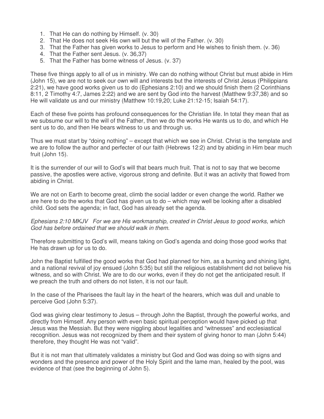- 1. That He can do nothing by Himself. (v. 30)
- 2. That He does not seek His own will but the will of the Father. (v. 30)
- 3. That the Father has given works to Jesus to perform and He wishes to finish them. (v. 36)
- 4. That the Father sent Jesus. (v. 36,37)
- 5. That the Father has borne witness of Jesus. (v. 37)

These five things apply to all of us in ministry. We can do nothing without Christ but must abide in Him (John 15), we are not to seek our own will and interests but the interests of Christ Jesus (Philippians 2:21), we have good works given us to do (Ephesians 2:10) and we should finish them (2 Corinthians 8:11, 2 Timothy 4:7, James 2:22) and we are sent by God into the harvest (Matthew 9:37,38) and so He will validate us and our ministry (Matthew 10:19,20; Luke 21:12-15; Isaiah 54:17).

Each of these five points has profound consequences for the Christian life. In total they mean that as we subsume our will to the will of the Father, then we do the works He wants us to do, and which He sent us to do, and then He bears witness to us and through us.

Thus we must start by "doing nothing" – except that which we see in Christ. Christ is the template and we are to follow the author and perfecter of our faith (Hebrews 12:2) and by abiding in Him bear much fruit (John 15).

It is the surrender of our will to God's will that bears much fruit. That is not to say that we become passive, the apostles were active, vigorous strong and definite. But it was an activity that flowed from abiding in Christ.

We are not on Earth to become great, climb the social ladder or even change the world. Rather we are here to do the works that God has given us to do – which may well be looking after a disabled child. God sets the agenda; in fact, God has already set the agenda.

Ephesians 2:10 MKJV For we are His workmanship, created in Christ Jesus to good works, which God has before ordained that we should walk in them.

Therefore submitting to God's will, means taking on God's agenda and doing those good works that He has drawn up for us to do.

John the Baptist fulfilled the good works that God had planned for him, as a burning and shining light, and a national revival of joy ensued (John 5:35) but still the religious establishment did not believe his witness, and so with Christ. We are to do our works, even if they do not get the anticipated result. If we preach the truth and others do not listen, it is not our fault.

In the case of the Pharisees the fault lay in the heart of the hearers, which was dull and unable to perceive God (John 5:37).

God was giving clear testimony to Jesus – through John the Baptist, through the powerful works, and directly from Himself. Any person with even basic spiritual perception would have picked up that Jesus was the Messiah. But they were niggling about legalities and "witnesses" and ecclesiastical recognition. Jesus was not recognized by them and their system of giving honor to man (John 5:44) therefore, they thought He was not "valid".

But it is not man that ultimately validates a ministry but God and God was doing so with signs and wonders and the presence and power of the Holy Spirit and the lame man, healed by the pool, was evidence of that (see the beginning of John 5).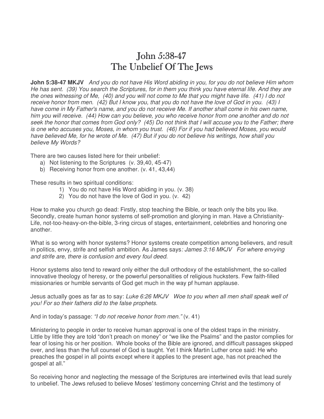#### John 5:38-47 The Unbelief Of The Jews

**John 5:38-47 MKJV** And you do not have His Word abiding in you, for you do not believe Him whom He has sent. (39) You search the Scriptures, for in them you think you have eternal life. And they are the ones witnessing of Me, (40) and you will not come to Me that you might have life. (41) I do not receive honor from men. (42) But I know you, that you do not have the love of God in you. (43) I have come in My Father's name, and you do not receive Me. If another shall come in his own name, him you will receive. (44) How can you believe, you who receive honor from one another and do not seek the honor that comes from God only? (45) Do not think that I will accuse you to the Father; there is one who accuses you, Moses, in whom you trust. (46) For if you had believed Moses, you would have believed Me, for he wrote of Me. (47) But if you do not believe his writings, how shall you believe My Words?

There are two causes listed here for their unbelief:

- a) Not listening to the Scriptures (v. 39,40, 45-47)
- b) Receiving honor from one another. (v. 41, 43,44)

These results in two spiritual conditions:

- 1) You do not have His Word abiding in you. (v. 38)
- 2) You do not have the love of God in you. (v. 42)

How to make you church go dead: Firstly, stop teaching the Bible, or teach only the bits you like. Secondly, create human honor systems of self-promotion and glorying in man. Have a Christianity-Life, not-too-heavy-on-the-bible, 3-ring circus of stages, entertainment, celebrities and honoring one another.

What is so wrong with honor systems? Honor systems create competition among believers, and result in politics, envy, strife and selfish ambition. As James says: James  $3:16$  MKJV For where envying and strife are, there is confusion and every foul deed.

Honor systems also tend to reward only either the dull orthodoxy of the establishment, the so-called innovative theology of heresy, or the powerful personalities of religious hucksters. Few faith-filled missionaries or humble servants of God get much in the way pf human applause.

Jesus actually goes as far as to say: Luke 6:26 MKJV Woe to you when all men shall speak well of you! For so their fathers did to the false prophets.

And in today's passage: "I do not receive honor from men." (v. 41)

Ministering to people in order to receive human approval is one of the oldest traps in the ministry. Little by little they are told "don't preach on money" or "we like the Psalms" and the pastor complies for fear of losing his or her position. Whole books of the Bible are ignored, and difficult passages skipped over, and less than the full counsel of God is taught. Yet I think Martin Luther once said: He who preaches the gospel in all points except where it applies to the present age, has not preached the gospel at all."

So receiving honor and neglecting the message of the Scriptures are intertwined evils that lead surely to unbelief. The Jews refused to believe Moses' testimony concerning Christ and the testimony of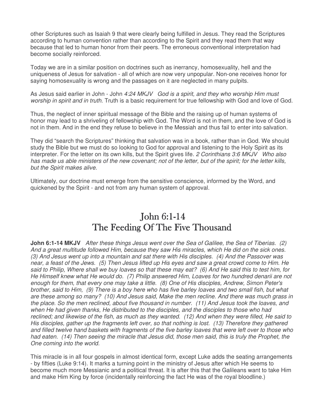other Scriptures such as Isaiah 9 that were clearly being fulfilled in Jesus. They read the Scriptures according to human convention rather than according to the Spirit and they read them that way because that led to human honor from their peers. The erroneous conventional interpretation had become socially reinforced.

Today we are in a similar position on doctrines such as inerrancy, homosexuality, hell and the uniqueness of Jesus for salvation - all of which are now very unpopular. Non-one receives honor for saying homosexuality is wrong and the passages on it are neglected in many pulpits.

As Jesus said earlier in John - John 4:24 MKJV God is a spirit, and they who worship Him must worship in spirit and in truth. Truth is a basic requirement for true fellowship with God and love of God.

Thus, the neglect of inner spiritual message of the Bible and the raising up of human systems of honor may lead to a shriveling of fellowship with God. The Word is not in them, and the love of God is not in them. And in the end they refuse to believe in the Messiah and thus fail to enter into salvation.

They did "search the Scriptures" thinking that salvation was in a book, rather than in God. We should study the Bible but we must do so looking to God for approval and listening to the Holy Spirit as its interpreter. For the letter on its own kills, but the Spirit gives life. 2 Corinthians 3:6 MKJV Who also has made us able ministers of the new covenant; not of the letter, but of the spirit; for the letter kills, but the Spirit makes alive.

Ultimately, our doctrine must emerge from the sensitive conscience, informed by the Word, and quickened by the Spirit - and not from any human system of approval.

## John 6:1-14 The Feeding Of The Five Thousand

**John 6:1-14 MKJV** After these things Jesus went over the Sea of Galilee, the Sea of Tiberias. (2) And a great multitude followed Him, because they saw His miracles, which He did on the sick ones. (3) And Jesus went up into a mountain and sat there with His disciples. (4) And the Passover was near, a feast of the Jews. (5) Then Jesus lifted up His eyes and saw a great crowd come to Him. He said to Philip, Where shall we buy loaves so that these may eat? (6) And He said this to test him, for He Himself knew what He would do. (7) Philip answered Him, Loaves for two hundred denarii are not enough for them, that every one may take a little. (8) One of His disciples, Andrew, Simon Peter's brother, said to Him, (9) There is a boy here who has five barley loaves and two small fish, but what are these among so many? (10) And Jesus said, Make the men recline. And there was much grass in the place. So the men reclined, about five thousand in number. (11) And Jesus took the loaves, and when He had given thanks, He distributed to the disciples, and the disciples to those who had reclined; and likewise of the fish, as much as they wanted. (12) And when they were filled, He said to His disciples, gather up the fragments left over, so that nothing is lost. (13) Therefore they gathered and filled twelve hand baskets with fragments of the five barley loaves that were left over to those who had eaten. (14) Then seeing the miracle that Jesus did, those men said, this is truly the Prophet, the One coming into the world.

This miracle is in all four gospels in almost identical form, except Luke adds the seating arrangements - by fifties (Luke 9:14). It marks a turning point in the ministry of Jesus after which He seems to become much more Messianic and a political threat. It is after this that the Galileans want to take Him and make Him King by force (incidentally reinforcing the fact He was of the royal bloodline.)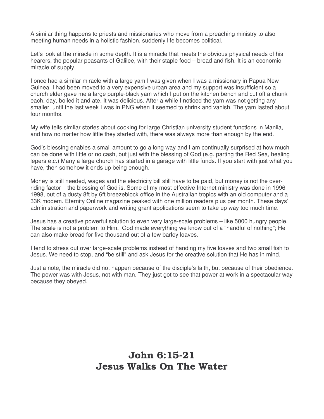A similar thing happens to priests and missionaries who move from a preaching ministry to also meeting human needs in a holistic fashion, suddenly life becomes political.

Let's look at the miracle in some depth. It is a miracle that meets the obvious physical needs of his hearers, the popular peasants of Galilee, with their staple food – bread and fish. It is an economic miracle of supply.

I once had a similar miracle with a large yam I was given when I was a missionary in Papua New Guinea. I had been moved to a very expensive urban area and my support was insufficient so a church elder gave me a large purple-black yam which I put on the kitchen bench and cut off a chunk each, day, boiled it and ate. It was delicious. After a while I noticed the yam was not getting any smaller, until the last week I was in PNG when it seemed to shrink and vanish. The yam lasted about four months.

My wife tells similar stories about cooking for large Christian university student functions in Manila, and how no matter how little they started with, there was always more than enough by the end.

God's blessing enables a small amount to go a long way and I am continually surprised at how much can be done with little or no cash, but just with the blessing of God (e.g. parting the Red Sea, healing lepers etc.) Many a large church has started in a garage with little funds. If you start with just what you have, then somehow it ends up being enough.

Money is still needed, wages and the electricity bill still have to be paid, but money is not the overriding factor – the blessing of God is. Some of my most effective Internet ministry was done in 1996- 1998, out of a dusty 8ft by 6ft breezeblock office in the Australian tropics with an old computer and a 33K modem. Eternity Online magazine peaked with one million readers plus per month. These days' administration and paperwork and writing grant applications seem to take up way too much time.

Jesus has a creative powerful solution to even very large-scale problems – like 5000 hungry people. The scale is not a problem to Him. God made everything we know out of a "handful of nothing"; He can also make bread for five thousand out of a few barley loaves.

I tend to stress out over large-scale problems instead of handing my five loaves and two small fish to Jesus. We need to stop, and "be still" and ask Jesus for the creative solution that He has in mind.

Just a note, the miracle did not happen because of the disciple's faith, but because of their obedience. The power was with Jesus, not with man. They just got to see that power at work in a spectacular way because they obeyed.

#### John 6:15-21 Jesus Walks On The Water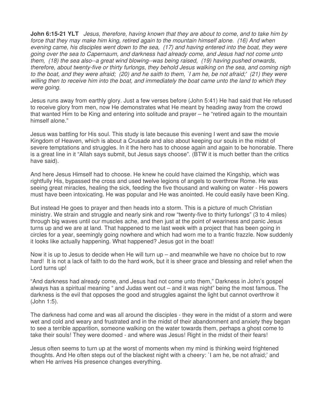**John 6:15-21 YLT** Jesus, therefore, having known that they are about to come, and to take him by force that they may make him king, retired again to the mountain himself alone. (16) And when evening came, his disciples went down to the sea, (17) and having entered into the boat, they were going over the sea to Capernaum, and darkness had already come, and Jesus had not come unto them, (18) the sea also--a great wind blowing--was being raised, (19) having pushed onwards, therefore, about twenty-five or thirty furlongs, they behold Jesus walking on the sea, and coming nigh to the boat, and they were afraid; (20) and he saith to them, `I am he, be not afraid;' (21) they were willing then to receive him into the boat, and immediately the boat came unto the land to which they were going.

Jesus runs away from earthly glory. Just a few verses before (John 5:41) He had said that He refused to receive glory from men, now He demonstrates what He meant by heading away from the crowd that wanted Him to be King and entering into solitude and prayer – he "retired again to the mountain himself alone."

Jesus was battling for His soul. This study is late because this evening I went and saw the movie Kingdom of Heaven, which is about a Crusade and also about keeping our souls in the midst of severe temptations and struggles. In it the hero has to choose again and again to be honorable. There is a great line in it "Allah says submit, but Jesus says choose". (BTW it is much better than the critics have said).

And here Jesus Himself had to choose. He knew he could have claimed the Kingship, which was rightfully His, bypassed the cross and used twelve legions of angels to overthrow Rome. He was seeing great miracles, healing the sick, feeding the five thousand and walking on water - His powers must have been intoxicating. He was popular and He was anointed. He could easily have been King.

But instead He goes to prayer and then heads into a storm. This is a picture of much Christian ministry. We strain and struggle and nearly sink and row "twenty-five to thirty furlongs" (3 to 4 miles) through big waves until our muscles ache, and then just at the point of weariness and panic Jesus turns up and we are at land. That happened to me last week with a project that has been going in circles for a year, seemingly going nowhere and which had worn me to a frantic frazzle. Now suddenly it looks like actually happening. What happened? Jesus got in the boat!

Now it is up to Jesus to decide when He will turn up – and meanwhile we have no choice but to row hard! It is not a lack of faith to do the hard work, but it is sheer grace and blessing and relief when the Lord turns up!

"And darkness had already come, and Jesus had not come unto them," Darkness in John's gospel always has a spiritual meaning " and Judas went out – and it was night" being the most famous. The darkness is the evil that opposes the good and struggles against the light but cannot overthrow it (John 1:5).

The darkness had come and was all around the disciples - they were in the midst of a storm and were wet and cold and weary and frustrated and in the midst of their abandonment and anxiety they began to see a terrible apparition, someone walking on the water towards them, perhaps a ghost come to take their souls! They were doomed - and where was Jesus! Right in the midst of their fears!

Jesus often seems to turn up at the worst of moments when my mind is thinking weird frightened thoughts. And He often steps out of the blackest night with a cheery: `I am he, be not afraid;' and when He arrives His presence changes everything.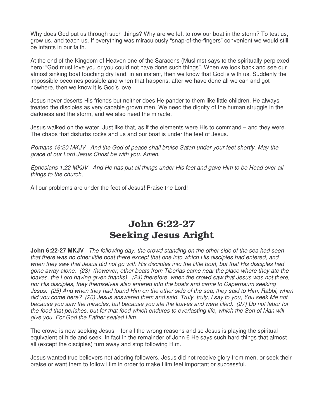Why does God put us through such things? Why are we left to row our boat in the storm? To test us, grow us, and teach us. If everything was miraculously "snap-of-the-fingers" convenient we would still be infants in our faith.

At the end of the Kingdom of Heaven one of the Saracens (Muslims) says to the spiritually perplexed hero: "God must love you or you could not have done such things". When we look back and see our almost sinking boat touching dry land, in an instant, then we know that God is with us. Suddenly the impossible becomes possible and when that happens, after we have done all we can and got nowhere, then we know it is God's love.

Jesus never deserts His friends but neither does He pander to them like little children. He always treated the disciples as very capable grown men. We need the dignity of the human struggle in the darkness and the storm, and we also need the miracle.

Jesus walked on the water. Just like that, as if the elements were His to command – and they were. The chaos that disturbs rocks and us and our boat is under the feet of Jesus.

Romans 16:20 MKJV And the God of peace shall bruise Satan under your feet shortly. May the grace of our Lord Jesus Christ be with you. Amen.

Ephesians 1:22 MKJV And He has put all things under His feet and gave Him to be Head over all things to the church,

All our problems are under the feet of Jesus! Praise the Lord!

## John 6:22-27 Seeking Jesus Aright

**John 6:22-27 MKJV** The following day, the crowd standing on the other side of the sea had seen that there was no other little boat there except that one into which His disciples had entered, and when they saw that Jesus did not go with His disciples into the little boat, but that His disciples had gone away alone, (23) (however, other boats from Tiberias came near the place where they ate the loaves, the Lord having given thanks), (24) therefore, when the crowd saw that Jesus was not there, nor His disciples, they themselves also entered into the boats and came to Capernaum seeking Jesus. (25) And when they had found Him on the other side of the sea, they said to Him, Rabbi, when did you come here? (26) Jesus answered them and said, Truly, truly, I say to you, You seek Me not because you saw the miracles, but because you ate the loaves and were filled. (27) Do not labor for the food that perishes, but for that food which endures to everlasting life, which the Son of Man will give you. For God the Father sealed Him.

The crowd is now seeking Jesus – for all the wrong reasons and so Jesus is playing the spiritual equivalent of hide and seek. In fact in the remainder of John 6 He says such hard things that almost all (except the disciples) turn away and stop following Him.

Jesus wanted true believers not adoring followers. Jesus did not receive glory from men, or seek their praise or want them to follow Him in order to make Him feel important or successful.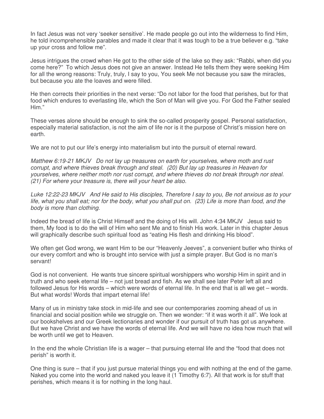In fact Jesus was not very 'seeker sensitive'. He made people go out into the wilderness to find Him, he told incomprehensible parables and made it clear that it was tough to be a true believer e.g. "take up your cross and follow me".

Jesus intrigues the crowd when He got to the other side of the lake so they ask: "Rabbi, when did you come here?" To which Jesus does not give an answer. Instead He tells them they were seeking Him for all the wrong reasons: Truly, truly, I say to you, You seek Me not because you saw the miracles, but because you ate the loaves and were filled.

He then corrects their priorities in the next verse: "Do not labor for the food that perishes, but for that food which endures to everlasting life, which the Son of Man will give you. For God the Father sealed Him."

These verses alone should be enough to sink the so-called prosperity gospel. Personal satisfaction, especially material satisfaction, is not the aim of life nor is it the purpose of Christ's mission here on earth.

We are not to put our life's energy into materialism but into the pursuit of eternal reward.

Matthew 6:19-21 MKJV Do not lay up treasures on earth for yourselves, where moth and rust corrupt, and where thieves break through and steal. (20) But lay up treasures in Heaven for yourselves, where neither moth nor rust corrupt, and where thieves do not break through nor steal. (21) For where your treasure is, there will your heart be also.

Luke 12:22-23 MKJV And He said to His disciples, Therefore I say to you, Be not anxious as to your life, what you shall eat; nor for the body, what you shall put on. (23) Life is more than food, and the body is more than clothing.

Indeed the bread of life is Christ Himself and the doing of His will. John 4:34 MKJV Jesus said to them, My food is to do the will of Him who sent Me and to finish His work. Later in this chapter Jesus will graphically describe such spiritual food as "eating His flesh and drinking His blood".

We often get God wrong, we want Him to be our "Heavenly Jeeves", a convenient butler who thinks of our every comfort and who is brought into service with just a simple prayer. But God is no man's servant!

God is not convenient. He wants true sincere spiritual worshippers who worship Him in spirit and in truth and who seek eternal life – not just bread and fish. As we shall see later Peter left all and followed Jesus for His words – which were words of eternal life. In the end that is all we get – words. But what words! Words that impart eternal life!

Many of us in ministry take stock in mid-life and see our contemporaries zooming ahead of us in financial and social position while we struggle on. Then we wonder: "if it was worth it all". We look at our bookshelves and our Greek lectionaries and wonder if our pursuit of truth has got us anywhere. But we have Christ and we have the words of eternal life. And we will have no idea how much that will be worth until we get to Heaven.

In the end the whole Christian life is a wager – that pursuing eternal life and the "food that does not perish" is worth it.

One thing is sure – that if you just pursue material things you end with nothing at the end of the game. Naked you come into the world and naked you leave it (1 Timothy 6:7). All that work is for stuff that perishes, which means it is for nothing in the long haul.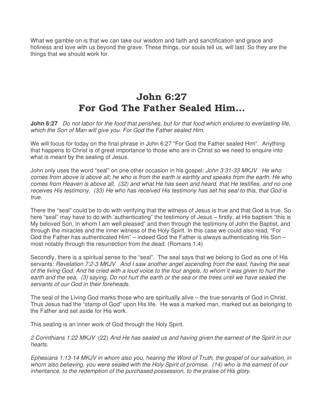What we gamble on is that we can take our wisdom and faith and sanctification and grace and holiness and love with us beyond the grave. These things, our souls tell us, will last. So they are the things that we should work for.

# John 6:27 For God The Father Sealed Him…

**John 6:27** Do not labor for the food that perishes, but for that food which endures to everlasting life, which the Son of Man will give you. For God the Father sealed Him.

We will focus for today on the final phrase in John 6:27 "For God the Father sealed Him". Anything that happens to Christ is of great importance to those who are in Christ so we need to enquire into what is meant by the sealing of Jesus.

John only uses the word "seal" on one other occasion in his gospel: John 3:31-33 MKJV He who comes from above is above all; he who is from the earth is earthly and speaks from the earth. He who comes from Heaven is above all, (32) and what He has seen and heard, that He testifies, and no one receives His testimony. (33) He who has received His testimony has set his seal to this, that God is true.

There the "seal" could be to do with verifying that the witness of Jesus is true and that God is true. So here "seal" may have to do with 'authenticating" the testimony of Jesus – firstly, at His baptism "this is My beloved Son, in whom I am well pleased" and then through the testimony of John the Baptist, and through the miracles and the inner witness of the Holy Spirit. In this case we could also read, "For God the Father has authenticated Him" – indeed God the Father is always authenticating His Son – most notably through the resurrection from the dead. (Romans 1:4)

Secondly, there is a spiritual sense to the "seal". The seal says that we belong to God as one of His servants: Revelation 7:2-3 MKJV And I saw another angel ascending from the east, having the seal of the living God. And he cried with a loud voice to the four angels, to whom it was given to hurt the earth and the sea, (3) saying, Do not hurt the earth or the sea or the trees until we have sealed the servants of our God in their foreheads.

The seal of the Living God marks those who are spiritually alive – the true servants of God in Christ. Thus Jesus had the "stamp of God" upon His life. He was a marked man, marked out as belonging to the Father and set aside for His work.

This sealing is an inner work of God through the Holy Spirit.

2 Corinthians 1:22 MKJV (22) And He has sealed us and having given the earnest of the Spirit in our hearts.

Ephesians 1:13-14 MKJV in whom also you, hearing the Word of Truth, the gospel of our salvation, in whom also believing, you were sealed with the Holy Spirit of promise, (14) who is the earnest of our inheritance, to the redemption of the purchased possession, to the praise of His glory.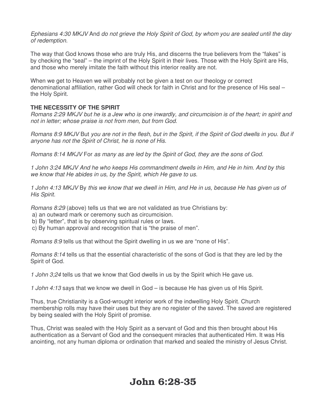Ephesians 4:30 MKJV And do not grieve the Holy Spirit of God, by whom you are sealed until the day of redemption.

The way that God knows those who are truly His, and discerns the true believers from the "fakes" is by checking the "seal" – the imprint of the Holy Spirit in their lives. Those with the Holy Spirit are His, and those who merely imitate the faith without this interior reality are not.

When we get to Heaven we will probably not be given a test on our theology or correct denominational affiliation, rather God will check for faith in Christ and for the presence of His seal – the Holy Spirit.

#### **THE NECESSITY OF THE SPIRIT**

Romans 2:29 MKJV but he is a Jew who is one inwardly, and circumcision is of the heart; in spirit and not in letter; whose praise is not from men, but from God.

Romans 8:9 MKJV But you are not in the flesh, but in the Spirit, if the Spirit of God dwells in you. But if anyone has not the Spirit of Christ, he is none of His.

Romans 8:14 MKJV For as many as are led by the Spirit of God, they are the sons of God.

1 John 3:24 MKJV And he who keeps His commandment dwells in Him, and He in him. And by this we know that He abides in us, by the Spirit, which He gave to us.

1 John 4:13 MKJV By this we know that we dwell in Him, and He in us, because He has given us of His Spirit.

Romans 8:29 (above) tells us that we are not validated as true Christians by:

- a) an outward mark or ceremony such as circumcision.
- b) By "letter", that is by observing spiritual rules or laws.
- c) By human approval and recognition that is "the praise of men".

Romans 8:9 tells us that without the Spirit dwelling in us we are "none of His".

Romans 8:14 tells us that the essential characteristic of the sons of God is that they are led by the Spirit of God.

1 John 3;24 tells us that we know that God dwells in us by the Spirit which He gave us.

1 John 4:13 says that we know we dwell in God – is because He has given us of His Spirit.

Thus, true Christianity is a God-wrought interior work of the indwelling Holy Spirit. Church membership rolls may have their uses but they are no register of the saved. The saved are registered by being sealed with the Holy Spirit of promise.

Thus, Christ was sealed with the Holy Spirit as a servant of God and this then brought about His authentication as a Servant of God and the consequent miracles that authenticated Him. It was His anointing, not any human diploma or ordination that marked and sealed the ministry of Jesus Christ.

# John 6:28-35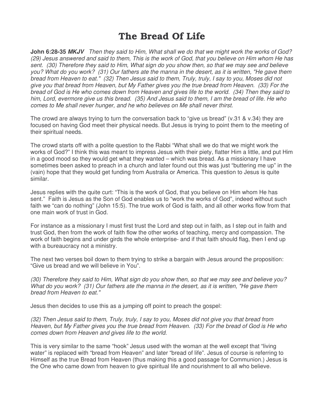# The Bread Of Life

**John 6:28-35 MKJV** Then they said to Him, What shall we do that we might work the works of God? (29) Jesus answered and said to them, This is the work of God, that you believe on Him whom He has sent. (30) Therefore they said to Him, What sign do you show then, so that we may see and believe you? What do you work? (31) Our fathers ate the manna in the desert, as it is written, "He gave them bread from Heaven to eat." (32) Then Jesus said to them, Truly, truly, I say to you, Moses did not give you that bread from Heaven, but My Father gives you the true bread from Heaven. (33) For the bread of God is He who comes down from Heaven and gives life to the world. (34) Then they said to him, Lord, evermore give us this bread. (35) And Jesus said to them, I am the bread of life. He who comes to Me shall never hunger, and he who believes on Me shall never thirst.

The crowd are always trying to turn the conversation back to "give us bread" (v.31 & v.34) they are focused on having God meet their physical needs. But Jesus is trying to point them to the meeting of their spiritual needs.

The crowd starts off with a polite question to the Rabbi "What shall we do that we might work the works of God?" I think this was meant to impress Jesus with their piety, flatter Him a little, and put Him in a good mood so they would get what they wanted – which was bread. As a missionary I have sometimes been asked to preach in a church and later found out this was just "buttering me up" in the (vain) hope that they would get funding from Australia or America. This question to Jesus is quite similar.

Jesus replies with the quite curt: "This is the work of God, that you believe on Him whom He has sent." Faith is Jesus as the Son of God enables us to "work the works of God", indeed without such faith we "can do nothing" (John 15:5). The true work of God is faith, and all other works flow from that one main work of trust in God.

For instance as a missionary I must first trust the Lord and step out in faith, as I step out in faith and trust God, then from the work of faith flow the other works of teaching, mercy and compassion. The work of faith begins and under girds the whole enterprise- and if that faith should flag, then I end up with a bureaucracy not a ministry.

The next two verses boil down to them trying to strike a bargain with Jesus around the proposition: "Give us bread and we will believe in You".

(30) Therefore they said to Him, What sign do you show then, so that we may see and believe you? What do you work? (31) Our fathers ate the manna in the desert, as it is written, "He gave them bread from Heaven to eat."

Jesus then decides to use this as a jumping off point to preach the gospel:

(32) Then Jesus said to them, Truly, truly, I say to you, Moses did not give you that bread from Heaven, but My Father gives you the true bread from Heaven. (33) For the bread of God is He who comes down from Heaven and gives life to the world.

This is very similar to the same "hook" Jesus used with the woman at the well except that "living water" is replaced with "bread from Heaven" and later "bread of life". Jesus of course is referring to Himself as the true Bread from Heaven (thus making this a good passage for Communion.) Jesus is the One who came down from heaven to give spiritual life and nourishment to all who believe.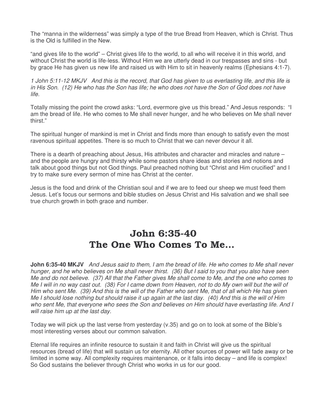The "manna in the wilderness" was simply a type of the true Bread from Heaven, which is Christ. Thus is the Old is fulfilled in the New.

"and gives life to the world" – Christ gives life to the world, to all who will receive it in this world, and without Christ the world is life-less. Without Him we are utterly dead in our trespasses and sins - but by grace He has given us new life and raised us with Him to sit in heavenly realms (Ephesians 4:1-7).

1 John 5:11-12 MKJV And this is the record, that God has given to us everlasting life, and this life is in His Son. (12) He who has the Son has life; he who does not have the Son of God does not have life.

Totally missing the point the crowd asks: "Lord, evermore give us this bread." And Jesus responds: "I am the bread of life. He who comes to Me shall never hunger, and he who believes on Me shall never thirst."

The spiritual hunger of mankind is met in Christ and finds more than enough to satisfy even the most ravenous spiritual appetites. There is so much to Christ that we can never devour it all.

There is a dearth of preaching about Jesus, His attributes and character and miracles and nature – and the people are hungry and thirsty while some pastors share ideas and stories and notions and talk about good things but not God things. Paul preached nothing but "Christ and Him crucified" and I try to make sure every sermon of mine has Christ at the center.

Jesus is the food and drink of the Christian soul and if we are to feed our sheep we must feed them Jesus. Let's focus our sermons and bible studies on Jesus Christ and His salvation and we shall see true church growth in both grace and number.

# John 6:35-40 The One Who Comes To Me…

**John 6:35-40 MKJV** And Jesus said to them, I am the bread of life. He who comes to Me shall never hunger, and he who believes on Me shall never thirst. (36) But I said to you that you also have seen Me and do not believe. (37) All that the Father gives Me shall come to Me, and the one who comes to Me I will in no way cast out. (38) For I came down from Heaven, not to do My own will but the will of Him who sent Me. (39) And this is the will of the Father who sent Me, that of all which He has given Me I should lose nothing but should raise it up again at the last day. (40) And this is the will of Him who sent Me, that everyone who sees the Son and believes on Him should have everlasting life. And I will raise him up at the last day.

Today we will pick up the last verse from yesterday (v.35) and go on to look at some of the Bible's most interesting verses about our common salvation.

Eternal life requires an infinite resource to sustain it and faith in Christ will give us the spiritual resources (bread of life) that will sustain us for eternity. All other sources of power will fade away or be limited in some way. All complexity requires maintenance, or it falls into decay – and life is complex! So God sustains the believer through Christ who works in us for our good.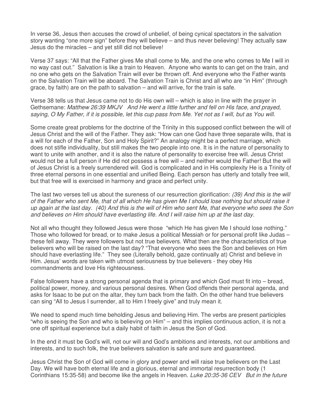In verse 36, Jesus then accuses the crowd of unbelief, of being cynical spectators in the salvation story wanting "one more sign" before they will believe – and thus never believing! They actually saw Jesus do the miracles – and yet still did not believe!

Verse 37 says: "All that the Father gives Me shall come to Me, and the one who comes to Me I will in no way cast out." Salvation is like a train to Heaven. Anyone who wants to can get on the train, and no one who gets on the Salvation Train will ever be thrown off. And everyone who the Father wants on the Salvation Train will be aboard. The Salvation Train is Christ and all who are "in Him" (through grace, by faith) are on the path to salvation – and will arrive, for the train is safe.

Verse 38 tells us that Jesus came not to do His own will – which is also in line with the prayer in Gethsemane: Matthew 26:39 MKJV And He went a little further and fell on His face, and prayed, saying, O My Father, if it is possible, let this cup pass from Me. Yet not as I will, but as You will.

Some create great problems for the doctrine of the Trinity in this supposed conflict between the will of Jesus Christ and the will of the Father. They ask: "How can one God have three separate wills, that is a will for each of the Father, Son and Holy Spirit?" An analogy might be a perfect marriage, which does not stifle individuality, but still makes the two people into one. It is in the nature of personality to want to unite with another, and it is also the nature of personality to exercise free will. Jesus Christ would not be a full person if He did not possess a free will – and neither would the Father! But the will of Jesus Christ is a freely surrendered will. God is complicated and in His complexity He is a Trinity of three eternal persons in one essential and unified Being. Each person has utterly and totally free will, but that free will is exercised in harmony and grace and perfect unity.

The last two verses tell us about the sureness of our resurrection glorification: (39) And this is the will of the Father who sent Me, that of all which He has given Me I should lose nothing but should raise it up again at the last day. (40) And this is the will of Him who sent Me, that everyone who sees the Son and believes on Him should have everlasting life. And I will raise him up at the last day.

Not all who thought they followed Jesus were those "which He has given Me I should lose nothing." Those who followed for bread, or to make Jesus a political Messiah or for personal profit like Judas – these fell away. They were followers but not true believers. What then are the characteristics of true believers who will be raised on the last day? "That everyone who sees the Son and believes on Him should have everlasting life." They see (Literally behold, gaze continually at) Christ and believe in Him. Jesus' words are taken with utmost seriousness by true believers - they obey His commandments and love His righteousness.

False followers have a strong personal agenda that is primary and which God must fit into – bread, political power, money, and various personal desires. When God offends their personal agenda, and asks for Isaac to be put on the altar, they turn back from the faith. On the other hand true believers can sing "All to Jesus I surrender, all to Him I freely give" and truly mean it.

We need to spend much time beholding Jesus and believing Him. The verbs are present participles "who is seeing the Son and who is believing on Him" – and this implies continuous action, it is not a one off spiritual experience but a daily habit of faith in Jesus the Son of God.

In the end it must be God's will, not our will and God's ambitions and interests, not our ambitions and interests, and to such folk, the true believers salvation is safe and sure and guaranteed.

Jesus Christ the Son of God will come in glory and power and will raise true believers on the Last Day. We will have both eternal life and a glorious, eternal and immortal resurrection body (1 Corinthians 15:35-58) and become like the angels in Heaven. Luke 20:35-36 CEV But in the future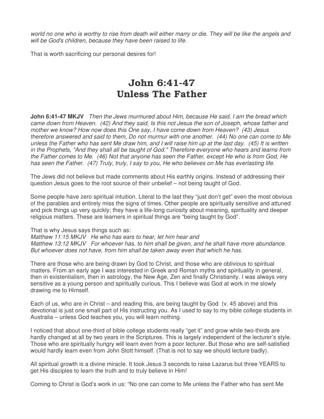world no one who is worthy to rise from death will either marry or die. They will be like the angels and will be God's children, because they have been raised to life.

That is worth sacrificing our personal desires for!

# John 6:41-47 Unless The Father

**John 6:41-47 MKJV** Then the Jews murmured about Him, because He said, I am the bread which came down from Heaven. (42) And they said, Is this not Jesus the son of Joseph, whose father and mother we know? How now does this One say, I have come down from Heaven? (43) Jesus therefore answered and said to them, Do not murmur with one another. (44) No one can come to Me unless the Father who has sent Me draw him, and I will raise him up at the last day. (45) It is written in the Prophets, "And they shall all be taught of God." Therefore everyone who hears and learns from the Father comes to Me. (46) Not that anyone has seen the Father, except He who is from God, He has seen the Father. (47) Truly, truly, I say to you, He who believes on Me has everlasting life.

The Jews did not believe but made comments about His earthly origins. Instead of addressing their question Jesus goes to the root source of their unbelief – not being taught of God.

Some people have zero spiritual intuition. Literal to the last they "just don't get" even the most obvious of the parables and entirely miss the signs of times. Other people are spiritually sensitive and attuned and pick things up very quickly; they have a life-long curiosity about meaning, spirituality and deeper religious matters. These are learners in spiritual things are "being taught by God".

That is why Jesus says things such as:

Matthew 11:15 MKJV He who has ears to hear, let him hear and Matthew 13:12 MKJV For whoever has, to him shall be given, and he shall have more abundance. But whoever does not have, from him shall be taken away even that which he has.

There are those who are being drawn by God to Christ, and those who are oblivious to spiritual matters. From an early age I was interested in Greek and Roman myths and spirituality in general, then in existentialism, then in astrology, the New Age, Zen and finally Christianity. I was always very sensitive as a young person and spiritually curious. This I believe was God at work in me slowly drawing me to Himself.

Each of us, who are in Christ – and reading this, are being taught by God (v. 45 above) and this devotional is just one small part of His instructing you. As I used to say to my bible college students in Australia – unless God teaches you, you will learn nothing.

I noticed that about one-third of bible college students really "get it" and grow while two-thirds are hardly changed at all by two years in the Scriptures. This is largely independent of the lecturer's style. Those who are spiritually hungry will learn even from a poor lecturer. But those who are self-satisfied would hardly learn even from John Stott himself. (That is not to say we should lecture badly).

All spiritual growth is a divine miracle. It took Jesus 3 seconds to raise Lazarus but three YEARS to get His disciples to learn the truth and to truly believe in Him!

Coming to Christ is God's work in us: "No one can come to Me unless the Father who has sent Me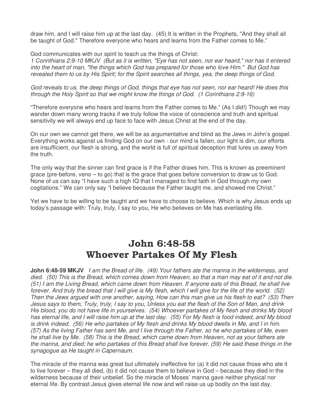draw him, and I will raise him up at the last day. (45) It is written in the Prophets, "And they shall all be taught of God." Therefore everyone who hears and learns from the Father comes to Me."

God communicates with our spirit to teach us the things of Christ:

1 Corinthians 2:9-10 MKJV (But as it is written, "Eye has not seen, nor ear heard," nor has it entered into the heart of man, "the things which God has prepared for those who love Him." But God has revealed them to us by His Spirit; for the Spirit searches all things, yea, the deep things of God.

God reveals to us, the deep things of God, things that eye has not seen, nor ear heard! He does this through the Holy Spirit so that we might know the things of God. (1 Corinthians 2:9-16)

"Therefore everyone who hears and learns from the Father comes to Me." (As I did!) Though we may wander down many wrong tracks if we truly follow the voice of conscience and truth and spiritual sensitivity we will always end up face to face with Jesus Christ at the end of the day.

On our own we cannot get there, we will be as argumentative and blind as the Jews in John's gospel. Everything works against us finding God on our own - our mind is fallen, our light is dim, our efforts are insufficient, our flesh is strong, and the world is full of spiritual deception that lures us away from the truth.

The only way that the sinner can find grace is if the Father draws him. This is known as preeminent grace (pre-before, veno – to go) that is the grace that goes before conversion to draw us to God. None of us can say "I have such a high IQ that I managed to find faith in God through my own cogitations." We can only say "I believe because the Father taught me, and showed me Christ."

Yet we have to be willing to be taught and we have to choose to believe. Which is why Jesus ends up today's passage with: Truly, truly, I say to you, He who believes on Me has everlasting life.

# John 6:48-58 Whoever Partakes Of My Flesh

**John 6:48-59 MKJV** I am the Bread of life. (49) Your fathers ate the manna in the wilderness, and died. (50) This is the Bread, which comes down from Heaven, so that a man may eat of it and not die. (51) I am the Living Bread, which came down from Heaven. If anyone eats of this Bread, he shall live forever. And truly the bread that I will give is My flesh, which I will give for the life of the world. (52) Then the Jews argued with one another, saying, How can this man give us his flesh to eat? (53) Then Jesus says to them, Truly, truly, I say to you, Unless you eat the flesh of the Son of Man, and drink His blood, you do not have life in yourselves. (54) Whoever partakes of My flesh and drinks My blood has eternal life, and I will raise him up at the last day. (55) For My flesh is food indeed, and My blood is drink indeed. (56) He who partakes of My flesh and drinks My blood dwells in Me, and I in him. (57) As the living Father has sent Me, and I live through the Father, so he who partakes of Me, even he shall live by Me. (58) This is the Bread, which came down from Heaven, not as your fathers ate the manna, and died; he who partakes of this Bread shall live forever. (59) He said these things in the synagogue as He taught in Capernaum.

The miracle of the manna was great but ultimately ineffective for (a) it did not cause those who ate it to live forever – they all died, (b) it did not cause them to believe in God – because they died in the wilderness because of their unbelief. So the miracle of Moses' manna gave neither physical nor eternal life. By contrast Jesus gives eternal life now and will raise us up bodily on the last day.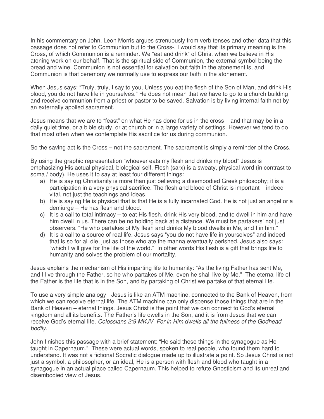In his commentary on John, Leon Morris argues strenuously from verb tenses and other data that this passage does not refer to Communion but to the Cross-. I would say that its primary meaning is the Cross, of which Communion is a reminder. We "eat and drink" of Christ when we believe in His atoning work on our behalf. That is the spiritual side of Communion, the external symbol being the bread and wine. Communion is not essential for salvation but faith in the atonement is, and Communion is that ceremony we normally use to express our faith in the atonement.

When Jesus says: "Truly, truly, I say to you, Unless you eat the flesh of the Son of Man, and drink His blood, you do not have life in yourselves." He does not mean that we have to go to a church building and receive communion from a priest or pastor to be saved. Salvation is by living internal faith not by an externally applied sacrament.

Jesus means that we are to "feast" on what He has done for us in the cross – and that may be in a daily quiet time, or a bible study, or at church or in a large variety of settings. However we tend to do that most often when we contemplate His sacrifice for us during communion.

So the saving act is the Cross – not the sacrament. The sacrament is simply a reminder of the Cross.

By using the graphic representation "whoever eats my flesh and drinks my blood" Jesus is emphasizing His actual physical, biological self. Flesh (sarx) is a sweaty, physical word (in contrast to soma / body). He uses it to say at least four different things:

- a) He is saying Christianity is more than just believing a disembodied Greek philosophy; it is a participation in a very physical sacrifice. The flesh and blood of Christ is important – indeed vital, not just the teachings and ideas.
- b) He is saying He is physical that is that He is a fully incarnated God. He is not just an angel or a demiurge – He has flesh and blood.
- c) It is a call to total intimacy to eat His flesh, drink His very blood, and to dwell in him and have him dwell in us. There can be no holding back at a distance. We must be partakers' not just observers. "He who partakes of My flesh and drinks My blood dwells in Me, and I in him."
- d) It is a call to a source of real life. Jesus says "you do not have life in yourselves" and indeed that is so for all die, just as those who ate the manna eventually perished. Jesus also says: "which I will give for the life of the world." In other words His flesh is a gift that brings life to humanity and solves the problem of our mortality.

Jesus explains the mechanism of His imparting life to humanity: "As the living Father has sent Me, and I live through the Father, so he who partakes of Me, even he shall live by Me." The eternal life of the Father is the life that is in the Son, and by partaking of Christ we partake of that eternal life.

To use a very simple analogy - Jesus is like an ATM machine, connected to the Bank of Heaven, from which we can receive eternal life. The ATM machine can only dispense those things that are in the Bank of Heaven – eternal things. Jesus Christ is the point that we can connect to God's eternal kingdom and all its benefits. The Father's life dwells in the Son, and it is from Jesus that we can receive God's eternal life. Colossians 2:9 MKJV For in Him dwells all the fullness of the Godhead bodily.

John finishes this passage with a brief statement: "He said these things in the synagogue as He taught in Capernaum." These were actual words, spoken to real people, who found them hard to understand. It was not a fictional Socratic dialogue made up to illustrate a point. So Jesus Christ is not just a symbol, a philosopher, or an ideal, He is a person with flesh and blood who taught in a synagogue in an actual place called Capernaum. This helped to refute Gnosticism and its unreal and disembodied view of Jesus.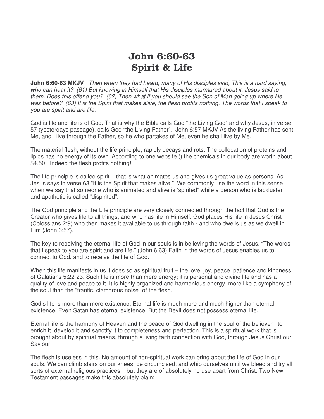# John 6:60-63 Spirit & Life

**John 6:60-63 MKJV** Then when they had heard, many of His disciples said. This is a hard saying, who can hear it? (61) But knowing in Himself that His disciples murmured about it, Jesus said to them, Does this offend you? (62) Then what if you should see the Son of Man going up where He was before? (63) It is the Spirit that makes alive, the flesh profits nothing. The words that I speak to you are spirit and are life.

God is life and life is of God. That is why the Bible calls God "the Living God" and why Jesus, in verse 57 (yesterdays passage), calls God "the Living Father". John 6:57 MKJV As the living Father has sent Me, and I live through the Father, so he who partakes of Me, even he shall live by Me.

The material flesh, without the life principle, rapidly decays and rots. The collocation of proteins and lipids has no energy of its own. According to one website () the chemicals in our body are worth about \$4.50! Indeed the flesh profits nothing!

The life principle is called spirit – that is what animates us and gives us great value as persons. As Jesus says in verse 63 "It is the Spirit that makes alive." We commonly use the word in this sense when we say that someone who is animated and alive is 'spirited" while a person who is lackluster and apathetic is called "dispirited".

The God principle and the Life principle are very closely connected through the fact that God is the Creator who gives life to all things, and who has life in Himself. God places His life in Jesus Christ (Colossians 2:9) who then makes it available to us through faith - and who dwells us as we dwell in Him (John 6:57).

The key to receiving the eternal life of God in our souls is in believing the words of Jesus. "The words that I speak to you are spirit and are life." (John 6:63) Faith in the words of Jesus enables us to connect to God, and to receive the life of God.

When this life manifests in us it does so as spiritual fruit – the love, joy, peace, patience and kindness of Galatians 5:22-23. Such life is more than mere energy; it is personal and divine life and has a quality of love and peace to it. It is highly organized and harmonious energy, more like a symphony of the soul than the "frantic, clamorous noise" of the flesh.

God's life is more than mere existence. Eternal life is much more and much higher than eternal existence. Even Satan has eternal existence! But the Devil does not possess eternal life.

Eternal life is the harmony of Heaven and the peace of God dwelling in the soul of the believer - to enrich it, develop it and sanctify it to completeness and perfection. This is a spiritual work that is brought about by spiritual means, through a living faith connection with God, through Jesus Christ our Saviour.

The flesh is useless in this. No amount of non-spiritual work can bring about the life of God in our souls. We can climb stairs on our knees, be circumcised, and whip ourselves until we bleed and try all sorts of external religious practices – but they are of absolutely no use apart from Christ. Two New Testament passages make this absolutely plain: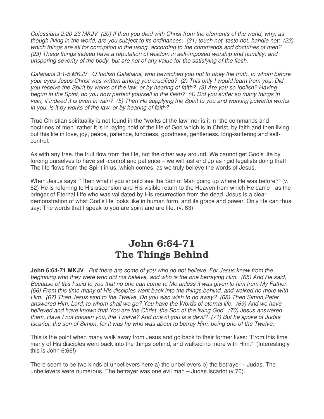Colossians 2:20-23 MKJV (20) If then you died with Christ from the elements of the world, why, as though living in the world, are you subject to its ordinances: (21) touch not, taste not, handle not; (22) which things are all for corruption in the using, according to the commands and doctrines of men? (23) These things indeed have a reputation of wisdom in self-imposed worship and humility, and unsparing severity of the body, but are not of any value for the satisfying of the flesh.

Galatians 3:1-5 MKJV O foolish Galatians, who bewitched you not to obey the truth, to whom before your eyes Jesus Christ was written among you crucified? (2) This only I would learn from you: Did you receive the Spirit by works of the law, or by hearing of faith? (3) Are you so foolish? Having begun in the Spirit, do you now perfect yourself in the flesh? (4) Did you suffer so many things in vain, if indeed it is even in vain? (5) Then He supplying the Spirit to you and working powerful works in you, is it by works of the law, or by hearing of faith?

True Christian spirituality is not found in the "works of the law" nor is it in "the commands and doctrines of men" rather it is in laying hold of the life of God which is in Christ, by faith and then living out this life in love, joy, peace, patience, kindness, goodness, gentleness, long-suffering and selfcontrol.

As with any tree, the fruit flow from the life, not the other way around. We cannot get God's life by forcing ourselves to have self-control and patience – we will just end up as rigid legalists doing that! The life flows from the Spirit in us, which comes, as we truly believe the words of Jesus.

When Jesus says: "Then what if you should see the Son of Man going up where He was before?" (v. 62) He is referring to His ascension and His visible return to the Heaven from which He came - as the bringer of Eternal Life who was validated by His resurrection from the dead. Jesus is a clear demonstration of what God's life looks like in human form, and its grace and power. Only He can thus say: The words that I speak to you are spirit and are life. (v. 63)

# John 6:64-71 The Things Behind

**John 6:64-71 MKJV** But there are some of you who do not believe. For Jesus knew from the beginning who they were who did not believe, and who is the one betraying Him. (65) And He said, Because of this I said to you that no one can come to Me unless it was given to him from My Father. (66) From this time many of His disciples went back into the things behind, and walked no more with Him. (67) Then Jesus said to the Twelve, Do you also wish to go away? (68) Then Simon Peter answered Him, Lord, to whom shall we go? You have the Words of eternal life. (69) And we have believed and have known that You are the Christ, the Son of the living God. (70) Jesus answered them, Have I not chosen you, the Twelve? And one of you is a devil? (71) But he spoke of Judas Iscariot, the son of Simon; for it was he who was about to betray Him, being one of the Twelve.

This is the point when many walk away from Jesus and go back to their former lives: "From this time many of His disciples went back into the things behind, and walked no more with Him." (Interestingly this is John 6:66!)

There seem to be two kinds of unbelievers here a) the unbelievers b) the betrayer – Judas. The unbelievers were numerous. The betrayer was one evil man  $-$  Judas Iscariot (v.70).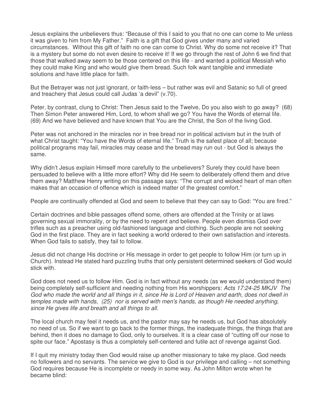Jesus explains the unbelievers thus: "Because of this I said to you that no one can come to Me unless it was given to him from My Father." Faith is a gift that God gives under many and varied circumstances. Without this gift of faith no one can come to Christ. Why do some not receive it? That is a mystery but some do not even desire to receive it! If we go through the rest of John 6 we find that those that walked away seem to be those centered on this life - and wanted a political Messiah who they could make King and who would give them bread. Such folk want tangible and immediate solutions and have little place for faith.

But the Betrayer was not just ignorant, or faith-less – but rather was evil and Satanic so full of greed and treachery that Jesus could call Judas 'a devil" (v.70).

Peter, by contrast, clung to Christ: Then Jesus said to the Twelve, Do you also wish to go away? (68) Then Simon Peter answered Him, Lord, to whom shall we go? You have the Words of eternal life. (69) And we have believed and have known that You are the Christ, the Son of the living God.

Peter was not anchored in the miracles nor in free bread nor in political activism but in the truth of what Christ taught: "You have the Words of eternal life." Truth is the safest place of all; because political programs may fail, miracles may cease and the bread may run out - but God is always the same.

Why didn't Jesus explain Himself more carefully to the unbelievers? Surely they could have been persuaded to believe with a little more effort? Why did He seem to deliberately offend them and drive them away? Matthew Henry writing on this passage says: "The corrupt and wicked heart of man often makes that an occasion of offence which is indeed matter of the greatest comfort."

People are continually offended at God and seem to believe that they can say to God: "You are fired."

Certain doctrines and bible passages offend some, others are offended at the Trinity or at laws governing sexual immorality, or by the need to repent and believe. People even dismiss God over trifles such as a preacher using old-fashioned language and clothing. Such people are not seeking God in the first place. They are in fact seeking a world ordered to their own satisfaction and interests. When God fails to satisfy, they fail to follow.

Jesus did not change His doctrine or His message in order to get people to follow Him (or turn up in Church). Instead He stated hard puzzling truths that only persistent determined seekers of God would stick with.

God does not need us to follow Him. God is in fact without any needs (as we would understand them) being completely self-sufficient and needing nothing from His worshippers: Acts 17:24-25 MKJV The God who made the world and all things in it, since He is Lord of Heaven and earth, does not dwell in temples made with hands, (25) nor is served with men's hands, as though He needed anything, since He gives life and breath and all things to all.

The local church may feel it needs us, and the pastor may say he needs us, but God has absolutely no need of us. So if we want to go back to the former things, the inadequate things, the things that are behind, then it does no damage to God, only to ourselves. It is a clear case of "cutting off our nose to spite our face." Apostasy is thus a completely self-centered and futile act of revenge against God.

If I quit my ministry today then God would raise up another missionary to take my place. God needs no followers and no servants. The service we give to God is our privilege and calling – not something God requires because He is incomplete or needy in some way. As John Milton wrote when he became blind: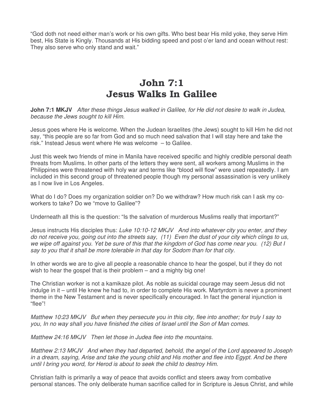"God doth not need either man's work or his own gifts. Who best bear His mild yoke, they serve Him best, His State is Kingly. Thousands at His bidding speed and post o'er land and ocean without rest: They also serve who only stand and wait."

#### John 7:1 Jesus Walks In Galilee

**John 7:1 MKJV** After these things Jesus walked in Galilee, for He did not desire to walk in Judea, because the Jews sought to kill Him.

Jesus goes where He is welcome. When the Judean Israelites (the Jews) sought to kill Him he did not say, "this people are so far from God and so much need salvation that I will stay here and take the risk." Instead Jesus went where He was welcome – to Galilee.

Just this week two friends of mine in Manila have received specific and highly credible personal death threats from Muslims. In other parts of the letters they were sent, all workers among Muslims in the Philippines were threatened with holy war and terms like "blood will flow" were used repeatedly. I am included in this second group of threatened people though my personal assassination is very unlikely as I now live in Los Angeles.

What do I do? Does my organization soldier on? Do we withdraw? How much risk can I ask my coworkers to take? Do we "move to Galilee"?

Underneath all this is the question: "Is the salvation of murderous Muslims really that important?"

Jesus instructs His disciples thus: Luke 10:10-12 MKJV And into whatever city you enter, and they do not receive you, going out into the streets say, (11) Even the dust of your city which clings to us, we wipe off against you. Yet be sure of this that the kingdom of God has come near you. (12) But I say to you that it shall be more tolerable in that day for Sodom than for that city.

In other words we are to give all people a reasonable chance to hear the gospel, but if they do not wish to hear the gospel that is their problem – and a mighty big one!

The Christian worker is not a kamikaze pilot. As noble as suicidal courage may seem Jesus did not indulge in it – until He knew he had to, in order to complete His work. Martyrdom is never a prominent theme in the New Testament and is never specifically encouraged. In fact the general injunction is "flee"!

Matthew 10:23 MKJV But when they persecute you in this city, flee into another; for truly I say to you, In no way shall you have finished the cities of Israel until the Son of Man comes.

Matthew 24:16 MKJV Then let those in Judea flee into the mountains.

Matthew 2:13 MKJV And when they had departed, behold, the angel of the Lord appeared to Joseph in a dream, saying, Arise and take the young child and His mother and flee into Egypt. And be there until I bring you word, for Herod is about to seek the child to destroy Him.

Christian faith is primarily a way of peace that avoids conflict and steers away from combative personal stances. The only deliberate human sacrifice called for in Scripture is Jesus Christ, and while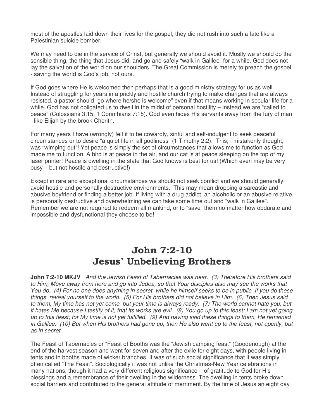most of the apostles laid down their lives for the gospel, they did not rush into such a fate like a Palestinian suicide bomber.

We may need to die in the service of Christ, but generally we should avoid it. Mostly we should do the sensible thing, the thing that Jesus did, and go and safely "walk in Galilee" for a while. God does not lay the salvation of the world on our shoulders. The Great Commission is merely to preach the gospel - saving the world is God's job, not ours.

If God goes where He is welcomed then perhaps that is a good ministry strategy for us as well. Instead of struggling for years in a prickly and hostile church trying to make changes that are always resisted, a pastor should "go where he/she is welcome" even if that means working in secular life for a while. God has not obligated us to dwell in the midst of personal hostility – instead we are "called to peace" (Colossians 3:15, 1 Corinthians 7:15). God even hides His servants away from the fury of man - like Elijah by the brook Cherith.

For many years I have (wrongly) felt it to be cowardly, sinful and self-indulgent to seek peaceful circumstances or to desire "a quiet life in all godliness" (1 Timothy 2:2). This, I mistakenly thought, was "wimping out"! Yet peace is simply the set of circumstances that allows me to function as God made me to function. A bird is at peace in the air, and our cat is at peace sleeping on the top of my laser printer! Peace is dwelling in the state that God knows is best for us! (Which even may be very busy – but not hostile and destructive!)

Except in rare and exceptional circumstances we should not seek conflict and we should generally avoid hostile and personally destructive environments. This may mean dropping a sarcastic and abusive boyfriend or finding a better job. If living with a drug addict, an alcoholic or an abusive relative is personally destructive and overwhelming we can take some time out and "walk in Galilee". Remember we are not required to redeem all mankind, or to "save" them no matter how obdurate and impossible and dysfunctional they choose to be!

#### John 7:2-10 Jesus' Unbelieving Brothers

**John 7:2-10 MKJV** And the Jewish Feast of Tabernacles was near. (3) Therefore His brothers said to Him, Move away from here and go into Judea, so that Your disciples also may see the works that You do. (4) For no one does anything in secret, while he himself seeks to be in public. If you do these things, reveal yourself to the world. (5) For His brothers did not believe in Him. (6) Then Jesus said to them, My time has not yet come, but your time is always ready. (7) The world cannot hate you, but it hates Me because I testify of it, that its works are evil. (8) You go up to this feast; I am not yet going up to this feast; for My time is not yet fulfilled. (9) And having said these things to them, He remained in Galilee. (10) But when His brothers had gone up, then He also went up to the feast, not openly, but as in secret.

The Feast of Tabernacles or "Feast of Booths was the "Jewish camping feast" (Goodenough) at the end of the harvest season and went for seven and after the exile for eight days, with people living in tents and in booths made of wicker branches. It was of such social significance that it was simply often called "The Feast". Sociologically it was not unlike the Christmas-New Year celebrations in many nations, though it had a very different religious significance – of gratitude to God for His blessings and a remembrance of their dwelling in the wilderness. The dwelling in tents broke down social barriers and contributed to the general attitude of merriment. By the time of Jesus an eight day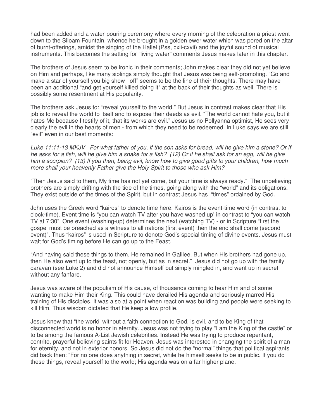had been added and a water-pouring ceremony where every morning of the celebration a priest went down to the Siloam Fountain, whence he brought in a golden ewer water which was pored on the altar of burnt-offerings, amidst the singing of the Hallel (Pss, cxii-cxvii) and the joyful sound of musical instruments. This becomes the setting for "living water" comments Jesus makes later in this chapter.

The brothers of Jesus seem to be ironic in their comments; John makes clear they did not yet believe on Him and perhaps, like many siblings simply thought that Jesus was being self-promoting. "Go and make a star of yourself you big show –off" seems to be the line of their thoughts. There may have been an additional "and get yourself killed doing it" at the back of their thoughts as well. There is possibly some resentment at His popularity.

The brothers ask Jesus to: "reveal yourself to the world." But Jesus in contrast makes clear that His job is to reveal the world to itself and to expose their deeds as evil. "The world cannot hate you, but it hates Me because I testify of it, that its works are evil." Jesus us no Pollyanna optimist, He sees very clearly the evil in the hearts of men - from which they need to be redeemed. In Luke says we are still "evil" even in our best moments:

Luke 11:11-13 MKJV For what father of you, if the son asks for bread, will he give him a stone? Or if he asks for a fish, will he give him a snake for a fish? (12) Or if he shall ask for an egg, will he give him a scorpion? (13) If you then, being evil, know how to give good gifts to your children, how much more shall your heavenly Father give the Holy Spirit to those who ask Him?

"Then Jesus said to them, My time has not yet come, but your time is always ready." The unbelieving brothers are simply drifting with the tide of the times, going along with the "world" and its obligations. They exist outside of the times of the Spirit, but in contrast Jesus has "times" ordained by God.

John uses the Greek word "kairos" to denote time here. Kairos is the event-time word (in contrast to clock-time). Event time is "you can watch TV after you have washed up' in contrast to "you can watch TV at 7:30". One event (washing-up) determines the next (watching TV) - or in Scripture "first the gospel must be preached as a witness to all nations (first event) then the end shall come (second event)". Thus "kairos" is used in Scripture to denote God's special timing of divine events. Jesus must wait for God's timing before He can go up to the Feast.

"And having said these things to them, He remained in Galilee. But when His brothers had gone up, then He also went up to the feast, not openly, but as in secret." Jesus did not go up with the family caravan (see Luke 2) and did not announce Himself but simply mingled in, and went up in secret without any fanfare.

Jesus was aware of the populism of His cause, of thousands coming to hear Him and of some wanting to make Him their King. This could have derailed His agenda and seriously marred His training of His disciples. It was also at a point when reaction was building and people were seeking to kill Him. Thus wisdom dictated that He keep a low profile.

Jesus knew that "the world' without a faith connection to God, is evil, and to be King of that disconnected world is no honor in eternity. Jesus was not trying to play "I am the King of the castle" or to be among the famous A-List Jewish celebrities. Instead He was trying to produce repentant, contrite, prayerful believing saints fit for Heaven. Jesus was interested in changing the spirit of a man for eternity, and not in exterior honors. So Jesus did not do the "normal" things that political aspirants did back then: "For no one does anything in secret, while he himself seeks to be in public. If you do these things, reveal yourself to the world; His agenda was on a far higher plane.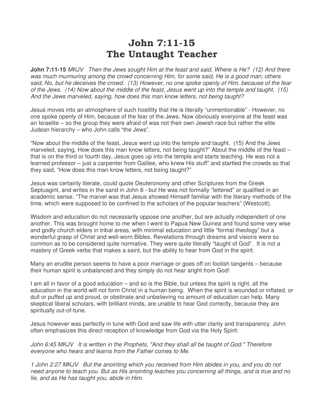#### John 7:11-15 The Untaught Teacher

**John 7:11-15** MKJV Then the Jews sought Him at the feast and said, Where is He? (12) And there was much murmuring among the crowd concerning Him, for some said, He is a good man; others said, No, but he deceives the crowd. (13) However, no one spoke openly of Him, because of the fear of the Jews. (14) Now about the middle of the feast, Jesus went up into the temple and taught. (15) And the Jews marveled, saying, how does this man know letters, not being taught?

Jesus moves into an atmosphere of such hostility that He is literally "unmentionable" - However, no one spoke openly of Him, because of the fear of the Jews. Now obviously everyone at the feast was an Israelite – so the group they were afraid of was not their own Jewish race but rather the elite Judean hierarchy – who John calls "the Jews".

"Now about the middle of the feast, Jesus went up into the temple and taught. (15) And the Jews marveled, saying, How does this man know letters, not being taught?" About the middle of the feast – that is on the third or fourth day, Jesus goes up into the temple and starts teaching. He was not a learned professor – just a carpenter from Galilee, who knew His stuff" and startled the crowds so that they said, "How does this man know letters, not being taught?"

Jesus was certainly literate, could quote Deuteronomy and other Scriptures from the Greek Septuagint, and writes in the sand in John 8 - but He was not formally "lettered" or qualified in an academic sense. "The marvel was that Jesus showed Himself familiar with the literary methods of the time, which were supposed to be confined to the scholars of the popular teachers" (Westcott).

Wisdom and education do not necessarily oppose one another, but are actually independent of one another. This was brought home to me when I went to Papua New Guinea and found some very wise and godly church elders in tribal areas, with minimal education and little "formal theology" but a wonderful grasp of Christ and well-worn Bibles. Revelations through dreams and visions were so common as to be considered quite normative. They were quite literally "taught of God". It is not a mastery of Greek verbs that makes a saint, but the ability to hear from God in the spirit.

Many an erudite person seems to have a poor marriage or goes off on foolish tangents – because their human spirit is unbalanced and they simply do not hear aright from God!

I am all in favor of a good education – and so is the Bible, but unless the spirit is right, all the education in the world will not form Christ in a human being. When the spirit is wounded or inflated, or dull or puffed up and proud, or obstinate and unbelieving no amount of education can help. Many skeptical liberal scholars, with brilliant minds, are unable to hear God correctly, because they are spiritually out-of-tune.

Jesus however was perfectly in tune with God and saw life with utter clarity and transparency. John often emphasizes this direct reception of knowledge from God via the Holy Spirit:

John 6:45 MKJV It is written in the Prophets, "And they shall all be taught of God." Therefore everyone who hears and learns from the Father comes to Me.

1 John 2:27 MKJV But the anointing which you received from Him abides in you, and you do not need anyone to teach you. But as His anointing teaches you concerning all things, and is true and no lie, and as He has taught you, abide in Him.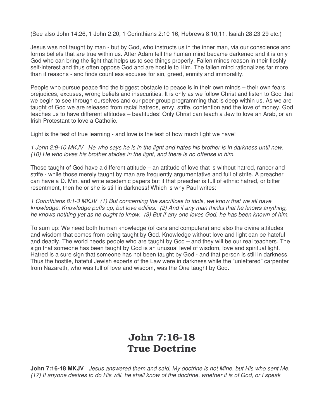(See also John 14:26, 1 John 2:20, 1 Corinthians 2:10-16, Hebrews 8:10,11, Isaiah 28:23-29 etc.)

Jesus was not taught by man - but by God, who instructs us in the inner man, via our conscience and forms beliefs that are true within us. After Adam fell the human mind became darkened and it is only God who can bring the light that helps us to see things properly. Fallen minds reason in their fleshly self-interest and thus often oppose God and are hostile to Him. The fallen mind rationalizes far more than it reasons - and finds countless excuses for sin, greed, enmity and immorality.

People who pursue peace find the biggest obstacle to peace is in their own minds – their own fears, prejudices, excuses, wrong beliefs and insecurities. It is only as we follow Christ and listen to God that we begin to see through ourselves and our peer-group programming that is deep within us. As we are taught of God we are released from racial hatreds, envy, strife, contention and the love of money. God teaches us to have different attitudes – beatitudes! Only Christ can teach a Jew to love an Arab, or an Irish Protestant to love a Catholic.

Light is the test of true learning - and love is the test of how much light we have!

1 John 2:9-10 MKJV He who says he is in the light and hates his brother is in darkness until now. (10) He who loves his brother abides in the light, and there is no offense in him.

Those taught of God have a different attitude – an attitude of love that is without hatred, rancor and strife - while those merely taught by man are frequently argumentative and full of strife. A preacher can have a D. Min. and write academic papers but if that preacher is full of ethnic hatred, or bitter resentment, then he or she is still in darkness! Which is why Paul writes:

1 Corinthians 8:1-3 MKJV (1) But concerning the sacrifices to idols, we know that we all have knowledge. Knowledge puffs up, but love edifies. (2) And if any man thinks that he knows anything, he knows nothing yet as he ought to know. (3) But if any one loves God, he has been known of him.

To sum up: We need both human knowledge (of cars and computers) and also the divine attitudes and wisdom that comes from being taught by God. Knowledge without love and light can be hateful and deadly. The world needs people who are taught by God – and they will be our real teachers. The sign that someone has been taught by God is an unusual level of wisdom, love and spiritual light. Hatred is a sure sign that someone has not been taught by God - and that person is still in darkness. Thus the hostile, hateful Jewish experts of the Law were in darkness while the "unlettered" carpenter from Nazareth, who was full of love and wisdom, was the One taught by God.

# John 7:16-18 True Doctrine

**John 7:16-18 MKJV** Jesus answered them and said, My doctrine is not Mine, but His who sent Me. (17) If anyone desires to do His will, he shall know of the doctrine, whether it is of God, or I speak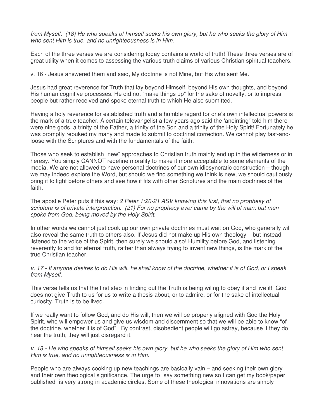from Myself. (18) He who speaks of himself seeks his own glory, but he who seeks the glory of Him who sent Him is true, and no unrighteousness is in Him.

Each of the three verses we are considering today contains a world of truth! These three verses are of great utility when it comes to assessing the various truth claims of various Christian spiritual teachers.

v. 16 - Jesus answered them and said, My doctrine is not Mine, but His who sent Me.

Jesus had great reverence for Truth that lay beyond Himself, beyond His own thoughts, and beyond His human cognitive processes. He did not "make things up" for the sake of novelty, or to impress people but rather received and spoke eternal truth to which He also submitted.

Having a holy reverence for established truth and a humble regard for one's own intellectual powers is the mark of a true teacher. A certain televangelist a few years ago said the 'anointing" told him there were nine gods, a trinity of the Father, a trinity of the Son and a trinity of the Holy Spirit! Fortunately he was promptly rebuked my many and made to submit to doctrinal correction. We cannot play fast-andloose with the Scriptures and with the fundamentals of the faith.

Those who seek to establish "new" approaches to Christian truth mainly end up in the wilderness or in heresy. You simply CANNOT redefine morality to make it more acceptable to some elements of the media. We are not allowed to have personal doctrines of our own idiosyncratic construction – though we may indeed explore the Word, but should we find something we think is new, we should cautiously bring it to light before others and see how it fits with other Scriptures and the main doctrines of the faith.

The apostle Peter puts it this way: 2 Peter 1:20-21 ASV knowing this first, that no prophesy of scripture is of private interpretation. (21) For no prophecy ever came by the will of man: but men spoke from God, being moved by the Holy Spirit.

In other words we cannot just cook up our own private doctrines must wait on God, who generally will also reveal the same truth to others also. If Jesus did not make up His own theology – but instead listened to the voice of the Spirit, then surely we should also! Humility before God, and listening reverently to and for eternal truth, rather than always trying to invent new things, is the mark of the true Christian teacher.

v. 17 - If anyone desires to do His will, he shall know of the doctrine, whether it is of God, or I speak from Myself.

This verse tells us that the first step in finding out the Truth is being wiling to obey it and live it! God does not give Truth to us for us to write a thesis about, or to admire, or for the sake of intellectual curiosity. Truth is to be lived.

If we really want to follow God, and do His will, then we will be properly aligned with God the Holy Spirit, who will empower us and give us wisdom and discernment so that we will be able to know "of the doctrine, whether it is of God". By contrast, disobedient people will go astray, because if they do hear the truth, they will just disregard it.

v. 18 - He who speaks of himself seeks his own glory, but he who seeks the glory of Him who sent Him is true, and no unrighteousness is in Him.

People who are always cooking up new teachings are basically vain – and seeking their own glory and their own theological significance. The urge to "say something new so I can get my book/paper published" is very strong in academic circles. Some of these theological innovations are simply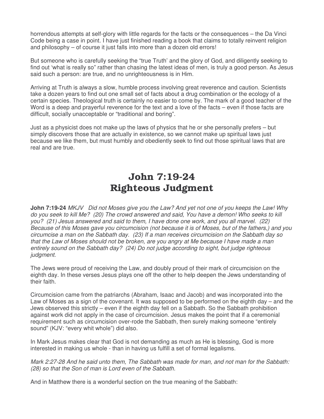horrendous attempts at self-glory with little regards for the facts or the consequences – the Da Vinci Code being a case in point. I have just finished reading a book that claims to totally reinvent religion and philosophy – of course it just falls into more than a dozen old errors!

But someone who is carefully seeking the "true Truth' and the glory of God, and diligently seeking to find out 'what is really so" rather than chasing the latest ideas of men, is truly a good person. As Jesus said such a person: are true, and no unrighteousness is in Him.

Arriving at Truth is always a slow, humble process involving great reverence and caution. Scientists take a dozen years to find out one small set of facts about a drug combination or the ecology of a certain species. Theological truth is certainly no easier to come by. The mark of a good teacher of the Word is a deep and prayerful reverence for the text and a love of the facts – even if those facts are difficult, socially unacceptable or "traditional and boring".

Just as a physicist does not make up the laws of physics that he or she personally prefers – but simply discovers those that are actually in existence, so we cannot make up spiritual laws just because we like them, but must humbly and obediently seek to find out those spiritual laws that are real and are true.

# John 7:19-24 Righteous Judgment

**John 7:19-24** MKJV Did not Moses give you the Law? And yet not one of you keeps the Law! Why do you seek to kill Me? (20) The crowd answered and said, You have a demon! Who seeks to kill you? (21) Jesus answered and said to them, I have done one work, and you all marvel. (22) Because of this Moses gave you circumcision (not because it is of Moses, but of the fathers,) and you circumcise a man on the Sabbath day. (23) If a man receives circumcision on the Sabbath day so that the Law of Moses should not be broken, are you angry at Me because I have made a man entirely sound on the Sabbath day? (24) Do not judge according to sight, but judge righteous judgment.

The Jews were proud of receiving the Law, and doubly proud of their mark of circumcision on the eighth day. In these verses Jesus plays one off the other to help deepen the Jews understanding of their faith.

Circumcision came from the patriarchs (Abraham, Isaac and Jacob) and was incorporated into the Law of Moses as a sign of the covenant. It was supposed to be performed on the eighth day – and the Jews observed this strictly – even if the eighth day fell on a Sabbath. So the Sabbath prohibition against work did not apply in the case of circumcision. Jesus makes the point that if a ceremonial requirement such as circumcision over-rode the Sabbath, then surely making someone "entirely sound" (KJV: "every whit whole") did also.

In Mark Jesus makes clear that God is not demanding as much as He is blessing, God is more interested in making us whole - than in having us fulfill a set of formal legalisms.

Mark 2:27-28 And he said unto them, The Sabbath was made for man, and not man for the Sabbath: (28) so that the Son of man is Lord even of the Sabbath.

And in Matthew there is a wonderful section on the true meaning of the Sabbath: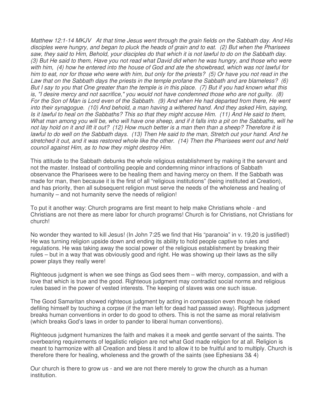Matthew 12:1-14 MKJV At that time Jesus went through the grain fields on the Sabbath day. And His disciples were hungry, and began to pluck the heads of grain and to eat. (2) But when the Pharisees saw, they said to Him, Behold, your disciples do that which it is not lawful to do on the Sabbath day. (3) But He said to them, Have you not read what David did when he was hungry, and those who were with him, (4) how he entered into the house of God and ate the showbread, which was not lawful for him to eat, nor for those who were with him, but only for the priests? (5) Or have you not read in the Law that on the Sabbath days the priests in the temple profane the Sabbath and are blameless? (6) But I say to you that One greater than the temple is in this place. (7) But if you had known what this is, "I desire mercy and not sacrifice," you would not have condemned those who are not guilty. (8) For the Son of Man is Lord even of the Sabbath. (9) And when He had departed from there, He went into their synagogue. (10) And behold, a man having a withered hand. And they asked Him, saying, Is it lawful to heal on the Sabbaths? This so that they might accuse Him. (11) And He said to them, What man among you will be, who will have one sheep, and if it falls into a pit on the Sabbaths, will he not lay hold on it and lift it out? (12) How much better is a man then than a sheep? Therefore it is lawful to do well on the Sabbath days. (13) Then He said to the man, Stretch out your hand. And he stretched it out, and it was restored whole like the other. (14) Then the Pharisees went out and held council against Him, as to how they might destroy Him.

This attitude to the Sabbath debunks the whole religious establishment by making it the servant and not the master. Instead of controlling people and condemning minor infractions of Sabbath observance the Pharisees were to be healing them and having mercy on them. If the Sabbath was made for man, then because it is the first of all "religious institutions" (being instituted at Creation), and has priority, then all subsequent religion must serve the needs of the wholeness and healing of humanity – and not humanity serve the needs of religion!

To put it another way: Church programs are first meant to help make Christians whole - and Christians are not there as mere labor for church programs! Church is for Christians, not Christians for church!

No wonder they wanted to kill Jesus! (In John 7:25 we find that His "paranoia" in v. 19,20 is justified!) He was turning religion upside down and ending its ability to hold people captive to rules and regulations. He was taking away the social power of the religious establishment by breaking their rules – but in a way that was obviously good and right. He was showing up their laws as the silly power plays they really were!

Righteous judgment is when we see things as God sees them – with mercy, compassion, and with a love that which is true and the good. Righteous judgment may contradict social norms and religious rules based in the power of vested interests. The keeping of slaves was one such issue.

The Good Samaritan showed righteous judgment by acting in compassion even though he risked defiling himself by touching a corpse (if the man left for dead had passed away). Righteous judgment breaks human conventions in order to do good to others. This is not the same as moral relativism (which breaks God's laws in order to pander to liberal human conventions).

Righteous judgment humanizes the faith and makes it a meek and gentle servant of the saints. The overbearing requirements of legalistic religion are not what God made religion for at all. Religion is meant to harmonize with all Creation and bless it and to allow it to be fruitful and to multiply. Church is therefore there for healing, wholeness and the growth of the saints (see Ephesians 3& 4)

Our church is there to grow us - and we are not there merely to grow the church as a human institution.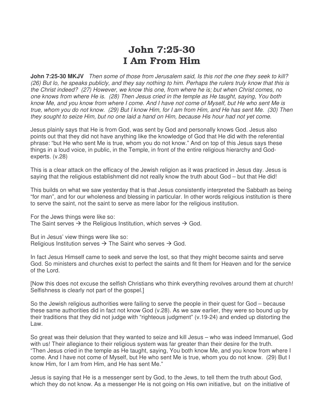# John 7:25-30 I Am From Him

**John 7:25-30 MKJV** Then some of those from Jerusalem said, Is this not the one they seek to kill? (26) But lo, he speaks publicly, and they say nothing to him. Perhaps the rulers truly know that this is the Christ indeed? (27) However, we know this one, from where he is; but when Christ comes, no one knows from where He is. (28) Then Jesus cried in the temple as He taught, saying, You both know Me, and you know from where I come. And I have not come of Myself, but He who sent Me is true, whom you do not know. (29) But I know Him, for I am from Him, and He has sent Me. (30) Then they sought to seize Him, but no one laid a hand on Him, because His hour had not yet come.

Jesus plainly says that He is from God, was sent by God and personally knows God. Jesus also points out that they did not have anything like the knowledge of God that He did with the referential phrase: "but He who sent Me is true, whom you do not know." And on top of this Jesus says these things in a loud voice, in public, in the Temple, in front of the entire religious hierarchy and Godexperts. (v.28)

This is a clear attack on the efficacy of the Jewish religion as it was practiced in Jesus day. Jesus is saying that the religious establishment did not really know the truth about God – but that He did!

This builds on what we saw yesterday that is that Jesus consistently interpreted the Sabbath as being "for man", and for our wholeness and blessing in particular. In other words religious institution is there to serve the saint, not the saint to serve as mere labor for the religious institution.

For the Jews things were like so: The Saint serves  $\rightarrow$  the Religious Institution, which serves  $\rightarrow$  God.

But in Jesus' view things were like so: Religious Institution serves  $\rightarrow$  The Saint who serves  $\rightarrow$  God.

In fact Jesus Himself came to seek and serve the lost, so that they might become saints and serve God. So ministers and churches exist to perfect the saints and fit them for Heaven and for the service of the Lord.

[Now this does not excuse the selfish Christians who think everything revolves around them at church! Selfishness is clearly not part of the gospel.]

So the Jewish religious authorities were failing to serve the people in their quest for God – because these same authorities did in fact not know God (v.28). As we saw earlier, they were so bound up by their traditions that they did not judge with "righteous judgment" (v.19-24) and ended up distorting the Law.

So great was their delusion that they wanted to seize and kill Jesus – who was indeed Immanuel, God with us! Their allegiance to their religious system was far greater than their desire for the truth. "Then Jesus cried in the temple as He taught, saying, You both know Me, and you know from where I come. And I have not come of Myself, but He who sent Me is true, whom you do not know. (29) But I know Him, for I am from Him, and He has sent Me."

Jesus is saying that He is a messenger sent by God, to the Jews, to tell them the truth about God, which they do not know. As a messenger He is not going on His own initiative, but on the initiative of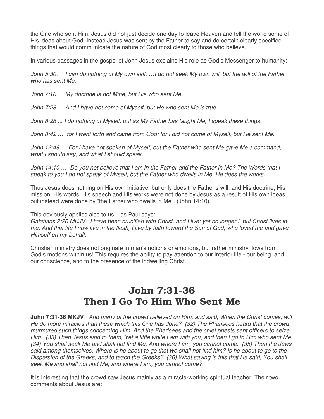the One who sent Him. Jesus did not just decide one day to leave Heaven and tell the world some of His ideas about God. Instead Jesus was sent by the Father to say and do certain clearly specified things that would communicate the nature of God most clearly to those who believe.

In various passages in the gospel of John Jesus explains His role as God's Messenger to humanity:

John 5:30… I can do nothing of My own self. …I do not seek My own will, but the will of the Father who has sent Me.

John 7:16… My doctrine is not Mine, but His who sent Me.

John 7:28 … And I have not come of Myself, but He who sent Me is true…

John 8:28 ... I do nothing of Myself, but as My Father has taught Me, I speak these things.

John 8:42 … for I went forth and came from God; for I did not come of Myself, but He sent Me.

John 12:49 … For I have not spoken of Myself, but the Father who sent Me gave Me a command, what I should say, and what I should speak.

John 14:10 … Do you not believe that I am in the Father and the Father in Me? The Words that I speak to you I do not speak of Myself, but the Father who dwells in Me, He does the works.

Thus Jesus does nothing on His own initiative, but only does the Father's will, and His doctrine, His mission, His words, His speech and His works were not done by Jesus as a result of His own ideas but instead were done by "the Father who dwells in Me". (John 14:10).

This obviously applies also to us – as Paul says:

Galatians 2:20 MKJV I have been crucified with Christ, and I live; yet no longer I, but Christ lives in me. And that life I now live in the flesh, I live by faith toward the Son of God, who loved me and gave Himself on my behalf.

Christian ministry does not originate in man's notions or emotions, but rather ministry flows from God's motions within us! This requires the ability to pay attention to our interior life - our being, and our conscience, and to the presence of the indwelling Christ.

# John 7:31-36 Then I Go To Him Who Sent Me

**John 7:31-36 MKJV** And many of the crowd believed on Him, and said, When the Christ comes, will He do more miracles than these which this One has done? (32) The Pharisees heard that the crowd murmured such things concerning Him. And the Pharisees and the chief priests sent officers to seize Him. (33) Then Jesus said to them, Yet a little while I am with you, and then I go to Him who sent Me. (34) You shall seek Me and shall not find Me. And where I am, you cannot come. (35) Then the Jews said among themselves, Where is he about to go that we shall not find him? Is he about to go to the Dispersion of the Greeks, and to teach the Greeks? (36) What saying is this that He said, You shall seek Me and shall not find Me, and where I am, you cannot come?

It is interesting that the crowd saw Jesus mainly as a miracle-working spiritual teacher. Their two comments about Jesus are: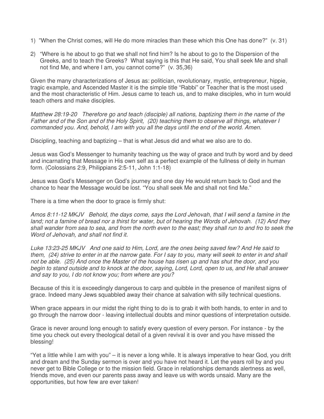- 1) "When the Christ comes, will He do more miracles than these which this One has done?" (v. 31)
- 2) "Where is he about to go that we shall not find him? Is he about to go to the Dispersion of the Greeks, and to teach the Greeks? What saying is this that He said, You shall seek Me and shall not find Me, and where I am, you cannot come?" (v. 35,36)

Given the many characterizations of Jesus as: politician, revolutionary, mystic, entrepreneur, hippie, tragic example, and Ascended Master it is the simple title "Rabbi" or Teacher that is the most used and the most characteristic of Him. Jesus came to teach us, and to make disciples, who in turn would teach others and make disciples.

Matthew 28:19-20 Therefore go and teach (disciple) all nations, baptizing them in the name of the Father and of the Son and of the Holy Spirit, (20) teaching them to observe all things, whatever I commanded you. And, behold, I am with you all the days until the end of the world. Amen.

Discipling, teaching and baptizing – that is what Jesus did and what we also are to do.

Jesus was God's Messenger to humanity teaching us the way of grace and truth by word and by deed and incarnating that Message in His own self as a perfect example of the fullness of deity in human form. (Colossians 2:9, Philippians 2:5-11, John 1:1-18)

Jesus was God's Messenger on God's journey and one day He would return back to God and the chance to hear the Message would be lost. "You shall seek Me and shall not find Me."

There is a time when the door to grace is firmly shut:

Amos 8:11-12 MKJV Behold, the days come, says the Lord Jehovah, that I will send a famine in the land; not a famine of bread nor a thirst for water, but of hearing the Words of Jehovah. (12) And they shall wander from sea to sea, and from the north even to the east; they shall run to and fro to seek the Word of Jehovah, and shall not find it.

Luke 13:23-25 MKJV And one said to Him, Lord, are the ones being saved few? And He said to them, (24) strive to enter in at the narrow gate. For I say to you, many will seek to enter in and shall not be able. (25) And once the Master of the house has risen up and has shut the door, and you begin to stand outside and to knock at the door, saying, Lord, Lord, open to us, and He shall answer and say to you, I do not know you; from where are you?

Because of this it is exceedingly dangerous to carp and quibble in the presence of manifest signs of grace. Indeed many Jews squabbled away their chance at salvation with silly technical questions.

When grace appears in our midst the right thing to do is to grab it with both hands, to enter in and to go through the narrow door - leaving intellectual doubts and minor questions of interpretation outside.

Grace is never around long enough to satisfy every question of every person. For instance - by the time you check out every theological detail of a given revival it is over and you have missed the blessing!

"Yet a little while I am with you" – it is never a long while. It is always imperative to hear God, you drift and dream and the Sunday sermon is over and you have not heard it. Let the years roll by and you never get to Bible College or to the mission field. Grace in relationships demands alertness as well, friends move, and even our parents pass away and leave us with words unsaid. Many are the opportunities, but how few are ever taken!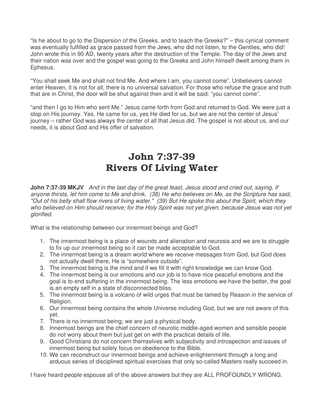"Is he about to go to the Dispersion of the Greeks, and to teach the Greeks?" – this cynical comment was eventually fulfilled as grace passed from the Jews, who did not listen, to the Gentiles, who did! John wrote this in 90 AD, twenty years after the destruction of the Temple. The day of the Jews and their nation was over and the gospel was going to the Greeks and John himself dwelt among them in Ephesus.

"You shall seek Me and shall not find Me. And where I am, you cannot come". Unbelievers cannot enter Heaven, it is not for all, there is no universal salvation. For those who refuse the grace and truth that are in Christ, the door will be shut against then and it will be said: "you cannot come".

"and then I go to Him who sent Me." Jesus came forth from God and returned to God. We were just a stop on His journey. Yes, He came for us, yes He died for us, but we are not the center of Jesus' journey – rather God was always the center of all that Jesus did. The gospel is not about us, and our needs, it is about God and His offer of salvation.

# John 7:37-39 Rivers Of Living Water

**John 7:37-39 MKJV** And in the last day of the great feast, Jesus stood and cried out, saying, If anyone thirsts, let him come to Me and drink. (38) He who believes on Me, as the Scripture has said, "Out of his belly shall flow rivers of living water." (39) But He spoke this about the Spirit, which they who believed on Him should receive; for the Holy Spirit was not yet given, because Jesus was not yet glorified.

What is the relationship between our innermost beings and God?

- 1. The innermost being is a place of wounds and alienation and neurosis and we are to struggle to fix up our innermost being so it can be made acceptable to God.
- 2. The innermost being is a dream world where we receive messages from God, but God does not actually dwell there, He is "somewhere outside".
- 3. The innermost being is the mind and if we fill it with right knowledge we can know God.
- 4. The innermost being is our emotions and our job is to have nice peaceful emotions and the goal is to end suffering in the innermost being. The less emotions we have the better, the goal is an empty self in a state of disconnected bliss.
- 5. The innermost being is a volcano of wild urges that must be tamed by Reason in the service of Religion.
- 6. Our innermost being contains the whole Universe including God, but we are not aware of this yet.
- 7. There is no innermost being; we are just a physical body.
- 8. Innermost beings are the chief concern of neurotic middle-aged women and sensible people do not worry about them but just get on with the practical details of life.
- 9. Good Christians do not concern themselves with subjectivity and introspection and issues of innermost being but solely focus on obedience to the Bible.
- 10. We can reconstruct our innermost beings and achieve enlightenment through a long and arduous series of disciplined spiritual exercises that only so-called Masters really succeed in.

I have heard people espouse all of the above answers but they are ALL PROFOUNDLY WRONG.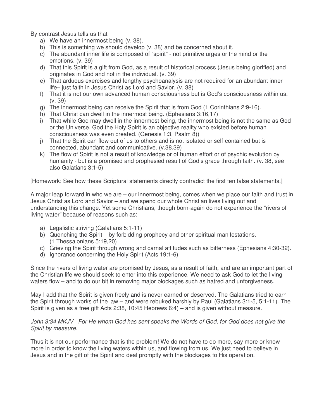By contrast Jesus tells us that

- a) We have an innermost being (v. 38).
- b) This is something we should develop (v. 38) and be concerned about it.
- c) The abundant inner life is composed of "spirit" not primitive urges or the mind or the emotions. (v. 39)
- d) That this Spirit is a gift from God, as a result of historical process (Jesus being glorified) and originates in God and not in the individual. (v. 39)
- e) That arduous exercises and lengthy psychoanalysis are not required for an abundant inner life– just faith in Jesus Christ as Lord and Savior. (v. 38)
- f) That it is not our own advanced human consciousness but is God's consciousness within us. (v. 39)
- g) The innermost being can receive the Spirit that is from God (1 Corinthians 2:9-16).
- h) That Christ can dwell in the innermost being. (Ephesians 3:16,17)
- i) That while God may dwell in the innermost being, the innermost being is not the same as God or the Universe. God the Holy Spirit is an objective reality who existed before human consciousness was even created. (Genesis 1:3, Psalm 8))
- j) That the Spirit can flow out of us to others and is not isolated or self-contained but is connected, abundant and communicative. (v.38,39)
- k) The flow of Spirit is not a result of knowledge or of human effort or of psychic evolution by humanity - but is a promised and prophesied result of God's grace through faith. (v. 38, see also Galatians 3:1-5)

[Homework: See how these Scriptural statements directly contradict the first ten false statements.]

A major leap forward in who we are – our innermost being, comes when we place our faith and trust in Jesus Christ as Lord and Savior – and we spend our whole Christian lives living out and understanding this change. Yet some Christians, though born-again do not experience the "rivers of living water" because of reasons such as:

- a) Legalistic striving (Galatians 5:1-11)
- b) Quenching the Spirit by forbidding prophecy and other spiritual manifestations. (1 Thessalonians 5:19,20)
- c) Grieving the Spirit through wrong and carnal attitudes such as bitterness (Ephesians 4:30-32).
- d) Ignorance concerning the Holy Spirit (Acts 19:1-6)

Since the rivers of living water are promised by Jesus, as a result of faith, and are an important part of the Christian life we should seek to enter into this experience. We need to ask God to let the living waters flow – and to do our bit in removing major blockages such as hatred and unforgiveness.

May I add that the Spirit is given freely and is never earned or deserved. The Galatians tried to earn the Spirit through works of the law – and were rebuked harshly by Paul (Galatians 3:1-5, 5:1-11). The Spirit is given as a free gift Acts 2:38, 10:45 Hebrews 6:4) – and is given without measure.

John 3:34 MKJV For He whom God has sent speaks the Words of God, for God does not give the Spirit by measure.

Thus it is not our performance that is the problem! We do not have to do more, say more or know more in order to know the living waters within us, and flowing from us. We just need to believe in Jesus and in the gift of the Spirit and deal promptly with the blockages to His operation.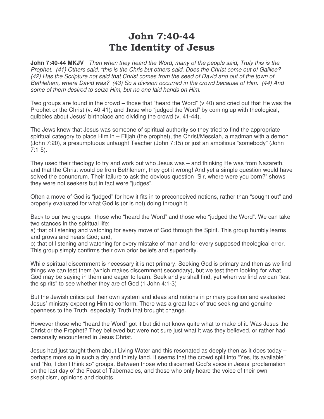# John 7:40-44 The Identity of Jesus

**John 7:40-44 MKJV** Then when they heard the Word, many of the people said, Truly this is the Prophet. (41) Others said, "this is the Chris but others said, Does the Christ come out of Galilee? (42) Has the Scripture not said that Christ comes from the seed of David and out of the town of Bethlehem, where David was? (43) So a division occurred in the crowd because of Him. (44) And some of them desired to seize Him, but no one laid hands on Him.

Two groups are found in the crowd – those that "heard the Word" (v 40) and cried out that He was the Prophet or the Christ (v. 40-41); and those who "judged the Word" by coming up with theological, quibbles about Jesus' birthplace and dividing the crowd (v. 41-44).

The Jews knew that Jesus was someone of spiritual authority so they tried to find the appropriate spiritual category to place Him in – Elijah (the prophet), the Christ/Messiah, a madman with a demon (John 7:20), a presumptuous untaught Teacher (John 7:15) or just an ambitious "somebody" (John 7:1-5).

They used their theology to try and work out who Jesus was – and thinking He was from Nazareth, and that the Christ would be from Bethlehem, they got it wrong! And yet a simple question would have solved the conundrum. Their failure to ask the obvious question "Sir, where were you born?" shows they were not seekers but in fact were "judges".

Often a move of God is "judged" for how it fits in to preconceived notions, rather than "sought out" and properly evaluated for what God is (or is not) doing through it.

Back to our two groups: those who "heard the Word" and those who "judged the Word". We can take two stances in the spiritual life:

a) that of listening and watching for every move of God through the Spirit. This group humbly learns and grows and hears God; and,

b) that of listening and watching for every mistake of man and for every supposed theological error. This group simply confirms their own prior beliefs and superiority.

While spiritual discernment is necessary it is not primary. Seeking God is primary and then as we find things we can test them (which makes discernment secondary), but we test them looking for what God may be saying in them and eager to learn. Seek and ye shall find, yet when we find we can "test the spirits" to see whether they are of God (1 John 4:1-3)

But the Jewish critics put their own system and ideas and notions in primary position and evaluated Jesus' ministry expecting Him to conform. There was a great lack of true seeking and genuine openness to the Truth, especially Truth that brought change.

However those who "heard the Word" got it but did not know quite what to make of it. Was Jesus the Christ or the Prophet? They believed but were not sure just what it was they believed, or rather had personally encountered in Jesus Christ.

Jesus had just taught them about Living Water and this resonated as deeply then as it does today – perhaps more so in such a dry and thirsty land. It seems that the crowd split into "Yes, its available" and "No, I don't think so" groups. Between those who discerned God's voice in Jesus' proclamation on the last day of the Feast of Tabernacles, and those who only heard the voice of their own skepticism, opinions and doubts.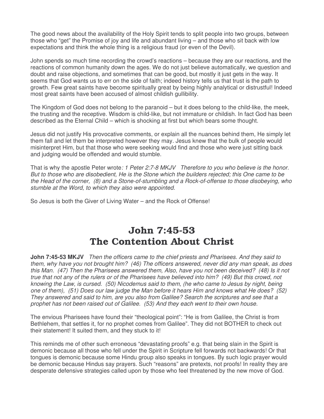The good news about the availability of the Holy Spirit tends to split people into two groups, between those who "get" the Promise of joy and life and abundant living – and those who sit back with low expectations and think the whole thing is a religious fraud (or even of the Devil).

John spends so much time recording the crowd's reactions – because they are our reactions, and the reactions of common humanity down the ages. We do not just believe automatically, we question and doubt and raise objections, and sometimes that can be good, but mostly it just gets in the way. It seems that God wants us to err on the side of faith; indeed history tells us that trust is the path to growth. Few great saints have become spiritually great by being highly analytical or distrustful! Indeed most great saints have been accused of almost childish gullibility.

The Kingdom of God does not belong to the paranoid – but it does belong to the child-like, the meek, the trusting and the receptive. Wisdom is child-like, but not immature or childish. In fact God has been described as the Eternal Child – which is shocking at first but which bears some thought.

Jesus did not justify His provocative comments, or explain all the nuances behind them, He simply let them fall and let them be interpreted however they may. Jesus knew that the bulk of people would misinterpret Him, but that those who were seeking would find and those who were just sitting back and judging would be offended and would stumble.

That is why the apostle Peter wrote: 1 Peter 2:7-8 MKJV Therefore to you who believe is the honor. But to those who are disobedient, He is the Stone which the builders rejected; this One came to be the Head of the corner, (8) and a Stone-of-stumbling and a Rock-of-offense to those disobeying, who stumble at the Word, to which they also were appointed.

So Jesus is both the Giver of Living Water – and the Rock of Offense!

## John 7:45-53 The Contention About Christ

**John 7:45-53 MKJV** Then the officers came to the chief priests and Pharisees. And they said to them, why have you not brought him? (46) The officers answered, never did any man speak, as does this Man. (47) Then the Pharisees answered them, Also, have you not been deceived? (48) Is it not true that not any of the rulers or of the Pharisees have believed into him? (49) But this crowd, not knowing the Law, is cursed. (50) Nicodemus said to them, (he who came to Jesus by night, being one of them), (51) Does our law judge the Man before it hears Him and knows what He does? (52) They answered and said to him, are you also from Galilee? Search the scriptures and see that a prophet has not been raised out of Galilee. (53) And they each went to their own house.

The envious Pharisees have found their "theological point": "He is from Galilee, the Christ is from Bethlehem, that settles it, for no prophet comes from Galilee". They did not BOTHER to check out their statement! It suited them, and they stuck to it!

This reminds me of other such erroneous "devastating proofs" e.g. that being slain in the Spirit is demonic because all those who fell under the Spirit in Scripture fell forwards not backwards! Or that tongues is demonic because some Hindu group also speaks in tongues. By such logic prayer would be demonic because Hindus say prayers. Such "reasons" are pretexts, not proofs! In reality they are desperate defensive strategies called upon by those who feel threatened by the new move of God.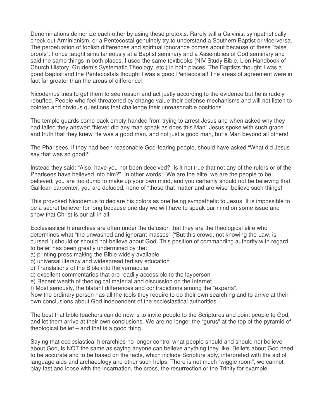Denominations demonize each other by using these pretexts. Rarely will a Calvinist sympathetically check out Arminianism, or a Pentecostal genuinely try to understand a Southern Baptist or vice-versa. The perpetuation of foolish differences and spiritual ignorance comes about because of these "false proofs". I once taught simultaneously at a Baptist seminary and a Assemblies of God seminary and said the same things in both places. I used the same textbooks (NIV Study Bible, Lion Handbook of Church History, Grudem's Systematic Theology, etc.) in both places. The Baptists thought I was a good Baptist and the Pentecostals thought I was a good Pentecostal! The areas of agreement were in fact far greater than the areas of difference!

Nicodemus tries to get them to see reason and act justly according to the evidence but he is rudely rebuffed. People who feel threatened by change value their defense mechanisms and will not listen to pointed and obvious questions that challenge their unreasonable positions.

The temple guards come back empty-handed from trying to arrest Jesus and when asked why they had failed they answer: "Never did any man speak as does this Man" Jesus spoke with such grace and truth that they knew He was a good man, and not just a good man, but a Man beyond all others!

The Pharisees, if they had been reasonable God-fearing people, should have asked "What did Jesus say that was so good?'

Instead they said: "Also, have you not been deceived? Is it not true that not any of the rulers or of the Pharisees have believed into him?" In other words: "We are the elite, we are the people to be believed, you are too dumb to make up your own mind, and you certainly should not be believing that Galilean carpenter, you are deluded, none of "those that matter and are wise" believe such things!

This provoked Nicodemus to declare his colors as one being sympathetic to Jesus. It is impossible to be a secret believer for long because one day we will have to speak our mind on some issue and show that Christ is our all in all!

Ecclesiastical hierarchies are often under the delusion that they are the theological elite who determines what "the unwashed and ignorant masses" ("But this crowd, not knowing the Law, is cursed.") should or should not believe about God. This position of commanding authority with regard to belief has been greatly undermined by the:

- a) printing press making the Bible widely available
- b) universal literacy and widespread tertiary education
- c) Translations of the Bible into the vernacular
- d) excellent commentaries that are readily accessible to the layperson
- e) Recent wealth of theological material and discussion on the Internet
- f) Most seriously, the blatant differences and contradictions among the "experts".

Now the ordinary person has all the tools they require to do their own searching and to arrive at their own conclusions about God independent of the ecclesiastical authorities.

The best that bible teachers can do now is to invite people to the Scriptures and point people to God, and let them arrive at their own conclusions. We are no longer the "gurus" at the top of the pyramid of theological belief – and that is a good thing.

Saying that ecclesiastical hierarchies no longer control what people should and should not believe about God, is NOT the same as saying anyone can believe anything they like. Beliefs about God need to be accurate and to be based on the facts, which include Scripture ably, interpreted with the aid of language aids and archaeology and other such helps. There is not much "wiggle room", we cannot play fast and loose with the incarnation, the cross, the resurrection or the Trinity for example.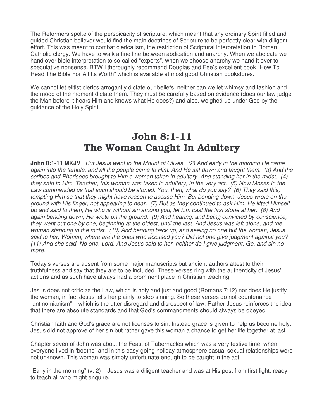The Reformers spoke of the perspicacity of scripture, which meant that any ordinary Spirit-filled and guided Christian believer would find the main doctrines of Scripture to be perfectly clear with diligent effort. This was meant to combat clericalism, the restriction of Scriptural interpretation to Roman Catholic clergy. We have to walk a fine line between abdication and anarchy. When we abdicate we hand over bible interpretation to so-called "experts", when we choose anarchy we hand it over to speculative nonsense. BTW I thoroughly recommend Douglas and Fee's excellent book "How To Read The Bible For All Its Worth" which is available at most good Christian bookstores.

We cannot let elitist clerics arrogantly dictate our beliefs, neither can we let whimsy and fashion and the mood of the moment dictate them. They must be carefully based on evidence (does our law judge the Man before it hears Him and knows what He does?) and also, weighed up under God by the guidance of the Holy Spirit.

# John 8:1-11 The Woman Caught In Adultery

**John 8:1-11 MKJV** But Jesus went to the Mount of Olives. (2) And early in the morning He came again into the temple, and all the people came to Him. And He sat down and taught them. (3) And the scribes and Pharisees brought to Him a woman taken in adultery. And standing her in the midst, (4) they said to Him, Teacher, this woman was taken in adultery, in the very act. (5) Now Moses in the Law commanded us that such should be stoned. You, then, what do you say? (6) They said this, tempting Him so that they might have reason to accuse Him. But bending down, Jesus wrote on the ground with His finger, not appearing to hear. (7) But as they continued to ask Him, He lifted Himself up and said to them, He who is without sin among you, let him cast the first stone at her. (8) And again bending down, He wrote on the ground. (9) And hearing, and being convicted by conscience, they went out one by one, beginning at the oldest, until the last. And Jesus was left alone, and the woman standing in the midst. (10) And bending back up, and seeing no one but the woman, Jesus said to her, Woman, where are the ones who accused you? Did not one give judgment against you? (11) And she said, No one, Lord. And Jesus said to her, neither do I give judgment. Go, and sin no more.

Today's verses are absent from some major manuscripts but ancient authors attest to their truthfulness and say that they are to be included. These verses ring with the authenticity of Jesus' actions and as such have always had a prominent place in Christian teaching.

Jesus does not criticize the Law, which is holy and just and good (Romans 7:12) nor does He justify the woman, in fact Jesus tells her plainly to stop sinning. So these verses do not countenance "antinomianism" – which is the utter disregard and disrespect of law. Rather Jesus reinforces the idea that there are absolute standards and that God's commandments should always be obeyed.

Christian faith and God's grace are not licenses to sin. Instead grace is given to help us become holy. Jesus did not approve of her sin but rather gave this woman a chance to get her life together at last.

Chapter seven of John was about the Feast of Tabernacles which was a very festive time, when everyone lived in 'booths" and in this easy-going holiday atmosphere casual sexual relationships were not unknown. This woman was simply unfortunate enough to be caught in the act.

"Early in the morning" (v. 2) – Jesus was a diligent teacher and was at His post from first light, ready to teach all who might enquire.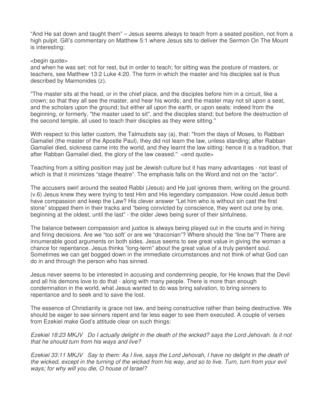"And He sat down and taught them" – Jesus seems always to teach from a seated position, not from a high pulpit. Gill's commentary on Matthew 5:1 where Jesus sits to deliver the Sermon On The Mount is interesting:

<begin quote>

and when he was set: not for rest, but in order to teach; for sitting was the posture of masters, or teachers, see Matthew 13:2 Luke 4:20. The form in which the master and his disciples sat is thus described by Maimonides (z).

"The master sits at the head, or in the chief place, and the disciples before him in a circuit, like a crown; so that they all see the master, and hear his words; and the master may not sit upon a seat, and the scholars upon the ground; but either all upon the earth, or upon seats: indeed from the beginning, or formerly, "the master used to sit", and the disciples stand; but before the destruction of the second temple, all used to teach their disciples as they were sitting.''

With respect to this latter custom, the Talmudists say (a), that: "from the days of Moses, to Rabban Gamaliel (the master of the Apostle Paul), they did not learn the law, unless standing; after Rabban Gamaliel died, sickness came into the world, and they learnt the law sitting: hence it is a tradition, that after Rabban Gamaliel died, the glory of the law ceased.'' <end quote>

Teaching from a sitting position may just be Jewish culture but it has many advantages - not least of which is that it minimizes "stage theatre". The emphasis falls on the Word and not on the "actor".

The accusers swirl around the seated Rabbi (Jesus) and He just ignores them, writing on the ground. (v.6) Jesus knew they were trying to test Him and His legendary compassion. How could Jesus both have compassion and keep the Law? His clever answer "Let him who is without sin cast the first stone" stopped them in their tracks and "being convicted by conscience, they went out one by one, beginning at the oldest, until the last" - the older Jews being surer of their sinfulness.

The balance between compassion and justice is always being played out in the courts and in hiring and firing decisions. Are we "too soft' or are we "draconian"? Where should the "line be"? There are innumerable good arguments on both sides. Jesus seems to see great value in giving the woman a chance for repentance. Jesus thinks "long-term" about the great value of a truly penitent soul. Sometimes we can get bogged down in the immediate circumstances and not think of what God can do in and through the person who has sinned.

Jesus never seems to be interested in accusing and condemning people, for He knows that the Devil and all his demons love to do that - along with many people. There is more than enough condemnation in the world, what Jesus wanted to do was bring salvation, to bring sinners to repentance and to seek and to save the lost.

The essence of Christianity is grace not law, and being constructive rather than being destructive. We should be eager to see sinners repent and far less eager to see them executed. A couple of verses from Ezekiel make God's attitude clear on such things:

Ezekiel 18:23 MKJV Do I actually delight in the death of the wicked? says the Lord Jehovah. Is it not that he should turn from his ways and live?

Ezekiel 33:11 MKJV Say to them: As I live, says the Lord Jehovah, I have no delight in the death of the wicked, except in the turning of the wicked from his way, and so to live. Turn, turn from your evil ways; for why will you die, O house of Israel?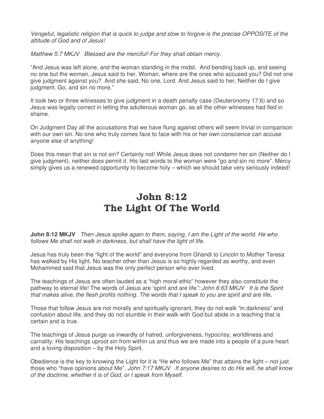Vengeful, legalistic religion that is quick to judge and slow to forgive is the precise OPPOSITE of the attitude of God and of Jesus!

Matthew 5:7 MKJV Blessed are the merciful! For they shall obtain mercy.

"And Jesus was left alone, and the woman standing in the midst. And bending back up, and seeing no one but the woman, Jesus said to her, Woman, where are the ones who accused you? Did not one give judgment against you? And she said, No one, Lord. And Jesus said to her, Neither do I give judgment. Go, and sin no more."

It took two or three witnesses to give judgment in a death penalty case (Deuteronomy 17:6) and so Jesus was legally correct in letting the adulterous woman go, as all the other witnesses had fled in shame.

On Judgment Day all the accusations that we have flung against others will seem trivial in comparison with our own sin. No one who truly comes face to face with his or her own conscience can accuse anyone else of anything!

Does this mean that sin is not sin? Certainly not! While Jesus does not condemn her sin (Neither do I give judgment), neither does permit it. His last words to the woman were "go and sin no more". Mercy simply gives us a renewed opportunity to become holy – which we should take very seriously indeed!

# John 8:12 The Light Of The World

**John 8:12 MKJV** Then Jesus spoke again to them, saying, I am the Light of the world. He who follows Me shall not walk in darkness, but shall have the light of life.

Jesus has truly been the "light of the world" and everyone from Ghandi to Lincoln to Mother Teresa has walked by His light. No teacher other than Jesus is so highly regarded as worthy, and even Mohammed said that Jesus was the only perfect person who ever lived.

The teachings of Jesus are often lauded as a "high moral ethic" however they also constitute the pathway to eternal life! The words of Jesus are 'spirit and are life": John 6:63 MKJV It is the Spirit that makes alive, the flesh profits nothing. The words that I speak to you are spirit and are life**.** 

Those that follow Jesus are not morally and spiritually ignorant, they do not walk "in darkness" and confusion about life, and they do not stumble in their walk with God but abide in a teaching that is certain and is true.

The teachings of Jesus purge us inwardly of hatred, unforgiveness, hypocrisy, worldliness and carnality. His teachings uproot sin from within us and thus we are made into a people of a pure heart and a loving disposition – by the Holy Spirit.

Obedience is the key to knowing the Light for it is "He who follows Me" that attains the light – not just those who "have opinions about Me". John 7:17 MKJV If anyone desires to do His will, he shall know of the doctrine, whether it is of God, or I speak from Myself.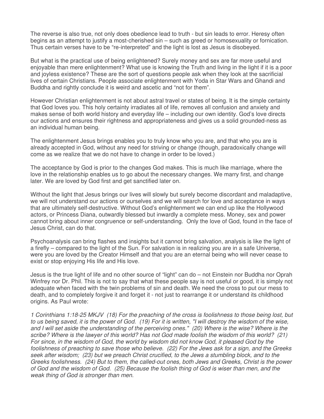The reverse is also true, not only does obedience lead to truth - but sin leads to error. Heresy often begins as an attempt to justify a most-cherished sin – such as greed or homosexuality or fornication. Thus certain verses have to be "re-interpreted" and the light is lost as Jesus is disobeyed.

But what is the practical use of being enlightened? Surely money and sex are far more useful and enjoyable than mere enlightenment? What use is knowing the Truth and living in the light if it is a poor and joyless existence? These are the sort of questions people ask when they look at the sacrificial lives of certain Christians. People associate enlightenment with Yoda in Star Wars and Ghandi and Buddha and rightly conclude it is weird and ascetic and "not for them".

However Christian enlightenment is not about astral travel or states of being. It is the simple certainty that God loves you. This holy certainty irradiates all of life, removes all confusion and anxiety and makes sense of both world history and everyday life – including our own identity. God's love directs our actions and ensures their rightness and appropriateness and gives us a solid grounded-ness as an individual human being.

The enlightenment Jesus brings enables you to truly know who you are, and that who you are is already accepted in God, without any need for striving or change (though, paradoxically change will come as we realize that we do not have to change in order to be loved.)

The acceptance by God is prior to the changes God makes. This is much like marriage, where the love in the relationship enables us to go about the necessary changes. We marry first, and change later. We are loved by God first and get sanctified later on.

Without the light that Jesus brings our lives will slowly but surely become discordant and maladaptive, we will not understand our actions or ourselves and we will search for love and acceptance in ways that are ultimately self-destructive. Without God's enlightenment we can end up like the Hollywood actors, or Princess Diana, outwardly blessed but inwardly a complete mess. Money, sex and power cannot bring about inner congruence or self-understanding. Only the love of God, found in the face of Jesus Christ, can do that.

Psychoanalysis can bring flashes and insights but it cannot bring salvation, analysis is like the light of a firefly – compared to the light of the Sun. For salvation is in realizing you are in a safe Universe, were you are loved by the Creator Himself and that you are an eternal being who will never cease to exist or stop enjoying His life and His love.

Jesus is the true light of life and no other source of "light" can do – not Einstein nor Buddha nor Oprah Winfrey nor Dr. Phil. This is not to say that what these people say is not useful or good, it is simply not adequate when faced with the twin problems of sin and death. We need the cross to put our mess to death, and to completely forgive it and forget it - not just to rearrange it or understand its childhood origins. As Paul wrote:

1 Corinthians 1:18-25 MKJV (18) For the preaching of the cross is foolishness to those being lost, but to us being saved, it is the power of God. (19) For it is written, "I will destroy the wisdom of the wise, and I will set aside the understanding of the perceiving ones." (20) Where is the wise? Where is the scribe? Where is the lawyer of this world? Has not God made foolish the wisdom of this world? (21) For since, in the wisdom of God, the world by wisdom did not know God, it pleased God by the foolishness of preaching to save those who believe. (22) For the Jews ask for a sign, and the Greeks seek after wisdom; (23) but we preach Christ crucified, to the Jews a stumbling block, and to the Greeks foolishness. (24) But to them, the called-out ones, both Jews and Greeks, Christ is the power of God and the wisdom of God. (25) Because the foolish thing of God is wiser than men, and the weak thing of God is stronger than men.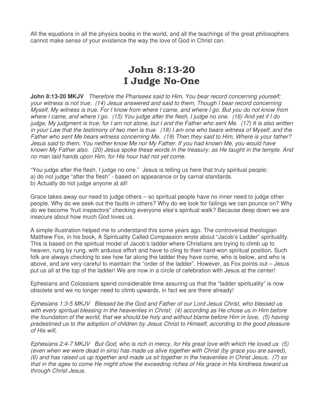All the equations in all the physics books in the world, and all the teachings of the great philosophers cannot make sense of your existence the way the love of God in Christ can.

## John 8:13-20 I Judge No-One

**John 8:13-20 MKJV** Therefore the Pharisees said to Him, You bear record concerning yourself; your witness is not true. (14) Jesus answered and said to them, Though I bear record concerning Myself, My witness is true. For I know from where I came, and where I go. But you do not know from where I came, and where I go. (15) You judge after the flesh, I judge no one. (16) And yet if I do judge, My judgment is true; for I am not alone, but I and the Father who sent Me. (17) It is also written in your Law that the testimony of two men is true. (18) I am one who bears witness of Myself, and the Father who sent Me bears witness concerning Me. (19) Then they said to Him, Where is your father? Jesus said to them, You neither know Me nor My Father. If you had known Me, you would have known My Father also. (20) Jesus spoke these words in the treasury, as He taught in the temple. And no man laid hands upon Him, for His hour had not yet come.

"You judge after the flesh, I judge no one." Jesus is telling us here that truly spiritual people: a) do not judge "after the flesh" - based on appearance or by carnal standards. b) Actually do not judge anyone at all!

Grace takes away our need to judge others – so spiritual people have no inner need to judge other people. Why do we seek out the faults in others? Why do we look for failings we can pounce on? Why do we become 'fruit inspectors" checking everyone else's spiritual walk? Because deep down we are insecure about how much God loves us.

A simple illustration helped me to understand this some years ago. The controversial theologian Matthew Fox, in his book, A Spirituality Called Compassion wrote about "Jacob's Ladder" spirituality. This is based on the spiritual model of Jacob's ladder where Christians are trying to climb up to heaven, rung by rung, with arduous effort and have to cling to their hard-won spiritual position. Such folk are always checking to see how far along the ladder they have come, who is below, and who is above, and are very careful to maintain the "order of the ladder". However, as Fox points out – Jesus put us all at the top of the ladder! We are now in a circle of celebration with Jesus at the center!

Ephesians and Colossians spend considerable time assuring us that the "ladder spirituality" is now obsolete and we no longer need to climb upwards, in fact we are there already!

Ephesians 1:3-5 MKJV Blessed be the God and Father of our Lord Jesus Christ, who blessed us with every spiritual blessing in the heavenlies in Christ; (4) according as He chose us in Him before the foundation of the world, that we should be holy and without blame before Him in love, (5) having predestined us to the adoption of children by Jesus Christ to Himself, according to the good pleasure of His will,

Ephesians 2:4-7 MKJV But God, who is rich in mercy, for His great love with which He loved us (5) (even when we were dead in sins) has made us alive together with Christ (by grace you are saved), (6) and has raised us up together and made us sit together in the heavenlies in Christ Jesus, (7) so that in the ages to come He might show the exceeding riches of His grace in His kindness toward us through Christ Jesus.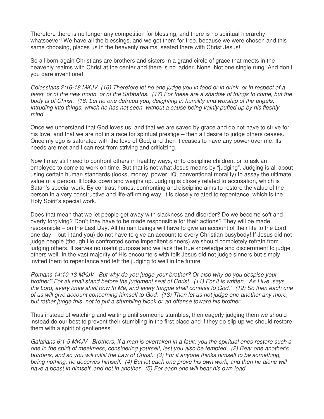Therefore there is no longer any competition for blessing, and there is no spiritual hierarchy whatsoever! We have all the blessings, and we got them for free, because we were chosen and this same choosing, places us in the heavenly realms, seated there with Christ Jesus!

So all born-again Christians are brothers and sisters in a grand circle of grace that meets in the heavenly realms with Christ at the center and there is no ladder. None. Not one single rung. And don't you dare invent one!

Colossians 2:16-18 MKJV (16) Therefore let no one judge you in food or in drink, or in respect of a feast, or of the new moon, or of the Sabbaths. (17) For these are a shadow of things to come, but the body is of Christ. (18) Let no one defraud you, delighting in humility and worship of the angels, intruding into things, which he has not seen, without a cause being vainly puffed up by his fleshly mind.

Once we understand that God loves us, and that we are saved by grace and do not have to strive for his love, and that we are not in a race for spiritual prestige – then all desire to judge others ceases. Once my ego is saturated with the love of God, and then it ceases to have any power over me. Its needs are met and I can rest from striving and criticizing.

Now I may still need to confront others in healthy ways, or to discipline children, or to ask an employee to come to work on time. But that is not what Jesus means by "judging". Judging is all about using certain human standards (looks, money, power, IQ, conventional morality) to assay the ultimate value of a person. It looks down and weighs up. Judging is closely related to accusation, which is Satan's special work. By contrast honest confronting and discipline aims to restore the value of the person in a very constructive and life-affirming way, it is closely related to repentance, which is the Holy Spirit's special work.

Does that mean that we let people get away with slackness and disorder? Do we become soft and overly forgiving? Don't they have to be made responsible for their actions? They will be made responsible – on the Last Day. All human beings will have to give an account of their life to the Lord one day – but I (and you) do not have to give an account to every Christian busybody! If Jesus did not judge people (though He confronted some impenitent sinners) we should completely refrain from judging others. It serves no useful purpose and we lack the true knowledge and discernment to judge others well. In the vast majority of His encounters with folk Jesus did not judge sinners but simply invited them to repentance and left the judging to well in the future.

Romans 14:10-13 MKJV But why do you judge your brother? Or also why do you despise your brother? For all shall stand before the judgment seat of Christ. (11) For it is written, "As I live, says the Lord, every knee shall bow to Me, and every tongue shall confess to God." (12) So then each one of us will give account concerning himself to God. (13) Then let us not judge one another any more, but rather judge this, not to put a stumbling block or an offense toward his brother.

Thus instead of watching and waiting until someone stumbles, then eagerly judging them we should instead do our best to prevent their stumbling in the first place and if they do slip up we should restore them with a spirit of gentleness.

Galatians 6:1-5 MKJV Brothers, if a man is overtaken in a fault, you the spiritual ones restore such a one in the spirit of meekness, considering yourself, lest you also be tempted. (2) Bear one another's burdens, and so you will fulfill the Law of Christ. (3) For if anyone thinks himself to be something, being nothing, he deceives himself. (4) But let each one prove his own work, and then he alone will have a boast in himself, and not in another. (5) For each one will bear his own load.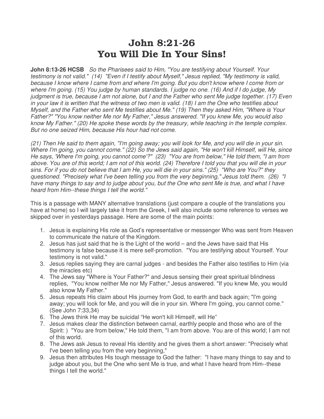#### John 8:21-26 You Will Die In Your Sins!

**John 8:13-26 HCSB** So the Pharisees said to Him, "You are testifying about Yourself. Your testimony is not valid." (14) "Even if I testify about Myself," Jesus replied, "My testimony is valid, because I know where I came from and where I'm going. But you don't know where I come from or where I'm going. (15) You judge by human standards. I judge no one. (16) And if I do judge, My judgment is true, because I am not alone, but I and the Father who sent Me judge together. (17) Even in your law it is written that the witness of two men is valid. (18) I am the One who testifies about Myself, and the Father who sent Me testifies about Me." (19) Then they asked Him, "Where is Your Father?" "You know neither Me nor My Father," Jesus answered. "If you knew Me, you would also know My Father." (20) He spoke these words by the treasury, while teaching in the temple complex. But no one seized Him, because His hour had not come.

(21) Then He said to them again, "I'm going away; you will look for Me, and you will die in your sin. Where I'm going, you cannot come." (22) So the Jews said again, "He won't kill Himself, will He, since He says, 'Where I'm going, you cannot come'?" (23) "You are from below," He told them, "I am from above. You are of this world; I am not of this world. (24) Therefore I told you that you will die in your sins. For if you do not believe that I am He, you will die in your sins." (25) "Who are You?" they questioned. "Precisely what I've been telling you from the very beginning," Jesus told them. (26) "I have many things to say and to judge about you, but the One who sent Me is true, and what I have heard from Him--these things I tell the world."

This is a passage with MANY alternative translations (just compare a couple of the translations you have at home) so I will largely take it from the Greek, I will also include some reference to verses we skipped over in yesterdays passage. Here are some of the main points:

- 1. Jesus is explaining His role as God's representative or messenger Who was sent from Heaven to communicate the nature of the Kingdom.
- 2. Jesus has just said that he is the Light of the world and the Jews have said that His testimony is false because it is mere self-promotion. "You are testifying about Yourself. Your testimony is not valid."
- 3. Jesus replies saying they are carnal judges and besides the Father also testifies to Him (via the miracles etc)
- 4. The Jews say "Where is Your Father?" and Jesus sensing their great spiritual blindness replies, "You know neither Me nor My Father," Jesus answered. "If you knew Me, you would also know My Father."
- 5. Jesus repeats His claim about His journey from God, to earth and back again; "I'm going away; you will look for Me, and you will die in your sin. Where I'm going, you cannot come." (See John 7:33,34)
- 6. The Jews think He may be suicidal "He won't kill Himself, will He"
- 7. Jesus makes clear the distinction between carnal, earthly people and those who are of the Spirit: ) "You are from below," He told them, "I am from above. You are of this world; I am not of this world.
- 8. The Jews ask Jesus to reveal His identity and he gives them a short answer: "Precisely what I've been telling you from the very beginning,"
- 9. Jesus then attributes His tough message to God the father: "I have many things to say and to judge about you, but the One who sent Me is true, and what I have heard from Him--these things I tell the world."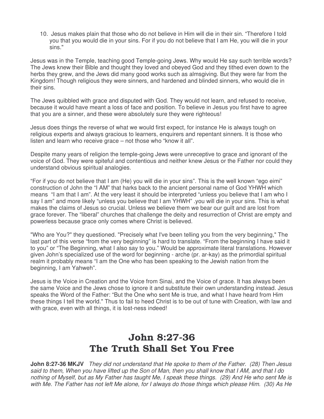10. Jesus makes plain that those who do not believe in Him will die in their sin. "Therefore I told you that you would die in your sins. For if you do not believe that I am He, you will die in your sins."

Jesus was in the Temple, teaching good Temple-going Jews. Why would He say such terrible words? The Jews knew their Bible and thought they loved and obeyed God and they tithed even down to the herbs they grew, and the Jews did many good works such as almsgiving. But they were far from the Kingdom! Though religious they were sinners, and hardened and blinded sinners, who would die in their sins.

The Jews quibbled with grace and disputed with God. They would not learn, and refused to receive, because it would have meant a loss of face and position. To believe in Jesus you first have to agree that you are a sinner, and these were absolutely sure they were righteous!

Jesus does things the reverse of what we would first expect, for instance He is always tough on religious experts and always gracious to learners, enquirers and repentant sinners. It is those who listen and learn who receive grace – not those who "know it all".

Despite many years of religion the temple-going Jews were unreceptive to grace and ignorant of the voice of God. They were spiteful and contentious and neither knew Jesus or the Father nor could they understand obvious spiritual analogies.

"For if you do not believe that I am (He) you will die in your sins". This is the well known "ego eimi" construction of John the "I AM" that harks back to the ancient personal name of God YHWH which means "I am that I am". At the very least it should be interpreted "unless you believe that I am who I say I am" and more likely "unless you believe that I am YHWH" .you will die in your sins. This is what makes the claims of Jesus so crucial. Unless we believe them we bear our guilt and are lost from grace forever. The "liberal" churches that challenge the deity and resurrection of Christ are empty and powerless because grace only comes where Christ is believed.

"Who are You?" they questioned. "Precisely what I've been telling you from the very beginning," The last part of this verse "from the very beginning" is hard to translate. "From the beginning I have said it to you" or "The Beginning, what I also say to you." Would be approximate literal translations. However given John's specialized use of the word for beginning - arche (pr. ar-kay) as the primordial spiritual realm it probably means "I am the One who has been speaking to the Jewish nation from the beginning, I am Yahweh".

Jesus is the Voice in Creation and the Voice from Sinai, and the Voice of grace. It has always been the same Voice and the Jews chose to ignore it and substitute their own understanding instead. Jesus speaks the Word of the Father: "But the One who sent Me is true, and what I have heard from Him these things I tell the world." Thus to fail to heed Christ is to be out of tune with Creation, with law and with grace, even with all things, it is lost-ness indeed!

# John 8:27-36 The Truth Shall Set You Free

**John 8:27-36 MKJV** They did not understand that He spoke to them of the Father. (28) Then Jesus said to them, When you have lifted up the Son of Man, then you shall know that I AM, and that I do nothing of Myself, but as My Father has taught Me, I speak these things. (29) And He who sent Me is with Me. The Father has not left Me alone, for I always do those things which please Him. (30) As He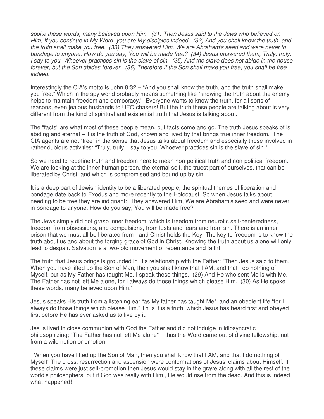spoke these words, many believed upon Him. (31) Then Jesus said to the Jews who believed on Him, If you continue in My Word, you are My disciples indeed. (32) And you shall know the truth, and the truth shall make you free. (33) They answered Him, We are Abraham's seed and were never in bondage to anyone. How do you say, You will be made free? (34) Jesus answered them, Truly, truly, I say to you, Whoever practices sin is the slave of sin. (35) And the slave does not abide in the house forever, but the Son abides forever. (36) Therefore if the Son shall make you free, you shall be free indeed.

Interestingly the CIA's motto is John 8:32 – "And you shall know the truth, and the truth shall make you free." Which in the spy world probably means something like "knowing the truth about the enemy helps to maintain freedom and democracy." Everyone wants to know the truth, for all sorts of reasons, even jealous husbands to UFO chasers! But the truth these people are talking about is very different from the kind of spiritual and existential truth that Jesus is talking about.

The "facts" are what most of these people mean, but facts come and go. The truth Jesus speaks of is abiding and eternal – it is the truth of God, known and lived by that brings true inner freedom. The CIA agents are not "free" in the sense that Jesus talks about freedom and especially those involved in rather dubious activities: "Truly, truly, I say to you, Whoever practices sin is the slave of sin."

So we need to redefine truth and freedom here to mean non-political truth and non-political freedom. We are looking at the inner human person, the eternal self, the truest part of ourselves, that can be liberated by Christ, and which is compromised and bound up by sin.

It is a deep part of Jewish identity to be a liberated people, the spiritual themes of liberation and bondage date back to Exodus and more recently to the Holocaust. So when Jesus talks about needing to be free they are indignant: "They answered Him, We are Abraham's seed and were never in bondage to anyone. How do you say, You will be made free?"

The Jews simply did not grasp inner freedom, which is freedom from neurotic self-centeredness, freedom from obsessions, and compulsions, from lusts and fears and from sin. There is an inner prison that we must all be liberated from - and Christ holds the Key. The key to freedom is to know the truth about us and about the forging grace of God in Christ. Knowing the truth about us alone will only lead to despair. Salvation is a two-fold movement of repentance and faith!

The truth that Jesus brings is grounded in His relationship with the Father: "Then Jesus said to them, When you have lifted up the Son of Man, then you shall know that I AM, and that I do nothing of Myself, but as My Father has taught Me, I speak these things. (29) And He who sent Me is with Me. The Father has not left Me alone, for I always do those things which please Him. (30) As He spoke these words, many believed upon Him."

Jesus speaks His truth from a listening ear "as My father has taught Me", and an obedient life "for I always do those things which please Him." Thus it is a truth, which Jesus has heard first and obeyed first before He has ever asked us to live by it.

Jesus lived in close communion with God the Father and did not indulge in idiosyncratic philosophizing; "The Father has not left Me alone" – thus the Word came out of divine fellowship, not from a wild notion or emotion.

" When you have lifted up the Son of Man, then you shall know that I AM, and that I do nothing of Myself" The cross, resurrection and ascension were conformations of Jesus' claims about Himself. If these claims were just self-promotion then Jesus would stay in the grave along with all the rest of the world's philosophers, but if God was really with Him , He would rise from the dead. And this is indeed what happened!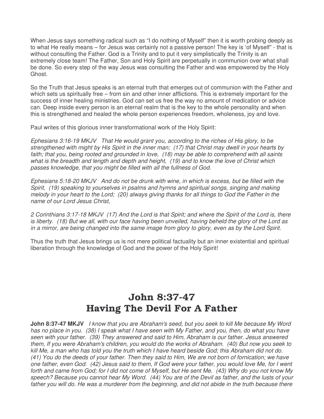When Jesus says something radical such as "I do nothing of Myself" then it is worth probing deeply as to what He really means – for Jesus was certainly not a passive person! The key is 'of Myself" - that is without consulting the Father. God is a Trinity and to put it very simplistically the Trinity is an extremely close team! The Father, Son and Holy Spirit are perpetually in communion over what shall be done. So every step of the way Jesus was consulting the Father and was empowered by the Holy Ghost.

So the Truth that Jesus speaks is an eternal truth that emerges out of communion with the Father and which sets us spiritually free – from sin and other inner afflictions. This is extremely important for the success of inner healing ministries. God can set us free the way no amount of medication or advice can. Deep inside every person is an eternal realm that is the key to the whole personality and when this is strengthened and healed the whole person experiences freedom, wholeness, joy and love.

Paul writes of this glorious inner transformational work of the Holy Spirit:

Ephesians 3:16-19 MKJV That He would grant you, according to the riches of His glory, to be strengthened with might by His Spirit in the inner man; (17) that Christ may dwell in your hearts by faith; that you, being rooted and grounded in love, (18) may be able to comprehend with all saints what is the breadth and length and depth and height, (19) and to know the love of Christ which passes knowledge, that you might be filled with all the fullness of God.

Ephesians 5:18-20 MKJV And do not be drunk with wine, in which is excess, but be filled with the Spirit, (19) speaking to yourselves in psalms and hymns and spiritual songs, singing and making melody in your heart to the Lord; (20) always giving thanks for all things to God the Father in the name of our Lord Jesus Christ,

2 Corinthians 3:17-18 MKJV (17) And the Lord is that Spirit; and where the Spirit of the Lord is, there is liberty. (18) But we all, with our face having been unveiled, having beheld the glory of the Lord as in a mirror, are being changed into the same image from glory to glory, even as by the Lord Spirit.

Thus the truth that Jesus brings us is not mere political factuality but an inner existential and spiritual liberation through the knowledge of God and the power of the Holy Spirit!

## John 8:37-47 Having The Devil For A Father

**John 8:37-47 MKJV** I know that you are Abraham's seed, but you seek to kill Me because My Word has no place in you. (38) I speak what I have seen with My Father, and you, then, do what you have seen with your father. (39) They answered and said to Him, Abraham is our father. Jesus answered them, If you were Abraham's children, you would do the works of Abraham. (40) But now you seek to kill Me, a man who has told you the truth which I have heard beside God; this Abraham did not do. (41) You do the deeds of your father. Then they said to Him, We are not born of fornication; we have one father, even God. (42) Jesus said to them, If God were your father, you would love Me, for I went forth and came from God; for I did not come of Myself, but He sent Me. (43) Why do you not know My speech? Because you cannot hear My Word. (44) You are of the Devil as father, and the lusts of your father you will do. He was a murderer from the beginning, and did not abide in the truth because there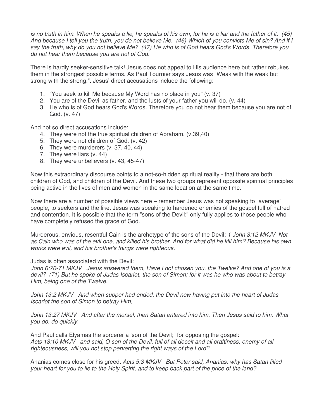is no truth in him. When he speaks a lie, he speaks of his own, for he is a liar and the father of it. (45) And because I tell you the truth, you do not believe Me. (46) Which of you convicts Me of sin? And if I say the truth, why do you not believe Me? (47) He who is of God hears God's Words. Therefore you do not hear them because you are not of God.

There is hardly seeker-sensitive talk! Jesus does not appeal to His audience here but rather rebukes them in the strongest possible terms. As Paul Tournier says Jesus was "Weak with the weak but strong with the strong.". Jesus' direct accusations include the following:

- 1. "You seek to kill Me because My Word has no place in you" (v. 37)
- 2. You are of the Devil as father, and the lusts of your father you will do. (v. 44)
- 3. He who is of God hears God's Words. Therefore you do not hear them because you are not of God. (v. 47)

And not so direct accusations include:

- 4. They were not the true spiritual children of Abraham. (v.39,40)
- 5. They were not children of God. (v. 42)
- 6. They were murderers (v. 37, 40, 44)
- 7. They were liars (v. 44)
- 8. They were unbelievers (v. 43, 45-47)

Now this extraordinary discourse points to a not-so-hidden spiritual reality - that there are both children of God, and children of the Devil. And these two groups represent opposite spiritual principles being active in the lives of men and women in the same location at the same time.

Now there are a number of possible views here – remember Jesus was not speaking to "average" people, to seekers and the like. Jesus was speaking to hardened enemies of the gospel full of hatred and contention. It is possible that the term "sons of the Devil;" only fully applies to those people who have completely refused the grace of God.

Murderous, envious, resentful Cain is the archetype of the sons of the Devil: 1 John 3:12 MKJV Not as Cain who was of the evil one, and killed his brother. And for what did he kill him? Because his own works were evil, and his brother's things were righteous.

#### Judas is often associated with the Devil:

John 6:70-71 MKJV Jesus answered them, Have I not chosen you, the Twelve? And one of you is a devil? (71) But he spoke of Judas Iscariot, the son of Simon; for it was he who was about to betray Him, being one of the Twelve.

John 13:2 MKJV And when supper had ended, the Devil now having put into the heart of Judas Iscariot the son of Simon to betray Him,

John 13:27 MKJV And after the morsel, then Satan entered into him. Then Jesus said to him, What you do, do quickly.

And Paul calls Elyamas the sorcerer a 'son of the Devil;" for opposing the gospel: Acts 13:10 MKJV and said, O son of the Devil, full of all deceit and all craftiness, enemy of all righteousness, will you not stop perverting the right ways of the Lord?

Ananias comes close for his greed: Acts 5:3 MKJV But Peter said, Ananias, why has Satan filled your heart for you to lie to the Holy Spirit, and to keep back part of the price of the land?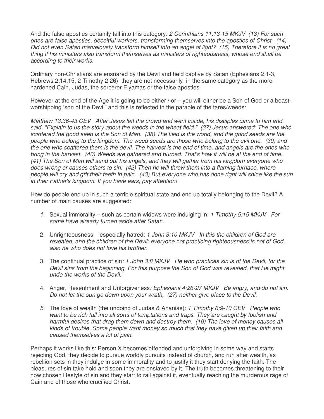And the false apostles certainly fall into this category: 2 Corinthians 11:13-15 MKJV (13) For such ones are false apostles, deceitful workers, transforming themselves into the apostles of Christ. (14) Did not even Satan marvelously transform himself into an angel of light? (15) Therefore it is no great thing if his ministers also transform themselves as ministers of righteousness, whose end shall be according to their works.

Ordinary non-Christians are ensnared by the Devil and held captive by Satan (Ephesians 2;1-3, Hebrews 2;14,15, 2 Timothy 2;26) they are not necessarily in the same category as the more hardened Cain, Judas, the sorcerer Elyamas or the false apostles.

However at the end of the Age it is going to be either / or – you will either be a Son of God or a beastworshipping 'son of the Devil" and this is reflected in the parable of the tares/weeds:

Matthew 13:36-43 CEV After Jesus left the crowd and went inside, his disciples came to him and said, "Explain to us the story about the weeds in the wheat field." (37) Jesus answered: The one who scattered the good seed is the Son of Man. (38) The field is the world, and the good seeds are the people who belong to the kingdom. The weed seeds are those who belong to the evil one, (39) and the one who scattered them is the devil. The harvest is the end of time, and angels are the ones who bring in the harvest. (40) Weeds are gathered and burned. That's how it will be at the end of time. (41) The Son of Man will send out his angels, and they will gather from his kingdom everyone who does wrong or causes others to sin. (42) Then he will throw them into a flaming furnace, where people will cry and grit their teeth in pain. (43) But everyone who has done right will shine like the sun in their Father's kingdom. If you have ears, pay attention!

How do people end up in such a terrible spiritual state and end up totally belonging to the Devil? A number of main causes are suggested:

- 1. Sexual immorality such as certain widows were indulging in: 1 Timothy 5:15 MKJV For some have already turned aside after Satan.
- 2. Unrighteousness especially hatred: 1 John 3:10 MKJV In this the children of God are revealed, and the children of the Devil: everyone not practicing righteousness is not of God, also he who does not love his brother.
- 3. The continual practice of sin: 1 John 3:8 MKJV He who practices sin is of the Devil, for the Devil sins from the beginning. For this purpose the Son of God was revealed, that He might undo the works of the Devil.
- 4. Anger, Resentment and Unforgiveness: Ephesians 4:26-27 MKJV Be angry, and do not sin. Do not let the sun go down upon your wrath, (27) neither give place to the Devil.
- 5. The love of wealth (the undoing of Judas & Ananias): 1 Timothy 6:9-10 CEV People who want to be rich fall into all sorts of temptations and traps. They are caught by foolish and harmful desires that drag them down and destroy them. (10) The love of money causes all kinds of trouble. Some people want money so much that they have given up their faith and caused themselves a lot of pain.

Perhaps it works like this: Person X becomes offended and unforgiving in some way and starts rejecting God, they decide to pursue worldly pursuits instead of church, and run after wealth, as rebellion sets in they indulge in some immorality and to justify it they start denying the faith. The pleasures of sin take hold and soon they are enslaved by it. The truth becomes threatening to their now chosen lifestyle of sin and they start to rail against it, eventually reaching the murderous rage of Cain and of those who crucified Christ.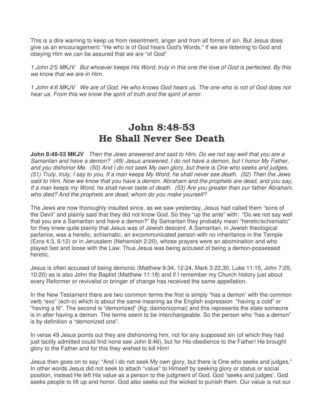This is a dire warning to keep us from resentment, anger and from all forms of sin. But Jesus does give us an encouragement: "He who is of God hears God's Words." If we are listening to God and obeying Him we can be assured that we are "of God"

1 John 2:5 MKJV But whoever keeps His Word, truly in this one the love of God is perfected. By this we know that we are in Him.

1 John 4:6 MKJV We are of God. He who knows God hears us. The one who is not of God does not hear us. From this we know the spirit of truth and the spirit of error.

## John 8:48-53 He Shall Never See Death

**John 8:48-53 MKJV** Then the Jews answered and said to Him, Do we not say well that you are a Samaritan and have a demon? (49) Jesus answered, I do not have a demon, but I honor My Father, and you dishonor Me. (50) And I do not seek My own glory, but there is One who seeks and judges. (51) Truly, truly, I say to you, If a man keeps My Word, he shall never see death. (52) Then the Jews said to Him, Now we know that you have a demon. Abraham and the prophets are dead, and you say, If a man keeps my Word, he shall never taste of death. (53) Are you greater than our father Abraham, who died? And the prophets are dead; whom do you make yourself?

The Jews are now thoroughly insulted since, as we saw yesterday, Jesus had called them "sons of the Devil" and plainly said that they did not know God. So they "up the ante" with: "Do we not say well that you are a Samaritan and have a demon?" By Samaritan they probably mean "heretic/schismatic" for they knew quite plainly that Jesus was of Jewish descent. A Samaritan, in Jewish theological parlance, was a heretic, schismatic, an excommunicated person with no inheritance in the Temple (Ezra 4:3, 6:12) or in Jerusalem (Nehemiah 2:20), whose prayers were an abomination and who played fast and loose with the Law. Thus Jesus was being accused of being a demon-possessed heretic.

Jesus is often accused of being demonic (Matthew 9:34, 12:24, Mark 3:22,30, Luke 11:15, John 7:20, 10:20) as is also John the Baptist (Matthew 11:18) and if I remember my Church history just about every Reformer or revivalist or bringer of change has received the same appellation.

In the New Testament there are two common terms the first is simply "has a demon' with the common verb "exo" (ech-o) which is about the same meaning as the English expression "having a cold" or "having a fit". The second is "demonized" (Kg: daimonizomai) and this represents the state someone is in after having a demon. The terms seem to be interchangeable. So the person who "has a demon" is by definition a "demonized one".

In verse 49 Jesus points out they are dishonoring him, not for any supposed sin (of which they had just tacitly admitted could find none see John 8:46), but for His obedience to the Father! He brought glory to the Father and for this they wished to kill Him!

Jesus then goes on to say: "And I do not seek My own glory, but there is One who seeks and judges." In other words Jesus did not seek to attach "value" to Himself by seeking glory or status or social position, instead He left His value as a person to the judgment of God. God "seeks and judges'. God seeks people to lift up and honor. God also seeks out the wicked to punish them. Our value is not our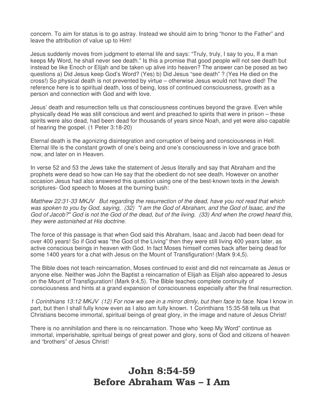concern. To aim for status is to go astray. Instead we should aim to bring "honor to the Father" and leave the attribution of value up to Him!

Jesus suddenly moves from judgment to eternal life and says: "Truly, truly, I say to you, If a man keeps My Word, he shall never see death." Is this a promise that good people will not see death but instead be like Enoch or Elijah and be taken up alive into heaven? The answer can be posed as two questions a) Did Jesus keep God's Word? (Yes) b) Did Jesus "see death" ? (Yes He died on the cross!) So physical death is not prevented by virtue – otherwise Jesus would not have died! The reference here is to spiritual death, loss of being, loss of continued consciousness, growth as a person and connection with God and with love.

Jesus' death and resurrection tells us that consciousness continues beyond the grave. Even while physically dead He was still conscious and went and preached to spirits that were in prison – these spirits were also dead, had been dead for thousands of years since Noah, and yet were also capable of hearing the gospel. (1 Peter 3:18-20)

Eternal death is the agonizing disintegration and corruption of being and consciousness in Hell. Eternal life is the constant growth of one's being and one's consciousness in love and grace both now, and later on in Heaven.

In verse 52 and 53 the Jews take the statement of Jesus literally and say that Abraham and the prophets were dead so how can He say that the obedient do not see death. However on another occasion Jesus had also answered this question using one of the best-known texts in the Jewish scriptures- God speech to Moses at the burning bush:

Matthew 22:31-33 MKJV But regarding the resurrection of the dead, have you not read that which was spoken to you by God, saying, (32) "I am the God of Abraham, and the God of Isaac, and the God of Jacob?" God is not the God of the dead, but of the living. (33) And when the crowd heard this, they were astonished at His doctrine.

The force of this passage is that when God said this Abraham, Isaac and Jacob had been dead for over 400 years! So if God was "the God of the Living" then they were still living 400 years later, as active conscious beings in heaven with God. In fact Moses himself comes back after being dead for some 1400 years for a chat with Jesus on the Mount of Transfiguration! (Mark 9:4,5).

The Bible does not teach reincarnation, Moses continued to exist and did not reincarnate as Jesus or anyone else. Neither was John the Baptist a reincarnation of Elijah as Elijah also appeared to Jesus on the Mount of Transfiguration! (Mark 9:4,5). The Bible teaches complete continuity of consciousness and hints at a grand expansion of consciousness especially after the final resurrection.

1 Corinthians 13:12 MKJV (12) For now we see in a mirror dimly, but then face to face. Now I know in part, but then I shall fully know even as I also am fully known. 1 Corinthians 15:35-58 tells us that Christians become immortal, spiritual beings of great glory, in the image and nature of Jesus Christ!

There is no annihilation and there is no reincarnation. Those who 'keep My Word" continue as immortal, imperishable, spiritual beings of great power and glory, sons of God and citizens of heaven and "brothers" of Jesus Christ!

#### John 8:54-59 Before Abraham Was – I Am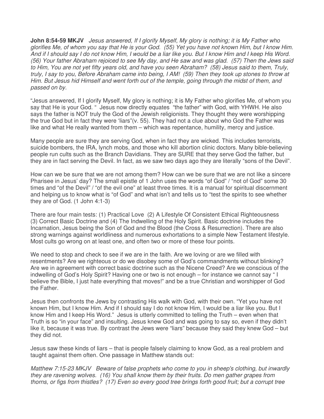**John 8:54-59 MKJV** Jesus answered, If I glorify Myself, My glory is nothing; it is My Father who glorifies Me, of whom you say that He is your God. (55) Yet you have not known Him, but I know Him. And if I should say I do not know Him, I would be a liar like you. But I know Him and I keep His Word. (56) Your father Abraham rejoiced to see My day, and He saw and was glad. (57) Then the Jews said to Him, You are not yet fifty years old, and have you seen Abraham? (58) Jesus said to them, Truly, truly, I say to you, Before Abraham came into being, I AM! (59) Then they took up stones to throw at Him. But Jesus hid Himself and went forth out of the temple, going through the midst of them, and passed on by.

"Jesus answered, If I glorify Myself, My glory is nothing; it is My Father who glorifies Me, of whom you say that He is your God. " Jesus now directly equates "the father" with God, with YHWH. He also says the father is NOT truly the God of the Jewish religionists. They thought they were worshipping the true God but in fact they were 'liars"(v. 55). They had not a clue about who God the Father was like and what He really wanted from them – which was repentance, humility, mercy and justice.

Many people are sure they are serving God, when in fact they are wicked. This includes terrorists, suicide bombers, the IRA, lynch mobs, and those who kill abortion clinic doctors. Many bible-believing people run cults such as the Branch Davidians. They are SURE that they serve God the father, but they are in fact serving the Devil. In fact, as we saw two days ago they are literally "sons of the Devil".

How can we be sure that we are not among them? How can we be sure that we are not like a sincere Pharisee in Jesus' day? The small epistle of 1 John uses the words "of God" / "not of God" some 30 times and "of the Devil" / "of the evil one" at least three times. It is a manual for spiritual discernment and helping us to know what is "of God" and what isn't and tells us to "test the spirits to see whether they are of God. (1 John 4:1-3)

There are four main tests: (1) Practical Love (2) A Lifestyle Of Consistent Ethical Righteousness (3) Correct Basic Doctrine and (4) The Indwelling of the Holy Spirit. Basic doctrine includes the Incarnation, Jesus being the Son of God and the Blood (the Cross & Resurrection). There are also strong warnings against worldliness and numerous exhortations to a simple New Testament lifestyle. Most cults go wrong on at least one, and often two or more of these four points.

We need to stop and check to see if we are in the faith. Are we loving or are we filled with resentments? Are we righteous or do we disobey some of God's commandments without blinking? Are we in agreement with correct basic doctrine such as the Nicene Creed? Are we conscious of the indwelling of God's Holy Spirit? Having one or two is not enough – for instance we cannot say " I believe the Bible, I just hate everything that moves!" and be a true Christian and worshipper of God the Father.

Jesus then confronts the Jews by contrasting His walk with God, with their own. "Yet you have not known Him, but I know Him. And if I should say I do not know Him, I would be a liar like you. But I know Him and I keep His Word." Jesus is utterly committed to telling the Truth – even when that Truth is so "in your face" and insulting. Jesus knew God and was going to say so, even if they didn't like it, because it was true. By contrast the Jews were "liars" because they said they knew God – but they did not.

Jesus saw these kinds of liars – that is people falsely claiming to know God, as a real problem and taught against them often. One passage in Matthew stands out:

Matthew 7:15-23 MKJV Beware of false prophets who come to you in sheep's clothing, but inwardly they are ravening wolves. (16) You shall know them by their fruits. Do men gather grapes from thorns, or figs from thistles? (17) Even so every good tree brings forth good fruit; but a corrupt tree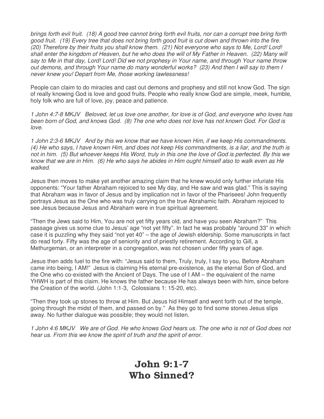brings forth evil fruit. (18) A good tree cannot bring forth evil fruits, nor can a corrupt tree bring forth good fruit. (19) Every tree that does not bring forth good fruit is cut down and thrown into the fire. (20) Therefore by their fruits you shall know them. (21) Not everyone who says to Me, Lord! Lord! shall enter the kingdom of Heaven, but he who does the will of My Father in Heaven. (22) Many will say to Me in that day, Lord! Lord! Did we not prophesy in Your name, and through Your name throw out demons, and through Your name do many wonderful works? (23) And then I will say to them I never knew you! Depart from Me, those working lawlessness!

People can claim to do miracles and cast out demons and prophesy and still not know God. The sign of really knowing God is love and good fruits. People who really know God are simple, meek, humble, holy folk who are full of love, joy, peace and patience.

1 John 4:7-8 MKJV Beloved, let us love one another, for love is of God, and everyone who loves has been born of God, and knows God. (8) The one who does not love has not known God. For God is love.

1 John 2:3-6 MKJV And by this we know that we have known Him, if we keep His commandments. (4) He who says, I have known Him, and does not keep His commandments, is a liar, and the truth is not in him. (5) But whoever keeps His Word, truly in this one the love of God is perfected. By this we know that we are in Him. (6) He who says he abides in Him ought himself also to walk even as He walked.

Jesus then moves to make yet another amazing claim that he knew would only further infuriate His opponents: "Your father Abraham rejoiced to see My day, and He saw and was glad." This is saying that Abraham was in favor of Jesus and by implication not in favor of the Pharisees! John frequently portrays Jesus as the One who was truly carrying on the true Abrahamic faith. Abraham rejoiced to see Jesus because Jesus and Abraham were in true spiritual agreement.

"Then the Jews said to Him, You are not yet fifty years old, and have you seen Abraham?" This passage gives us some clue to Jesus' age "not yet fifty". In fact he was probably "around 33" in which case it is puzzling why they said "not yet 40" – the age of Jewish eldership. Some manuscripts in fact do read forty. Fifty was the age of seniority and of priestly retirement. According to Gill, a Methurgeman, or an interpreter in a congregation, was not chosen under fifty years of age.

Jesus then adds fuel to the fire with: "Jesus said to them, Truly, truly, I say to you, Before Abraham came into being, I AM!" Jesus is claiming His eternal pre-existence, as the eternal Son of God, and the One who co-existed with the Ancient of Days. The use of I AM – the equivalent of the name YHWH is part of this claim. He knows the father because He has always been with him, since before the Creation of the world. (John 1:1-3, Colossians 1: 15-20, etc).

"Then they took up stones to throw at Him. But Jesus hid Himself and went forth out of the temple, going through the midst of them, and passed on by." As they go to find some stones Jesus slips away. No further dialogue was possible; they would not listen.

1 John 4:6 MKJV We are of God. He who knows God hears us. The one who is not of God does not hear us. From this we know the spirit of truth and the spirit of error.

#### John 9:1-7 Who Sinned?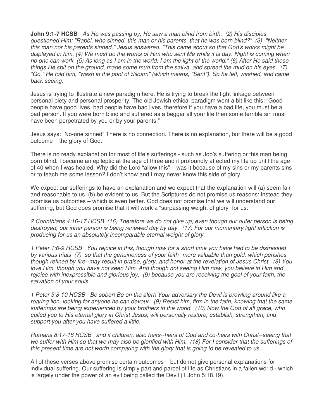**John 9:1-7 HCSB** As He was passing by, He saw a man blind from birth. (2) His disciples questioned Him: "Rabbi, who sinned, this man or his parents, that he was born blind?" (3) "Neither this man nor his parents sinned," Jesus answered. "This came about so that God's works might be displayed in him. (4) We must do the works of Him who sent Me while it is day. Night is coming when no one can work. (5) As long as I am in the world, I am the light of the world." (6) After He said these things He spit on the ground, made some mud from the saliva, and spread the mud on his eyes. (7) "Go," He told him, "wash in the pool of Siloam" (which means, "Sent"). So he left, washed, and came back seeing.

Jesus is trying to illustrate a new paradigm here. He is trying to break the tight linkage between personal piety and personal prosperity. The old Jewish ethical paradigm went a bit like this: "Good people have good lives, bad people have bad lives, therefore if you have a bad life, you must be a bad person. If you were born blind and suffered as a beggar all your life then some terrible sin must have been perpetrated by you or by your parents."

Jesus says: "No-one sinned" There is no connection. There is no explanation, but there will be a good outcome – the glory of God.

There is no ready explanation for most of life's sufferings - such as Job's suffering or this man being born blind. I became an epileptic at the age of three and it profoundly affected my life up until the age of 40 when I was healed. Why did the Lord "allow this" – was it because of my sins or my parents sins or to teach me some lesson? I don't know and I may never know this side of glory.

We expect our sufferings to have an explanation and we expect that the explanation will (a) seem fair and reasonable to us (b) be evident to us. But the Scriptures do not promise us reasons; instead they promise us outcomes – which is even better. God does not promise that we will understand our suffering, but God does promise that it will work a "surpassing weight of glory" for us:

2 Corinthians 4:16-17 HCSB (16) Therefore we do not give up; even though our outer person is being destroyed, our inner person is being renewed day by day. (17) For our momentary light affliction is producing for us an absolutely incomparable eternal weight of glory.

1 Peter 1:6-9 HCSB You rejoice in this, though now for a short time you have had to be distressed by various trials (7) so that the genuineness of your faith--more valuable than gold, which perishes though refined by fire--may result in praise, glory, and honor at the revelation of Jesus Christ. (8) You love Him, though you have not seen Him. And though not seeing Him now, you believe in Him and rejoice with inexpressible and glorious joy, (9) because you are receiving the goal of your faith, the salvation of your souls.

1 Peter 5:8-10 HCSB Be sober! Be on the alert! Your adversary the Devil is prowling around like a roaring lion, looking for anyone he can devour. (9) Resist him, firm in the faith, knowing that the same sufferings are being experienced by your brothers in the world. (10) Now the God of all grace, who called you to His eternal glory in Christ Jesus, will personally restore, establish, strengthen, and support you after you have suffered a little.

Romans 8:17-18 HCSB and if children, also heirs--heirs of God and co-heirs with Christ--seeing that we suffer with Him so that we may also be glorified with Him. (18) For I consider that the sufferings of this present time are not worth comparing with the glory that is going to be revealed to us.

All of these verses above promise certain outcomes – but do not give personal explanations for individual suffering. Our suffering is simply part and parcel of life as Christians in a fallen world - which is largely under the power of an evil being called the Devil (1 John 5:18,19).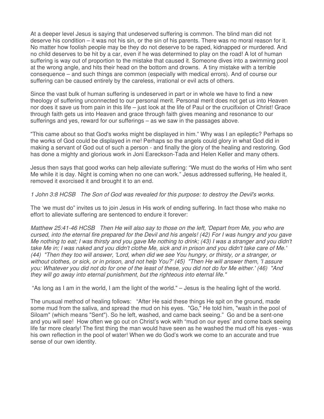At a deeper level Jesus is saying that undeserved suffering is common. The blind man did not deserve his condition – it was not his sin, or the sin of his parents. There was no moral reason for it. No matter how foolish people may be they do not deserve to be raped, kidnapped or murdered. And no child deserves to be hit by a car, even if he was determined to play on the road! A lot of human suffering is way out of proportion to the mistake that caused it. Someone dives into a swimming pool at the wrong angle, and hits their head on the bottom and drowns. A tiny mistake with a terrible consequence – and such things are common (especially with medical errors). And of course our suffering can be caused entirely by the careless, irrational or evil acts of others.

Since the vast bulk of human suffering is undeserved in part or in whole we have to find a new theology of suffering unconnected to our personal merit. Personal merit does not get us into Heaven nor does it save us from pain in this life – just look at the life of Paul or the crucifixion of Christ! Grace through faith gets us into Heaven and grace through faith gives meaning and resonance to our sufferings and yes, reward for our sufferings – as we saw in the passages above.

"This came about so that God's works might be displayed in him." Why was I an epileptic? Perhaps so the works of God could be displayed in me! Perhaps so the angels could glory in what God did in making a servant of God out of such a person - and finally the glory of the healing and restoring. God has done a mighty and glorious work in Joni Eareckson-Tada and Helen Keller and many others.

Jesus then says that good works can help alleviate suffering: "We must do the works of Him who sent Me while it is day. Night is coming when no one can work." Jesus addressed suffering, He healed it, removed it exorcised it and brought it to an end.

1 John 3:8 HCSB The Son of God was revealed for this purpose: to destroy the Devil's works.

The 'we must do" invites us to join Jesus in His work of ending suffering. In fact those who make no effort to alleviate suffering are sentenced to endure it forever:

Matthew 25:41-46 HCSB Then He will also say to those on the left, 'Depart from Me, you who are cursed, into the eternal fire prepared for the Devil and his angels! (42) For I was hungry and you gave Me nothing to eat; I was thirsty and you gave Me nothing to drink; (43) I was a stranger and you didn't take Me in; I was naked and you didn't clothe Me, sick and in prison and you didn't take care of Me.' (44) "Then they too will answer, 'Lord, when did we see You hungry, or thirsty, or a stranger, or without clothes, or sick, or in prison, and not help You?' (45) "Then He will answer them, 'I assure you: Whatever you did not do for one of the least of these, you did not do for Me either.' (46) "And they will go away into eternal punishment, but the righteous into eternal life."

"As long as I am in the world, I am the light of the world." – Jesus is the healing light of the world.

The unusual method of healing follows: "After He said these things He spit on the ground, made some mud from the saliva, and spread the mud on his eyes. "Go," He told him, "wash in the pool of Siloam" (which means "Sent"). So he left, washed, and came back seeing." Go and be a sent-one and you will see! How often we go out on Christ's wok with "mud on our eyes' and come back seeing life far more clearly! The first thing the man would have seen as he washed the mud off his eyes - was his own reflection in the pool of water! When we do God's work we come to an accurate and true sense of our own identity.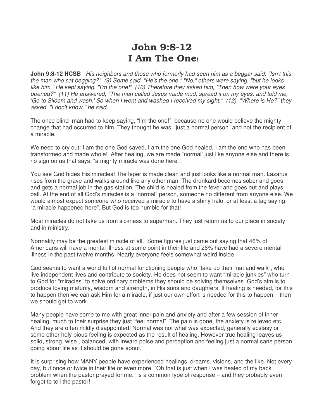## John 9:8-12 I Am The One!

**John 9:8-12 HCSB** His neighbors and those who formerly had seen him as a beggar said, "Isn't this the man who sat begging?" (9) Some said, "He's the one." "No," others were saying, "but he looks like him." He kept saying, "I'm the one!" (10) Therefore they asked him, "Then how were your eyes opened?" (11) He answered, "The man called Jesus made mud, spread it on my eyes, and told me, 'Go to Siloam and wash.' So when I went and washed I received my sight." (12) "Where is He?" they asked. "I don't know," he said.

The once blind–man had to keep saying, "I'm the one!" because no one would believe the mighty change that had occurred to him. They thought he was 'just a normal person" and not the recipient of a miracle.

We need to cry out: I am the one God saved, I am the one God healed, I am the one who has been transformed and made whole! After healing, we are made "normal' just like anyone else and there is no sign on us that says: "a mighty miracle was done here".

You see God hides His miracles! The leper is made clean and just looks like a normal man. Lazarus rises from the grave and walks around like any other man. The drunkard becomes sober and goes and gets a normal job in the gas station. The child is healed from the fever and goes out and plays ball. At the end of all God's miracles is a "normal" person, someone no different from anyone else. We would almost expect someone who received a miracle to have a shiny halo, or at least a tag saying: "a miracle happened here". But God is too humble for that!

Most miracles do not take us from sickness to superman. They just return us to our place in society and in ministry.

Normality may be the greatest miracle of all. Some figures just came out saying that 46% of Americans will have a mental illness at some point in their life and 26% have had a severe mental illness in the past twelve months. Nearly everyone feels somewhat weird inside.

God seems to want a world full of normal functioning people who "take up their mat and walk", who live independent lives and contribute to society. He does not seem to want "miracle junkies" who turn to God for "miracles" to solve ordinary problems they should be solving themselves. God's aim is to produce loving maturity, wisdom and strength, in His sons and daughters. If healing is needed, for this to happen then we can ask Him for a miracle, if just our own effort is needed for this to happen – then we should get to work.

Many people have come to me with great inner pain and anxiety and after a few session of inner healing, much to their surprise they just "feel normal". The pain is gone, the anxiety is relieved etc. And they are often mildly disappointed! Normal was not what was expected, generally ecstasy or some other holy pious feeling is expected as the result of healing. However true healing leaves us solid, strong, wise., balanced, with inward poise and perception and feeling just a normal sane person going about life as it should be gone about.

It is surprising how MANY people have experienced healings, dreams, visions, and the like. Not every day, but once or twice in their life or even more. "Oh that is just when I was healed of my back problem when the pastor prayed for me." Is a common type of response – and they probably even forgot to tell the pastor!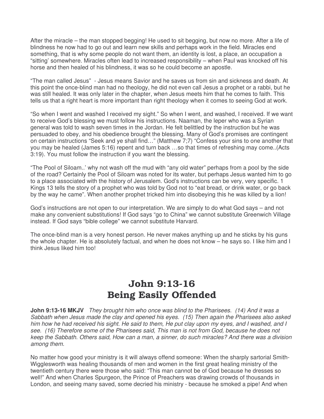After the miracle – the man stopped begging! He used to sit begging, but now no more. After a life of blindness he now had to go out and learn new skills and perhaps work in the field. Miracles end something, that is why some people do not want them, an identity is lost, a place, an occupation a "sitting' somewhere. Miracles often lead to increased responsibility – when Paul was knocked off his horse and then healed of his blindness, it was so he could become an apostle.

"The man called Jesus" - Jesus means Savior and he saves us from sin and sickness and death. At this point the once-blind man had no theology, he did not even call Jesus a prophet or a rabbi, but he was still healed. It was only later in the chapter, when Jesus meets him that he comes to faith. This tells us that a right heart is more important than right theology when it comes to seeing God at work.

"So when I went and washed I received my sight." So when I went, and washed, I received. If we want to receive God's blessing we must follow his instructions. Naaman, the leper who was a Syrian general was told to wash seven times in the Jordan. He felt belittled by the instruction but he was persuaded to obey, and his obedience brought the blessing. Many of God's promises are contingent on certain instructions "Seek and ye shall find…" (Matthew 7;7) "Confess your sins to one another that you may be healed (James 5:16) repent and turn back …so that times of refreshing may come..(Acts 3:19). You must follow the instruction if you want the blessing.

"The Pool of Siloam..' why not wash off the mud with "any old water" perhaps from a pool by the side of the road? Certainly the Pool of Siloam was noted for its water, but perhaps Jesus wanted him to go to a place associated with the history of Jerusalem. God's instructions can be very, very specific. 1 Kings 13 tells the story of a prophet who was told by God not to "eat bread, or drink water, or go back by the way he came". When another prophet tricked him into disobeying this he was killed by a lion!

God's instructions are not open to our interpretation. We are simply to do what God says – and not make any convenient substitutions! If God says "go to China" we cannot substitute Greenwich Village instead. If God says "bible college" we cannot substitute Harvard.

The once-blind man is a very honest person. He never makes anything up and he sticks by his guns the whole chapter. He is absolutely factual, and when he does not know – he says so. I like him and I think Jesus liked him too!

# John 9:13-16 Being Easily Offended

**John 9:13-16 MKJV** They brought him who once was blind to the Pharisees. (14) And it was a Sabbath when Jesus made the clay and opened his eyes. (15) Then again the Pharisees also asked him how he had received his sight. He said to them, He put clay upon my eyes, and I washed, and I see. (16) Therefore some of the Pharisees said, This man is not from God, because he does not keep the Sabbath. Others said, How can a man, a sinner, do such miracles? And there was a division among them.

No matter how good your ministry is it will always offend someone: When the sharply sartorial Smith-Wigglesworth was healing thousands of men and women in the first great healing ministry of the twentieth century there were those who said: "This man cannot be of God because he dresses so well!" And when Charles Spurgeon, the Prince of Preachers was drawing crowds of thousands in London, and seeing many saved, some decried his ministry - because he smoked a pipe! And when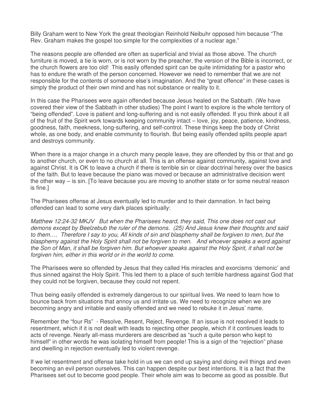Billy Graham went to New York the great theologian Reinhold Neibuhr opposed him because "The Rev. Graham makes the gospel too simple for the complexities of a nuclear age."

The reasons people are offended are often as superficial and trivial as those above. The church furniture is moved, a tie is worn, or is not worn by the preacher, the version of the Bible is incorrect, or the church flowers are too old! This easily offended spirit can be quite intimidating for a pastor who has to endure the wrath of the person concerned. However we need to remember that we are not responsible for the contents of someone else's imagination. And the "great offence" in these cases is simply the product of their own mind and has not substance or reality to it.

In this case the Pharisees were again offended because Jesus healed on the Sabbath. (We have covered their view of the Sabbath in other studies) The point I want to explore is the whole territory of "being offended". Love is patient and long-suffering and is not easily offended. If you think about it all of the fruit of the Spirit work towards keeping community intact – love, joy, peace, patience, kindness, goodness, faith, meekness, long-suffering, and self-control. These things keep the body of Christ whole, as one body, and enable community to flourish. But being easily offended splits people apart and destroys community.

When there is a major change in a church many people leave, they are offended by this or that and go to another church, or even to no church at all. This is an offense against community, against love and against Christ. It is OK to leave a church if there is terrible sin or clear doctrinal heresy over the basics of the faith. But to leave because the piano was moved or because an administrative decision went the other way – is sin. [To leave because you are moving to another state or for some neutral reason is fine.]

The Pharisees offense at Jesus eventually led to murder and to their damnation. In fact being offended can lead to some very dark places spiritually:

Matthew 12:24-32 MKJV But when the Pharisees heard, they said, This one does not cast out demons except by Beelzebub the ruler of the demons. (25) And Jesus knew their thoughts and said to them…. Therefore I say to you, All kinds of sin and blasphemy shall be forgiven to men, but the blasphemy against the Holy Spirit shall not be forgiven to men. And whoever speaks a word against the Son of Man, it shall be forgiven him. But whoever speaks against the Holy Spirit, it shall not be forgiven him, either in this world or in the world to come.

The Pharisees were so offended by Jesus that they called His miracles and exorcisms 'demonic' and thus sinned against the Holy Spirit. This led them to a place of such terrible hardness against God that they could not be forgiven, because they could not repent.

Thus being easily offended is extremely dangerous to our spiritual lives. We need to learn how to bounce back from situations that annoy us and irritate us. We need to recognize when we are becoming angry and irritable and easily offended and we need to rebuke it in Jesus' name.

Remember the "four Rs" - Resolve, Resent, Reject, Revenge. If an issue is not resolved it leads to resentment, which if it is not dealt with leads to rejecting other people, which if it continues leads to acts of revenge. Nearly all-mass murderers are described as "such a quite person who kept to himself" in other words he was isolating himself from people! This is a sign of the "rejection" phase and dwelling in rejection eventually led to violent revenge.

If we let resentment and offense take hold in us we can end up saying and doing evil things and even becoming an evil person ourselves. This can happen despite our best intentions. It is a fact that the Pharisees set out to become good people. Their whole aim was to become as good as possible. But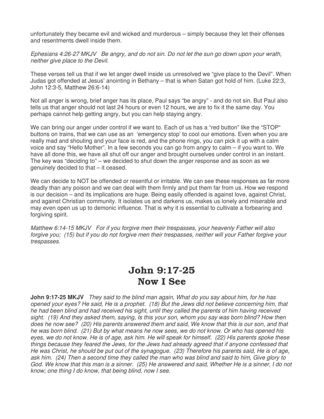unfortunately they became evil and wicked and murderous – simply because they let their offenses and resentments dwell inside them.

Ephesians 4:26-27 MKJV Be angry, and do not sin. Do not let the sun go down upon your wrath, neither give place to the Devil.

These verses tell us that if we let anger dwell inside us unresolved we "give place to the Devil". When Judas got offended at Jesus' anointing in Bethany – that is when Satan got hold of him. (Luke 22:3, John 12:3-5, Matthew 26:6-14)

Not all anger is wrong, brief anger has its place, Paul says "be angry" - and do not sin. But Paul also tells us that anger should not last 24 hours or even 12 hours, we are to fix it the same day. You perhaps cannot help getting angry, but you can help staying angry.

We can bring our anger under control if we want to. Each of us has a "red button" like the "STOP" buttons on trains, that we can use as an 'emergency stop' to cool our emotions. Even when you are really mad and shouting and your face is red, and the phone rings, you can pick it up with a calm voice and say "Hello Mother". In a few seconds you can go from angry to calm – if you want to. We have all done this, we have all shut off our anger and brought ourselves under control in an instant. The key was "deciding to" – we decided to shut down the anger response and as soon as we genuinely decided to that – it ceased.

We can decide to NOT be offended or resentful or irritable. We can see these responses as far more deadly than any poison and we can deal with them firmly and put them far from us. How we respond is our decision – and its implications are huge. Being easily offended is against love, against Christ, and against Christian community. It isolates us and darkens us, makes us lonely and miserable and may even open us up to demonic influence. That is why it is essential to cultivate a forbearing and forgiving spirit.

Matthew 6:14-15 MKJV For if you forgive men their trespasses, your heavenly Father will also forgive you; (15) but if you do not forgive men their trespasses, neither will your Father forgive your trespasses.

#### John 9:17-25 Now I See

**John 9:17-25 MKJV** They said to the blind man again, What do you say about him, for he has opened your eyes? He said, He is a prophet. (18) But the Jews did not believe concerning him, that he had been blind and had received his sight, until they called the parents of him having received sight. (19) And they asked them, saying, Is this your son, whom you say was born blind? How then does he now see? (20) His parents answered them and said, We know that this is our son, and that he was born blind. (21) But by what means he now sees, we do not know. Or who has opened his eyes, we do not know. He is of age, ask him. He will speak for himself. (22) His parents spoke these things because they feared the Jews, for the Jews had already agreed that if anyone confessed that He was Christ, he should be put out of the synagogue. (23) Therefore his parents said, He is of age, ask him. (24) Then a second time they called the man who was blind and said to him, Give glory to God. We know that this man is a sinner. (25) He answered and said, Whether He is a sinner, I do not know; one thing I do know, that being blind, now I see.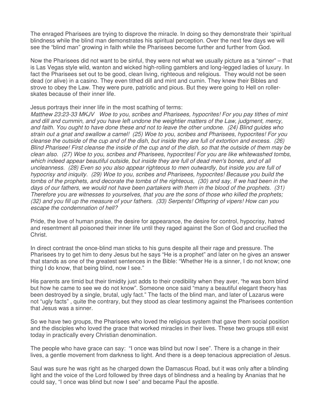The enraged Pharisees are trying to disprove the miracle. In doing so they demonstrate their 'spiritual blindness while the blind man demonstrates his spiritual perception. Over the next few days we will see the "blind man" growing in faith while the Pharisees become further and further from God.

Now the Pharisees did not want to be sinful, they were not what we usually picture as a "sinner" – that is Las Vegas style wild, wanton and wicked high-rolling gamblers and long-legged ladies of luxury. In fact the Pharisees set out to be good, clean living, righteous and religious. They would not be seen dead (or alive) in a casino. They even tithed dill and mint and cumin. They knew their Bibles and strove to obey the Law. They were pure, patriotic and pious. But they were going to Hell on rollerskates because of their inner life.

Jesus portrays their inner life in the most scathing of terms:

Matthew 23:23-33 MKJV Woe to you, scribes and Pharisees, hypocrites! For you pay tithes of mint and dill and cummin, and you have left undone the weightier matters of the Law, judgment, mercy, and faith. You ought to have done these and not to leave the other undone. (24) Blind guides who strain out a gnat and swallow a camel! (25) Woe to you, scribes and Pharisees, hypocrites! For you cleanse the outside of the cup and of the dish, but inside they are full of extortion and excess. (26) Blind Pharisee! First cleanse the inside of the cup and of the dish, so that the outside of them may be clean also. (27) Woe to you, scribes and Pharisees, hypocrites! For you are like whitewashed tombs, which indeed appear beautiful outside, but inside they are full of dead men's bones, and of all uncleanness. (28) Even so you also appear righteous to men outwardly, but inside you are full of hypocrisy and iniquity. (29) Woe to you, scribes and Pharisees, hypocrites! Because you build the tombs of the prophets, and decorate the tombs of the righteous, (30) and say, If we had been in the days of our fathers, we would not have been partakers with them in the blood of the prophets. (31) Therefore you are witnesses to yourselves, that you are the sons of those who killed the prophets; (32) and you fill up the measure of your fathers. (33) Serpents! Offspring of vipers! How can you escape the condemnation of hell?

Pride, the love of human praise, the desire for appearance, the desire for control, hypocrisy, hatred and resentment all poisoned their inner life until they raged against the Son of God and crucified the Christ.

In direct contrast the once-blind man sticks to his guns despite all their rage and pressure. The Pharisees try to get him to deny Jesus but he says "He is a prophet" and later on he gives an answer that stands as one of the greatest sentences in the Bible: "Whether He is a sinner, I do not know; one thing I do know, that being blind, now I see."

His parents are timid but their timidity just adds to their credibility when they aver, "he was born blind but how he came to see we do not know". Someone once said "many a beautiful elegant theory has been destroyed by a single, brutal, ugly fact." The facts of the blind man, and later of Lazarus were not "ugly facts" , quite the contrary, but they stood as clear testimony against the Pharisees contention that Jesus was a sinner.

So we have two groups, the Pharisees who loved the religious system that gave them social position and the disciples who loved the grace that worked miracles in their lives. These two groups still exist today in practically every Christian denomination.

The people who have grace can say: "I once was blind but now I see". There is a change in their lives, a gentle movement from darkness to light. And there is a deep tenacious appreciation of Jesus.

Saul was sure he was right as he charged down the Damascus Road, but it was only after a blinding light and the voice of the Lord followed by three days of blindness and a healing by Ananias that he could say, "I once was blind but now I see" and became Paul the apostle.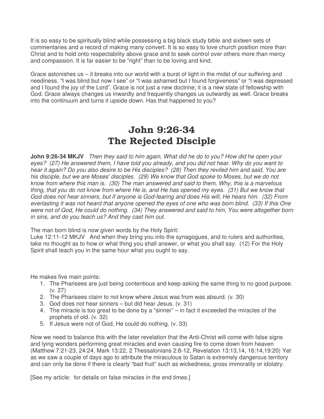It is so easy to be spiritually blind while possessing a big black study bible and sixteen sets of commentaries and a record of making many convert. It is so easy to love church position more than Christ and to hold onto respectability above grace and to seek control over others more than mercy and compassion. It is far easier to be "right" than to be loving and kind.

Grace astonishes us – it breaks into our world with a burst of light in the midst of our suffering and neediness. "I was blind but now I see" or "I was ashamed but I found forgiveness" or "I was depressed and I found the joy of the Lord". Grace is not just a new doctrine; it is a new state of fellowship with God. Grace always changes us inwardly and frequently changes us outwardly as well. Grace breaks into the continuum and turns it upside down. Has that happened to you?

# John 9:26-34 The Rejected Disciple

**John 9:26-34 MKJV** Then they said to him again, What did he do to you? How did he open your eyes? (27) He answered them, I have told you already, and you did not hear. Why do you want to hear it again? Do you also desire to be His disciples? (28) Then they reviled him and said, You are his disciple, but we are Moses' disciples. (29) We know that God spoke to Moses, but we do not know from where this man is. (30) The man answered and said to them, Why, this is a marvelous thing, that you do not know from where He is, and He has opened my eyes. (31) But we know that God does not hear sinners, but if anyone is God-fearing and does His will, He hears him. (32) From everlasting it was not heard that anyone opened the eyes of one who was born blind. (33) If this One were not of God, He could do nothing. (34) They answered and said to him, You were altogether born in sins, and do you teach us? And they cast him out.

The man born blind is now given words by the Holy Spirit:

Luke 12:11-12 MKJV And when they bring you into the synagogues, and to rulers and authorities, take no thought as to how or what thing you shall answer, or what you shall say. (12) For the Holy Spirit shall teach you in the same hour what you ought to say.

He makes five main points:

- 1. The Pharisees are just being contentious and keep asking the same thing to no good purpose. (v. 27)
- 2. The Pharisees claim to not know where Jesus was from was absurd. (v. 30)
- 3. God does not hear sinners but did hear Jesus. (v. 31)
- 4. The miracle is too great to be done by a "sinner" in fact it exceeded the miracles of the prophets of old. (v. 32)
- 5. If Jesus were not of God, He could do nothing. (v. 33)

Now we need to balance this with the later revelation that the Anti-Christ will come with false signs and lying wonders performing great miracles and even causing fire to come down from heaven (Matthew 7:21-23, 24:24, Mark 13:22, 2 Thessalonians 2:8-12, Revelation 13:13,14, 16:14,19:20) Yet as we saw a couple of days ago to attribute the miraculous to Satan is extremely dangerous territory and can only be done if there is clearly "bad fruit" such as wickedness, gross immorality or idolatry.

[See my article: for details on false miracles in the end times.]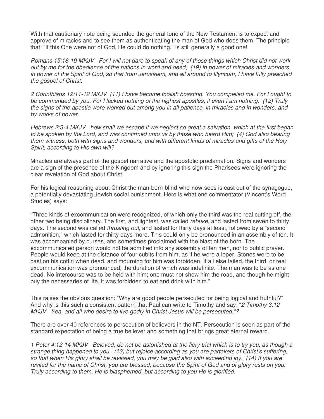With that cautionary note being sounded the general tone of the New Testament is to expect and approve of miracles and to see them as authenticating the man of God who does them. The principle that: "If this One were not of God, He could do nothing." Is still generally a good one!

Romans 15:18-19 MKJV For I will not dare to speak of any of those things which Christ did not work out by me for the obedience of the nations in word and deed, (19) in power of miracles and wonders, in power of the Spirit of God, so that from Jerusalem, and all around to Illyricum, I have fully preached the gospel of Christ.

2 Corinthians 12:11-12 MKJV (11) I have become foolish boasting. You compelled me. For I ought to be commended by you. For I lacked nothing of the highest apostles, if even I am nothing. (12) Truly the signs of the apostle were worked out among you in all patience, in miracles and in wonders, and by works of power.

Hebrews 2:3-4 MKJV how shall we escape if we neglect so great a salvation, which at the first began to be spoken by the Lord, and was confirmed unto us by those who heard Him; (4) God also bearing them witness, both with signs and wonders, and with different kinds of miracles and gifts of the Holy Spirit, according to His own will?

Miracles are always part of the gospel narrative and the apostolic proclamation. Signs and wonders are a sign of the presence of the Kingdom and by ignoring this sign the Pharisees were ignoring the clear revelation of God about Christ.

For his logical reasoning about Christ the man-born-blind-who-now-sees is cast out of the synagogue, a potentially devastating Jewish social punishment. Here is what one commentator (Vincent's Word Studies) says:

"Three kinds of excommunication were recognized, of which only the third was the real cutting off, the other two being disciplinary. The first, and lightest, was called *rebuke*, and lasted from seven to thirty days. The second was called *thrusting out*, and lasted for thirty days at least, followed by a "second admonition," which lasted for thirty days more. This could only be pronounced in an assembly of ten. It was accompanied by curses, and sometimes proclaimed with the blast of the horn. The excommunicated person would not be admitted into any assembly of ten men, nor to public prayer. People would keep at the distance of four cubits from him, as if he were a leper. Stones were to be cast on his coffin when dead, and mourning for him was forbidden. If all else failed, the third, or real excommunication was pronounced, the duration of which was indefinite. The man was to be as one dead. No intercourse was to be held with him; one must not show him the road, and though he might buy the necessaries of life, it was forbidden to eat and drink with him."

This raises the obvious question: "Why are good people persecuted for being logical and truthful?" And why is this such a consistent pattern that Paul can write to Timothy and say: "2 Timothy 3:12" MKJV Yea, and all who desire to live godly in Christ Jesus will be persecuted."?

There are over 40 references to persecution of believers in the NT. Persecution is seen as part of the standard expectation of being a true believer and something that brings great eternal reward.

1 Peter 4:12-14 MKJV Beloved, do not be astonished at the fiery trial which is to try you, as though a strange thing happened to you, (13) but rejoice according as you are partakers of Christ's suffering, so that when His glory shall be revealed, you may be glad also with exceeding joy. (14) If you are reviled for the name of Christ, you are blessed, because the Spirit of God and of glory rests on you. Truly according to them, He is blasphemed, but according to you He is glorified.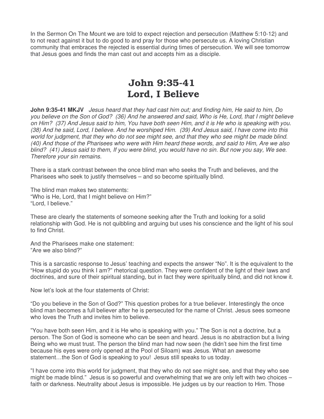In the Sermon On The Mount we are told to expect rejection and persecution (Matthew 5:10-12) and to not react against it but to do good to and pray for those who persecute us. A loving Christian community that embraces the rejected is essential during times of persecution. We will see tomorrow that Jesus goes and finds the man cast out and accepts him as a disciple.

## John 9:35-41 Lord, I Believe

**John 9:35-41 MKJV** Jesus heard that they had cast him out; and finding him, He said to him, Do you believe on the Son of God? (36) And he answered and said, Who is He, Lord, that I might believe on Him? (37) And Jesus said to him, You have both seen Him, and it is He who is speaking with you. (38) And he said, Lord, I believe. And he worshiped Him. (39) And Jesus said, I have come into this world for judgment, that they who do not see might see, and that they who see might be made blind. (40) And those of the Pharisees who were with Him heard these words, and said to Him, Are we also blind? (41) Jesus said to them, If you were blind, you would have no sin. But now you say, We see. Therefore your sin remains.

There is a stark contrast between the once blind man who seeks the Truth and believes, and the Pharisees who seek to justify themselves – and so become spiritually blind.

The blind man makes two statements: "Who is He, Lord, that I might believe on Him?" "Lord, I believe."

These are clearly the statements of someone seeking after the Truth and looking for a solid relationship with God. He is not quibbling and arguing but uses his conscience and the light of his soul to find Christ.

And the Pharisees make one statement: "Are we also blind?"

This is a sarcastic response to Jesus' teaching and expects the answer "No". It is the equivalent to the "How stupid do you think I am?" rhetorical question. They were confident of the light of their laws and doctrines, and sure of their spiritual standing, but in fact they were spiritually blind, and did not know it.

Now let's look at the four statements of Christ:

"Do you believe in the Son of God?" This question probes for a true believer. Interestingly the once blind man becomes a full believer after he is persecuted for the name of Christ. Jesus sees someone who loves the Truth and invites him to believe.

"You have both seen Him, and it is He who is speaking with you." The Son is not a doctrine, but a person. The Son of God is someone who can be seen and heard. Jesus is no abstraction but a living Being who we must trust. The person the blind man had now seen (he didn't see him the first time because his eyes were only opened at the Pool of Siloam) was Jesus. What an awesome statement…the Son of God is speaking to you! Jesus still speaks to us today.

"I have come into this world for judgment, that they who do not see might see, and that they who see might be made blind." Jesus is so powerful and overwhelming that we are only left with two choices – faith or darkness. Neutrality about Jesus is impossible. He judges us by our reaction to Him. Those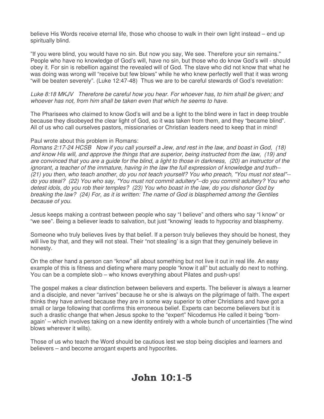believe His Words receive eternal life, those who choose to walk in their own light instead – end up spiritually blind.

"If you were blind, you would have no sin. But now you say, We see. Therefore your sin remains." People who have no knowledge of God's will, have no sin, but those who do know God's will - should obey it. For sin is rebellion against the revealed will of God. The slave who did not know that what he was doing was wrong will "receive but few blows" while he who knew perfectly well that it was wrong "will be beaten severely". (Luke 12:47-48) Thus we are to be careful stewards of God's revelation:

Luke 8:18 MKJV Therefore be careful how you hear. For whoever has, to him shall be given; and whoever has not, from him shall be taken even that which he seems to have.

The Pharisees who claimed to know God's will and be a light to the blind were in fact in deep trouble because they disobeyed the clear light of God, so it was taken from them, and they "became blind". All of us who call ourselves pastors, missionaries or Christian leaders need to keep that in mind!

#### Paul wrote about this problem in Romans:

Romans 2:17-24 HCSB Now if you call yourself a Jew, and rest in the law, and boast in God, (18) and know His will, and approve the things that are superior, being instructed from the law, (19) and are convinced that you are a guide for the blind, a light to those in darkness, (20) an instructor of the ignorant, a teacher of the immature, having in the law the full expression of knowledge and truth-- (21) you then, who teach another, do you not teach yourself? You who preach, "You must not steal"- do you steal? (22) You who say, "You must not commit adultery"--do you commit adultery? You who detest idols, do you rob their temples? (23) You who boast in the law, do you dishonor God by breaking the law? (24) For, as it is written: The name of God is blasphemed among the Gentiles because of you.

Jesus keeps making a contrast between people who say "I believe" and others who say "I know" or "we see". Being a believer leads to salvation, but just "knowing' leads to hypocrisy and blasphemy.

Someone who truly believes lives by that belief. If a person truly believes they should be honest, they will live by that, and they will not steal. Their "not stealing' is a sign that they genuinely believe in honesty.

On the other hand a person can "know" all about something but not live it out in real life. An easy example of this is fitness and dieting where many people "know it all" but actually do next to nothing. You can be a complete slob – who knows everything about Pilates and push-ups!

The gospel makes a clear distinction between believers and experts. The believer is always a learner and a disciple, and never "arrives" because he or she is always on the pilgrimage of faith. The expert thinks they have arrived because they are in some way superior to other Christians and have got a small or large following that confirms this erroneous belief. Experts can become believers but it is such a drastic change that when Jesus spoke to the "expert" Nicodemus He called it being "bornagain' – which involves taking on a new identity entirely with a whole bunch of uncertainties (The wind blows wherever it wills).

Those of us who teach the Word should be cautious lest we stop being disciples and learners and believers – and become arrogant experts and hypocrites.

#### John 10:1-5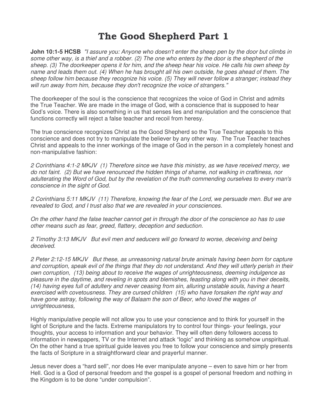# The Good Shepherd Part 1

**John 10:1-5 HCSB** "I assure you: Anyone who doesn't enter the sheep pen by the door but climbs in some other way, is a thief and a robber. (2) The one who enters by the door is the shepherd of the sheep. (3) The doorkeeper opens it for him, and the sheep hear his voice. He calls his own sheep by name and leads them out. (4) When he has brought all his own outside, he goes ahead of them. The sheep follow him because they recognize his voice. (5) They will never follow a stranger; instead they will run away from him, because they don't recognize the voice of strangers."

The doorkeeper of the soul is the conscience that recognizes the voice of God in Christ and admits the True Teacher. We are made in the image of God, with a conscience that is supposed to hear God's voice. There is also something in us that senses lies and manipulation and the conscience that functions correctly will reject a false teacher and recoil from heresy.

The true conscience recognizes Christ as the Good Shepherd so the True Teacher appeals to this conscience and does not try to manipulate the believer by any other way. The True Teacher teaches Christ and appeals to the inner workings of the image of God in the person in a completely honest and non-manipulative fashion:

2 Corinthians 4:1-2 MKJV (1) Therefore since we have this ministry, as we have received mercy, we do not faint. (2) But we have renounced the hidden things of shame, not walking in craftiness, nor adulterating the Word of God, but by the revelation of the truth commending ourselves to every man's conscience in the sight of God.

2 Corinthians 5:11 MKJV (11) Therefore, knowing the fear of the Lord, we persuade men. But we are revealed to God, and I trust also that we are revealed in your consciences.

On the other hand the false teacher cannot get in through the door of the conscience so has to use other means such as fear, greed, flattery, deception and seduction.

2 Timothy 3:13 MKJV But evil men and seducers will go forward to worse, deceiving and being deceived.

2 Peter 2:12-15 MKJV But these, as unreasoning natural brute animals having been born for capture and corruption, speak evil of the things that they do not understand. And they will utterly perish in their own corruption, (13) being about to receive the wages of unrighteousness, deeming indulgence as pleasure in the daytime, and reveling in spots and blemishes, feasting along with you in their deceits, (14) having eyes full of adultery and never ceasing from sin, alluring unstable souls, having a heart exercised with covetousness. They are cursed children (15) who have forsaken the right way and have gone astray, following the way of Balaam the son of Beor, who loved the wages of unrighteousness,

Highly manipulative people will not allow you to use your conscience and to think for yourself in the light of Scripture and the facts. Extreme manipulators try to control four things- your feelings, your thoughts, your access to information and your behavior. They will often deny followers access to information in newspapers, TV or the Internet and attack "logic" and thinking as somehow unspiritual. On the other hand a true spiritual guide leaves you free to follow your conscience and simply presents the facts of Scripture in a straightforward clear and prayerful manner.

Jesus never does a "hard sell", nor does He ever manipulate anyone – even to save him or her from Hell. God is a God of personal freedom and the gospel is a gospel of personal freedom and nothing in the Kingdom is to be done "under compulsion".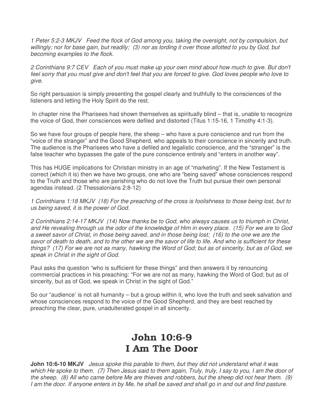1 Peter 5:2-3 MKJV Feed the flock of God among you, taking the oversight, not by compulsion, but willingly; nor for base gain, but readily; (3) nor as lording it over those allotted to you by God, but becoming examples to the flock.

2 Corinthians 9:7 CEV Each of you must make up your own mind about how much to give. But don't feel sorry that you must give and don't feel that you are forced to give. God loves people who love to give.

So right persuasion is simply presenting the gospel clearly and truthfully to the consciences of the listeners and letting the Holy Spirit do the rest.

 In chapter nine the Pharisees had shown themselves as spiritually blind – that is, unable to recognize the voice of God, their consciences were defiled and distorted (Titus 1:15-16, 1 Timothy 4:1-3).

So we have four groups of people here, the sheep – who have a pure conscience and run from the "voice of the stranger" and the Good Shepherd, who appeals to their conscience in sincerity and truth. The audience is the Pharisees who have a defiled and legalistic conscience, and the "stranger" is the false teacher who bypasses the gate of the pure conscience entirely and "enters in another way".

This has HUGE implications for Christian ministry in an age of "marketing". If the New Testament is correct (which it is) then we have two groups, one who are "being saved" whose consciences respond to the Truth and those who are perishing who do not love the Truth but pursue their own personal agendas instead. (2 Thessalonians 2:8-12)

1 Corinthians 1:18 MKJV (18) For the preaching of the cross is foolishness to those being lost, but to us being saved, it is the power of God.

2 Corinthians 2:14-17 MKJV (14) Now thanks be to God, who always causes us to triumph in Christ, and He revealing through us the odor of the knowledge of Him in every place. (15) For we are to God a sweet savor of Christ, in those being saved, and in those being lost; (16) to the one we are the savor of death to death, and to the other we are the savor of life to life. And who is sufficient for these things? (17) For we are not as many, hawking the Word of God; but as of sincerity, but as of God, we speak in Christ in the sight of God.

Paul asks the question "who is sufficient for these things" and then answers it by renouncing commercial practices in his preaching: "For we are not as many, hawking the Word of God; but as of sincerity, but as of God, we speak in Christ in the sight of God."

So our "audience' is not all humanity – but a group within it, who love the truth and seek salvation and whose consciences respond to the voice of the Good Shepherd, and they are best reached by preaching the clear, pure, unadulterated gospel in all sincerity.

# John 10:6-9 I Am The Door

**John 10:6-10 MKJV** Jesus spoke this parable to them, but they did not understand what it was which He spoke to them. (7) Then Jesus said to them again, Truly, truly, I say to you, I am the door of the sheep. (8) All who came before Me are thieves and robbers, but the sheep did not hear them. (9) I am the door. If anyone enters in by Me, he shall be saved and shall go in and out and find pasture.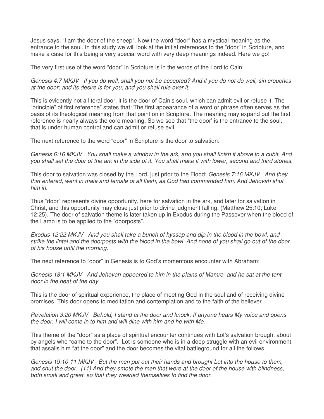Jesus says, "I am the door of the sheep". Now the word "door" has a mystical meaning as the entrance to the soul. In this study we will look at the initial references to the "door" in Scripture, and make a case for this being a very special word with very deep meanings indeed. Here we go!

The very first use of the word "door" in Scripture is in the words of the Lord to Cain:

Genesis 4:7 MKJV If you do well, shall you not be accepted? And if you do not do well, sin crouches at the door; and its desire is for you, and you shall rule over it.

This is evidently not a literal door, it is the door of Cain's soul, which can admit evil or refuse it. The "principle" of first reference" states that: The first appearance of a word or phrase often serves as the basis of its theological meaning from that point on in Scripture. The meaning may expand but the first reference is nearly always the core meaning. So we see that "the door' is the entrance to the soul, that is under human control and can admit or refuse evil.

The next reference to the word "door" in Scripture is the door to salvation:

Genesis 6:16 MKJV You shall make a window in the ark, and you shall finish it above to a cubit. And you shall set the door of the ark in the side of it. You shall make it with lower, second and third stories.

This door to salvation was closed by the Lord, just prior to the Flood: Genesis 7:16 MKJV And they that entered, went in male and female of all flesh, as God had commanded him. And Jehovah shut him in.

Thus "door" represents divine opportunity, here for salvation in the ark, and later for salvation in Christ, and this opportunity may close just prior to divine judgment falling. (Matthew 25:10; Luke 12:25). The door of salvation theme is later taken up in Exodus during the Passover when the blood of the Lamb is to be applied to the "doorposts".

Exodus 12:22 MKJV And you shall take a bunch of hyssop and dip in the blood in the bowl, and strike the lintel and the doorposts with the blood in the bowl. And none of you shall go out of the door of his house until the morning.

The next reference to "door" in Genesis is to God's momentous encounter with Abraham:

Genesis 18:1 MKJV And Jehovah appeared to him in the plains of Mamre, and he sat at the tent door in the heat of the day.

This is the door of spiritual experience, the place of meeting God in the soul and of receiving divine promises. This door opens to meditation and contemplation and to the faith of the believer.

Revelation 3:20 MKJV Behold, I stand at the door and knock. If anyone hears My voice and opens the door, I will come in to him and will dine with him and he with Me.

This theme of the "door" as a place of spiritual encounter continues with Lot's salvation brought about by angels who "came to the door". Lot is someone who is in a deep struggle with an evil environment that assails him "at the door" and the door becomes the vital battleground for all the follows.

Genesis 19:10-11 MKJV But the men put out their hands and brought Lot into the house to them, and shut the door. (11) And they smote the men that were at the door of the house with blindness, both small and great, so that they wearied themselves to find the door.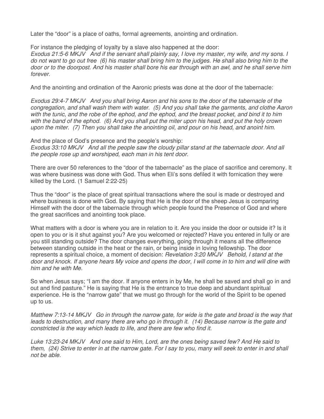Later the "door" is a place of oaths, formal agreements, anointing and ordination.

For instance the pledging of loyalty by a slave also happened at the door:

Exodus 21:5-6 MKJV And if the servant shall plainly say, I love my master, my wife, and my sons. I do not want to go out free (6) his master shall bring him to the judges. He shall also bring him to the door or to the doorpost. And his master shall bore his ear through with an awl, and he shall serve him forever.

And the anointing and ordination of the Aaronic priests was done at the door of the tabernacle:

Exodus 29:4-7 MKJV And you shall bring Aaron and his sons to the door of the tabernacle of the congregation, and shall wash them with water. (5) And you shall take the garments, and clothe Aaron with the tunic, and the robe of the ephod, and the ephod, and the breast pocket, and bind it to him with the band of the ephod. (6) And you shall put the miter upon his head, and put the holy crown upon the miter. (7) Then you shall take the anointing oil, and pour on his head, and anoint him.

And the place of God's presence and the people's worship: Exodus 33:10 MKJV And all the people saw the cloudy pillar stand at the tabernacle door. And all the people rose up and worshiped, each man in his tent door.

There are over 50 references to the "door of the tabernacle" as the place of sacrifice and ceremony. It was where business was done with God. Thus when Eli's sons defiled it with fornication they were killed by the Lord. (1 Samuel 2:22-25)

Thus the "door" is the place of great spiritual transactions where the soul is made or destroyed and where business is done with God. By saying that He is the door of the sheep Jesus is comparing Himself with the door of the tabernacle through which people found the Presence of God and where the great sacrifices and anointing took place.

What matters with a door is where you are in relation to it. Are you inside the door or outside it? Is it open to you or is it shut against you? Are you welcomed or rejected? Have you entered in fully or are you still standing outside? The door changes everything, going through it means all the difference between standing outside in the heat or the rain, or being inside in loving fellowship. The door represents a spiritual choice, a moment of decision: Revelation 3:20 MKJV Behold, I stand at the door and knock. If anyone hears My voice and opens the door, I will come in to him and will dine with him and he with Me.

So when Jesus says; "I am the door. If anyone enters in by Me, he shall be saved and shall go in and out and find pasture." He is saying that He is the entrance to true deep and abundant spiritual experience. He is the "narrow gate" that we must go through for the world of the Spirit to be opened up to us.

Matthew 7:13-14 MKJV Go in through the narrow gate, for wide is the gate and broad is the way that leads to destruction, and many there are who go in through it. (14) Because narrow is the gate and constricted is the way which leads to life, and there are few who find it.

Luke 13:23-24 MKJV And one said to Him, Lord, are the ones being saved few? And He said to them, (24) Strive to enter in at the narrow gate. For I say to you, many will seek to enter in and shall not be able.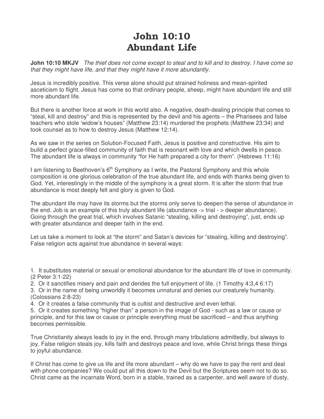# John 10:10 Abundant Life

**John 10:10 MKJV** The thief does not come except to steal and to kill and to destroy. I have come so that they might have life, and that they might have it more abundantly.

Jesus is incredibly positive. This verse alone should put strained holiness and mean-spirited asceticism to flight. Jesus has come so that ordinary people, sheep, might have abundant life and still more abundant life.

But there is another force at work in this world also. A negative, death-dealing principle that comes to "steal, kill and destroy" and this is represented by the devil and his agents – the Pharisees and false teachers who stole 'widow's houses" (Matthew 23:14) murdered the prophets (Matthew 23:34) and took counsel as to how to destroy Jesus (Matthew 12:14).

As we saw in the series on Solution-Focused Faith, Jesus is positive and constructive. His aim to build a perfect grace-filled community of faith that is resonant with love and which dwells in peace. The abundant life is always in community "for He hath prepared a city for them". (Hebrews 11:16)

I am listening to Beethoven's  $6<sup>th</sup>$  Symphony as I write, the Pastoral Symphony and this whole composition is one glorious celebration of the true abundant life, and ends with thanks being given to God. Yet, interestingly in the middle of the symphony is a great storm. It is after the storm that true abundance is most deeply felt and glory is given to God.

The abundant life may have its storms but the storms only serve to deepen the sense of abundance in the end. Job is an example of this truly abundant life (abundance -> trial - > deeper abundance). Going through the great trial, which involves Satanic "stealing, killing and destroying", just, ends up with greater abundance and deeper faith in the end.

Let us take a moment to look at "the storm" and Satan's devices for "stealing, killing and destroying". False religion acts against true abundance in several ways:

- 1. It substitutes material or sexual or emotional abundance for the abundant life of love in community. (2 Peter 3:1-22)
- 2. Or it sanctifies misery and pain and derides the full enjoyment of life. (1 Timothy 4:3,4 6:17)
- 3. Or in the name of being unworldly it becomes unnatural and denies our creaturely humanity. (Colossians 2:8-23)
- 4. Or it creates a false community that is cultist and destructive and even lethal.

5. Or it creates something "higher than" a person in the image of God - such as a law or cause or principle, and for this law or cause or principle everything must be sacrificed – and thus anything becomes permissible.

True Christianity always leads to joy in the end, through many tribulations admittedly, but always to joy. False religion steals joy, kills faith and destroys peace and love, while Christ brings these things to joyful abundance.

If Christ has come to give us life and life more abundant – why do we have to pay the rent and deal with phone companies? We could put all this down to the Devil but the Scriptures seem not to do so. Christ came as the incarnate Word, born in a stable, trained as a carpenter, and well aware of dusty,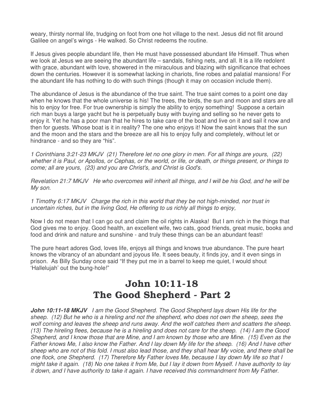weary, thirsty normal life, trudging on foot from one hot village to the next. Jesus did not flit around Galilee on angel's wings - He walked. So Christ redeems the routine.

If Jesus gives people abundant life, then He must have possessed abundant life Himself. Thus when we look at Jesus we are seeing the abundant life – sandals, fishing nets, and all. It is a life redolent with grace, abundant with love, showered in the miraculous and blazing with significance that echoes down the centuries. However it is somewhat lacking in chariots, fine robes and palatial mansions! For the abundant life has nothing to do with such things (though it may on occasion include them).

The abundance of Jesus is the abundance of the true saint. The true saint comes to a point one day when he knows that the whole universe is his! The trees, the birds, the sun and moon and stars are all his to enjoy for free. For true ownership is simply the ability to enjoy something! Suppose a certain rich man buys a large yacht but he is perpetually busy with buying and selling so he never gets to enjoy it. Yet he has a poor man that he hires to take care of the boat and live on it and sail it now and then for guests. Whose boat is it in reality? The one who enjoys it! Now the saint knows that the sun and the moon and the stars and the breeze are all his to enjoy fully and completely, without let or hindrance - and so they are "his".

1 Corinthians 3:21-23 MKJV (21) Therefore let no one glory in men. For all things are yours, (22) whether it is Paul, or Apollos, or Cephas, or the world, or life, or death, or things present, or things to come; all are yours, (23) and you are Christ's, and Christ is God's.

Revelation 21:7 MKJV He who overcomes will inherit all things, and I will be his God, and he will be My son.

1 Timothy 6:17 MKJV Charge the rich in this world that they be not high-minded, nor trust in uncertain riches, but in the living God, He offering to us richly all things to enjoy,

Now I do not mean that I can go out and claim the oil rights in Alaska! But I am rich in the things that God gives me to enjoy. Good health, an excellent wife, two cats, good friends, great music, books and food and drink and nature and sunshine - and truly these things can be an abundant feast!

The pure heart adores God, loves life, enjoys all things and knows true abundance. The pure heart knows the vibrancy of an abundant and joyous life. It sees beauty, it finds joy, and it even sings in prison. As Billy Sunday once said "If they put me in a barrel to keep me quiet, I would shout 'Hallelujah' out the bung-hole!"

## John 10:11-18 The Good Shepherd - Part 2

**John 10:11-18 MKJV** I am the Good Shepherd. The Good Shepherd lays down His life for the sheep. (12) But he who is a hireling and not the shepherd, who does not own the sheep, sees the wolf coming and leaves the sheep and runs away. And the wolf catches them and scatters the sheep. (13) The hireling flees, because he is a hireling and does not care for the sheep. (14) I am the Good Shepherd, and I know those that are Mine, and I am known by those who are Mine. (15) Even as the Father knows Me, I also know the Father. And I lay down My life for the sheep. (16) And I have other sheep who are not of this fold. I must also lead those, and they shall hear My voice, and there shall be one flock, one Shepherd. (17) Therefore My Father loves Me, because I lay down My life so that I might take it again. (18) No one takes it from Me, but I lay it down from Myself. I have authority to lay it down, and I have authority to take it again. I have received this commandment from My Father.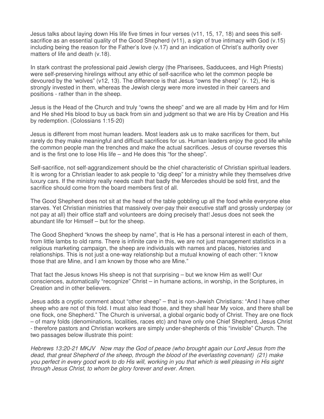Jesus talks about laying down His life five times in four verses (v11, 15, 17, 18) and sees this selfsacrifice as an essential quality of the Good Shepherd (v11), a sign of true intimacy with God (v.15) including being the reason for the Father's love (v.17) and an indication of Christ's authority over matters of life and death (v.18).

In stark contrast the professional paid Jewish clergy (the Pharisees, Sadducees, and High Priests) were self-preserving hirelings without any ethic of self-sacrifice who let the common people be devoured by the 'wolves" (v12, 13). The difference is that Jesus "owns the sheep" (v. 12), He is strongly invested in them, whereas the Jewish clergy were more invested in their careers and positions - rather than in the sheep.

Jesus is the Head of the Church and truly "owns the sheep" and we are all made by Him and for Him and He shed His blood to buy us back from sin and judgment so that we are His by Creation and His by redemption. (Colossians 1:15-20)

Jesus is different from most human leaders. Most leaders ask us to make sacrifices for them, but rarely do they make meaningful and difficult sacrifices for us. Human leaders enjoy the good life while the common people man the trenches and make the actual sacrifices. Jesus of course reverses this and is the first one to lose His life – and He does this "for the sheep".

Self-sacrifice, not self-aggrandizement should be the chief characteristic of Christian spiritual leaders. It is wrong for a Christian leader to ask people to "dig deep" for a ministry while they themselves drive luxury cars. If the ministry really needs cash that badly the Mercedes should be sold first, and the sacrifice should come from the board members first of all.

The Good Shepherd does not sit at the head of the table gobbling up all the food while everyone else starves. Yet Christian ministries that massively over-pay their executive staff and grossly underpay (or not pay at all) their office staff and volunteers are doing precisely that! Jesus does not seek the abundant life for Himself – but for the sheep.

The Good Shepherd "knows the sheep by name", that is He has a personal interest in each of them, from little lambs to old rams. There is infinite care in this, we are not just management statistics in a religious marketing campaign, the sheep are individuals with names and places, histories and relationships. This is not just a one-way relationship but a mutual knowing of each other: "I know those that are Mine, and I am known by those who are Mine."

That fact the Jesus knows His sheep is not that surprising – but we know Him as well! Our consciences, automatically "recognize" Christ – in humane actions, in worship, in the Scriptures, in Creation and in other believers.

Jesus adds a cryptic comment about "other sheep" – that is non-Jewish Christians: "And I have other sheep who are not of this fold. I must also lead those, and they shall hear My voice, and there shall be one flock, one Shepherd." The Church is universal, a global organic body of Christ. They are one flock – of many folds (denominations, localities, races etc) and have only one Chief Shepherd, Jesus Christ - therefore pastors and Christian workers are simply under-shepherds of this "invisible" Church. The two passages below illustrate this point:

Hebrews 13:20-21 MKJV Now may the God of peace (who brought again our Lord Jesus from the dead, that great Shepherd of the sheep, through the blood of the everlasting covenant) (21) make you perfect in every good work to do His will, working in you that which is well pleasing in His sight through Jesus Christ, to whom be glory forever and ever. Amen.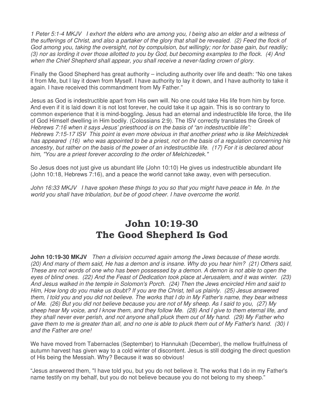1 Peter 5:1-4 MKJV I exhort the elders who are among you, I being also an elder and a witness of the sufferings of Christ, and also a partaker of the glory that shall be revealed. (2) Feed the flock of God among you, taking the oversight, not by compulsion, but willingly; nor for base gain, but readily; (3) nor as lording it over those allotted to you by God, but becoming examples to the flock. (4) And when the Chief Shepherd shall appear, you shall receive a never-fading crown of glory.

Finally the Good Shepherd has great authority – including authority over life and death: "No one takes it from Me, but I lay it down from Myself. I have authority to lay it down, and I have authority to take it again. I have received this commandment from My Father."

Jesus as God is indestructible apart from His own will. No one could take His life from him by force. And even if it is laid down it is not lost forever, he could take it up again. This is so contrary to common experience that it is mind-boggling. Jesus had an eternal and indestructible life force, the life of God Himself dwelling in Him bodily. (Colossians 2:9). The ISV correctly translates the Greek of Hebrews 7:16 when it says Jesus' priesthood is on the basis of "an indestructible life": Hebrews 7:15-17 ISV This point is even more obvious in that another priest who is like Melchizedek has appeared (16) who was appointed to be a priest, not on the basis of a regulation concerning his ancestry, but rather on the basis of the power of an indestructible life. (17) For it is declared about him, "You are a priest forever according to the order of Melchizedek."

So Jesus does not just give us abundant life (John 10:10) He gives us indestructible abundant life (John 10:18, Hebrews 7:16), and a peace the world cannot take away, even with persecution.

John 16:33 MKJV I have spoken these things to you so that you might have peace in Me. In the world you shall have tribulation, but be of good cheer. I have overcome the world.

## John 10:19-30 The Good Shepherd Is God

**John 10:19-30 MKJV** Then a division occurred again among the Jews because of these words. (20) And many of them said, He has a demon and is insane. Why do you hear him? (21) Others said, These are not words of one who has been possessed by a demon. A demon is not able to open the eyes of blind ones. (22) And the Feast of Dedication took place at Jerusalem, and it was winter. (23) And Jesus walked in the temple in Solomon's Porch. (24) Then the Jews encircled Him and said to Him, How long do you make us doubt? If you are the Christ, tell us plainly. (25) Jesus answered them, I told you and you did not believe. The works that I do in My Father's name, they bear witness of Me. (26) But you did not believe because you are not of My sheep. As I said to you, (27) My sheep hear My voice, and I know them, and they follow Me. (28) And I give to them eternal life, and they shall never ever perish, and not anyone shall pluck them out of My hand. (29) My Father who gave them to me is greater than all, and no one is able to pluck them out of My Father's hand. (30) I and the Father are one!

We have moved from Tabernacles (September) to Hannukah (December), the mellow fruitfulness of autumn harvest has given way to a cold winter of discontent. Jesus is still dodging the direct question of His being the Messiah. Why? Because it was so obvious!

"Jesus answered them, "I have told you, but you do not believe it. The works that I do in my Father's name testify on my behalf, but you do not believe because you do not belong to my sheep."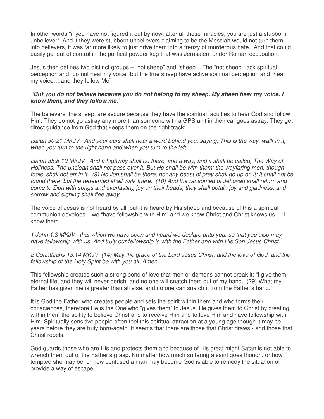In other words "if you have not figured it out by now, after all these miracles, you are just a stubborn unbeliever". And if they were stubborn unbelievers claiming to be the Messiah would not turn them into believers, it was far more likely to just drive them into a frenzy of murderous hate. And that could easily get out of control in the political powder keg that was Jerusalem under Roman occupation.

Jesus then defines two distinct groups – "not sheep" and "sheep". The "not sheep" lack spiritual perception and "do not hear my voice" but the true sheep have active spiritual perception and "hear my voice….and they follow Me"

#### **"But you do not believe because you do not belong to my sheep. My sheep hear my voice. I know them, and they follow me."**

The believers, the sheep, are secure because they have the spiritual faculties to hear God and follow Him. They do not go astray any more than someone with a GPS unit in their car goes astray. They get direct guidance from God that keeps them on the right track:

Isaiah 30:21 MKJV And your ears shall hear a word behind you, saying, This is the way, walk in it, when you turn to the right hand and when you turn to the left.

Isaiah 35:8-10 MKJV And a highway shall be there, and a way, and it shall be called, The Way of Holiness. The unclean shall not pass over it. But He shall be with them; the wayfaring men, though fools, shall not err in it. (9) No lion shall be there, nor any beast of prey shall go up on it; it shall not be found there; but the redeemed shall walk there. (10) And the ransomed of Jehovah shall return and come to Zion with songs and everlasting joy on their heads; they shall obtain joy and gladness, and sorrow and sighing shall flee away.

The voice of Jesus is not heard by all, but it is heard by His sheep and because of this a spiritual communion develops – we "have fellowship with Him" and we know Christ and Christ knows us. . "I know them"

1 John 1:3 MKJV that which we have seen and heard we declare unto you, so that you also may have fellowship with us. And truly our fellowship is with the Father and with His Son Jesus Christ.

2 Corinthians 13:14 MKJV (14) May the grace of the Lord Jesus Christ, and the love of God, and the fellowship of the Holy Spirit be with you all. Amen.

This fellowship creates such a strong bond of love that men or demons cannot break it: "I give them eternal life, and they will never perish, and no one will snatch them out of my hand. (29) What my Father has given me is greater than all else, and no one can snatch it from the Father's hand."

It is God the Father who creates people and sets the spirit within them and who forms their consciences, therefore He is the One who "gives them" to Jesus. He gives them to Christ by creating within them the ability to believe Christ and to receive Him and to love Him and have fellowship with Him. Spiritually sensitive people often feel this spiritual attraction at a young age though it may be years before they are truly born-again. It seems that there are those that Christ draws - and those that Christ repels.

God guards those who are His and protects them and because of His great might Satan is not able to wrench them out of the Father's grasp. No matter how much suffering a saint goes though, or how tempted she may be, or how confused a man may become God is able to remedy the situation of provide a way of escape. .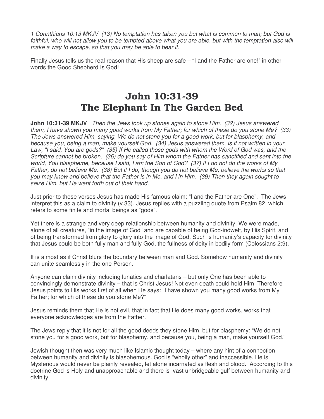1 Corinthians 10:13 MKJV (13) No temptation has taken you but what is common to man; but God is faithful, who will not allow you to be tempted above what you are able, but with the temptation also will make a way to escape, so that you may be able to bear it.

Finally Jesus tells us the real reason that His sheep are safe – "I and the Father are one!" in other words the Good Shepherd Is God!

# John 10:31-39 The Elephant In The Garden Bed

**John 10:31-39 MKJV** Then the Jews took up stones again to stone Him. (32) Jesus answered them, I have shown you many good works from My Father; for which of these do you stone Me? (33) The Jews answered Him, saying, We do not stone you for a good work, but for blasphemy, and because you, being a man, make yourself God. (34) Jesus answered them, Is it not written in your Law, "I said, You are gods?" (35) If He called those gods with whom the Word of God was, and the Scripture cannot be broken, (36) do you say of Him whom the Father has sanctified and sent into the world, You blaspheme, because I said, I am the Son of God? (37) If I do not do the works of My Father, do not believe Me. (38) But if I do, though you do not believe Me, believe the works so that you may know and believe that the Father is in Me, and I in Him. (39) Then they again sought to seize Him, but He went forth out of their hand.

Just prior to these verses Jesus has made His famous claim: "I and the Father are One". The Jews interpret this as a claim to divinity (v.33). Jesus replies with a puzzling quote from Psalm 82, which refers to some finite and mortal beings as "gods".

Yet there is a strange and very deep relationship between humanity and divinity. We were made, alone of all creatures, "in the image of God" and are capable of being God-indwelt, by His Spirit, and of being transformed from glory to glory into the image of God. Such is humanity's capacity for divinity that Jesus could be both fully man and fully God, the fullness of deity in bodily form (Colossians 2:9).

It is almost as if Christ blurs the boundary between man and God. Somehow humanity and divinity can unite seamlessly in the one Person.

Anyone can claim divinity including lunatics and charlatans – but only One has been able to convincingly demonstrate divinity – that is Christ Jesus! Not even death could hold Him! Therefore Jesus points to His works first of all when He says: "I have shown you many good works from My Father; for which of these do you stone Me?"

Jesus reminds them that He is not evil, that in fact that He does many good works, works that everyone acknowledges are from the Father.

The Jews reply that it is not for all the good deeds they stone Him, but for blasphemy: "We do not stone you for a good work, but for blasphemy, and because you, being a man, make yourself God."

Jewish thought then was very much like Islamic thought today – where any hint of a connection between humanity and divinity is blasphemous. God is "wholly other" and inaccessible. He is Mysterious would never be plainly revealed, let alone incarnated as flesh and blood. According to this doctrine God is Holy and unapproachable and there is vast unbridgeable gulf between humanity and divinity.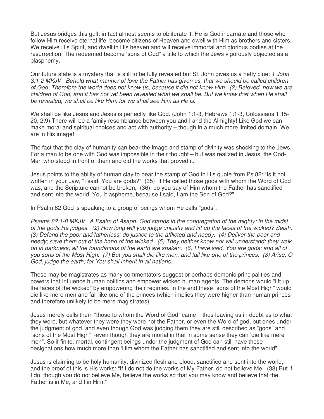But Jesus bridges this gulf, in fact almost seems to obliterate it. He is God incarnate and those who follow Him receive eternal life, become citizens of Heaven and dwell with Him as brothers and sisters. We receive His Spirit, and dwell in His heaven and will receive immortal and glorious bodies at the resurrection. The redeemed become 'sons of God" a title to which the Jews vigorously objected as a blasphemy.

Our future state is a mystery that is still to be fully revealed but St. John gives us a hefty clue: 1 John 3:1-2 MKJV Behold what manner of love the Father has given us, that we should be called children of God. Therefore the world does not know us, because it did not know Him. (2) Beloved, now we are children of God, and it has not yet been revealed what we shall be. But we know that when He shall be revealed, we shall be like Him, for we shall see Him as He is.

We shall be like Jesus and Jesus is perfectly like God. (John 1:1-3, Hebrews 1:1-3, Colossians 1:15-20, 2:9) There will be a family resemblance between you and I and the Almighty! Like God we can make moral and spiritual choices and act with authority – though in a much more limited domain. We are in His image!

The fact that the clay of humanity can bear the image and stamp of divinity was shocking to the Jews. For a man to be one with God was impossible in their thought – but was realized in Jesus, the God-Man who stood in front of them and did the works that proved it.

Jesus points to the ability of human clay to bear the stamp of God in His quote from Ps 82: "Is it not written in your Law, "I said, You are gods?" (35) If He called those gods with whom the Word of God was, and the Scripture cannot be broken, (36) do you say of Him whom the Father has sanctified and sent into the world, You blaspheme, because I said, I am the Son of God?"

In Psalm 82 God is speaking to a group of beings whom He calls "gods":

Psalms 82:1-8 MKJV A Psalm of Asaph. God stands in the congregation of the mighty; in the midst of the gods He judges. (2) How long will you judge unjustly and lift up the faces of the wicked? Selah. (3) Defend the poor and fatherless; do justice to the afflicted and needy. (4) Deliver the poor and needy; save them out of the hand of the wicked. (5) They neither know nor will understand; they walk on in darkness; all the foundations of the earth are shaken. (6) I have said, You are gods; and all of you sons of the Most High. (7) But you shall die like men, and fall like one of the princes. (8) Arise, O God, judge the earth; for You shall inherit in all nations.

These may be magistrates as many commentators suggest or perhaps demonic principalities and powers that influence human politics and empower wicked human agents. The demons would "lift up the faces of the wicked" by empowering their regimes. In the end these "sons of the Most High" would die like mere men and fall like one of the princes (which implies they were higher than human princes and therefore unlikely to be mere magistrates).

Jesus merely calls them "those to whom the Word of God" came – thus leaving us in doubt as to what they were, but whatever they were they were not the Father, or even the Word of god, but ones under the judgment of god, and even though God was judging them they are still described as "gods" and "sons of the Most High" -even though they are mortal in that in some sense they can 'die like mere men". So if finite, mortal, contingent beings under the judgment of God can still have these designations how much more than 'Him whom the Father has sanctified and sent into the world".

Jesus is claiming to be holy humanity, divinized flesh and blood, sanctified and sent into the world, and the proof of this is His works: "If I do not do the works of My Father, do not believe Me. (38) But if I do, though you do not believe Me, believe the works so that you may know and believe that the Father is in Me, and I in Him."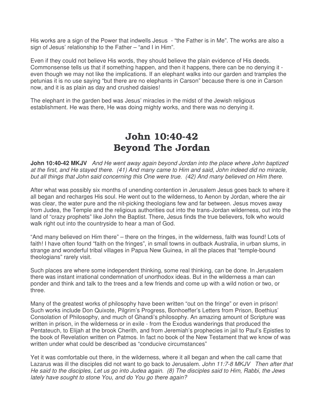His works are a sign of the Power that indwells Jesus - "the Father is in Me". The works are also a sign of Jesus' relationship to the Father – "and I in Him".

Even if they could not believe His words, they should believe the plain evidence of His deeds. Commonsense tells us that if something happen, and then it happens, there can be no denying it even though we may not like the implications. If an elephant walks into our garden and tramples the petunias it is no use saying "but there are no elephants in Carson" because there is one in Carson now, and it is as plain as day and crushed daisies!

The elephant in the garden bed was Jesus' miracles in the midst of the Jewish religious establishment. He was there, He was doing mighty works, and there was no denying it.

# John 10:40-42 Beyond The Jordan

**John 10:40-42 MKJV** And He went away again beyond Jordan into the place where John baptized at the first, and He stayed there. (41) And many came to Him and said, John indeed did no miracle, but all things that John said concerning this One were true. (42) And many believed on Him there.

After what was possibly six months of unending contention in Jerusalem Jesus goes back to where it all began and recharges His soul. He went out to the wilderness, to Aenon by Jordan, where the air was clear, the water pure and the nit-picking theologians few and far between. Jesus moves away from Judea, the Temple and the religious authorities out into the trans-Jordan wilderness, out into the land of "crazy prophets" like John the Baptist. There, Jesus finds the true believers, folk who would walk right out into the countryside to hear a man of God.

"And many believed on Him there" – there on the fringes, in the wilderness, faith was found! Lots of faith! I have often found "faith on the fringes", in small towns in outback Australia, in urban slums, in strange and wonderful tribal villages in Papua New Guinea, in all the places that "temple-bound theologians" rarely visit.

Such places are where some independent thinking, some real thinking, can be done. In Jerusalem there was instant irrational condemnation of unorthodox ideas. But in the wilderness a man can ponder and think and talk to the trees and a few friends and come up with a wild notion or two, or three.

Many of the greatest works of philosophy have been written "out on the fringe" or even in prison! Such works include Don Quixote, Pilgrim's Progress, Bonhoeffer's Letters from Prison, Boethius' Consolation of Philosophy, and much of Ghandi's philosophy. An amazing amount of Scripture was written in prison, in the wilderness or in exile - from the Exodus wanderings that produced the Pentateuch, to Elijah at the brook Cherith, and from Jeremiah's prophecies in jail to Paul's Epistles to the book of Revelation written on Patmos. In fact no book of the New Testament that we know of was written under what could be described as "conducive circumstances"

Yet it was comfortable out there, in the wilderness, where it all began and when the call came that Lazarus was ill the disciples did not want to go back to Jerusalem. John 11:7-8 MKJV Then after that He said to the disciples, Let us go into Judea again. (8) The disciples said to Him, Rabbi, the Jews lately have sought to stone You, and do You go there again?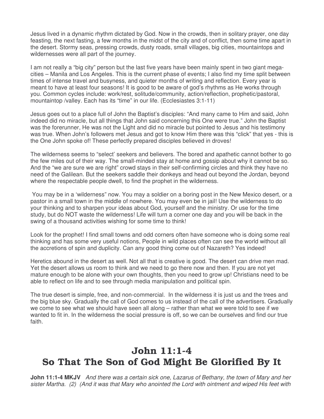Jesus lived in a dynamic rhythm dictated by God. Now in the crowds, then in solitary prayer, one day feasting, the next fasting, a few months in the midst of the city and of conflict, then some time apart in the desert. Stormy seas, pressing crowds, dusty roads, small villages, big cities, mountaintops and wildernesses were all part of the journey.

I am not really a "big city" person but the last five years have been mainly spent in two giant megacities – Manila and Los Angeles. This is the current phase of events; I also find my time split between times of intense travel and busyness, and quieter months of writing and reflection. Every year is meant to have at least four seasons! It is good to be aware of god's rhythms as He works through you. Common cycles include: work/rest, solitude/community, action/reflection, prophetic/pastoral, mountaintop /valley. Each has its "time" in our life. (Ecclesiastes 3:1-11)

Jesus goes out to a place full of John the Baptist's disciples: "And many came to Him and said, John indeed did no miracle, but all things that John said concerning this One were true." John the Baptist was the forerunner, He was not the Light and did no miracle but pointed to Jesus and his testimony was true. When John's followers met Jesus and got to know Him there was this "click" that yes - this is the One John spoke of! These perfectly prepared disciples believed in droves!

The wilderness seems to "select' seekers and believers. The bored and apathetic cannot bother to go the few miles out of their way. The small-minded stay at home and gossip about why it cannot be so. And the "we are sure we are right" crowd stays in their self-confirming circles and think they have no need of the Galilean. But the seekers saddle their donkeys and head out beyond the Jordan, beyond where the respectable people dwell, to find the prophet in the wilderness.

 You may be in a 'wilderness" now. You may a soldier on a boring post in the New Mexico desert, or a pastor in a small town in the middle of nowhere. You may even be in jail! Use the wilderness to do your thinking and to sharpen your ideas about God, yourself and the ministry. Or use for the time study, but do NOT waste the wilderness! Life will turn a corner one day and you will be back in the swing of a thousand activities wishing for some time to think!

Look for the prophet! I find small towns and odd corners often have someone who is doing some real thinking and has some very useful notions, People in wild places often can see the world without all the accretions of spin and duplicity. Can any good thing come out of Nazareth? Yes indeed!

Heretics abound in the desert as well. Not all that is creative is good. The desert can drive men mad. Yet the desert allows us room to think and we need to go there now and then. If you are not yet mature enough to be alone with your own thoughts, then you need to grow up! Christians need to be able to reflect on life and to see through media manipulation and political spin.

The true desert is simple, free, and non-commercial. In the wilderness it is just us and the trees and the big blue sky. Gradually the call of God comes to us instead of the call of the advertisers. Gradually we come to see what we should have seen all along – rather than what we were told to see if we wanted to fit in. In the wilderness the social pressure is off, so we can be ourselves and find our true faith.

# John 11:1-4 So That The Son of God Might Be Glorified By It

**John 11:1-4 MKJV** And there was a certain sick one, Lazarus of Bethany, the town of Mary and her sister Martha. (2) (And it was that Mary who anointed the Lord with ointment and wiped His feet with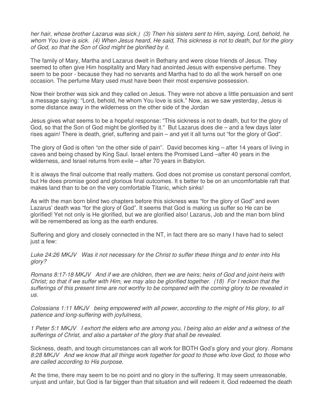her hair, whose brother Lazarus was sick.) (3) Then his sisters sent to Him, saying, Lord, behold, he whom You love is sick. (4) When Jesus heard, He said, This sickness is not to death, but for the glory of God, so that the Son of God might be glorified by it.

The family of Mary, Martha and Lazarus dwelt in Bethany and were close friends of Jesus. They seemed to often give Him hospitality and Mary had anointed Jesus with expensive perfume. They seem to be poor - because they had no servants and Martha had to do all the work herself on one occasion. The perfume Mary used must have been their most expensive possession.

Now their brother was sick and they called on Jesus. They were not above a little persuasion and sent a message saying: "Lord, behold, he whom You love is sick." Now, as we saw yesterday, Jesus is some distance away in the wilderness on the other side of the Jordan

Jesus gives what seems to be a hopeful response: "This sickness is not to death, but for the glory of God, so that the Son of God might be glorified by it." But Lazarus does die – and a few days later rises again! There is death, grief, suffering and pain – and yet it all turns out "for the glory of God".

The glory of God is often "on the other side of pain". David becomes king – after 14 years of living in caves and being chased by King Saul. Israel enters the Promised Land –after 40 years in the wilderness, and Israel returns from exile – after 70 years in Babylon.

It is always the final outcome that really matters. God does not promise us constant personal comfort, but He does promise good and glorious final outcomes. It s better to be on an uncomfortable raft that makes land than to be on the very comfortable Titanic, which sinks!

As with the man born blind two chapters before this sickness was "for the glory of God" and even Lazarus' death was "for the glory of God". It seems that God is making us suffer so He can be glorified! Yet not only is He glorified, but we are glorified also! Lazarus, Job and the man born blind will be remembered as long as the earth endures.

Suffering and glory and closely connected in the NT, in fact there are so many I have had to select just a few:

Luke 24:26 MKJV Was it not necessary for the Christ to suffer these things and to enter into His glory?

Romans 8:17-18 MKJV And if we are children, then we are heirs; heirs of God and joint-heirs with Christ; so that if we suffer with Him, we may also be glorified together. (18) For I reckon that the sufferings of this present time are not worthy to be compared with the coming glory to be revealed in us.

Colossians 1:11 MKJV being empowered with all power, according to the might of His glory, to all patience and long-suffering with joyfulness,

1 Peter 5:1 MKJV I exhort the elders who are among you, I being also an elder and a witness of the sufferings of Christ, and also a partaker of the glory that shall be revealed.

Sickness, death, and tough circumstances can all work for BOTH God's glory and your glory. Romans 8:28 MKJV And we know that all things work together for good to those who love God, to those who are called according to His purpose.

At the time, there may seem to be no point and no glory in the suffering. It may seem unreasonable, unjust and unfair, but God is far bigger than that situation and will redeem it. God redeemed the death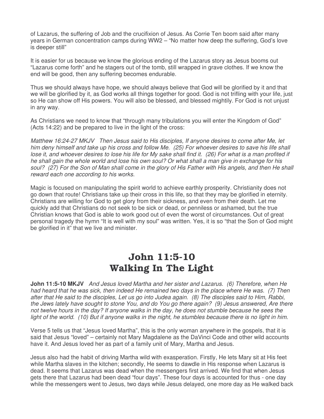of Lazarus, the suffering of Job and the crucifixion of Jesus. As Corrie Ten boom said after many years in German concentration camps during WW2 – "No matter how deep the suffering, God's love is deeper still"

It is easier for us because we know the glorious ending of the Lazarus story as Jesus booms out "Lazarus come forth" and he stagers out of the tomb, still wrapped in grave clothes. If we know the end will be good, then any suffering becomes endurable.

Thus we should always have hope, we should always believe that God will be glorified by it and that we will be glorified by it, as God works all things together for good. God is not trifling with your life, just so He can show off His powers. You will also be blessed, and blessed mightily. For God is not unjust in any way.

As Christians we need to know that "through many tribulations you will enter the Kingdom of God" (Acts 14:22) and be prepared to live in the light of the cross:

Matthew 16:24-27 MKJV Then Jesus said to His disciples, If anyone desires to come after Me, let him deny himself and take up his cross and follow Me. (25) For whoever desires to save his life shall lose it, and whoever desires to lose his life for My sake shall find it. (26) For what is a man profited if he shall gain the whole world and lose his own soul? Or what shall a man give in exchange for his soul? (27) For the Son of Man shall come in the glory of His Father with His angels, and then He shall reward each one according to his works.

Magic is focused on manipulating the spirit world to achieve earthly prosperity. Christianity does not go down that route! Christians take up their cross in this life, so that they may be glorified in eternity. Christians are willing for God to get glory from their sickness, and even from their death. Let me quickly add that Christians do not seek to be sick or dead, or penniless or ashamed, but the true Christian knows that God is able to work good out of even the worst of circumstances. Out of great personal tragedy the hymn "It is well with my soul" was written. Yes, it is so "that the Son of God might be glorified in it" that we live and minister.

## John 11:5-10 Walking In The Light

**John 11:5-10 MKJV** And Jesus loved Martha and her sister and Lazarus. (6) Therefore, when He had heard that he was sick, then indeed He remained two days in the place where He was. (7) Then after that He said to the disciples, Let us go into Judea again. (8) The disciples said to Him, Rabbi, the Jews lately have sought to stone You, and do You go there again? (9) Jesus answered, Are there not twelve hours in the day? If anyone walks in the day, he does not stumble because he sees the light of the world. (10) But if anyone walks in the night, he stumbles because there is no light in him.

Verse 5 tells us that "Jesus loved Martha", this is the only woman anywhere in the gospels, that it is said that Jesus "loved" – certainly not Mary Magdalene as the DaVinci Code and other wild accounts have it. And Jesus loved her as part of a family unit of Mary, Martha and Jesus.

Jesus also had the habit of driving Martha wild with exasperation. Firstly, He lets Mary sit at His feet while Martha slaves in the kitchen; secondly, He seems to dawdle in His response when Lazarus is dead. It seems that Lazarus was dead when the messengers first arrived. We find that when Jesus gets there that Lazarus had been dead "four days". These four days is accounted for thus - one day while the messengers went to Jesus, two days while Jesus delayed, one more day as He walked back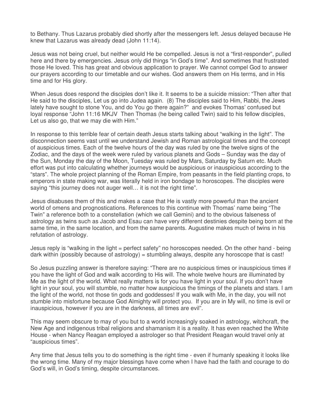to Bethany. Thus Lazarus probably died shortly after the messengers left. Jesus delayed because He knew that Lazarus was already dead (John 11:14).

Jesus was not being cruel, but neither would He be compelled. Jesus is not a "first-responder", pulled here and there by emergencies. Jesus only did things "in God's time". And sometimes that frustrated those He loved. This has great and obvious application to prayer. We cannot compel God to answer our prayers according to our timetable and our wishes. God answers them on His terms, and in His time and for His glory.

When Jesus does respond the disciples don't like it. It seems to be a suicide mission: "Then after that He said to the disciples, Let us go into Judea again. (8) The disciples said to Him, Rabbi, the Jews lately have sought to stone You, and do You go there again?" and evokes Thomas' confused but loyal response "John 11:16 MKJV Then Thomas (he being called Twin) said to his fellow disciples, Let us also go, that we may die with Him."

In response to this terrible fear of certain death Jesus starts talking about "walking in the light". The disconnection seems vast until we understand Jewish and Roman astrological times and the concept of auspicious times. Each of the twelve hours of the day was ruled by one the twelve signs of the Zodiac, and the days of the week were ruled by various planets and Gods – Sunday was the day of the Sun, Monday the day of the Moon, Tuesday was ruled by Mars, Saturday by Saturn etc. Much effort was put into calculating whether journeys would be auspicious or inauspicious according to the "stars". The whole project planning of the Roman Empire, from peasants in the field planting crops, to emperors in state making war, was literally held in iron bondage to horoscopes. The disciples were saying "this journey does not auger well… it is not the right time".

Jesus disabuses them of this and makes a case that He is vastly more powerful than the ancient world of omens and prognostications. References to this continue with Thomas' name being "The Twin" a reference both to a constellation (which we call Gemini) and to the obvious falseness of astrology as twins such as Jacob and Esau can have very different destinies despite being born at the same time, in the same location, and from the same parents. Augustine makes much of twins in his refutation of astrology.

Jesus reply is "walking in the light = perfect safety" no horoscopes needed. On the other hand - being dark within (possibly because of astrology) = stumbling always, despite any horoscope that is cast!

So Jesus puzzling answer is therefore saying: "There are no auspicious times or inauspicious times if you have the light of God and walk according to His will. The whole twelve hours are illuminated by Me as the light of the world. What really matters is for you have light in your soul. If you don't have light in your soul, you will stumble, no matter how auspicious the timings of the planets and stars. I am the light of the world, not those tin gods and goddesses! If you walk with Me, in the day, you will not stumble into misfortune because God Almighty will protect you. If you are in My will, no time is evil or inauspicious, however if you are in the darkness, all times are evil".

This may seem obscure to may of you but to a world increasingly soaked in astrology, witchcraft, the New Age and indigenous tribal religions and shamanism it is a reality. It has even reached the White House - when Nancy Reagan employed a astrologer so that President Reagan would travel only at "auspicious times".

Any time that Jesus tells you to do something is the right time - even if humanly speaking it looks like the wrong time. Many of my major blessings have come when I have had the faith and courage to do God's will, in God's timing, despite circumstances.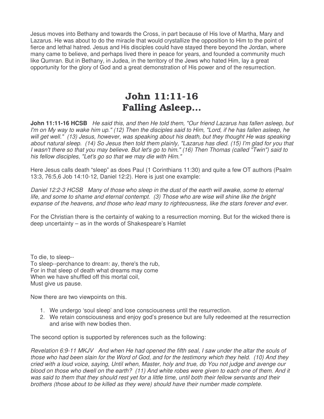Jesus moves into Bethany and towards the Cross, in part because of His love of Martha, Mary and Lazarus. He was about to do the miracle that would crystallize the opposition to Him to the point of fierce and lethal hatred. Jesus and His disciples could have stayed there beyond the Jordan, where many came to believe, and perhaps lived there in peace for years, and founded a community much like Qumran. But in Bethany, in Judea, in the territory of the Jews who hated Him, lay a great opportunity for the glory of God and a great demonstration of His power and of the resurrection.

# John 11:11-16 Falling Asleep…

**John 11:11-16 HCSB** He said this, and then He told them, "Our friend Lazarus has fallen asleep, but I'm on My way to wake him up." (12) Then the disciples said to Him, "Lord, if he has fallen asleep, he will get well." (13) Jesus, however, was speaking about his death, but they thought He was speaking about natural sleep. (14) So Jesus then told them plainly, "Lazarus has died. (15) I'm glad for you that I wasn't there so that you may believe. But let's go to him." (16) Then Thomas (called "Twin") said to his fellow disciples, "Let's go so that we may die with Him."

Here Jesus calls death "sleep" as does Paul (1 Corinthians 11:30) and quite a few OT authors (Psalm 13:3, 76:5,6 Job 14:10-12, Daniel 12:2). Here is just one example:

Daniel 12:2-3 HCSB Many of those who sleep in the dust of the earth will awake, some to eternal life, and some to shame and eternal contempt. (3) Those who are wise will shine like the bright expanse of the heavens, and those who lead many to righteousness, like the stars forever and ever.

For the Christian there is the certainty of waking to a resurrection morning. But for the wicked there is deep uncertainty – as in the words of Shakespeare's Hamlet

To die, to sleep-- To sleep--perchance to dream: ay, there's the rub, For in that sleep of death what dreams may come When we have shuffled off this mortal coil, Must give us pause.

Now there are two viewpoints on this.

- 1. We undergo 'soul sleep' and lose consciousness until the resurrection.
- 2. We retain consciousness and enjoy god's presence but are fully redeemed at the resurrection and arise with new bodies then.

The second option is supported by references such as the following:

Revelation 6:9-11 MKJV And when He had opened the fifth seal, I saw under the altar the souls of those who had been slain for the Word of God, and for the testimony which they held. (10) And they cried with a loud voice, saying, Until when, Master, holy and true, do You not judge and avenge our blood on those who dwell on the earth? (11) And white robes were given to each one of them. And it was said to them that they should rest yet for a little time, until both their fellow servants and their brothers (those about to be killed as they were) should have their number made complete.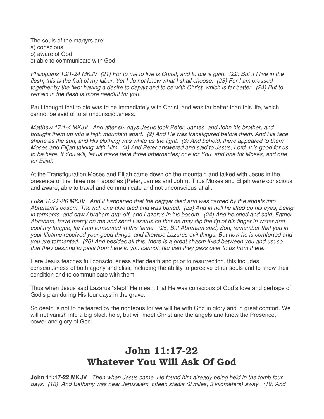The souls of the martyrs are: a) conscious b) aware of God c) able to communicate with God.

Philippians 1:21-24 MKJV (21) For to me to live is Christ, and to die is gain. (22) But if I live in the flesh, this is the fruit of my labor. Yet I do not know what I shall choose. (23) For I am pressed together by the two: having a desire to depart and to be with Christ, which is far better. (24) But to remain in the flesh is more needful for you.

Paul thought that to die was to be immediately with Christ, and was far better than this life, which cannot be said of total unconsciousness.

Matthew 17:1-4 MKJV And after six days Jesus took Peter, James, and John his brother, and brought them up into a high mountain apart. (2) And He was transfigured before them. And His face shone as the sun, and His clothing was white as the light. (3) And behold, there appeared to them Moses and Elijah talking with Him. (4) And Peter answered and said to Jesus, Lord, it is good for us to be here. If You will, let us make here three tabernacles; one for You, and one for Moses, and one for Elijah.

At the Transfiguration Moses and Elijah came down on the mountain and talked with Jesus in the presence of the three main apostles (Peter, James and John). Thus Moses and Elijah were conscious and aware, able to travel and communicate and not unconscious at all.

Luke 16:22-26 MKJV And it happened that the beggar died and was carried by the angels into Abraham's bosom. The rich one also died and was buried. (23) And in hell he lifted up his eyes, being in torments, and saw Abraham afar off, and Lazarus in his bosom. (24) And he cried and said, Father Abraham, have mercy on me and send Lazarus so that he may dip the tip of his finger in water and cool my tongue, for I am tormented in this flame. (25) But Abraham said, Son, remember that you in your lifetime received your good things, and likewise Lazarus evil things. But now he is comforted and you are tormented. (26) And besides all this, there is a great chasm fixed between you and us; so that they desiring to pass from here to you cannot, nor can they pass over to us from there.

Here Jesus teaches full consciousness after death and prior to resurrection, this includes consciousness of both agony and bliss, including the ability to perceive other souls and to know their condition and to communicate with them.

Thus when Jesus said Lazarus "slept" He meant that He was conscious of God's love and perhaps of God's plan during His four days in the grave.

So death is not to be feared by the righteous for we will be with God in glory and in great comfort. We will not vanish into a big black hole, but will meet Christ and the angels and know the Presence, power and glory of God.

## John 11:17-22 Whatever You Will Ask Of God

**John 11:17-22 MKJV** Then when Jesus came, He found him already being held in the tomb four days. (18) And Bethany was near Jerusalem, fifteen stadia (2 miles, 3 kilometers) away. (19) And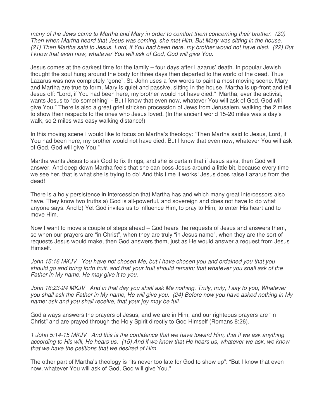many of the Jews came to Martha and Mary in order to comfort them concerning their brother. (20) Then when Martha heard that Jesus was coming, she met Him. But Mary was sitting in the house. (21) Then Martha said to Jesus, Lord, if You had been here, my brother would not have died. (22) But I know that even now, whatever You will ask of God, God will give You.

Jesus comes at the darkest time for the family – four days after Lazarus' death. In popular Jewish thought the soul hung around the body for three days then departed to the world of the dead. Thus Lazarus was now completely "gone". St. John uses a few words to paint a most moving scene. Mary and Martha are true to form, Mary is quiet and passive, sitting in the house. Martha is up-front and tell Jesus off: "Lord, if You had been here, my brother would not have died." Martha, ever the activist, wants Jesus to "do something" - But I know that even now, whatever You will ask of God, God will give You." There is also a great grief stricken procession of Jews from Jerusalem, walking the 2 miles to show their respects to the ones who Jesus loved. (In the ancient world 15-20 miles was a day's walk, so 2 miles was easy walking distance!)

In this moving scene I would like to focus on Martha's theology: "Then Martha said to Jesus, Lord, if You had been here, my brother would not have died. But I know that even now, whatever You will ask of God, God will give You."

Martha wants Jesus to ask God to fix things, and she is certain that if Jesus asks, then God will answer. And deep down Martha feels that she can boss Jesus around a little bit, because every time we see her, that is what she is trying to do! And this time it works! Jesus does raise Lazarus from the dead!

There is a holy persistence in intercession that Martha has and which many great intercessors also have. They know two truths a) God is all-powerful, and sovereign and does not have to do what anyone says. And b) Yet God invites us to influence Him, to pray to Him, to enter His heart and to move Him.

Now I want to move a couple of steps ahead – God hears the requests of Jesus and answers them, so when our prayers are "in Christ", when they are truly "in Jesus name", when they are the sort of requests Jesus would make, then God answers them, just as He would answer a request from Jesus Himself.

John 15:16 MKJV You have not chosen Me, but I have chosen you and ordained you that you should go and bring forth fruit, and that your fruit should remain; that whatever you shall ask of the Father in My name, He may give it to you.

John 16:23-24 MKJV And in that day you shall ask Me nothing. Truly, truly, I say to you, Whatever you shall ask the Father in My name, He will give you. (24) Before now you have asked nothing in My name; ask and you shall receive, that your joy may be full.

God always answers the prayers of Jesus, and we are in Him, and our righteous prayers are "in Christ" and are prayed through the Holy Spirit directly to God Himself (Romans 8:26).

1 John 5:14-15 MKJV And this is the confidence that we have toward Him, that if we ask anything according to His will, He hears us. (15) And if we know that He hears us, whatever we ask, we know that we have the petitions that we desired of Him.

The other part of Martha's theology is "its never too late for God to show up": "But I know that even now, whatever You will ask of God, God will give You."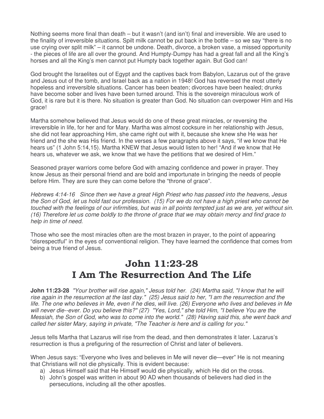Nothing seems more final than death – but it wasn't (and isn't) final and irreversible. We are used to the finality of irreversible situations. Spilt milk cannot be put back in the bottle – so we say "there is no use crying over split milk" – it cannot be undone. Death, divorce, a broken vase, a missed opportunity - the pieces of life are all over the ground. And Humpty-Dumpy has had a great fall and all the King's horses and all the King's men cannot put Humpty back together again. But God can!

God brought the Israelites out of Egypt and the captives back from Babylon, Lazarus out of the grave and Jesus out of the tomb, and Israel back as a nation in 1948! God has reversed the most utterly hopeless and irreversible situations. Cancer has been beaten; divorces have been healed; drunks have become sober and lives have been turned around. This is the sovereign miraculous work of God, it is rare but it is there. No situation is greater than God. No situation can overpower Him and His grace!

Martha somehow believed that Jesus would do one of these great miracles, or reversing the irreversible in life, for her and for Mary. Martha was almost cocksure in her relationship with Jesus, she did not fear approaching Him, she came right out with it, because she knew she He was her friend and the she was His friend. In the verses a few paragraphs above it says, "if we know that He hears us" (1 John 5:14,15). Martha KNEW that Jesus would listen to her! "And if we know that He hears us, whatever we ask, we know that we have the petitions that we desired of Him."

Seasoned prayer warriors come before God with amazing confidence and power in prayer. They know Jesus as their personal friend and are bold and importunate in bringing the needs of people before Him. They are sure they can come before the "throne of grace".

Hebrews 4:14-16 Since then we have a great High Priest who has passed into the heavens, Jesus the Son of God, let us hold fast our profession. (15) For we do not have a high priest who cannot be touched with the feelings of our infirmities, but was in all points tempted just as we are, yet without sin. (16) Therefore let us come boldly to the throne of grace that we may obtain mercy and find grace to help in time of need.

Those who see the most miracles often are the most brazen in prayer, to the point of appearing "disrespectful" in the eyes of conventional religion. They have learned the confidence that comes from being a true friend of Jesus.

#### John 11:23-28 I Am The Resurrection And The Life

**John 11:23-28** "Your brother will rise again," Jesus told her. (24) Martha said, "I know that he will rise again in the resurrection at the last day." (25) Jesus said to her, "I am the resurrection and the life. The one who believes in Me, even if he dies, will live. (26) Everyone who lives and believes in Me will never die--ever. Do you believe this?" (27) "Yes, Lord," she told Him, "I believe You are the Messiah, the Son of God, who was to come into the world." (28) Having said this, she went back and called her sister Mary, saying in private, "The Teacher is here and is calling for you."

Jesus tells Martha that Lazarus will rise from the dead, and then demonstrates it later. Lazarus's resurrection is thus a prefiguring of the resurrection of Christ and later of believers.

When Jesus says: "Everyone who lives and believes in Me will never die—ever" He is not meaning that Christians will not die physically. This is evident because:

- a) Jesus Himself said that He Himself would die physically, which He did on the cross.
- b) John's gospel was written in about 90 AD when thousands of believers had died in the persecutions, including all the other apostles.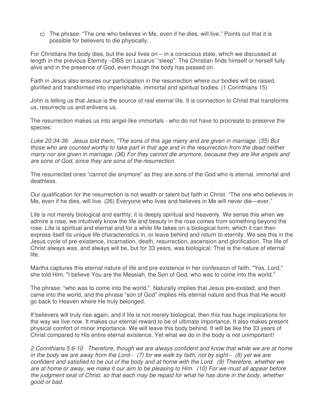c) The phrase: "The one who believes in Me, even if he dies, will live." Points out that it is possible for believers to die physically.

For Christians the body dies, but the soul lives on – in a conscious state, which we discussed at length in the previous Eternity –DBS on Lazarus' "sleep". The Christian finds himself or herself fully alive and in the presence of God, even though the body has passed on.

Faith in Jesus also ensures our participation in the resurrection where our bodies will be raised, glorified and transformed into imperishable, immortal and spiritual bodies. (1 Corinthians 15)

John is telling us that Jesus is the source of real eternal life. It is connection to Christ that transforms us, resurrects us and enlivens us.

The resurrection makes us into angel-like immortals - who do not have to procreate to preserve the species:

Luke 20:34-36 Jesus told them, "The sons of this age marry and are given in marriage. (35) But those who are counted worthy to take part in that age and in the resurrection from the dead neither marry nor are given in marriage. (36) For they cannot die anymore, because they are like angels and are sons of God, since they are sons of the resurrection.

The resurrected ones "cannot die anymore" as they are sons of the God who is eternal, immortal and deathless.

Our qualification for the resurrection is not wealth or talent but faith in Christ: "The one who believes in Me, even if he dies, will live. (26) Everyone who lives and believes in Me will never die—ever."

Life is not merely biological and earthly; it is deeply spiritual and heavenly. We sense this when we admire a rose, we intuitively know the life and beauty in the rose comes from something beyond the rose. Life is spiritual and eternal and for a while life takes on a biological form, which it can then express itself its unique life characteristics in, or leave behind and return to eternity. We see this in the Jesus cycle of pre-existence, incarnation, death, resurrection, ascension and glorification. The life of Christ always was, and always will be, but for 33 years, was biological. That is the nature of eternal life.

Martha captures this eternal nature of life and pre-existence in her confession of faith: "Yes, Lord," she told Him, "I believe You are the Messiah, the Son of God, who was to come into the world."

The phrase: "who was to come into the world." Naturally implies that Jesus pre-existed, and then came into the world, and the phrase "son of God" implies His eternal nature and thus that He would go back to Heaven where He truly belonged.

If believers will truly rise again, and if life is not merely biological, then this has huge implications for the way we live now. It makes our eternal reward to be of ultimate importance. It also makes present physical comfort of minor importance. We will leave this body behind. It will be like the 33 years of Christ compared to His entire eternal existence. Yet what we do in the body is not unimportant!

2 Corinthians 5:6-10 Therefore, though we are always confident and know that while we are at home in the body we are away from the Lord-- (7) for we walk by faith, not by sight-- (8) yet we are confident and satisfied to be out of the body and at home with the Lord. (9) Therefore, whether we are at home or away, we make it our aim to be pleasing to Him. (10) For we must all appear before the judgment seat of Christ, so that each may be repaid for what he has done in the body, whether good or bad.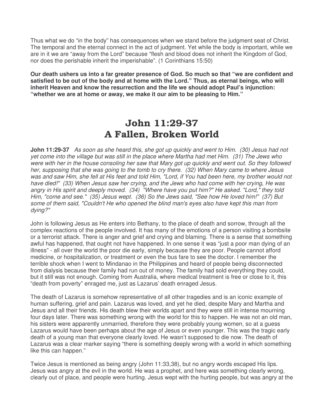Thus what we do "in the body" has consequences when we stand before the judgment seat of Christ. The temporal and the eternal connect in the act of judgment. Yet while the body is important, while we are in it we are "away from the Lord" because "flesh and blood does not inherit the Kingdom of God, nor does the perishable inherit the imperishable". (1 Corinthians 15:50)

**Our death ushers us into a far greater presence of God. So much so that "we are confident and satisfied to be out of the body and at home with the Lord." Thus, as eternal beings, who will inherit Heaven and know the resurrection and the life we should adopt Paul's injunction: "whether we are at home or away, we make it our aim to be pleasing to Him."** 

#### John 11:29-37 A Fallen, Broken World

**John 11:29-37** As soon as she heard this, she got up quickly and went to Him. (30) Jesus had not yet come into the village but was still in the place where Martha had met Him. (31) The Jews who were with her in the house consoling her saw that Mary got up quickly and went out. So they followed her, supposing that she was going to the tomb to cry there. (32) When Mary came to where Jesus was and saw Him, she fell at His feet and told Him, "Lord, if You had been here, my brother would not have died!" (33) When Jesus saw her crying, and the Jews who had come with her crying, He was angry in His spirit and deeply moved. (34) "Where have you put him?" He asked. "Lord," they told Him, "come and see." (35) Jesus wept. (36) So the Jews said, "See how He loved him!" (37) But some of them said, "Couldn't He who opened the blind man's eyes also have kept this man from dying?"

John is following Jesus as He enters into Bethany, to the place of death and sorrow, through all the complex reactions of the people involved. It has many of the emotions of a person visiting a bombsite or a terrorist attack. There is anger and grief and crying and blaming. There is a sense that something awful has happened, that ought not have happened. In one sense it was "just a poor man dying of an illness" - all over the world the poor die early, simply because they are poor. People cannot afford medicine, or hospitalization, or treatment or even the bus fare to see the doctor. I remember the terrible shock when I went to Mindanao in the Philippines and heard of people being disconnected from dialysis because their family had run out of money. The family had sold everything they could, but it still was not enough. Coming from Australia, where medical treatment is free or close to it, this "death from poverty" enraged me, just as Lazarus' death enraged Jesus.

The death of Lazarus is somehow representative of all other tragedies and is an iconic example of human suffering, grief and pain. Lazarus was loved, and yet he died, despite Mary and Martha and Jesus and all their friends. His death blew their worlds apart and they were still in intense mourning four days later. There was something wrong with the world for this to happen. He was not an old man, his sisters were apparently unmarried, therefore they were probably young women, so at a guess Lazarus would have been perhaps about the age of Jesus or even younger. This was the tragic early death of a young man that everyone clearly loved. He wasn't supposed to die now. The death of Lazarus was a clear marker saying "there is something deeply wrong with a world in which something like this can happen."

Twice Jesus is mentioned as being angry (John 11:33,38), but no angry words escaped His lips. Jesus was angry at the evil in the world. He was a prophet, and here was something clearly wrong, clearly out of place, and people were hurting. Jesus wept with the hurting people, but was angry at the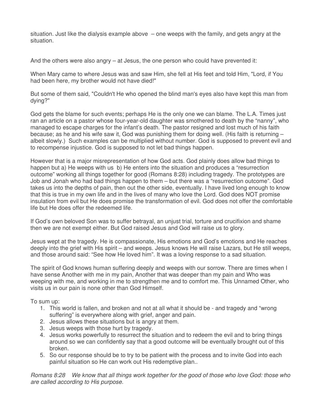situation. Just like the dialysis example above  $-$  one weeps with the family, and gets angry at the situation.

And the others were also angry  $-$  at Jesus, the one person who could have prevented it:

When Mary came to where Jesus was and saw Him, she fell at His feet and told Him, "Lord, if You had been here, my brother would not have died!"

But some of them said, "Couldn't He who opened the blind man's eyes also have kept this man from dying?"

God gets the blame for such events; perhaps He is the only one we can blame. The L.A. Times just ran an article on a pastor whose four-year-old daughter was smothered to death by the "nanny", who managed to escape charges for the infant's death. The pastor resigned and lost much of his faith because; as he and his wife saw it, God was punishing them for doing well. (His faith is returning – albeit slowly.) Such examples can be multiplied without number. God is supposed to prevent evil and to recompense injustice. God is supposed to not let bad things happen.

However that is a major misrepresentation of how God acts. God plainly does allow bad things to happen but a) He weeps with us b) He enters into the situation and produces a "resurrection outcome" working all things together for good (Romans 8:28) including tragedy. The prototypes are Job and Jonah who had bad things happen to them – but there was a "resurrection outcome". God takes us into the depths of pain, then out the other side, eventually. I have lived long enough to know that this is true in my own life and in the lives of many who love the Lord. God does NOT promise insulation from evil but He does promise the transformation of evil. God does not offer the comfortable life but He does offer the redeemed life.

If God's own beloved Son was to suffer betrayal, an unjust trial, torture and crucifixion and shame then we are not exempt either. But God raised Jesus and God will raise us to glory.

Jesus wept at the tragedy. He is compassionate, His emotions and God's emotions and He reaches deeply into the grief with His spirit – and weeps. Jesus knows He will raise Lazars, but He still weeps, and those around said: "See how He loved him". It was a loving response to a sad situation.

The spirit of God knows human suffering deeply and weeps with our sorrow. There are times when I have sense Another with me in my pain, Another that was deeper than my pain and Who was weeping with me, and working in me to strengthen me and to comfort me. This Unnamed Other, who visits us in our pain is none other than God Himself.

To sum up:

- 1. This world is fallen, and broken and not at all what it should be and tragedy and "wrong suffering" is everywhere along with grief, anger and pain.
- 2. Jesus allows these situations but is angry at them.
- 3. Jesus weeps with those hurt by tragedy.
- 4. Jesus works powerfully to resurrect the situation and to redeem the evil and to bring things around so we can confidently say that a good outcome will be eventually brought out of this broken.
- 5. So our response should be to try to be patient with the process and to invite God into each painful situation so He can work out His redemptive plan..

Romans 8:28 We know that all things work together for the good of those who love God: those who are called according to His purpose.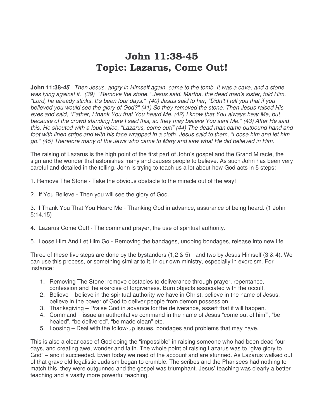# John 11:38-45 Topic: Lazarus, Come Out!

**John 11:38-45** Then Jesus, angry in Himself again, came to the tomb. It was a cave, and a stone was lying against it. (39) "Remove the stone," Jesus said. Martha, the dead man's sister, told Him, "Lord, he already stinks. It's been four days." (40) Jesus said to her, "Didn't I tell you that if you believed you would see the glory of God?" (41) So they removed the stone. Then Jesus raised His eyes and said, "Father, I thank You that You heard Me. (42) I know that You always hear Me, but because of the crowd standing here I said this, so they may believe You sent Me." (43) After He said this, He shouted with a loud voice, "Lazarus, come out!" (44) The dead man came outbound hand and foot with linen strips and with his face wrapped in a cloth. Jesus said to them, "Loose him and let him go." (45) Therefore many of the Jews who came to Mary and saw what He did believed in Him.

The raising of Lazarus is the high point of the first part of John's gospel and the Grand Miracle, the sign and the wonder that astonishes many and causes people to believe. As such John has been very careful and detailed in the telling. John is trying to teach us a lot about how God acts in 5 steps:

1. Remove The Stone - Take the obvious obstacle to the miracle out of the way!

2. If You Believe - Then you will see the glory of God.

3. I Thank You That You Heard Me - Thanking God in advance, assurance of being heard. (1 John 5:14,15)

4. Lazarus Come Out! - The command prayer, the use of spiritual authority.

5. Loose Him And Let Him Go - Removing the bandages, undoing bondages, release into new life

Three of these five steps are done by the bystanders (1,2 & 5) - and two by Jesus Himself (3 & 4). We can use this process, or something similar to it, in our own ministry, especially in exorcism. For instance:

- 1. Removing The Stone: remove obstacles to deliverance through prayer, repentance, confession and the exercise of forgiveness. Burn objects associated with the occult.
- 2. Believe believe in the spiritual authority we have in Christ, believe in the name of Jesus, believe in the power of God to deliver people from demon possession.
- 3. Thanksgiving Praise God in advance for the deliverance, assert that it will happen.
- 4. Command issue an authoritative command in the name of Jesus "come out of him"', "be healed", "be delivered", "be made clean" etc.
- 5. Loosing Deal with the follow-up issues, bondages and problems that may have.

This is also a clear case of God doing the "impossible" in raising someone who had been dead four days, and creating awe, wonder and faith. The whole point of raising Lazarus was to "give glory to God" – and it succeeded. Even today we read of the account and are stunned. As Lazarus walked out of that grave old legalistic Judaism began to crumble. The scribes and the Pharisees had nothing to match this, they were outgunned and the gospel was triumphant. Jesus' teaching was clearly a better teaching and a vastly more powerful teaching.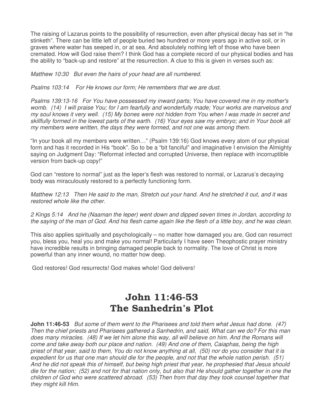The raising of Lazarus points to the possibility of resurrection, even after physical decay has set in "he stinketh". There can be little left of people buried two hundred or more years ago in active soil, or in graves where water has seeped in, or at sea. And absolutely nothing left of those who have been cremated. How will God raise them? I think God has a complete record of our physical bodies and has the ability to "back-up and restore" at the resurrection. A clue to this is given in verses such as:

Matthew 10:30 But even the hairs of your head are all numbered.

Psalms 103:14 For He knows our form; He remembers that we are dust.

Psalms 139:13-16 For You have possessed my inward parts; You have covered me in my mother's womb. (14) I will praise You; for I am fearfully and wonderfully made; Your works are marvelous and my soul knows it very well. (15) My bones were not hidden from You when I was made in secret and skillfully formed in the lowest parts of the earth. (16) Your eyes saw my embryo; and in Your book all my members were written, the days they were formed, and not one was among them.

"In your book all my members were written…" (Psalm 139:16) God knows every atom of our physical form and has it recorded in His "book". So to be a "bit fanciful" and imaginative I envision the Almighty saying on Judgment Day: "Reformat infected and corrupted Universe, then replace with incorruptible version from back-up copy!"

God can "restore to normal" just as the leper's flesh was restored to normal, or Lazarus's decaying body was miraculously restored to a perfectly functioning form.

Matthew 12:13 Then He said to the man, Stretch out your hand. And he stretched it out, and it was restored whole like the other.

2 Kings 5:14 And he (Naaman the leper) went down and dipped seven times in Jordan, according to the saying of the man of God. And his flesh came again like the flesh of a little boy, and he was clean.

This also applies spiritually and psychologically – no matter how damaged you are, God can resurrect you, bless you, heal you and make you normal! Particularly I have seen Theophostic prayer ministry have incredible results in bringing damaged people back to normality. The love of Christ is more powerful than any inner wound, no matter how deep.

God restores! God resurrects! God makes whole! God delivers!

#### John 11:46-53 The Sanhedrin's Plot

**John 11:46-53** But some of them went to the Pharisees and told them what Jesus had done. (47) Then the chief priests and Pharisees gathered a Sanhedrin, and said, What can we do? For this man does many miracles. (48) If we let him alone this way, all will believe on him. And the Romans will come and take away both our place and nation. (49) And one of them, Caiaphas, being the high priest of that year, said to them, You do not know anything at all, (50) nor do you consider that it is expedient for us that one man should die for the people, and not that the whole nation perish. (51) And he did not speak this of himself, but being high priest that year, he prophesied that Jesus should die for the nation; (52) and not for that nation only, but also that He should gather together in one the children of God who were scattered abroad. (53) Then from that day they took counsel together that they might kill Him.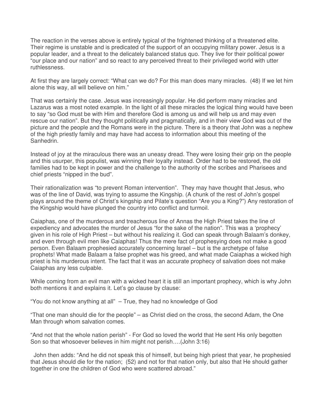The reaction in the verses above is entirely typical of the frightened thinking of a threatened elite. Their regime is unstable and is predicated of the support of an occupying military power. Jesus is a popular leader, and a threat to the delicately balanced status quo. They live for their political power "our place and our nation" and so react to any perceived threat to their privileged world with utter ruthlessness.

At first they are largely correct: "What can we do? For this man does many miracles. (48) If we let him alone this way, all will believe on him."

That was certainly the case. Jesus was increasingly popular. He did perform many miracles and Lazarus was a most noted example. In the light of all these miracles the logical thing would have been to say "so God must be with Him and therefore God is among us and will help us and may even rescue our nation". But they thought politically and pragmatically, and in their view God was out of the picture and the people and the Romans were in the picture. There is a theory that John was a nephew of the high priestly family and may have had access to information about this meeting of the Sanhedrin.

Instead of joy at the miraculous there was an uneasy dread. They were losing their grip on the people and this usurper, this populist, was winning their loyalty instead. Order had to be restored, the old families had to be kept in power and the challenge to the authority of the scribes and Pharisees and chief priests "nipped in the bud".

Their rationalization was "to prevent Roman intervention". They may have thought that Jesus, who was of the line of David, was trying to assume the Kingship. (A chunk of the rest of John's gospel plays around the theme of Christ's kingship and Pilate's question "Are you a King?") Any restoration of the Kingship would have plunged the country into conflict and turmoil.

Caiaphas, one of the murderous and treacherous line of Annas the High Priest takes the line of expediency and advocates the murder of Jesus "for the sake of the nation". This was a 'prophecy' given in his role of High Priest – but without his realizing it. God can speak through Balaam's donkey, and even through evil men like Caiaphas! Thus the mere fact of prophesying does not make a good person. Even Balaam prophesied accurately concerning Israel – but is the archetype of false prophets! What made Balaam a false prophet was his greed, and what made Caiaphas a wicked high priest is his murderous intent. The fact that it was an accurate prophecy of salvation does not make Caiaphas any less culpable.

While coming from an evil man with a wicked heart it is still an important prophecy, which is why John both mentions it and explains it. Let's go clause by clause:

"You do not know anything at all" – True, they had no knowledge of God

"That one man should die for the people" – as Christ died on the cross, the second Adam, the One Man through whom salvation comes.

"And not that the whole nation perish" - For God so loved the world that He sent His only begotten Son so that whosoever believes in him might not perish….(John 3:16)

 John then adds: "And he did not speak this of himself, but being high priest that year, he prophesied that Jesus should die for the nation; (52) and not for that nation only, but also that He should gather together in one the children of God who were scattered abroad."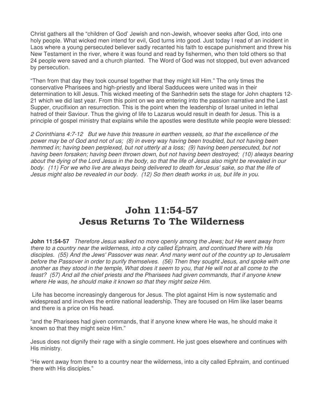Christ gathers all the "children of God' Jewish and non-Jewish, whoever seeks after God, into one holy people. What wicked men intend for evil, God turns into good. Just today I read of an incident in Laos where a young persecuted believer sadly recanted his faith to escape punishment and threw his New Testament in the river, where it was found and read by fishermen, who then told others so that 24 people were saved and a church planted. The Word of God was not stopped, but even advanced by persecution.

"Then from that day they took counsel together that they might kill Him." The only times the conservative Pharisees and high-priestly and liberal Sadducees were united was in their determination to kill Jesus. This wicked meeting of the Sanhedrin sets the stage for John chapters 12- 21 which we did last year. From this point on we are entering into the passion narrative and the Last Supper, crucifixion an resurrection. This is the point when the leadership of Israel united in lethal hatred of their Saviour. Thus the giving of life to Lazarus would result in death for Jesus. This is a principle of gospel ministry that explains while the apostles were destitute while people were blessed:

2 Corinthians 4:7-12 But we have this treasure in earthen vessels, so that the excellence of the power may be of God and not of us; (8) in every way having been troubled, but not having been hemmed in; having been perplexed, but not utterly at a loss; (9) having been persecuted, but not having been forsaken; having been thrown down, but not having been destroyed; (10) always bearing about the dying of the Lord Jesus in the body, so that the life of Jesus also might be revealed in our body. (11) For we who live are always being delivered to death for Jesus' sake, so that the life of Jesus might also be revealed in our body. (12) So then death works in us, but life in you.

# John 11:54-57 Jesus Returns To The Wilderness

**John 11:54-57** Therefore Jesus walked no more openly among the Jews; but He went away from there to a country near the wilderness, into a city called Ephraim, and continued there with His disciples. (55) And the Jews' Passover was near. And many went out of the country up to Jerusalem before the Passover in order to purify themselves. (56) Then they sought Jesus, and spoke with one another as they stood in the temple, What does it seem to you, that He will not at all come to the feast? (57) And all the chief priests and the Pharisees had given commands, that if anyone knew where He was, he should make it known so that they might seize Him.

 Life has become increasingly dangerous for Jesus. The plot against Him is now systematic and widespread and involves the entire national leadership. They are focused on Him like laser beams and there is a price on His head.

"and the Pharisees had given commands, that if anyone knew where He was, he should make it known so that they might seize Him."

Jesus does not dignify their rage with a single comment. He just goes elsewhere and continues with His ministry.

"He went away from there to a country near the wilderness, into a city called Ephraim, and continued there with His disciples."